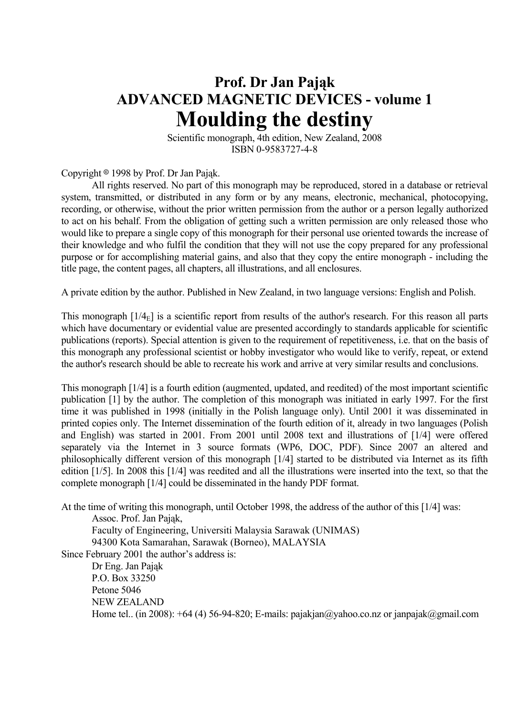# **Prof. Dr Jan Pająk ADVANCED MAGNETIC DEVICES - volume 1 Moulding the destiny**

 Scientific monograph, 4th edition, New Zealand, 2008 ISBN 0-9583727-4-8

Copyright  $\circ$  1998 by Prof. Dr Jan Pajak.

 All rights reserved. No part of this monograph may be reproduced, stored in a database or retrieval system, transmitted, or distributed in any form or by any means, electronic, mechanical, photocopying, recording, or otherwise, without the prior written permission from the author or a person legally authorized to act on his behalf. From the obligation of getting such a written permission are only released those who would like to prepare a single copy of this monograph for their personal use oriented towards the increase of their knowledge and who fulfil the condition that they will not use the copy prepared for any professional purpose or for accomplishing material gains, and also that they copy the entire monograph - including the title page, the content pages, all chapters, all illustrations, and all enclosures.

A private edition by the author. Published in New Zealand, in two language versions: English and Polish.

This monograph  $[1/4<sub>E</sub>]$  is a scientific report from results of the author's research. For this reason all parts which have documentary or evidential value are presented accordingly to standards applicable for scientific publications (reports). Special attention is given to the requirement of repetitiveness, i.e. that on the basis of this monograph any professional scientist or hobby investigator who would like to verify, repeat, or extend the author's research should be able to recreate his work and arrive at very similar results and conclusions.

This monograph [1/4] is a fourth edition (augmented, updated, and reedited) of the most important scientific publication [1] by the author. The completion of this monograph was initiated in early 1997. For the first time it was published in 1998 (initially in the Polish language only). Until 2001 it was disseminated in printed copies only. The Internet dissemination of the fourth edition of it, already in two languages (Polish and English) was started in 2001. From 2001 until 2008 text and illustrations of [1/4] were offered separately via the Internet in 3 source formats (WP6, DOC, PDF). Since 2007 an altered and philosophically different version of this monograph [1/4] started to be distributed via Internet as its fifth edition [1/5]. In 2008 this [1/4] was reedited and all the illustrations were inserted into the text, so that the complete monograph [1/4] could be disseminated in the handy PDF format.

At the time of writing this monograph, until October 1998, the address of the author of this [1/4] was: Assoc. Prof. Jan Pająk, Faculty of Engineering, Universiti Malaysia Sarawak (UNIMAS) 94300 Kota Samarahan, Sarawak (Borneo), MALAYSIA Since February 2001 the author's address is: Dr Eng. Jan Pająk P.O. Box 33250

 Petone 5046 NEW ZEALAND Home tel.. (in 2008): +64 (4) 56-94-820; E-mails: pajakjan@yahoo.co.nz or janpajak@gmail.com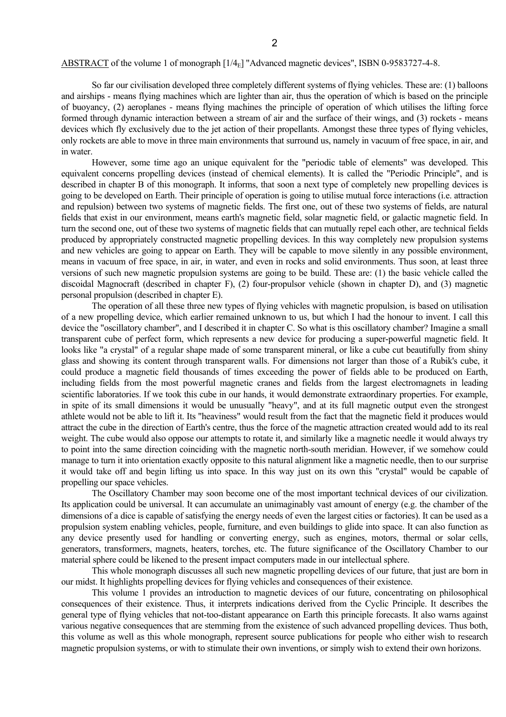#### ABSTRACT of the volume 1 of monograph [1/4<sub>E</sub>] "Advanced magnetic devices", ISBN 0-9583727-4-8.

 So far our civilisation developed three completely different systems of flying vehicles. These are: (1) balloons and airships - means flying machines which are lighter than air, thus the operation of which is based on the principle of buoyancy, (2) aeroplanes - means flying machines the principle of operation of which utilises the lifting force formed through dynamic interaction between a stream of air and the surface of their wings, and (3) rockets - means devices which fly exclusively due to the jet action of their propellants. Amongst these three types of flying vehicles, only rockets are able to move in three main environments that surround us, namely in vacuum of free space, in air, and in water.

 However, some time ago an unique equivalent for the "periodic table of elements" was developed. This equivalent concerns propelling devices (instead of chemical elements). It is called the "Periodic Principle", and is described in chapter B of this monograph. It informs, that soon a next type of completely new propelling devices is going to be developed on Earth. Their principle of operation is going to utilise mutual force interactions (i.e. attraction and repulsion) between two systems of magnetic fields. The first one, out of these two systems of fields, are natural fields that exist in our environment, means earth's magnetic field, solar magnetic field, or galactic magnetic field. In turn the second one, out of these two systems of magnetic fields that can mutually repel each other, are technical fields produced by appropriately constructed magnetic propelling devices. In this way completely new propulsion systems and new vehicles are going to appear on Earth. They will be capable to move silently in any possible environment, means in vacuum of free space, in air, in water, and even in rocks and solid environments. Thus soon, at least three versions of such new magnetic propulsion systems are going to be build. These are: (1) the basic vehicle called the discoidal Magnocraft (described in chapter F), (2) four-propulsor vehicle (shown in chapter D), and (3) magnetic personal propulsion (described in chapter E).

 The operation of all these three new types of flying vehicles with magnetic propulsion, is based on utilisation of a new propelling device, which earlier remained unknown to us, but which I had the honour to invent. I call this device the "oscillatory chamber", and I described it in chapter C. So what is this oscillatory chamber? Imagine a small transparent cube of perfect form, which represents a new device for producing a super-powerful magnetic field. It looks like "a crystal" of a regular shape made of some transparent mineral, or like a cube cut beautifully from shiny glass and showing its content through transparent walls. For dimensions not larger than those of a Rubik's cube, it could produce a magnetic field thousands of times exceeding the power of fields able to be produced on Earth, including fields from the most powerful magnetic cranes and fields from the largest electromagnets in leading scientific laboratories. If we took this cube in our hands, it would demonstrate extraordinary properties. For example, in spite of its small dimensions it would be unusually "heavy", and at its full magnetic output even the strongest athlete would not be able to lift it. Its "heaviness" would result from the fact that the magnetic field it produces would attract the cube in the direction of Earth's centre, thus the force of the magnetic attraction created would add to its real weight. The cube would also oppose our attempts to rotate it, and similarly like a magnetic needle it would always try to point into the same direction coinciding with the magnetic north-south meridian. However, if we somehow could manage to turn it into orientation exactly opposite to this natural alignment like a magnetic needle, then to our surprise it would take off and begin lifting us into space. In this way just on its own this "crystal" would be capable of propelling our space vehicles.

 The Oscillatory Chamber may soon become one of the most important technical devices of our civilization. Its application could be universal. It can accumulate an unimaginably vast amount of energy (e.g. the chamber of the dimensions of a dice is capable of satisfying the energy needs of even the largest cities or factories). It can be used as a propulsion system enabling vehicles, people, furniture, and even buildings to glide into space. It can also function as any device presently used for handling or converting energy, such as engines, motors, thermal or solar cells, generators, transformers, magnets, heaters, torches, etc. The future significance of the Oscillatory Chamber to our material sphere could be likened to the present impact computers made in our intellectual sphere.

 This whole monograph discusses all such new magnetic propelling devices of our future, that just are born in our midst. It highlights propelling devices for flying vehicles and consequences of their existence.

 This volume 1 provides an introduction to magnetic devices of our future, concentrating on philosophical consequences of their existence. Thus, it interprets indications derived from the Cyclic Principle. It describes the general type of flying vehicles that not-too-distant appearance on Earth this principle forecasts. It also warns against various negative consequences that are stemming from the existence of such advanced propelling devices. Thus both, this volume as well as this whole monograph, represent source publications for people who either wish to research magnetic propulsion systems, or with to stimulate their own inventions, or simply wish to extend their own horizons.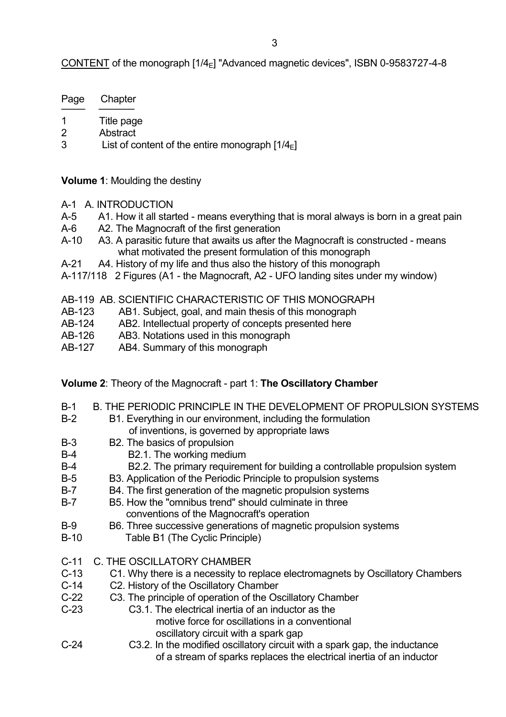CONTENT of the monograph  $[1/4_F]$  "Advanced magnetic devices", ISBN 0-9583727-4-8

| Page | Chapter    |
|------|------------|
| -1   | Title page |

- 2 Abstract
- 3 List of content of the entire monograph  $[1/4<sub>E</sub>]$

**Volume 1**: Moulding the destiny

- A-1 A. INTRODUCTION
- A-5 A1. How it all started means everything that is moral always is born in a great pain
- A-6 A2. The Magnocraft of the first generation
- A-10 A3. A parasitic future that awaits us after the Magnocraft is constructed means what motivated the present formulation of this monograph
- A-21 A4. History of my life and thus also the history of this monograph
- A-117/118 2 Figures (A1 the Magnocraft, A2 UFO landing sites under my window)

AB-119 AB. SCIENTIFIC CHARACTERISTIC OF THIS MONOGRAPH

- AB-123 AB1. Subject, goal, and main thesis of this monograph
- AB-124 AB2. Intellectual property of concepts presented here
- AB-126 AB3. Notations used in this monograph
- AB-127 AB4. Summary of this monograph

#### **Volume 2**: Theory of the Magnocraft - part 1: **The Oscillatory Chamber**

- B-1 B. THE PERIODIC PRINCIPLE IN THE DEVELOPMENT OF PROPULSION SYSTEMS
- B-2 B1. Everything in our environment, including the formulation of inventions, is governed by appropriate laws
- B-3 B2. The basics of propulsion
- B-4 B2.1. The working medium
- B-4 B2.2. The primary requirement for building a controllable propulsion system
- B-5 B3. Application of the Periodic Principle to propulsion systems
- B-7 B4. The first generation of the magnetic propulsion systems
- B-7 B5. How the "omnibus trend" should culminate in three
	- conventions of the Magnocraft's operation
- B-9 B6. Three successive generations of magnetic propulsion systems
- B-10 Table B1 (The Cyclic Principle)

#### C-11 C. THE OSCILLATORY CHAMBER

- C-13 C1. Why there is a necessity to replace electromagnets by Oscillatory Chambers
- C-14 C2. History of the Oscillatory Chamber
- C-22 C3. The principle of operation of the Oscillatory Chamber
- C-23 C3.1. The electrical inertia of an inductor as the

 motive force for oscillations in a conventional oscillatory circuit with a spark gap

C-24 C3.2. In the modified oscillatory circuit with a spark gap, the inductance of a stream of sparks replaces the electrical inertia of an inductor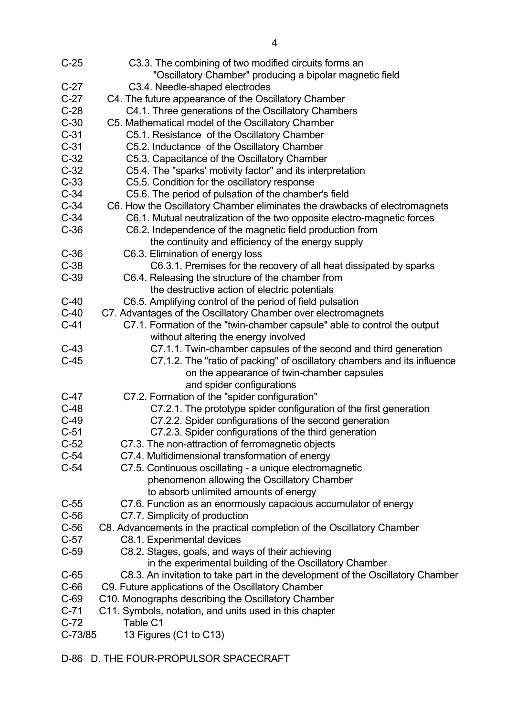| $C-25$  | C3.3. The combining of two modified circuits forms an                          |
|---------|--------------------------------------------------------------------------------|
|         | "Oscillatory Chamber" producing a bipolar magnetic field                       |
| $C-27$  | C3.4. Needle-shaped electrodes                                                 |
| $C-27$  | C4. The future appearance of the Oscillatory Chamber                           |
| $C-28$  | C4.1. Three generations of the Oscillatory Chambers                            |
| $C-30$  | C5. Mathematical model of the Oscillatory Chamber                              |
| $C-31$  | C5.1. Resistance of the Oscillatory Chamber                                    |
| $C-31$  | C5.2. Inductance of the Oscillatory Chamber                                    |
| $C-32$  | C5.3. Capacitance of the Oscillatory Chamber                                   |
| $C-32$  | C5.4. The "sparks' motivity factor" and its interpretation                     |
| $C-33$  | C5.5. Condition for the oscillatory response                                   |
| $C-34$  | C5.6. The period of pulsation of the chamber's field                           |
| $C-34$  | C6. How the Oscillatory Chamber eliminates the drawbacks of electromagnets     |
| $C-34$  | C6.1. Mutual neutralization of the two opposite electro-magnetic forces        |
| $C-36$  | C6.2. Independence of the magnetic field production from                       |
|         | the continuity and efficiency of the energy supply                             |
| $C-36$  | C6.3. Elimination of energy loss                                               |
| $C-38$  | C6.3.1. Premises for the recovery of all heat dissipated by sparks             |
|         |                                                                                |
| $C-39$  | C6.4. Releasing the structure of the chamber from                              |
|         | the destructive action of electric potentials                                  |
| $C-40$  | C6.5. Amplifying control of the period of field pulsation                      |
| $C-40$  | C7. Advantages of the Oscillatory Chamber over electromagnets                  |
| $C-41$  | C7.1. Formation of the "twin-chamber capsule" able to control the output       |
|         | without altering the energy involved                                           |
| $C-43$  | C7.1.1. Twin-chamber capsules of the second and third generation               |
| $C-45$  | C7.1.2. The "ratio of packing" of oscillatory chambers and its influence       |
|         | on the appearance of twin-chamber capsules                                     |
|         | and spider configurations                                                      |
| $C-47$  | C7.2. Formation of the "spider configuration"                                  |
| $C-48$  | C7.2.1. The prototype spider configuration of the first generation             |
| $C-49$  | C7.2.2. Spider configurations of the second generation                         |
| $C-51$  | C7.2.3. Spider configurations of the third generation                          |
| $C-52$  | C7.3. The non-attraction of ferromagnetic objects                              |
| $C-54$  | C7.4. Multidimensional transformation of energy                                |
| $C-54$  | C7.5. Continuous oscillating - a unique electromagnetic                        |
|         | phenomenon allowing the Oscillatory Chamber                                    |
|         | to absorb unlimited amounts of energy                                          |
| $C-55$  | C7.6. Function as an enormously capacious accumulator of energy                |
| $C-56$  | C7.7. Simplicity of production                                                 |
| $C-56$  | C8. Advancements in the practical completion of the Oscillatory Chamber        |
| $C-57$  | C8.1. Experimental devices                                                     |
| $C-59$  | C8.2. Stages, goals, and ways of their achieving                               |
|         | in the experimental building of the Oscillatory Chamber                        |
| $C-65$  | C8.3. An invitation to take part in the development of the Oscillatory Chamber |
| $C-66$  | C9. Future applications of the Oscillatory Chamber                             |
| $C-69$  | C10. Monographs describing the Oscillatory Chamber                             |
| $C-71$  | C11. Symbols, notation, and units used in this chapter                         |
| $C-72$  | Table C1                                                                       |
| C-73/85 | 13 Figures (C1 to C13)                                                         |
|         |                                                                                |

D-86 D. THE FOUR-PROPULSOR SPACECRAFT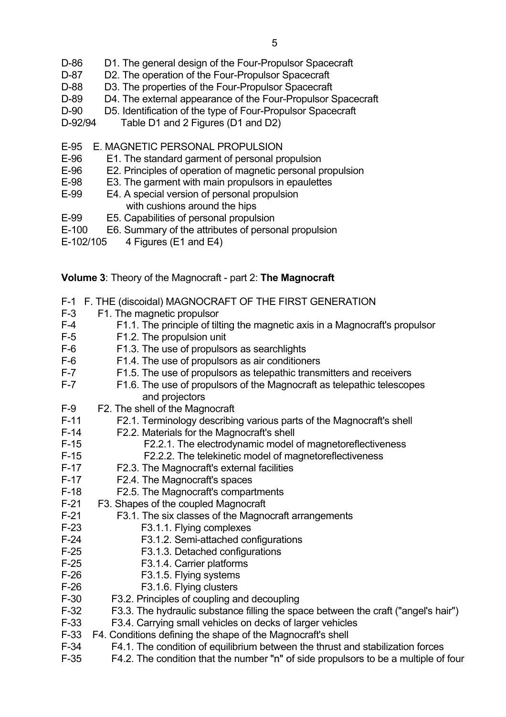- D-86 D1. The general design of the Four-Propulsor Spacecraft
- D-87 D2. The operation of the Four-Propulsor Spacecraft
- D-88 D3. The properties of the Four-Propulsor Spacecraft
- D-89 D4. The external appearance of the Four-Propulsor Spacecraft
- D-90 D5. Identification of the type of Four-Propulsor Spacecraft
- D-92/94 Table D1 and 2 Figures (D1 and D2)
- E-95 E. MAGNETIC PERSONAL PROPULSION
- E-96 E1. The standard garment of personal propulsion
- E-96 E2. Principles of operation of magnetic personal propulsion
- E-98 E3. The garment with main propulsors in epaulettes
- E-99 E4. A special version of personal propulsion with cushions around the hips
- E-99 E5. Capabilities of personal propulsion
- E-100 E6. Summary of the attributes of personal propulsion
- E-102/105 4 Figures (E1 and E4)

### **Volume 3**: Theory of the Magnocraft - part 2: **The Magnocraft**

- F-1 F. THE (discoidal) MAGNOCRAFT OF THE FIRST GENERATION
- F-3 F1. The magnetic propulsor
- F-4 F1.1. The principle of tilting the magnetic axis in a Magnocraft's propulsor
- F-5 F1.2. The propulsion unit
- F-6 F1.3. The use of propulsors as searchlights
- F-6 F1.4. The use of propulsors as air conditioners
- F-7 F1.5. The use of propulsors as telepathic transmitters and receivers
- F-7 F1.6. The use of propulsors of the Magnocraft as telepathic telescopes and projectors
- F-9 F2. The shell of the Magnocraft
- F-11 F2.1. Terminology describing various parts of the Magnocraft's shell
- F-14 F2.2. Materials for the Magnocraft's shell
- F-15 F2.2.1. The electrodynamic model of magnetoreflectiveness
- F-15 F2.2.2. The telekinetic model of magnetoreflectiveness
- F-17 F2.3. The Magnocraft's external facilities
- F-17 F2.4. The Magnocraft's spaces
- F-18 F2.5. The Magnocraft's compartments
- F-21 F3. Shapes of the coupled Magnocraft
- F-21 F3.1. The six classes of the Magnocraft arrangements
- F-23 F3.1.1. Flying complexes
- F-24 F3.1.2. Semi-attached configurations
- F-25 F3.1.3. Detached configurations
- F-25 F3.1.4. Carrier platforms
- F-26 F3.1.5. Flying systems
- F-26 F3.1.6. Flying clusters
- F-30 F3.2. Principles of coupling and decoupling
- F-32 F3.3. The hydraulic substance filling the space between the craft ("angel's hair")
- F-33 F3.4. Carrying small vehicles on decks of larger vehicles
- F-33 F4. Conditions defining the shape of the Magnocraft's shell
- F-34 F4.1. The condition of equilibrium between the thrust and stabilization forces<br>F-35 F4.2. The condition that the number "n" of side propulsors to be a multiple of
- F4.2. The condition that the number "n" of side propulsors to be a multiple of four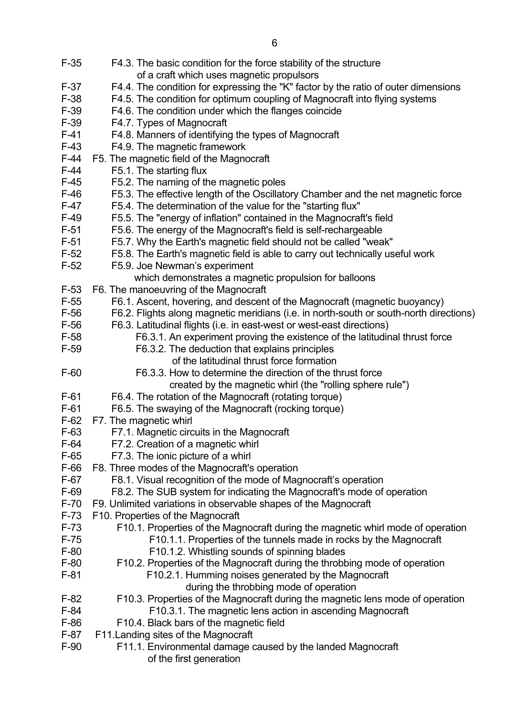| $F-35$ | F4.3. The basic condition for the force stability of the structure                                  |
|--------|-----------------------------------------------------------------------------------------------------|
|        | of a craft which uses magnetic propulsors                                                           |
| $F-37$ | F4.4. The condition for expressing the "K" factor by the ratio of outer dimensions                  |
| $F-38$ | F4.5. The condition for optimum coupling of Magnocraft into flying systems                          |
| $F-39$ | F4.6. The condition under which the flanges coincide                                                |
| $F-39$ | F4.7. Types of Magnocraft                                                                           |
| $F-41$ | F4.8. Manners of identifying the types of Magnocraft                                                |
| $F-43$ | F4.9. The magnetic framework                                                                        |
| F-44   | F5. The magnetic field of the Magnocraft                                                            |
| $F-44$ | F5.1. The starting flux                                                                             |
| $F-45$ | F5.2. The naming of the magnetic poles                                                              |
| $F-46$ | F5.3. The effective length of the Oscillatory Chamber and the net magnetic force                    |
| $F-47$ | F5.4. The determination of the value for the "starting flux"                                        |
| $F-49$ | F5.5. The "energy of inflation" contained in the Magnocraft's field                                 |
| $F-51$ | F5.6. The energy of the Magnocraft's field is self-rechargeable                                     |
| $F-51$ | F5.7. Why the Earth's magnetic field should not be called "weak"                                    |
| $F-52$ | F5.8. The Earth's magnetic field is able to carry out technically useful work                       |
| $F-52$ | F5.9. Joe Newman's experiment                                                                       |
|        | which demonstrates a magnetic propulsion for balloons                                               |
| $F-53$ | F6. The manoeuvring of the Magnocraft                                                               |
| $F-55$ | F6.1. Ascent, hovering, and descent of the Magnocraft (magnetic buoyancy)                           |
| $F-56$ | F6.2. Flights along magnetic meridians (i.e. in north-south or south-north directions)              |
| $F-56$ | F6.3. Latitudinal flights (i.e. in east-west or west-east directions)                               |
| $F-58$ |                                                                                                     |
|        | F6.3.1. An experiment proving the existence of the latitudinal thrust force                         |
| $F-59$ | F6.3.2. The deduction that explains principles                                                      |
|        | of the latitudinal thrust force formation                                                           |
| $F-60$ | F6.3.3. How to determine the direction of the thrust force                                          |
|        | created by the magnetic whirl (the "rolling sphere rule")                                           |
| $F-61$ | F6.4. The rotation of the Magnocraft (rotating torque)                                              |
| $F-61$ | F6.5. The swaying of the Magnocraft (rocking torque)                                                |
| $F-62$ | F7. The magnetic whirl                                                                              |
| $F-63$ |                                                                                                     |
| $F-64$ | F7.1. Magnetic circuits in the Magnocraft                                                           |
|        | F7.2. Creation of a magnetic whirl                                                                  |
| $F-65$ | F7.3. The ionic picture of a whirl                                                                  |
| $F-66$ | F8. Three modes of the Magnocraft's operation                                                       |
| $F-67$ | F8.1. Visual recognition of the mode of Magnocraft's operation                                      |
| $F-69$ | F8.2. The SUB system for indicating the Magnocraft's mode of operation                              |
| $F-70$ | F9. Unlimited variations in observable shapes of the Magnocraft                                     |
| $F-73$ | F10. Properties of the Magnocraft                                                                   |
| $F-73$ | F10.1. Properties of the Magnocraft during the magnetic whirl mode of operation                     |
| $F-75$ | F10.1.1. Properties of the tunnels made in rocks by the Magnocraft                                  |
| $F-80$ | F10.1.2. Whistling sounds of spinning blades                                                        |
| $F-80$ | F10.2. Properties of the Magnocraft during the throbbing mode of operation                          |
| $F-81$ | F10.2.1. Humming noises generated by the Magnocraft                                                 |
|        | during the throbbing mode of operation                                                              |
| $F-82$ | F10.3. Properties of the Magnocraft during the magnetic lens mode of operation                      |
| $F-84$ | F10.3.1. The magnetic lens action in ascending Magnocraft                                           |
| $F-86$ | F10.4. Black bars of the magnetic field                                                             |
| $F-87$ |                                                                                                     |
| $F-90$ | F11. Landing sites of the Magnocraft<br>F11.1. Environmental damage caused by the landed Magnocraft |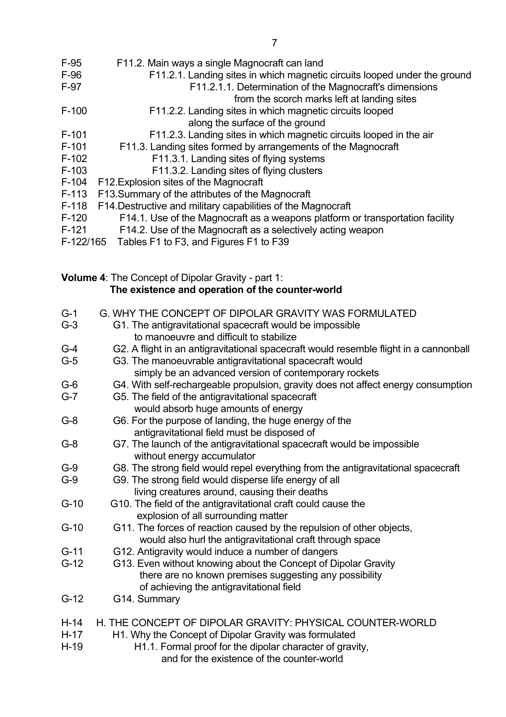| $F-95$    | F11.2. Main ways a single Magnocraft can land                                 |
|-----------|-------------------------------------------------------------------------------|
| $F-96$    | F11.2.1. Landing sites in which magnetic circuits looped under the ground     |
| $F-97$    | F11.2.1.1. Determination of the Magnocraft's dimensions                       |
|           | from the scorch marks left at landing sites                                   |
| $F-100$   | F11.2.2. Landing sites in which magnetic circuits looped                      |
|           | along the surface of the ground                                               |
| $F-101$   | F11.2.3. Landing sites in which magnetic circuits looped in the air           |
| $F-101$   | F11.3. Landing sites formed by arrangements of the Magnocraft                 |
| $F-102$   | F11.3.1. Landing sites of flying systems                                      |
| $F-103$   | F11.3.2. Landing sites of flying clusters                                     |
| $F-104$   | F12. Explosion sites of the Magnocraft                                        |
| $F-113$   | F13. Summary of the attributes of the Magnocraft                              |
| $F-118$   | F14. Destructive and military capabilities of the Magnocraft                  |
| $F-120$   | F14.1. Use of the Magnocraft as a weapons platform or transportation facility |
| $F-121$   | F14.2. Use of the Magnocraft as a selectively acting weapon                   |
| F-122/165 | Tables F1 to F3, and Figures F1 to F39                                        |

**Volume 4**: The Concept of Dipolar Gravity - part 1: **The existence and operation of the counter-world** 

| $G-1$<br>$G-3$           | G. WHY THE CONCEPT OF DIPOLAR GRAVITY WAS FORMULATED<br>G1. The antigravitational spacecraft would be impossible                                                                            |
|--------------------------|---------------------------------------------------------------------------------------------------------------------------------------------------------------------------------------------|
| $G-4$<br>$G-5$           | to manoeuvre and difficult to stabilize<br>G2. A flight in an antigravitational spacecraft would resemble flight in a cannonball<br>G3. The manoeuvrable antigravitational spacecraft would |
|                          | simply be an advanced version of contemporary rockets                                                                                                                                       |
| $G-6$                    | G4. With self-rechargeable propulsion, gravity does not affect energy consumption                                                                                                           |
| $G-7$                    | G5. The field of the antigravitational spacecraft<br>would absorb huge amounts of energy                                                                                                    |
| $G-8$                    | G6. For the purpose of landing, the huge energy of the<br>antigravitational field must be disposed of                                                                                       |
| $G-8$                    | G7. The launch of the antigravitational spacecraft would be impossible<br>without energy accumulator                                                                                        |
| $G-9$                    | G8. The strong field would repel everything from the antigravitational spacecraft                                                                                                           |
| $G-9$                    | G9. The strong field would disperse life energy of all                                                                                                                                      |
|                          | living creatures around, causing their deaths                                                                                                                                               |
| $G-10$                   | G10. The field of the antigravitational craft could cause the<br>explosion of all surrounding matter                                                                                        |
| $G-10$                   | G11. The forces of reaction caused by the repulsion of other objects,<br>would also hurl the antigravitational craft through space                                                          |
| $G-11$                   | G12. Antigravity would induce a number of dangers                                                                                                                                           |
| $G-12$                   | G13. Even without knowing about the Concept of Dipolar Gravity<br>there are no known premises suggesting any possibility<br>of achieving the antigravitational field                        |
| $G-12$                   | G14. Summary                                                                                                                                                                                |
| $H-14$<br>H-17<br>$H-19$ | H. THE CONCEPT OF DIPOLAR GRAVITY: PHYSICAL COUNTER-WORLD<br>H1. Why the Concept of Dipolar Gravity was formulated<br>H1.1. Formal proof for the dipolar character of gravity,              |

and for the existence of the counter-world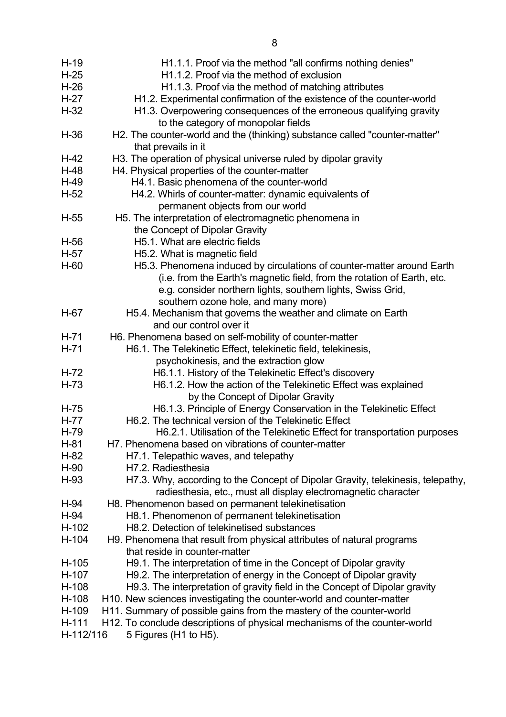| $H-19$    | H1.1.1. Proof via the method "all confirms nothing denies"                                                                             |
|-----------|----------------------------------------------------------------------------------------------------------------------------------------|
| $H-25$    | H <sub>1.1.2</sub> . Proof via the method of exclusion                                                                                 |
| $H-26$    | H1.1.3. Proof via the method of matching attributes                                                                                    |
| $H-27$    | H1.2. Experimental confirmation of the existence of the counter-world                                                                  |
| $H-32$    | H1.3. Overpowering consequences of the erroneous qualifying gravity<br>to the category of monopolar fields                             |
| $H-36$    | H2. The counter-world and the (thinking) substance called "counter-matter"<br>that prevails in it                                      |
| $H-42$    | H3. The operation of physical universe ruled by dipolar gravity                                                                        |
| H-48      | H4. Physical properties of the counter-matter                                                                                          |
| $H-49$    | H4.1. Basic phenomena of the counter-world                                                                                             |
| $H-52$    | H4.2. Whirls of counter-matter: dynamic equivalents of                                                                                 |
|           | permanent objects from our world                                                                                                       |
| $H-55$    | H5. The interpretation of electromagnetic phenomena in                                                                                 |
|           | the Concept of Dipolar Gravity                                                                                                         |
| $H-56$    | H5.1. What are electric fields                                                                                                         |
| $H-57$    | H5.2. What is magnetic field                                                                                                           |
| $H-60$    | H5.3. Phenomena induced by circulations of counter-matter around Earth                                                                 |
|           | (i.e. from the Earth's magnetic field, from the rotation of Earth, etc.<br>e.g. consider northern lights, southern lights, Swiss Grid, |
|           | southern ozone hole, and many more)                                                                                                    |
| H-67      | H5.4. Mechanism that governs the weather and climate on Earth                                                                          |
|           | and our control over it                                                                                                                |
| $H-71$    | H6. Phenomena based on self-mobility of counter-matter                                                                                 |
| $H-71$    | H6.1. The Telekinetic Effect, telekinetic field, telekinesis,                                                                          |
|           | psychokinesis, and the extraction glow                                                                                                 |
| $H-72$    | H6.1.1. History of the Telekinetic Effect's discovery                                                                                  |
| $H-73$    | H6.1.2. How the action of the Telekinetic Effect was explained                                                                         |
|           | by the Concept of Dipolar Gravity                                                                                                      |
| $H-75$    | H6.1.3. Principle of Energy Conservation in the Telekinetic Effect                                                                     |
| H-77      | H6.2. The technical version of the Telekinetic Effect                                                                                  |
| H-79      | H6.2.1. Utilisation of the Telekinetic Effect for transportation purposes                                                              |
| $H-81$    | H7. Phenomena based on vibrations of counter-matter                                                                                    |
| $H-82$    | H7.1. Telepathic waves, and telepathy                                                                                                  |
| H-90      | H7.2. Radiesthesia                                                                                                                     |
| $H-93$    | H7.3. Why, according to the Concept of Dipolar Gravity, telekinesis, telepathy,                                                        |
|           | radiesthesia, etc., must all display electromagnetic character                                                                         |
| H-94      | H8. Phenomenon based on permanent telekinetisation                                                                                     |
| H-94      | H8.1. Phenomenon of permanent telekinetisation                                                                                         |
| $H-102$   | H8.2. Detection of telekinetised substances                                                                                            |
| H-104     | H9. Phenomena that result from physical attributes of natural programs                                                                 |
|           | that reside in counter-matter                                                                                                          |
| $H-105$   | H9.1. The interpretation of time in the Concept of Dipolar gravity                                                                     |
| H-107     | H9.2. The interpretation of energy in the Concept of Dipolar gravity                                                                   |
| H-108     | H9.3. The interpretation of gravity field in the Concept of Dipolar gravity                                                            |
| H-108     | H10. New sciences investigating the counter-world and counter-matter                                                                   |
| H-109     | H11. Summary of possible gains from the mastery of the counter-world                                                                   |
| H-111     | H12. To conclude descriptions of physical mechanisms of the counter-world                                                              |
| H-112/116 | 5 Figures (H1 to H5).                                                                                                                  |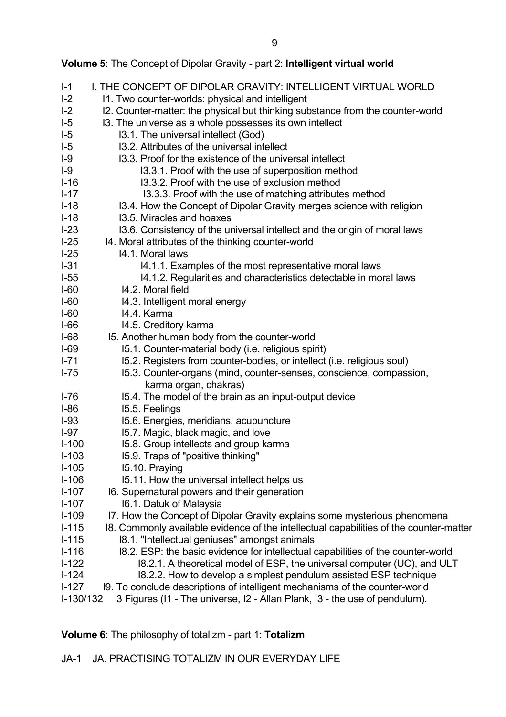| $I-1$     | I. THE CONCEPT OF DIPOLAR GRAVITY: INTELLIGENT VIRTUAL WORLD                           |
|-----------|----------------------------------------------------------------------------------------|
| $I-2$     | 11. Two counter-worlds: physical and intelligent                                       |
| $ -2 $    | 12. Counter-matter: the physical but thinking substance from the counter-world         |
| $I-5$     | 13. The universe as a whole possesses its own intellect                                |
| $I-5$     | 13.1. The universal intellect (God)                                                    |
| $-5$      | 13.2. Attributes of the universal intellect                                            |
| $I-9$     | 13.3. Proof for the existence of the universal intellect                               |
| $ -9$     | 13.3.1. Proof with the use of superposition method                                     |
| $I-16$    | 13.3.2. Proof with the use of exclusion method                                         |
| $I-17$    | 13.3.3. Proof with the use of matching attributes method                               |
| $I-18$    | 13.4. How the Concept of Dipolar Gravity merges science with religion                  |
| $I-18$    | 13.5. Miracles and hoaxes                                                              |
| $I-23$    | 13.6. Consistency of the universal intellect and the origin of moral laws              |
| $-25$     | 14. Moral attributes of the thinking counter-world                                     |
| $I-25$    | 14.1. Moral laws                                                                       |
| $I-31$    | 14.1.1. Examples of the most representative moral laws                                 |
| $I-55$    | 14.1.2. Regularities and characteristics detectable in moral laws                      |
| $I-60$    | 14.2. Moral field                                                                      |
| $I-60$    | 14.3. Intelligent moral energy                                                         |
| $I-60$    | 14.4. Karma                                                                            |
| $I-66$    | 14.5. Creditory karma                                                                  |
| $I-68$    | 15. Another human body from the counter-world                                          |
| $I-69$    | 15.1. Counter-material body (i.e. religious spirit)                                    |
| $I - 71$  | 15.2. Registers from counter-bodies, or intellect (i.e. religious soul)                |
| $I-75$    | 15.3. Counter-organs (mind, counter-senses, conscience, compassion,                    |
|           | karma organ, chakras)                                                                  |
| $I-76$    | 15.4. The model of the brain as an input-output device                                 |
| $I-86$    | 15.5. Feelings                                                                         |
| $I-93$    | 15.6. Energies, meridians, acupuncture                                                 |
| $I-97$    | 15.7. Magic, black magic, and love                                                     |
| $I-100$   | 15.8. Group intellects and group karma                                                 |
| $I - 103$ | 15.9. Traps of "positive thinking"                                                     |
| $I-105$   | 15.10. Praying                                                                         |
| $I-106$   | 15.11. How the universal intellect helps us                                            |
| $I-107$   | 16. Supernatural powers and their generation                                           |
| $I-107$   | 16.1. Datuk of Malaysia                                                                |
| $I-109$   | 17. How the Concept of Dipolar Gravity explains some mysterious phenomena              |
| $I-115$   | 18. Commonly available evidence of the intellectual capabilities of the counter-matter |
| $I - 115$ | 18.1. "Intellectual geniuses" amongst animals                                          |
| $I - 116$ | 18.2. ESP: the basic evidence for intellectual capabilities of the counter-world       |
| $I-122$   | 18.2.1. A theoretical model of ESP, the universal computer (UC), and ULT               |
| $I-124$   | 18.2.2. How to develop a simplest pendulum assisted ESP technique                      |
| $I-127$   | 19. To conclude descriptions of intelligent mechanisms of the counter-world            |
| I-130/132 | 3 Figures (I1 - The universe, I2 - Allan Plank, I3 - the use of pendulum).             |

**Volume 5**: The Concept of Dipolar Gravity - part 2: **Intelligent virtual world**

**Volume 6**: The philosophy of totalizm - part 1: **Totalizm**

JA-1 JA. PRACTISING TOTALIZM IN OUR EVERYDAY LIFE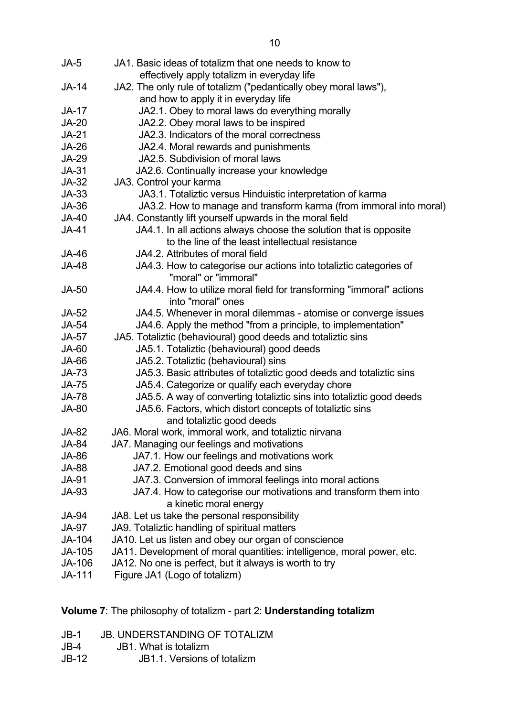| $JA-5$       | JA1. Basic ideas of totalizm that one needs to know to                                                   |
|--------------|----------------------------------------------------------------------------------------------------------|
|              | effectively apply totalizm in everyday life                                                              |
| $JA-14$      | JA2. The only rule of totalizm ("pedantically obey moral laws"),<br>and how to apply it in everyday life |
| <b>JA-17</b> | JA2.1. Obey to moral laws do everything morally                                                          |
| <b>JA-20</b> | JA2.2. Obey moral laws to be inspired                                                                    |
| JA-21        | JA2.3. Indicators of the moral correctness                                                               |
| <b>JA-26</b> | JA2.4. Moral rewards and punishments                                                                     |
| <b>JA-29</b> | JA2.5. Subdivision of moral laws                                                                         |
| $JA-31$      | JA2.6. Continually increase your knowledge                                                               |
| JA-32        | JA3. Control your karma                                                                                  |
| $JA-33$      | JA3.1. Totaliztic versus Hinduistic interpretation of karma                                              |
| JA-36        | JA3.2. How to manage and transform karma (from immoral into moral)                                       |
| <b>JA-40</b> | JA4. Constantly lift yourself upwards in the moral field                                                 |
| JA-41        | JA4.1. In all actions always choose the solution that is opposite                                        |
|              | to the line of the least intellectual resistance                                                         |
| <b>JA-46</b> | JA4.2. Attributes of moral field                                                                         |
| <b>JA-48</b> | JA4.3. How to categorise our actions into totaliztic categories of                                       |
|              | "moral" or "immoral"                                                                                     |
| <b>JA-50</b> | JA4.4. How to utilize moral field for transforming "immoral" actions                                     |
|              | into "moral" ones                                                                                        |
| <b>JA-52</b> | JA4.5. Whenever in moral dilemmas - atomise or converge issues                                           |
| <b>JA-54</b> | JA4.6. Apply the method "from a principle, to implementation"                                            |
| <b>JA-57</b> | JA5. Totaliztic (behavioural) good deeds and totaliztic sins                                             |
| <b>JA-60</b> | JA5.1. Totaliztic (behavioural) good deeds                                                               |
| <b>JA-66</b> | JA5.2. Totaliztic (behavioural) sins                                                                     |
| <b>JA-73</b> | JA5.3. Basic attributes of totaliztic good deeds and totaliztic sins                                     |
| <b>JA-75</b> | JA5.4. Categorize or qualify each everyday chore                                                         |
| <b>JA-78</b> | JA5.5. A way of converting totaliztic sins into totaliztic good deeds                                    |
| <b>JA-80</b> | JA5.6. Factors, which distort concepts of totaliztic sins                                                |
|              | and totaliztic good deeds                                                                                |
| <b>JA-82</b> | JA6. Moral work, immoral work, and totaliztic nirvana                                                    |
| <b>JA-84</b> | JA7. Managing our feelings and motivations                                                               |
| <b>JA-86</b> | JA7.1. How our feelings and motivations work                                                             |
| <b>JA-88</b> | JA7.2. Emotional good deeds and sins                                                                     |
| <b>JA-91</b> | JA7.3. Conversion of immoral feelings into moral actions                                                 |
| <b>JA-93</b> | JA7.4. How to categorise our motivations and transform them into                                         |
|              | a kinetic moral energy                                                                                   |
| <b>JA-94</b> | JA8. Let us take the personal responsibility                                                             |
| <b>JA-97</b> | JA9. Totaliztic handling of spiritual matters                                                            |
| JA-104       | JA10. Let us listen and obey our organ of conscience                                                     |
| JA-105       | JA11. Development of moral quantities: intelligence, moral power, etc.                                   |
| JA-106       | JA12. No one is perfect, but it always is worth to try                                                   |
| JA-111       | Figure JA1 (Logo of totalizm)                                                                            |

### **Volume 7**: The philosophy of totalizm - part 2: **Understanding totalizm**

- JB-1 JB. UNDERSTANDING OF TOTALIZM
- JB-4 JB1. What is totalizm<br>JB-12 JB1.1. Versions of
- JB1.1. Versions of totalizm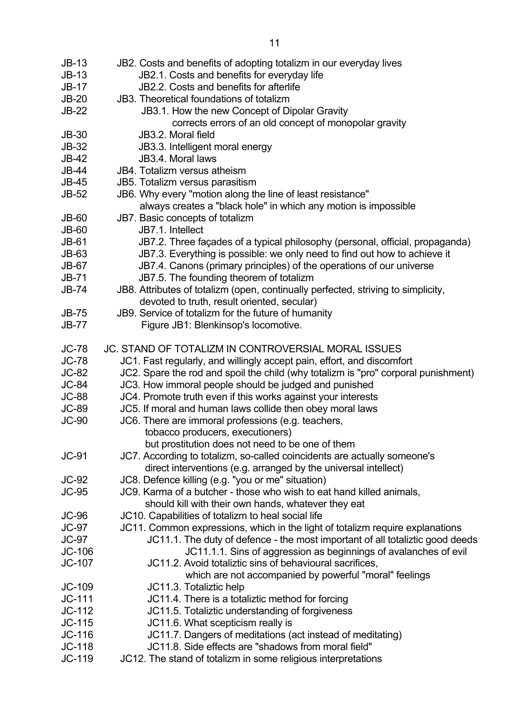JB-13 JB2. Costs and benefits of adopting totalizm in our everyday lives JB-13 JB2.1. Costs and benefits for everyday life JB-17 JB2.2. Costs and benefits for afterlife JB-20 JB3. Theoretical foundations of totalizm JB-22 JB3.1. How the new Concept of Dipolar Gravity corrects errors of an old concept of monopolar gravity JB-30 JB3.2. Moral field JB-32 JB3.3. Intelligent moral energy JB-42 JB3.4. Moral laws JB-44 JB4. Totalizm versus atheism JB-45 JB5. Totalizm versus parasitism JB-52 JB6. Why every "motion along the line of least resistance" always creates a "black hole" in which any motion is impossible JB-60 JB7. Basic concepts of totalizm JB-60 JB7.1. Intellect JB-61 JB7.2. Three façades of a typical philosophy (personal, official, propaganda) JB-63 JB7.3. Everything is possible: we only need to find out how to achieve it JB-67 JB7.4. Canons (primary principles) of the operations of our universe JB-71 JB7.5. The founding theorem of totalizm JB-74 JB8. Attributes of totalizm (open, continually perfected, striving to simplicity, devoted to truth, result oriented, secular) JB-75 JB9. Service of totalizm for the future of humanity JB-77 Figure JB1: Blenkinsop's locomotive. JC-78 JC. STAND OF TOTALIZM IN CONTROVERSIAL MORAL ISSUES JC-78 JC1. Fast regularly, and willingly accept pain, effort, and discomfort JC-82 JC2. Spare the rod and spoil the child (why totalizm is "pro" corporal punishment) JC-84 JC3. How immoral people should be judged and punished JC-88 JC4. Promote truth even if this works against your interests JC-89 JC5. If moral and human laws collide then obey moral laws JC-90 JC6. There are immoral professions (e.g. teachers, tobacco producers, executioners) but prostitution does not need to be one of them JC-91 JC7. According to totalizm, so-called coincidents are actually someone's direct interventions (e.g. arranged by the universal intellect) JC-92 JC8. Defence killing (e.g. "you or me" situation) JC-95 JC9. Karma of a butcher - those who wish to eat hand killed animals, should kill with their own hands, whatever they eat JC-96 JC10. Capabilities of totalizm to heal social life JC-97 JC11. Common expressions, which in the light of totalizm require explanations JC-97 JC11.1. The duty of defence - the most important of all totaliztic good deeds JC-106 JC11.1.1. Sins of aggression as beginnings of avalanches of evil JC-107 JC11.2. Avoid totaliztic sins of behavioural sacrifices, which are not accompanied by powerful "moral" feelings JC-109 JC11.3. Totaliztic help JC-111 JC11.4. There is a totaliztic method for forcing JC-112 JC11.5. Totaliztic understanding of forgiveness JC-115 JC11.6. What scepticism really is JC-116 JC11.7. Dangers of meditations (act instead of meditating) JC-118 JC11.8. Side effects are "shadows from moral field" JC-119 JC12. The stand of totalizm in some religious interpretations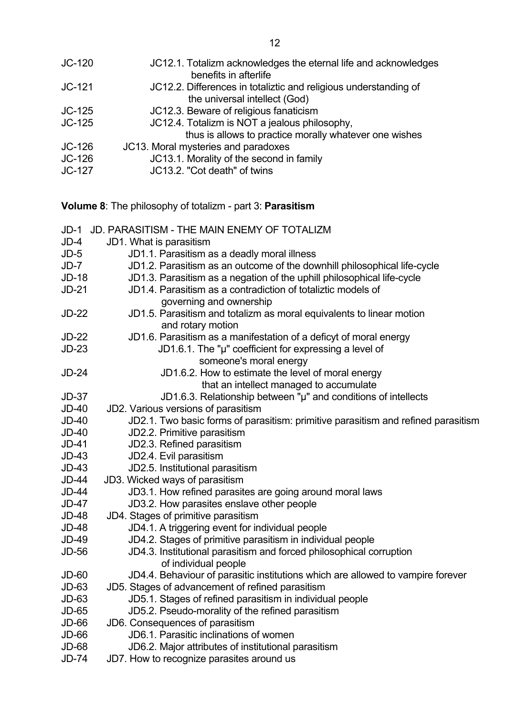| JC12.1. Totalizm acknowledges the eternal life and acknowledges  |
|------------------------------------------------------------------|
|                                                                  |
| JC12.2. Differences in totaliztic and religious understanding of |
|                                                                  |
|                                                                  |
|                                                                  |
| thus is allows to practice morally whatever one wishes           |
|                                                                  |
|                                                                  |
|                                                                  |
|                                                                  |

**Volume 8**: The philosophy of totalizm - part 3: **Parasitism**

|              | JD-1 JD. PARASITISM - THE MAIN ENEMY OF TOTALIZM                                            |
|--------------|---------------------------------------------------------------------------------------------|
| $JD-4$       | JD1. What is parasitism                                                                     |
| $JD-5$       | JD1.1. Parasitism as a deadly moral illness                                                 |
| $JD - 7$     | JD1.2. Parasitism as an outcome of the downhill philosophical life-cycle                    |
| $JD-18$      | JD1.3. Parasitism as a negation of the uphill philosophical life-cycle                      |
| $JD-21$      | JD1.4. Parasitism as a contradiction of totaliztic models of                                |
|              | governing and ownership                                                                     |
| $JD-22$      | JD1.5. Parasitism and totalizm as moral equivalents to linear motion                        |
|              | and rotary motion                                                                           |
| $JD-22$      | JD1.6. Parasitism as a manifestation of a deficyt of moral energy                           |
| $JD-23$      | JD1.6.1. The " $\mu$ " coefficient for expressing a level of                                |
|              | someone's moral energy                                                                      |
| $JD-24$      | JD1.6.2. How to estimate the level of moral energy                                          |
|              | that an intellect managed to accumulate                                                     |
| $JD-37$      | JD1.6.3. Relationship between " $\mu$ " and conditions of intellects                        |
| $JD-40$      | JD2. Various versions of parasitism                                                         |
| $JD-40$      | JD2.1. Two basic forms of parasitism: primitive parasitism and refined parasitism           |
| $JD-40$      | JD2.2. Primitive parasitism                                                                 |
| $JD-41$      | JD2.3. Refined parasitism                                                                   |
| $JD-43$      | JD2.4. Evil parasitism                                                                      |
| $JD-43$      | JD2.5. Institutional parasitism                                                             |
| <b>JD-44</b> | JD3. Wicked ways of parasitism                                                              |
| <b>JD-44</b> | JD3.1. How refined parasites are going around moral laws                                    |
| <b>JD-47</b> | JD3.2. How parasites enslave other people                                                   |
| <b>JD-48</b> | JD4. Stages of primitive parasitism                                                         |
| <b>JD-48</b> | JD4.1. A triggering event for individual people                                             |
| <b>JD-49</b> | JD4.2. Stages of primitive parasitism in individual people                                  |
| <b>JD-56</b> | JD4.3. Institutional parasitism and forced philosophical corruption<br>of individual people |
| <b>JD-60</b> | JD4.4. Behaviour of parasitic institutions which are allowed to vampire forever             |
| $JD-63$      | JD5. Stages of advancement of refined parasitism                                            |
| $JD-63$      | JD5.1. Stages of refined parasitism in individual people                                    |
| JD-65        | JD5.2. Pseudo-morality of the refined parasitism                                            |
| <b>JD-66</b> | JD6. Consequences of parasitism                                                             |
| JD-66        | JD6.1. Parasitic inclinations of women                                                      |
| <b>JD-68</b> | JD6.2. Major attributes of institutional parasitism                                         |
| <b>JD-74</b> | JD7. How to recognize parasites around us                                                   |
|              |                                                                                             |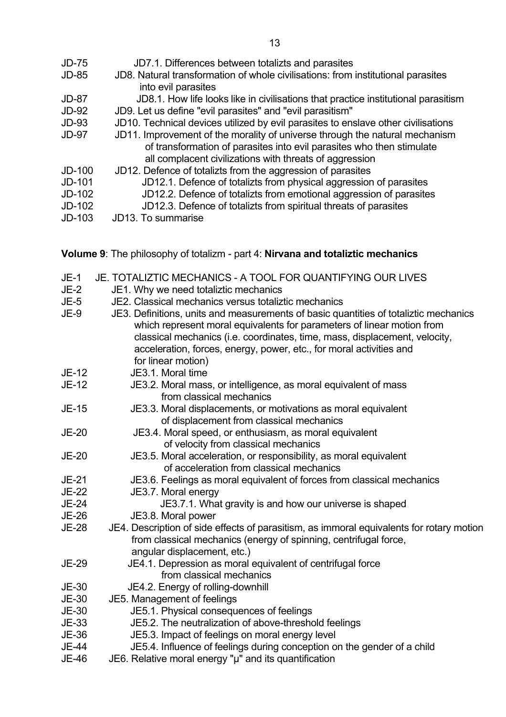| $JD-75$      | JD7.1. Differences between totalizts and parasites                                 |
|--------------|------------------------------------------------------------------------------------|
| <b>JD-85</b> | JD8. Natural transformation of whole civilisations: from institutional parasites   |
|              | into evil parasites                                                                |
| <b>JD-87</b> | JD8.1. How life looks like in civilisations that practice institutional parasitism |
| <b>JD-92</b> | JD9. Let us define "evil parasites" and "evil parasitism"                          |
| $JD-93$      | JD10. Technical devices utilized by evil parasites to enslave other civilisations  |
| <b>JD-97</b> | JD11. Improvement of the morality of universe through the natural mechanism        |
|              | of transformation of parasites into evil parasites who then stimulate              |
|              | all complacent civilizations with threats of aggression                            |
| $JD-100$     | JD12. Defence of totalizts from the aggression of parasites                        |
| $JD-101$     | JD12.1. Defence of totalizts from physical aggression of parasites                 |
| $JD-102$     | JD12.2. Defence of totalizts from emotional aggression of parasites                |
| JD-102       | JD12.3. Defence of totalizts from spiritual threats of parasites                   |
| $JD-103$     | JD13. To summarise                                                                 |

## **Volume 9**: The philosophy of totalizm - part 4: **Nirvana and totaliztic mechanics**

| $JE-1$       | JE. TOTALIZTIC MECHANICS - A TOOL FOR QUANTIFYING OUR LIVES                                                                                                                                                                                                                                                         |
|--------------|---------------------------------------------------------------------------------------------------------------------------------------------------------------------------------------------------------------------------------------------------------------------------------------------------------------------|
| $JE-2$       | JE1. Why we need totaliztic mechanics                                                                                                                                                                                                                                                                               |
| $JE-5$       | JE2. Classical mechanics versus totaliztic mechanics                                                                                                                                                                                                                                                                |
| $JE-9$       | JE3. Definitions, units and measurements of basic quantities of totaliztic mechanics<br>which represent moral equivalents for parameters of linear motion from<br>classical mechanics (i.e. coordinates, time, mass, displacement, velocity,<br>acceleration, forces, energy, power, etc., for moral activities and |
|              | for linear motion)                                                                                                                                                                                                                                                                                                  |
| <b>JE-12</b> | JE3.1. Moral time                                                                                                                                                                                                                                                                                                   |
|              |                                                                                                                                                                                                                                                                                                                     |
| <b>JE-12</b> | JE3.2. Moral mass, or intelligence, as moral equivalent of mass<br>from classical mechanics                                                                                                                                                                                                                         |
| <b>JE-15</b> | JE3.3. Moral displacements, or motivations as moral equivalent                                                                                                                                                                                                                                                      |
|              | of displacement from classical mechanics                                                                                                                                                                                                                                                                            |
| <b>JE-20</b> | JE3.4. Moral speed, or enthusiasm, as moral equivalent                                                                                                                                                                                                                                                              |
|              | of velocity from classical mechanics                                                                                                                                                                                                                                                                                |
| <b>JE-20</b> | JE3.5. Moral acceleration, or responsibility, as moral equivalent                                                                                                                                                                                                                                                   |
|              | of acceleration from classical mechanics                                                                                                                                                                                                                                                                            |
| <b>JE-21</b> | JE3.6. Feelings as moral equivalent of forces from classical mechanics                                                                                                                                                                                                                                              |
| <b>JE-22</b> | JE3.7. Moral energy                                                                                                                                                                                                                                                                                                 |
| <b>JE-24</b> | JE3.7.1. What gravity is and how our universe is shaped                                                                                                                                                                                                                                                             |
| <b>JE-26</b> | JE3.8. Moral power                                                                                                                                                                                                                                                                                                  |
| <b>JE-28</b> | JE4. Description of side effects of parasitism, as immoral equivalents for rotary motion<br>from classical mechanics (energy of spinning, centrifugal force,                                                                                                                                                        |
|              | angular displacement, etc.)                                                                                                                                                                                                                                                                                         |
| <b>JE-29</b> | JE4.1. Depression as moral equivalent of centrifugal force<br>from classical mechanics                                                                                                                                                                                                                              |
| <b>JE-30</b> | JE4.2. Energy of rolling-downhill                                                                                                                                                                                                                                                                                   |
| <b>JE-30</b> | JE5. Management of feelings                                                                                                                                                                                                                                                                                         |
| <b>JE-30</b> | JE5.1. Physical consequences of feelings                                                                                                                                                                                                                                                                            |
| JE-33        | JE5.2. The neutralization of above-threshold feelings                                                                                                                                                                                                                                                               |
| <b>JE-36</b> | JE5.3. Impact of feelings on moral energy level                                                                                                                                                                                                                                                                     |
| <b>JE-44</b> | JE5.4. Influence of feelings during conception on the gender of a child                                                                                                                                                                                                                                             |
| <b>JE-46</b> | JE6. Relative moral energy "µ" and its quantification                                                                                                                                                                                                                                                               |
|              |                                                                                                                                                                                                                                                                                                                     |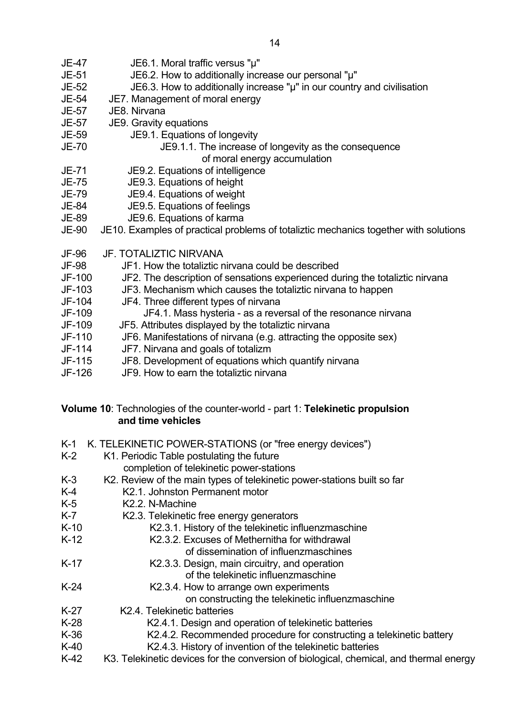- JE-47 JE6.1. Moral traffic versus "µ"
- JE-51 JE6.2. How to additionally increase our personal "µ"
- JE-52 JE6.3. How to additionally increase "µ" in our country and civilisation
- JE-54 JE7. Management of moral energy
- JE-57 JE8. Nirvana
- JE-57 JE9. Gravity equations
- JE-59 JE9.1. Equations of longevity
- JE-70 JE9.1.1. The increase of longevity as the consequence of moral energy accumulation
- JE-71 JE9.2. Equations of intelligence
- JE-75 JE9.3. Equations of height
- JE-79 JE9.4. Equations of weight
- JE-84 JE9.5. Equations of feelings
- JE-89 JE9.6. Equations of karma
- JE-90 JE10. Examples of practical problems of totaliztic mechanics together with solutions
- JF-96 JF. TOTALIZTIC NIRVANA
- JF-98 JF1. How the totaliztic nirvana could be described
- JF-100 JF2. The description of sensations experienced during the totaliztic nirvana
- JF-103 JF3. Mechanism which causes the totaliztic nirvana to happen
- JF-104 JF4. Three different types of nirvana
- JF-109 JF4.1. Mass hysteria as a reversal of the resonance nirvana
- JF-109 JF5. Attributes displayed by the totaliztic nirvana
- JF-110 JF6. Manifestations of nirvana (e.g. attracting the opposite sex)
- JF-114 JF7. Nirvana and goals of totalizm
- JF-115 JF8. Development of equations which quantify nirvana
- JF-126 JF9. How to earn the totaliztic nirvana

#### **Volume 10**: Technologies of the counter-world - part 1: **Telekinetic propulsion and time vehicles**

- K-1 K. TELEKINETIC POWER-STATIONS (or "free energy devices")
- K-2 K1. Periodic Table postulating the future completion of telekinetic power-stations
- K-3 K2. Review of the main types of telekinetic power-stations built so far
- K-4 K2.1. Johnston Permanent motor
- K-5 K2.2. N-Machine
- K-7 K2.3. Telekinetic free energy generators
- K-10 K2.3.1. History of the telekinetic influenzmaschine
- K-12 K2.3.2. Excuses of Methernitha for withdrawal of dissemination of influenzmaschines
- K-17 K2.3.3. Design, main circuitry, and operation
	- of the telekinetic influenzmaschine
- K-24 K2.3.4. How to arrange own experiments
	- on constructing the telekinetic influenzmaschine
- K-27 K2.4. Telekinetic batteries
- K-28 K2.4.1. Design and operation of telekinetic batteries
- K-36 K2.4.2. Recommended procedure for constructing a telekinetic battery
- K-40 K2.4.3. History of invention of the telekinetic batteries
- K-42 K3. Telekinetic devices for the conversion of biological, chemical, and thermal energy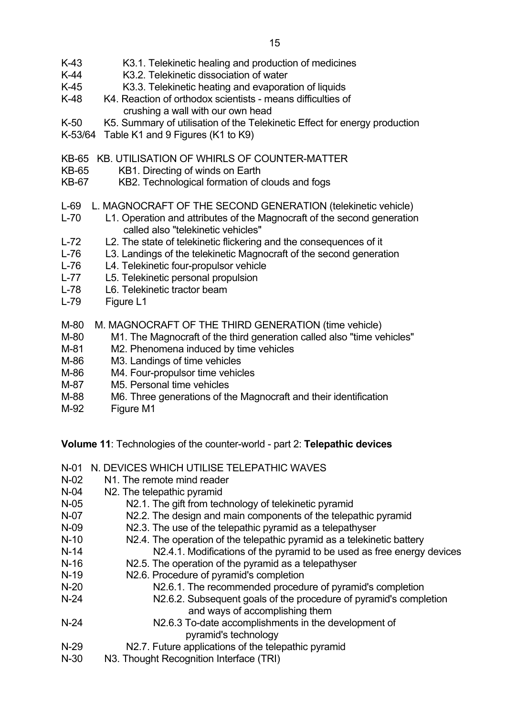- K-43 K3.1. Telekinetic healing and production of medicines
- K-44 K3.2. Telekinetic dissociation of water
- K-45 K3.3. Telekinetic heating and evaporation of liquids
- K-48 K4. Reaction of orthodox scientists means difficulties of crushing a wall with our own head
- K-50 K5. Summary of utilisation of the Telekinetic Effect for energy production
- K-53/64 Table K1 and 9 Figures (K1 to K9)

#### KB-65 KB. UTILISATION OF WHIRLS OF COUNTER-MATTER

- KB-65 KB1. Directing of winds on Earth
- KB-67 KB2. Technological formation of clouds and fogs
- L-69 L. MAGNOCRAFT OF THE SECOND GENERATION (telekinetic vehicle)
- L-70 L1. Operation and attributes of the Magnocraft of the second generation called also "telekinetic vehicles"
- L-72 L2. The state of telekinetic flickering and the consequences of it
- L-76 L3. Landings of the telekinetic Magnocraft of the second generation
- L-76 L4. Telekinetic four-propulsor vehicle
- L-77 L5. Telekinetic personal propulsion
- L-78 L6. Telekinetic tractor beam
- L-79 Figure L1
- M-80 M. MAGNOCRAFT OF THE THIRD GENERATION (time vehicle)
- M-80 M1. The Magnocraft of the third generation called also "time vehicles"
- M-81 M2. Phenomena induced by time vehicles
- M-86 M3. Landings of time vehicles
- M-86 M4. Four-propulsor time vehicles
- M-87 M5. Personal time vehicles
- M-88 M6. Three generations of the Magnocraft and their identification
- M-92 Figure M1

**Volume 11**: Technologies of the counter-world - part 2: **Telepathic devices**

- N-01 N. DEVICES WHICH UTILISE TELEPATHIC WAVES
- N-02 N1. The remote mind reader
- N-04 N2. The telepathic pyramid
- N-05 N2.1. The gift from technology of telekinetic pyramid
- N-07 N2.2. The design and main components of the telepathic pyramid
- N-09 N2.3. The use of the telepathic pyramid as a telepathyser
- N-10 N2.4. The operation of the telepathic pyramid as a telekinetic battery
- N-14 N2.4.1. Modifications of the pyramid to be used as free energy devices
- N-16 N2.5. The operation of the pyramid as a telepathyser
- N-19 N2.6. Procedure of pyramid's completion
- N-20 N2.6.1. The recommended procedure of pyramid's completion
- N-24 N2.6.2. Subsequent goals of the procedure of pyramid's completion and ways of accomplishing them
- N-24 N2.6.3 To-date accomplishments in the development of pyramid's technology
- N-29 N2.7. Future applications of the telepathic pyramid
- N-30 N3. Thought Recognition Interface (TRI)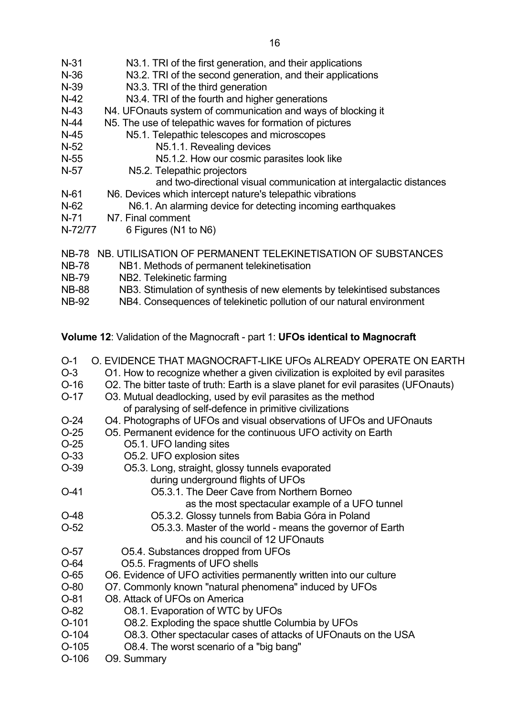- N-31 N3.1. TRI of the first generation, and their applications
- N-36 N3.2. TRI of the second generation, and their applications
- N-39 N3.3. TRI of the third generation
- N-42 N3.4. TRI of the fourth and higher generations
- N-43 N4. UFOnauts system of communication and ways of blocking it
- N-44 N5. The use of telepathic waves for formation of pictures
- N-45 N5.1. Telepathic telescopes and microscopes
- N-52 N5.1.1. Revealing devices
- N-55 N5.1.2. How our cosmic parasites look like
- N-57 N5.2. Telepathic projectors
	- and two-directional visual communication at intergalactic distances
- N-61 N6. Devices which intercept nature's telepathic vibrations
- N-62 N6.1. An alarming device for detecting incoming earthquakes
- N-71 N7. Final comment
- N-72/77 6 Figures (N1 to N6)

NB-78 NB. UTILISATION OF PERMANENT TELEKINETISATION OF SUBSTANCES

- NB-78 NB1. Methods of permanent telekinetisation
- NB-79 NB2. Telekinetic farming
- NB-88 NB3. Stimulation of synthesis of new elements by telekintised substances
- NB-92 NB4. Consequences of telekinetic pollution of our natural environment

**Volume 12**: Validation of the Magnocraft - part 1: **UFOs identical to Magnocraft**

- O-1 O. EVIDENCE THAT MAGNOCRAFT-LIKE UFOs ALREADY OPERATE ON EARTH O-3 O1. How to recognize whether a given civilization is exploited by evil parasites O-16 O2. The bitter taste of truth: Earth is a slave planet for evil parasites (UFOnauts) O-17 O3. Mutual deadlocking, used by evil parasites as the method of paralysing of self-defence in primitive civilizations O-24 O4. Photographs of UFOs and visual observations of UFOs and UFOnauts O-25 O5. Permanent evidence for the continuous UFO activity on Earth O-25 O5.1. UFO landing sites O-33 O5.2. UFO explosion sites O-39 O5.3. Long, straight, glossy tunnels evaporated during underground flights of UFOs O-41 O5.3.1. The Deer Cave from Northern Borneo as the most spectacular example of a UFO tunnel O-48 O5.3.2. Glossy tunnels from Babia Góra in Poland O-52 O5.3.3. Master of the world - means the governor of Earth and his council of 12 UFOnauts O-57 O5.4. Substances dropped from UFOs O-64 O5.5. Fragments of UFO shells O-65 O6. Evidence of UFO activities permanently written into our culture O-80 O7. Commonly known "natural phenomena" induced by UFOs O-81 O8. Attack of UFOs on America O-82 O8.1. Evaporation of WTC by UFOs O-101 O8.2. Exploding the space shuttle Columbia by UFOs O-104 O8.3. Other spectacular cases of attacks of UFOnauts on the USA O-105 O8.4. The worst scenario of a "big bang"
- O-106 O9. Summary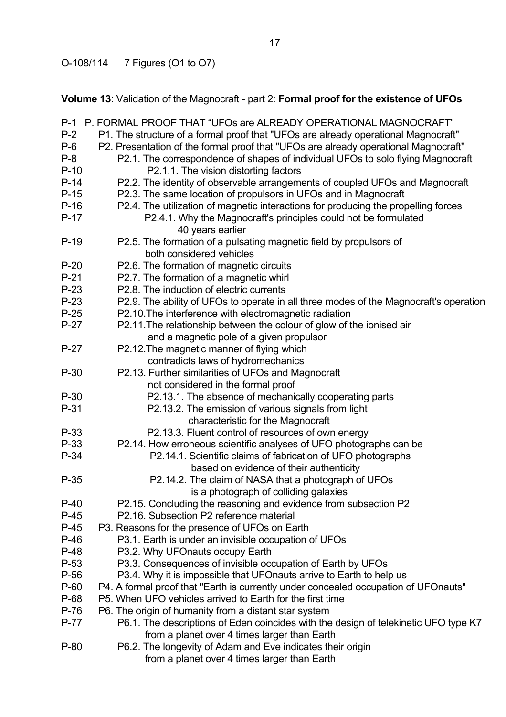O-108/114 7 Figures (O1 to O7)

**Volume 13**: Validation of the Magnocraft - part 2: **Formal proof for the existence of UFOs**

| $P-1$  |  | P. FORMAL PROOF THAT "UFOs are ALREADY OPERATIONAL MAGNOCRAFT"                        |
|--------|--|---------------------------------------------------------------------------------------|
| $P-2$  |  | P1. The structure of a formal proof that "UFOs are already operational Magnocraft"    |
| $P-6$  |  | P2. Presentation of the formal proof that "UFOs are already operational Magnocraft"   |
| $P-8$  |  | P2.1. The correspondence of shapes of individual UFOs to solo flying Magnocraft       |
| $P-10$ |  | P2.1.1. The vision distorting factors                                                 |
| $P-14$ |  | P2.2. The identity of observable arrangements of coupled UFOs and Magnocraft          |
| $P-15$ |  | P2.3. The same location of propulsors in UFOs and in Magnocraft                       |
| $P-16$ |  | P2.4. The utilization of magnetic interactions for producing the propelling forces    |
| $P-17$ |  | P2.4.1. Why the Magnocraft's principles could not be formulated                       |
|        |  | 40 years earlier                                                                      |
| $P-19$ |  | P2.5. The formation of a pulsating magnetic field by propulsors of                    |
|        |  | both considered vehicles                                                              |
| $P-20$ |  | P2.6. The formation of magnetic circuits                                              |
| $P-21$ |  | P2.7. The formation of a magnetic whirl                                               |
| $P-23$ |  | P2.8. The induction of electric currents                                              |
| $P-23$ |  | P2.9. The ability of UFOs to operate in all three modes of the Magnocraft's operation |
| $P-25$ |  | P2.10. The interference with electromagnetic radiation                                |
| $P-27$ |  | P2.11. The relationship between the colour of glow of the ionised air                 |
|        |  | and a magnetic pole of a given propulsor                                              |
| $P-27$ |  | P2.12. The magnetic manner of flying which                                            |
|        |  | contradicts laws of hydromechanics                                                    |
| $P-30$ |  | P2.13. Further similarities of UFOs and Magnocraft                                    |
|        |  | not considered in the formal proof                                                    |
| $P-30$ |  | P2.13.1. The absence of mechanically cooperating parts                                |
| $P-31$ |  | P2.13.2. The emission of various signals from light                                   |
|        |  | characteristic for the Magnocraft                                                     |
| $P-33$ |  | P2.13.3. Fluent control of resources of own energy                                    |
| $P-33$ |  | P2.14. How erroneous scientific analyses of UFO photographs can be                    |
| $P-34$ |  | P2.14.1. Scientific claims of fabrication of UFO photographs                          |
|        |  | based on evidence of their authenticity                                               |
| $P-35$ |  | P2.14.2. The claim of NASA that a photograph of UFOs                                  |
|        |  | is a photograph of colliding galaxies                                                 |
| $P-40$ |  | P2.15. Concluding the reasoning and evidence from subsection P2                       |
| $P-45$ |  | P2.16. Subsection P2 reference material                                               |
| $P-45$ |  | P3. Reasons for the presence of UFOs on Earth                                         |
| $P-46$ |  | P3.1. Earth is under an invisible occupation of UFOs                                  |
| $P-48$ |  | P3.2. Why UFOnauts occupy Earth                                                       |
| $P-53$ |  | P3.3. Consequences of invisible occupation of Earth by UFOs                           |
| $P-56$ |  | P3.4. Why it is impossible that UFOnauts arrive to Earth to help us                   |
| $P-60$ |  | P4. A formal proof that "Earth is currently under concealed occupation of UFOnauts"   |
| $P-68$ |  | P5. When UFO vehicles arrived to Earth for the first time                             |
| $P-76$ |  | P6. The origin of humanity from a distant star system                                 |
| $P-77$ |  | P6.1. The descriptions of Eden coincides with the design of telekinetic UFO type K7   |
|        |  | from a planet over 4 times larger than Earth                                          |
| $P-80$ |  | P6.2. The longevity of Adam and Eve indicates their origin                            |
|        |  | from a planet over 4 times larger than Earth                                          |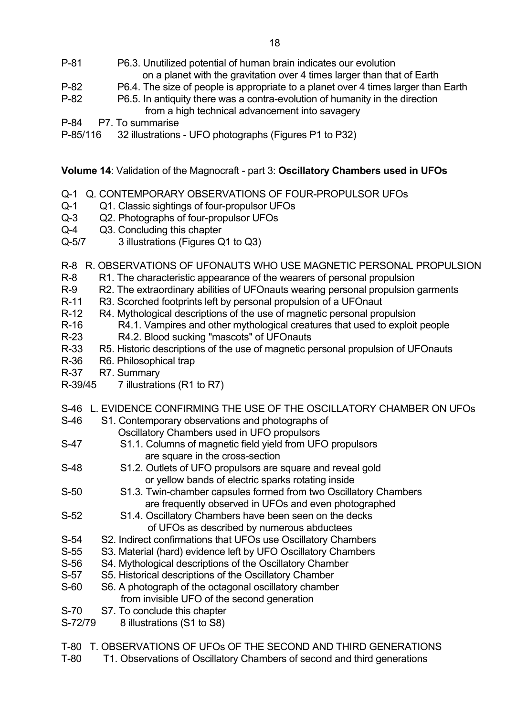- P-81 P6.3. Unutilized potential of human brain indicates our evolution on a planet with the gravitation over 4 times larger than that of Earth
- P-82 P6.4. The size of people is appropriate to a planet over 4 times larger than Earth
- P-82 P6.5. In antiquity there was a contra-evolution of humanity in the direction
- from a high technical advancement into savagery P-84 P7. To summarise
- P-85/116 32 illustrations UFO photographs (Figures P1 to P32)

#### **Volume 14**: Validation of the Magnocraft - part 3: **Oscillatory Chambers used in UFOs**

- Q-1 Q. CONTEMPORARY OBSERVATIONS OF FOUR-PROPULSOR UFOs
- Q-1 Q1. Classic sightings of four-propulsor UFOs
- Q-3 Q2. Photographs of four-propulsor UFOs
- Q-4 Q3. Concluding this chapter
- Q-5/7 3 illustrations (Figures Q1 to Q3)

#### R-8 R. OBSERVATIONS OF UFONAUTS WHO USE MAGNETIC PERSONAL PROPULSION

- R-8 R1. The characteristic appearance of the wearers of personal propulsion
- R-9 R2. The extraordinary abilities of UFOnauts wearing personal propulsion garments
- R-11 R3. Scorched footprints left by personal propulsion of a UFOnaut
- R-12 R4. Mythological descriptions of the use of magnetic personal propulsion
- R-16 R4.1. Vampires and other mythological creatures that used to exploit people
- R-23 R4.2. Blood sucking "mascots" of UFOnauts
- R-33 R5. Historic descriptions of the use of magnetic personal propulsion of UFOnauts
- R-36 R6. Philosophical trap
- R-37 R7. Summary
- R-39/45 7 illustrations (R1 to R7)
- S-46 L. EVIDENCE CONFIRMING THE USE OF THE OSCILLATORY CHAMBER ON UFOs
- S-46 S1. Contemporary observations and photographs of Oscillatory Chambers used in UFO propulsors
- S-47 S1.1. Columns of magnetic field yield from UFO propulsors are square in the cross-section
- S-48 S1.2. Outlets of UFO propulsors are square and reveal gold or yellow bands of electric sparks rotating inside
- S-50 S1.3. Twin-chamber capsules formed from two Oscillatory Chambers are frequently observed in UFOs and even photographed
- S-52 S1.4. Oscillatory Chambers have been seen on the decks of UFOs as described by numerous abductees
- S-54 S2. Indirect confirmations that UFOs use Oscillatory Chambers
- S-55 S3. Material (hard) evidence left by UFO Oscillatory Chambers
- S-56 S4. Mythological descriptions of the Oscillatory Chamber
- S-57 S5. Historical descriptions of the Oscillatory Chamber
- S-60 S6. A photograph of the octagonal oscillatory chamber from invisible UFO of the second generation
- S-70 S7. To conclude this chapter
- S-72/79 8 illustrations (S1 to S8)
- T-80 T. OBSERVATIONS OF UFOs OF THE SECOND AND THIRD GENERATIONS
- T-80 T1. Observations of Oscillatory Chambers of second and third generations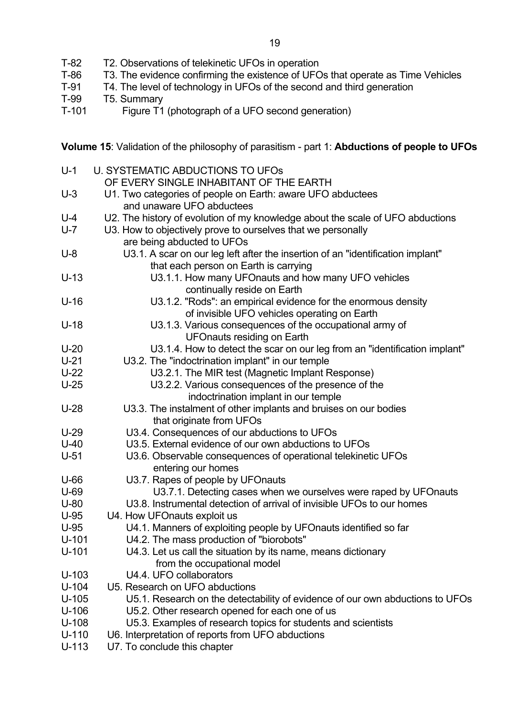- T-82 T2. Observations of telekinetic UFOs in operation
- T-86 T3. The evidence confirming the existence of UFOs that operate as Time Vehicles
- T-91 T4. The level of technology in UFOs of the second and third generation<br>T-99 T5. Summary
- 
- T-99 T5. Summary<br>T-101 Figure T1 Figure T1 (photograph of a UFO second generation)

**Volume 15**: Validation of the philosophy of parasitism - part 1: **Abductions of people to UFOs**

| $U-1$              | U. SYSTEMATIC ABDUCTIONS TO UFOS                                                |
|--------------------|---------------------------------------------------------------------------------|
|                    | OF EVERY SINGLE INHABITANT OF THE EARTH                                         |
| $U-3$              | U1. Two categories of people on Earth: aware UFO abductees                      |
|                    | and unaware UFO abductees                                                       |
| $U - 4$            | U2. The history of evolution of my knowledge about the scale of UFO abductions  |
| $U - 7$            | U3. How to objectively prove to ourselves that we personally                    |
|                    | are being abducted to UFOs                                                      |
| $U-8$              | U3.1. A scar on our leg left after the insertion of an "identification implant" |
|                    | that each person on Earth is carrying                                           |
| $U-13$             | U3.1.1. How many UFOnauts and how many UFO vehicles                             |
|                    | continually reside on Earth                                                     |
| $U-16$             | U3.1.2. "Rods": an empirical evidence for the enormous density                  |
|                    | of invisible UFO vehicles operating on Earth                                    |
| $U-18$             | U3.1.3. Various consequences of the occupational army of                        |
|                    | <b>UFOnauts residing on Earth</b>                                               |
| $U-20$             | U3.1.4. How to detect the scar on our leg from an "identification implant"      |
| $U-21$             | U3.2. The "indoctrination implant" in our temple                                |
| $U-22$             | U3.2.1. The MIR test (Magnetic Implant Response)                                |
| $U-25$             | U3.2.2. Various consequences of the presence of the                             |
|                    | indoctrination implant in our temple                                            |
| $U-28$             | U3.3. The instalment of other implants and bruises on our bodies                |
|                    | that originate from UFOs                                                        |
| $U-29$             | U3.4. Consequences of our abductions to UFOs                                    |
| $U-40$             | U3.5. External evidence of our own abductions to UFOs                           |
| $U-51$             | U3.6. Observable consequences of operational telekinetic UFOs                   |
|                    | entering our homes                                                              |
| $U-66$             | U3.7. Rapes of people by UFOnauts                                               |
| $U-69$             | U3.7.1. Detecting cases when we ourselves were raped by UFOnauts                |
| $U-80$             | U3.8. Instrumental detection of arrival of invisible UFOs to our homes          |
| $U-95$             | U4. How UFOnauts exploit us                                                     |
| $U-95$             | U4.1. Manners of exploiting people by UFOnauts identified so far                |
| $U-101$            | U4.2. The mass production of "biorobots"                                        |
| $U - 101$          | U4.3. Let us call the situation by its name, means dictionary                   |
|                    | from the occupational model                                                     |
| $U-103$<br>$U-104$ | U4.4. UFO collaborators<br>U5. Research on UFO abductions                       |
| $U-105$            | U5.1. Research on the detectability of evidence of our own abductions to UFOs   |
| $U-106$            | U5.2. Other research opened for each one of us                                  |
| $U-108$            | U5.3. Examples of research topics for students and scientists                   |
| $U-110$            | U6. Interpretation of reports from UFO abductions                               |
| $U-113$            | U7. To conclude this chapter                                                    |
|                    |                                                                                 |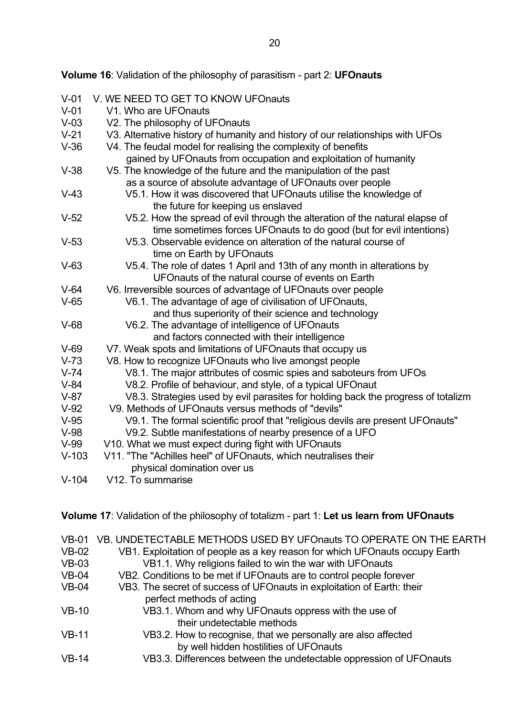**Volume 16**: Validation of the philosophy of parasitism - part 2: **UFOnauts**

| $V-01$  | V. WE NEED TO GET TO KNOW UFOnauts                                                |
|---------|-----------------------------------------------------------------------------------|
| $V-01$  | V1. Who are UFOnauts                                                              |
| $V-03$  | V2. The philosophy of UFOnauts                                                    |
| $V-21$  | V3. Alternative history of humanity and history of our relationships with UFOs    |
| $V-36$  | V4. The feudal model for realising the complexity of benefits                     |
|         | gained by UFOnauts from occupation and exploitation of humanity                   |
| $V-38$  | V5. The knowledge of the future and the manipulation of the past                  |
|         | as a source of absolute advantage of UFOnauts over people                         |
| $V-43$  | V5.1. How it was discovered that UFOnauts utilise the knowledge of                |
|         | the future for keeping us enslaved                                                |
| $V-52$  | V5.2. How the spread of evil through the alteration of the natural elapse of      |
|         | time sometimes forces UFOnauts to do good (but for evil intentions)               |
| $V-53$  | V5.3. Observable evidence on alteration of the natural course of                  |
|         | time on Earth by UFOnauts                                                         |
| $V-63$  | V5.4. The role of dates 1 April and 13th of any month in alterations by           |
|         | UFOnauts of the natural course of events on Earth                                 |
| $V-64$  | V6. Irreversible sources of advantage of UFO nauts over people                    |
| $V-65$  | V6.1. The advantage of age of civilisation of UFOnauts,                           |
|         | and thus superiority of their science and technology                              |
| $V-68$  | V6.2. The advantage of intelligence of UFOnauts                                   |
|         | and factors connected with their intelligence                                     |
| $V-69$  | V7. Weak spots and limitations of UFOnauts that occupy us                         |
| $V-73$  | V8. How to recognize UFOnauts who live amongst people                             |
| $V-74$  | V8.1. The major attributes of cosmic spies and saboteurs from UFOs                |
| $V-84$  | V8.2. Profile of behaviour, and style, of a typical UFOnaut                       |
| $V-87$  | V8.3. Strategies used by evil parasites for holding back the progress of totalizm |
| $V-92$  | V9. Methods of UFOnauts versus methods of "devils"                                |
| $V-95$  | V9.1. The formal scientific proof that "religious devils are present UFOnauts"    |
| $V-98$  | V9.2. Subtle manifestations of nearby presence of a UFO                           |
| $V-99$  | V10. What we must expect during fight with UFOnauts                               |
| $V-103$ | V11. "The "Achilles heel" of UFOnauts, which neutralises their                    |
| $V-104$ | physical domination over us<br>V12. To summarise                                  |
|         |                                                                                   |

**Volume 17**: Validation of the philosophy of totalizm - part 1: **Let us learn from UFOnauts**

| $VB-01$ | VB. UNDETECTABLE METHODS USED BY UFOnauts TO OPERATE ON THE EARTH                                       |
|---------|---------------------------------------------------------------------------------------------------------|
| $VB-02$ | VB1. Exploitation of people as a key reason for which UFO nauts occupy Earth                            |
| $VB-03$ | VB1.1. Why religions failed to win the war with UFOnauts                                                |
| $VB-04$ | VB2. Conditions to be met if UFOnauts are to control people forever                                     |
| $VB-04$ | VB3. The secret of success of UFO nauts in exploitation of Earth: their<br>perfect methods of acting    |
| $VB-10$ | VB3.1. Whom and why UFOnauts oppress with the use of<br>their undetectable methods                      |
| $VB-11$ | VB3.2. How to recognise, that we personally are also affected<br>by well hidden hostilities of UFOnauts |
| $VB-14$ | VB3.3. Differences between the undetectable oppression of UFOnauts                                      |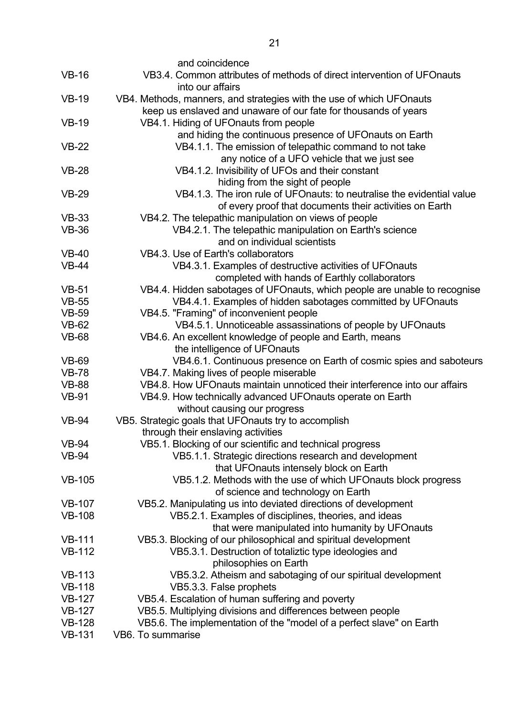|               | and coincidence                                                                                                |
|---------------|----------------------------------------------------------------------------------------------------------------|
| $VB-16$       | VB3.4. Common attributes of methods of direct intervention of UFOnauts<br>into our affairs                     |
| $VB-19$       | VB4. Methods, manners, and strategies with the use of which UFO nauts                                          |
|               | keep us enslaved and unaware of our fate for thousands of years                                                |
| $VB-19$       | VB4.1. Hiding of UFOnauts from people                                                                          |
|               | and hiding the continuous presence of UFOnauts on Earth                                                        |
| $VB-22$       | VB4.1.1. The emission of telepathic command to not take                                                        |
|               | any notice of a UFO vehicle that we just see                                                                   |
| <b>VB-28</b>  | VB4.1.2. Invisibility of UFOs and their constant                                                               |
|               | hiding from the sight of people                                                                                |
| <b>VB-29</b>  | VB4.1.3. The iron rule of UFOnauts: to neutralise the evidential value                                         |
|               | of every proof that documents their activities on Earth                                                        |
| $VB-33$       | VB4.2. The telepathic manipulation on views of people                                                          |
| <b>VB-36</b>  | VB4.2.1. The telepathic manipulation on Earth's science                                                        |
|               | and on individual scientists                                                                                   |
| $VB-40$       | VB4.3. Use of Earth's collaborators                                                                            |
| $VB-44$       | VB4.3.1. Examples of destructive activities of UFOnauts                                                        |
|               |                                                                                                                |
| $VB-51$       | completed with hands of Earthly collaborators                                                                  |
| $VB-55$       | VB4.4. Hidden sabotages of UFOnauts, which people are unable to recognise                                      |
| <b>VB-59</b>  | VB4.4.1. Examples of hidden sabotages committed by UFOnauts                                                    |
| $VB-62$       | VB4.5. "Framing" of inconvenient people                                                                        |
| <b>VB-68</b>  | VB4.5.1. Unnoticeable assassinations of people by UFOnauts                                                     |
|               | VB4.6. An excellent knowledge of people and Earth, means<br>the intelligence of UFOnauts                       |
| <b>VB-69</b>  |                                                                                                                |
| <b>VB-78</b>  | VB4.6.1. Continuous presence on Earth of cosmic spies and saboteurs<br>VB4.7. Making lives of people miserable |
| <b>VB-88</b>  | VB4.8. How UFOnauts maintain unnoticed their interference into our affairs                                     |
| <b>VB-91</b>  | VB4.9. How technically advanced UFOnauts operate on Earth                                                      |
|               | without causing our progress                                                                                   |
| <b>VB-94</b>  | VB5. Strategic goals that UFOnauts try to accomplish                                                           |
|               | through their enslaving activities                                                                             |
| <b>VB-94</b>  | VB5.1. Blocking of our scientific and technical progress                                                       |
| <b>VB-94</b>  | VB5.1.1. Strategic directions research and development                                                         |
|               | that UFOnauts intensely block on Earth                                                                         |
| <b>VB-105</b> | VB5.1.2. Methods with the use of which UFOnauts block progress                                                 |
|               | of science and technology on Earth                                                                             |
| <b>VB-107</b> | VB5.2. Manipulating us into deviated directions of development                                                 |
| <b>VB-108</b> | VB5.2.1. Examples of disciplines, theories, and ideas                                                          |
|               | that were manipulated into humanity by UFOnauts                                                                |
| <b>VB-111</b> | VB5.3. Blocking of our philosophical and spiritual development                                                 |
| <b>VB-112</b> | VB5.3.1. Destruction of totaliztic type ideologies and                                                         |
|               | philosophies on Earth                                                                                          |
| <b>VB-113</b> | VB5.3.2. Atheism and sabotaging of our spiritual development                                                   |
| <b>VB-118</b> | VB5.3.3. False prophets                                                                                        |
| <b>VB-127</b> | VB5.4. Escalation of human suffering and poverty                                                               |
| <b>VB-127</b> | VB5.5. Multiplying divisions and differences between people                                                    |
| <b>VB-128</b> | VB5.6. The implementation of the "model of a perfect slave" on Earth                                           |
| <b>VB-131</b> | VB6. To summarise                                                                                              |
|               |                                                                                                                |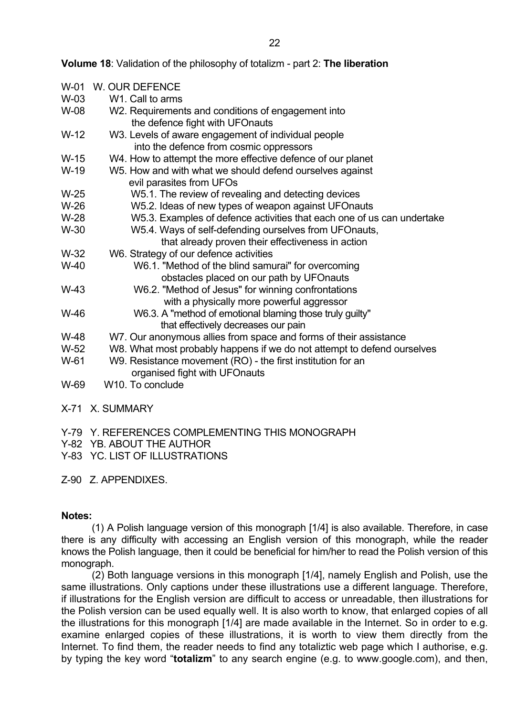**Volume 18**: Validation of the philosophy of totalizm - part 2: **The liberation**

| $W-01$ | W. OUR DEFENCE                                                          |
|--------|-------------------------------------------------------------------------|
| W-03   | W1. Call to arms                                                        |
| W-08   | W2. Requirements and conditions of engagement into                      |
|        | the defence fight with UFOnauts                                         |
| $W-12$ | W3. Levels of aware engagement of individual people                     |
|        | into the defence from cosmic oppressors                                 |
| $W-15$ | W4. How to attempt the more effective defence of our planet             |
| W-19   | W5. How and with what we should defend ourselves against                |
|        | evil parasites from UFOs                                                |
| $W-25$ | W5.1. The review of revealing and detecting devices                     |
| $W-26$ | W5.2. Ideas of new types of weapon against UFOnauts                     |
| $W-28$ | W5.3. Examples of defence activities that each one of us can undertake  |
| W-30   | W5.4. Ways of self-defending ourselves from UFOnauts,                   |
|        | that already proven their effectiveness in action                       |
| $W-32$ | W6. Strategy of our defence activities                                  |
| $W-40$ | W6.1. "Method of the blind samurai" for overcoming                      |
|        | obstacles placed on our path by UFOnauts                                |
| $W-43$ | W6.2. "Method of Jesus" for winning confrontations                      |
|        | with a physically more powerful aggressor                               |
| W-46   | W6.3. A "method of emotional blaming those truly guilty"                |
|        | that effectively decreases our pain                                     |
| W-48   | W7. Our anonymous allies from space and forms of their assistance       |
| $W-52$ | W8. What most probably happens if we do not attempt to defend ourselves |
| W-61   | W9. Resistance movement (RO) - the first institution for an             |
|        | organised fight with UFOnauts                                           |
| W-69   | W10. To conclude                                                        |
|        |                                                                         |
|        | X-71 X. SUMMARY                                                         |

- Y-79 Y. REFERENCES COMPLEMENTING THIS MONOGRAPH
- Y-82 YB. ABOUT THE AUTHOR
- Y-83 YC. LIST OF ILLUSTRATIONS

Z-90 Z. APPENDIXES.

#### **Notes:**

 (1) A Polish language version of this monograph [1/4] is also available. Therefore, in case there is any difficulty with accessing an English version of this monograph, while the reader knows the Polish language, then it could be beneficial for him/her to read the Polish version of this monograph.

 (2) Both language versions in this monograph [1/4], namely English and Polish, use the same illustrations. Only captions under these illustrations use a different language. Therefore, if illustrations for the English version are difficult to access or unreadable, then illustrations for the Polish version can be used equally well. It is also worth to know, that enlarged copies of all the illustrations for this monograph [1/4] are made available in the Internet. So in order to e.g. examine enlarged copies of these illustrations, it is worth to view them directly from the Internet. To find them, the reader needs to find any totaliztic web page which I authorise, e.g. by typing the key word "**totalizm**" to any search engine (e.g. to www.google.com), and then,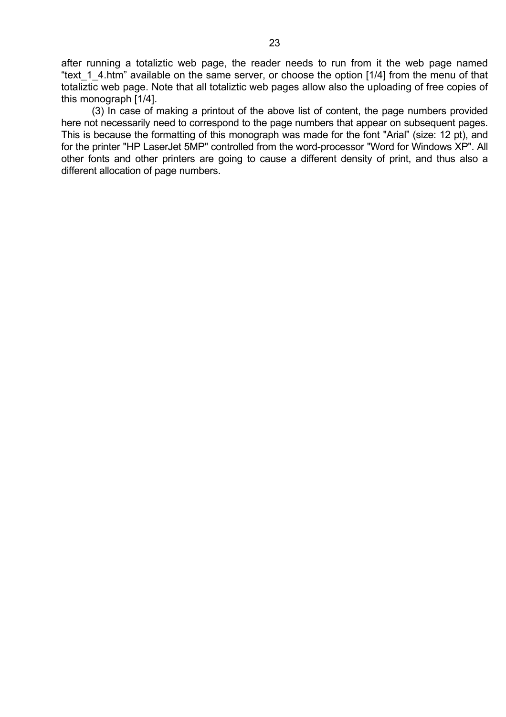after running a totaliztic web page, the reader needs to run from it the web page named "text 1 4.htm" available on the same server, or choose the option [1/4] from the menu of that totaliztic web page. Note that all totaliztic web pages allow also the uploading of free copies of this monograph [1/4].

 (3) In case of making a printout of the above list of content, the page numbers provided here not necessarily need to correspond to the page numbers that appear on subsequent pages. This is because the formatting of this monograph was made for the font "Arial" (size: 12 pt), and for the printer "HP LaserJet 5MP" controlled from the word-processor "Word for Windows XP". All other fonts and other printers are going to cause a different density of print, and thus also a different allocation of page numbers.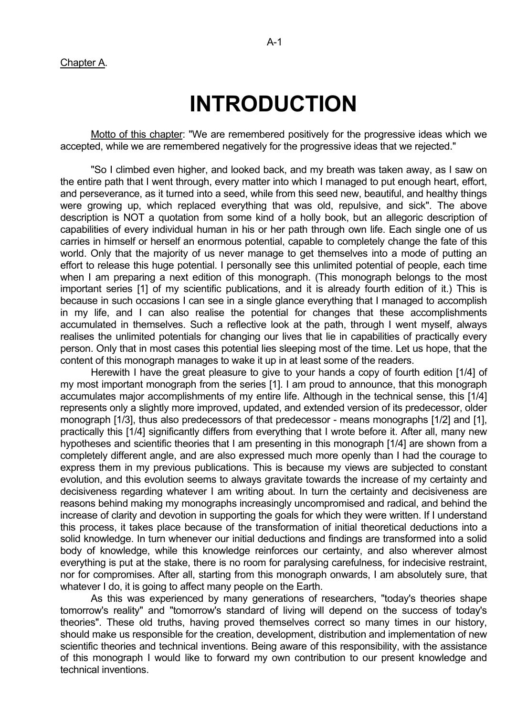# **INTRODUCTION**

 Motto of this chapter: "We are remembered positively for the progressive ideas which we accepted, while we are remembered negatively for the progressive ideas that we rejected."

 "So I climbed even higher, and looked back, and my breath was taken away, as I saw on the entire path that I went through, every matter into which I managed to put enough heart, effort, and perseverance, as it turned into a seed, while from this seed new, beautiful, and healthy things were growing up, which replaced everything that was old, repulsive, and sick". The above description is NOT a quotation from some kind of a holly book, but an allegoric description of capabilities of every individual human in his or her path through own life. Each single one of us carries in himself or herself an enormous potential, capable to completely change the fate of this world. Only that the majority of us never manage to get themselves into a mode of putting an effort to release this huge potential. I personally see this unlimited potential of people, each time when I am preparing a next edition of this monograph. (This monograph belongs to the most important series [1] of my scientific publications, and it is already fourth edition of it.) This is because in such occasions I can see in a single glance everything that I managed to accomplish in my life, and I can also realise the potential for changes that these accomplishments accumulated in themselves. Such a reflective look at the path, through I went myself, always realises the unlimited potentials for changing our lives that lie in capabilities of practically every person. Only that in most cases this potential lies sleeping most of the time. Let us hope, that the content of this monograph manages to wake it up in at least some of the readers.

 Herewith I have the great pleasure to give to your hands a copy of fourth edition [1/4] of my most important monograph from the series [1]. I am proud to announce, that this monograph accumulates major accomplishments of my entire life. Although in the technical sense, this [1/4] represents only a slightly more improved, updated, and extended version of its predecessor, older monograph [1/3], thus also predecessors of that predecessor - means monographs [1/2] and [1], practically this [1/4] significantly differs from everything that I wrote before it. After all, many new hypotheses and scientific theories that I am presenting in this monograph [1/4] are shown from a completely different angle, and are also expressed much more openly than I had the courage to express them in my previous publications. This is because my views are subjected to constant evolution, and this evolution seems to always gravitate towards the increase of my certainty and decisiveness regarding whatever I am writing about. In turn the certainty and decisiveness are reasons behind making my monographs increasingly uncompromised and radical, and behind the increase of clarity and devotion in supporting the goals for which they were written. If I understand this process, it takes place because of the transformation of initial theoretical deductions into a solid knowledge. In turn whenever our initial deductions and findings are transformed into a solid body of knowledge, while this knowledge reinforces our certainty, and also wherever almost everything is put at the stake, there is no room for paralysing carefulness, for indecisive restraint, nor for compromises. After all, starting from this monograph onwards, I am absolutely sure, that whatever I do, it is going to affect many people on the Earth.

 As this was experienced by many generations of researchers, "today's theories shape tomorrow's reality" and "tomorrow's standard of living will depend on the success of today's theories". These old truths, having proved themselves correct so many times in our history, should make us responsible for the creation, development, distribution and implementation of new scientific theories and technical inventions. Being aware of this responsibility, with the assistance of this monograph I would like to forward my own contribution to our present knowledge and technical inventions.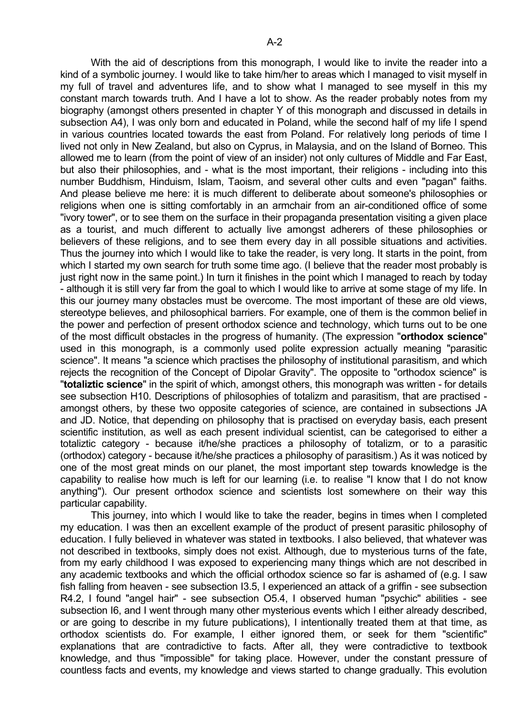With the aid of descriptions from this monograph, I would like to invite the reader into a kind of a symbolic journey. I would like to take him/her to areas which I managed to visit myself in my full of travel and adventures life, and to show what I managed to see myself in this my constant march towards truth. And I have a lot to show. As the reader probably notes from my biography (amongst others presented in chapter Y of this monograph and discussed in details in subsection A4), I was only born and educated in Poland, while the second half of my life I spend in various countries located towards the east from Poland. For relatively long periods of time I lived not only in New Zealand, but also on Cyprus, in Malaysia, and on the Island of Borneo. This allowed me to learn (from the point of view of an insider) not only cultures of Middle and Far East, but also their philosophies, and - what is the most important, their religions - including into this number Buddhism, Hinduism, Islam, Taoism, and several other cults and even "pagan" faiths. And please believe me here: it is much different to deliberate about someone's philosophies or religions when one is sitting comfortably in an armchair from an air-conditioned office of some "ivory tower", or to see them on the surface in their propaganda presentation visiting a given place as a tourist, and much different to actually live amongst adherers of these philosophies or believers of these religions, and to see them every day in all possible situations and activities. Thus the journey into which I would like to take the reader, is very long. It starts in the point, from which I started my own search for truth some time ago. (I believe that the reader most probably is just right now in the same point.) In turn it finishes in the point which I managed to reach by today - although it is still very far from the goal to which I would like to arrive at some stage of my life. In this our journey many obstacles must be overcome. The most important of these are old views, stereotype believes, and philosophical barriers. For example, one of them is the common belief in the power and perfection of present orthodox science and technology, which turns out to be one of the most difficult obstacles in the progress of humanity. (The expression "**orthodox science**" used in this monograph, is a commonly used polite expression actually meaning "parasitic science". It means "a science which practises the philosophy of institutional parasitism, and which rejects the recognition of the Concept of Dipolar Gravity". The opposite to "orthodox science" is "**totaliztic science**" in the spirit of which, amongst others, this monograph was written - for details see subsection H10. Descriptions of philosophies of totalizm and parasitism, that are practised amongst others, by these two opposite categories of science, are contained in subsections JA and JD. Notice, that depending on philosophy that is practised on everyday basis, each present scientific institution, as well as each present individual scientist, can be categorised to either a totaliztic category - because it/he/she practices a philosophy of totalizm, or to a parasitic (orthodox) category - because it/he/she practices a philosophy of parasitism.) As it was noticed by one of the most great minds on our planet, the most important step towards knowledge is the capability to realise how much is left for our learning (i.e. to realise "I know that I do not know anything"). Our present orthodox science and scientists lost somewhere on their way this particular capability.

 This journey, into which I would like to take the reader, begins in times when I completed my education. I was then an excellent example of the product of present parasitic philosophy of education. I fully believed in whatever was stated in textbooks. I also believed, that whatever was not described in textbooks, simply does not exist. Although, due to mysterious turns of the fate, from my early childhood I was exposed to experiencing many things which are not described in any academic textbooks and which the official orthodox science so far is ashamed of (e.g. I saw fish falling from heaven - see subsection I3.5, I experienced an attack of a griffin - see subsection R4.2, I found "angel hair" - see subsection O5.4, I observed human "psychic" abilities - see subsection I6, and I went through many other mysterious events which I either already described. or are going to describe in my future publications), I intentionally treated them at that time, as orthodox scientists do. For example, I either ignored them, or seek for them "scientific" explanations that are contradictive to facts. After all, they were contradictive to textbook knowledge, and thus "impossible" for taking place. However, under the constant pressure of countless facts and events, my knowledge and views started to change gradually. This evolution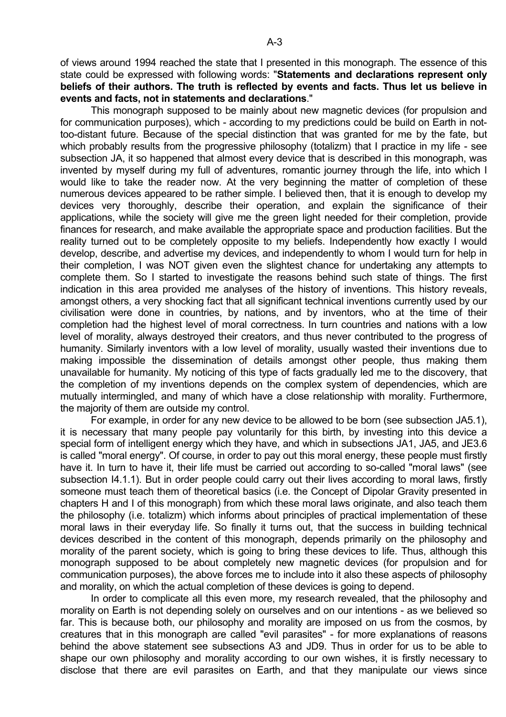of views around 1994 reached the state that I presented in this monograph. The essence of this state could be expressed with following words: "**Statements and declarations represent only beliefs of their authors. The truth is reflected by events and facts. Thus let us believe in events and facts, not in statements and declarations**."

 This monograph supposed to be mainly about new magnetic devices (for propulsion and for communication purposes), which - according to my predictions could be build on Earth in nottoo-distant future. Because of the special distinction that was granted for me by the fate, but which probably results from the progressive philosophy (totalizm) that I practice in my life - see subsection JA, it so happened that almost every device that is described in this monograph, was invented by myself during my full of adventures, romantic journey through the life, into which I would like to take the reader now. At the very beginning the matter of completion of these numerous devices appeared to be rather simple. I believed then, that it is enough to develop my devices very thoroughly, describe their operation, and explain the significance of their applications, while the society will give me the green light needed for their completion, provide finances for research, and make available the appropriate space and production facilities. But the reality turned out to be completely opposite to my beliefs. Independently how exactly I would develop, describe, and advertise my devices, and independently to whom I would turn for help in their completion, I was NOT given even the slightest chance for undertaking any attempts to complete them. So I started to investigate the reasons behind such state of things. The first indication in this area provided me analyses of the history of inventions. This history reveals, amongst others, a very shocking fact that all significant technical inventions currently used by our civilisation were done in countries, by nations, and by inventors, who at the time of their completion had the highest level of moral correctness. In turn countries and nations with a low level of morality, always destroyed their creators, and thus never contributed to the progress of humanity. Similarly inventors with a low level of morality, usually wasted their inventions due to making impossible the dissemination of details amongst other people, thus making them unavailable for humanity. My noticing of this type of facts gradually led me to the discovery, that the completion of my inventions depends on the complex system of dependencies, which are mutually intermingled, and many of which have a close relationship with morality. Furthermore, the majority of them are outside my control.

 For example, in order for any new device to be allowed to be born (see subsection JA5.1), it is necessary that many people pay voluntarily for this birth, by investing into this device a special form of intelligent energy which they have, and which in subsections JA1, JA5, and JE3.6 is called "moral energy". Of course, in order to pay out this moral energy, these people must firstly have it. In turn to have it, their life must be carried out according to so-called "moral laws" (see subsection I4.1.1). But in order people could carry out their lives according to moral laws, firstly someone must teach them of theoretical basics (i.e. the Concept of Dipolar Gravity presented in chapters H and I of this monograph) from which these moral laws originate, and also teach them the philosophy (i.e. totalizm) which informs about principles of practical implementation of these moral laws in their everyday life. So finally it turns out, that the success in building technical devices described in the content of this monograph, depends primarily on the philosophy and morality of the parent society, which is going to bring these devices to life. Thus, although this monograph supposed to be about completely new magnetic devices (for propulsion and for communication purposes), the above forces me to include into it also these aspects of philosophy and morality, on which the actual completion of these devices is going to depend.

 In order to complicate all this even more, my research revealed, that the philosophy and morality on Earth is not depending solely on ourselves and on our intentions - as we believed so far. This is because both, our philosophy and morality are imposed on us from the cosmos, by creatures that in this monograph are called "evil parasites" - for more explanations of reasons behind the above statement see subsections A3 and JD9. Thus in order for us to be able to shape our own philosophy and morality according to our own wishes, it is firstly necessary to disclose that there are evil parasites on Earth, and that they manipulate our views since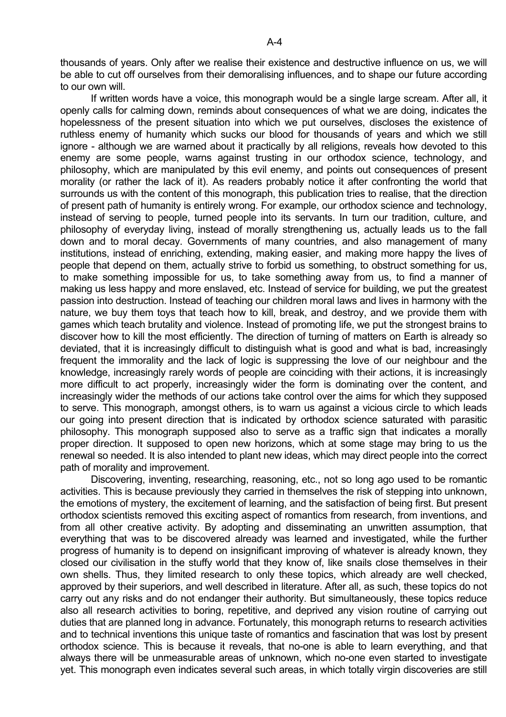thousands of years. Only after we realise their existence and destructive influence on us, we will be able to cut off ourselves from their demoralising influences, and to shape our future according to our own will.

 If written words have a voice, this monograph would be a single large scream. After all, it openly calls for calming down, reminds about consequences of what we are doing, indicates the hopelessness of the present situation into which we put ourselves, discloses the existence of ruthless enemy of humanity which sucks our blood for thousands of years and which we still ignore - although we are warned about it practically by all religions, reveals how devoted to this enemy are some people, warns against trusting in our orthodox science, technology, and philosophy, which are manipulated by this evil enemy, and points out consequences of present morality (or rather the lack of it). As readers probably notice it after confronting the world that surrounds us with the content of this monograph, this publication tries to realise, that the direction of present path of humanity is entirely wrong. For example, our orthodox science and technology, instead of serving to people, turned people into its servants. In turn our tradition, culture, and philosophy of everyday living, instead of morally strengthening us, actually leads us to the fall down and to moral decay. Governments of many countries, and also management of many institutions, instead of enriching, extending, making easier, and making more happy the lives of people that depend on them, actually strive to forbid us something, to obstruct something for us, to make something impossible for us, to take something away from us, to find a manner of making us less happy and more enslaved, etc. Instead of service for building, we put the greatest passion into destruction. Instead of teaching our children moral laws and lives in harmony with the nature, we buy them toys that teach how to kill, break, and destroy, and we provide them with games which teach brutality and violence. Instead of promoting life, we put the strongest brains to discover how to kill the most efficiently. The direction of turning of matters on Earth is already so deviated, that it is increasingly difficult to distinguish what is good and what is bad, increasingly frequent the immorality and the lack of logic is suppressing the love of our neighbour and the knowledge, increasingly rarely words of people are coinciding with their actions, it is increasingly more difficult to act properly, increasingly wider the form is dominating over the content, and increasingly wider the methods of our actions take control over the aims for which they supposed to serve. This monograph, amongst others, is to warn us against a vicious circle to which leads our going into present direction that is indicated by orthodox science saturated with parasitic philosophy. This monograph supposed also to serve as a traffic sign that indicates a morally proper direction. It supposed to open new horizons, which at some stage may bring to us the renewal so needed. It is also intended to plant new ideas, which may direct people into the correct path of morality and improvement.

 Discovering, inventing, researching, reasoning, etc., not so long ago used to be romantic activities. This is because previously they carried in themselves the risk of stepping into unknown, the emotions of mystery, the excitement of learning, and the satisfaction of being first. But present orthodox scientists removed this exciting aspect of romantics from research, from inventions, and from all other creative activity. By adopting and disseminating an unwritten assumption, that everything that was to be discovered already was learned and investigated, while the further progress of humanity is to depend on insignificant improving of whatever is already known, they closed our civilisation in the stuffy world that they know of, like snails close themselves in their own shells. Thus, they limited research to only these topics, which already are well checked, approved by their superiors, and well described in literature. After all, as such, these topics do not carry out any risks and do not endanger their authority. But simultaneously, these topics reduce also all research activities to boring, repetitive, and deprived any vision routine of carrying out duties that are planned long in advance. Fortunately, this monograph returns to research activities and to technical inventions this unique taste of romantics and fascination that was lost by present orthodox science. This is because it reveals, that no-one is able to learn everything, and that always there will be unmeasurable areas of unknown, which no-one even started to investigate yet. This monograph even indicates several such areas, in which totally virgin discoveries are still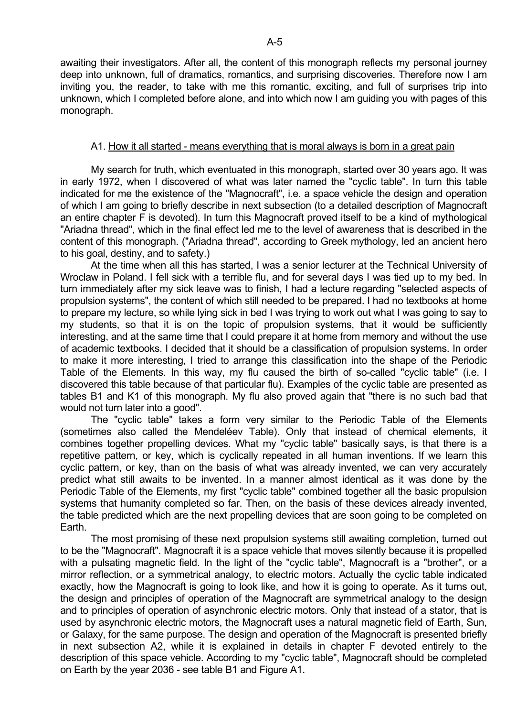awaiting their investigators. After all, the content of this monograph reflects my personal journey deep into unknown, full of dramatics, romantics, and surprising discoveries. Therefore now I am inviting you, the reader, to take with me this romantic, exciting, and full of surprises trip into unknown, which I completed before alone, and into which now I am guiding you with pages of this monograph.

#### A1. How it all started - means everything that is moral always is born in a great pain

 My search for truth, which eventuated in this monograph, started over 30 years ago. It was in early 1972, when I discovered of what was later named the "cyclic table". In turn this table indicated for me the existence of the "Magnocraft", i.e. a space vehicle the design and operation of which I am going to briefly describe in next subsection (to a detailed description of Magnocraft an entire chapter F is devoted). In turn this Magnocraft proved itself to be a kind of mythological "Ariadna thread", which in the final effect led me to the level of awareness that is described in the content of this monograph. ("Ariadna thread", according to Greek mythology, led an ancient hero to his goal, destiny, and to safety.)

 At the time when all this has started, I was a senior lecturer at the Technical University of Wroclaw in Poland. I fell sick with a terrible flu, and for several days I was tied up to my bed. In turn immediately after my sick leave was to finish, I had a lecture regarding "selected aspects of propulsion systems", the content of which still needed to be prepared. I had no textbooks at home to prepare my lecture, so while lying sick in bed I was trying to work out what I was going to say to my students, so that it is on the topic of propulsion systems, that it would be sufficiently interesting, and at the same time that I could prepare it at home from memory and without the use of academic textbooks. I decided that it should be a classification of propulsion systems. In order to make it more interesting, I tried to arrange this classification into the shape of the Periodic Table of the Elements. In this way, my flu caused the birth of so-called "cyclic table" (i.e. I discovered this table because of that particular flu). Examples of the cyclic table are presented as tables B1 and K1 of this monograph. My flu also proved again that "there is no such bad that would not turn later into a good".

 The "cyclic table" takes a form very similar to the Periodic Table of the Elements (sometimes also called the Mendeléev Table). Only that instead of chemical elements, it combines together propelling devices. What my "cyclic table" basically says, is that there is a repetitive pattern, or key, which is cyclically repeated in all human inventions. If we learn this cyclic pattern, or key, than on the basis of what was already invented, we can very accurately predict what still awaits to be invented. In a manner almost identical as it was done by the Periodic Table of the Elements, my first "cyclic table" combined together all the basic propulsion systems that humanity completed so far. Then, on the basis of these devices already invented, the table predicted which are the next propelling devices that are soon going to be completed on Earth.

 The most promising of these next propulsion systems still awaiting completion, turned out to be the "Magnocraft". Magnocraft it is a space vehicle that moves silently because it is propelled with a pulsating magnetic field. In the light of the "cyclic table", Magnocraft is a "brother", or a mirror reflection, or a symmetrical analogy, to electric motors. Actually the cyclic table indicated exactly, how the Magnocraft is going to look like, and how it is going to operate. As it turns out, the design and principles of operation of the Magnocraft are symmetrical analogy to the design and to principles of operation of asynchronic electric motors. Only that instead of a stator, that is used by asynchronic electric motors, the Magnocraft uses a natural magnetic field of Earth, Sun, or Galaxy, for the same purpose. The design and operation of the Magnocraft is presented briefly in next subsection A2, while it is explained in details in chapter F devoted entirely to the description of this space vehicle. According to my "cyclic table", Magnocraft should be completed on Earth by the year 2036 - see table B1 and Figure A1.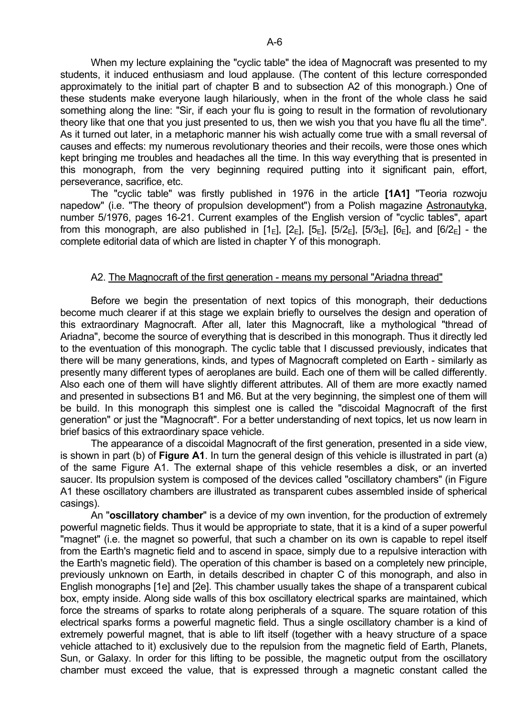When my lecture explaining the "cyclic table" the idea of Magnocraft was presented to my students, it induced enthusiasm and loud applause. (The content of this lecture corresponded approximately to the initial part of chapter B and to subsection A2 of this monograph.) One of these students make everyone laugh hilariously, when in the front of the whole class he said something along the line: "Sir, if each your flu is going to result in the formation of revolutionary theory like that one that you just presented to us, then we wish you that you have flu all the time". As it turned out later, in a metaphoric manner his wish actually come true with a small reversal of causes and effects: my numerous revolutionary theories and their recoils, were those ones which kept bringing me troubles and headaches all the time. In this way everything that is presented in this monograph, from the very beginning required putting into it significant pain, effort, perseverance, sacrifice, etc.

 The "cyclic table" was firstly published in 1976 in the article **[1A1]** "Teoria rozwoju napedow" (i.e. "The theory of propulsion development") from a Polish magazine Astronautyka, number 5/1976, pages 16-21. Current examples of the English version of "cyclic tables", apart from this monograph, are also published in  $[1<sub>E</sub>], [2<sub>E</sub>], [5<sub>E</sub>], [5/3<sub>E</sub>], [6<sub>E</sub>],$  and  $[6/2<sub>E</sub>]$  - the complete editorial data of which are listed in chapter Y of this monograph.

#### A2. The Magnocraft of the first generation - means my personal "Ariadna thread"

 Before we begin the presentation of next topics of this monograph, their deductions become much clearer if at this stage we explain briefly to ourselves the design and operation of this extraordinary Magnocraft. After all, later this Magnocraft, like a mythological "thread of Ariadna", become the source of everything that is described in this monograph. Thus it directly led to the eventuation of this monograph. The cyclic table that I discussed previously, indicates that there will be many generations, kinds, and types of Magnocraft completed on Earth - similarly as presently many different types of aeroplanes are build. Each one of them will be called differently. Also each one of them will have slightly different attributes. All of them are more exactly named and presented in subsections B1 and M6. But at the very beginning, the simplest one of them will be build. In this monograph this simplest one is called the "discoidal Magnocraft of the first generation" or just the "Magnocraft". For a better understanding of next topics, let us now learn in brief basics of this extraordinary space vehicle.

 The appearance of a discoidal Magnocraft of the first generation, presented in a side view, is shown in part (b) of **Figure A1**. In turn the general design of this vehicle is illustrated in part (a) of the same Figure A1. The external shape of this vehicle resembles a disk, or an inverted saucer. Its propulsion system is composed of the devices called "oscillatory chambers" (in Figure A1 these oscillatory chambers are illustrated as transparent cubes assembled inside of spherical casings).

 An "**oscillatory chamber**" is a device of my own invention, for the production of extremely powerful magnetic fields. Thus it would be appropriate to state, that it is a kind of a super powerful "magnet" (i.e. the magnet so powerful, that such a chamber on its own is capable to repel itself from the Earth's magnetic field and to ascend in space, simply due to a repulsive interaction with the Earth's magnetic field). The operation of this chamber is based on a completely new principle, previously unknown on Earth, in details described in chapter C of this monograph, and also in English monographs [1e] and [2e]. This chamber usually takes the shape of a transparent cubical box, empty inside. Along side walls of this box oscillatory electrical sparks are maintained, which force the streams of sparks to rotate along peripherals of a square. The square rotation of this electrical sparks forms a powerful magnetic field. Thus a single oscillatory chamber is a kind of extremely powerful magnet, that is able to lift itself (together with a heavy structure of a space vehicle attached to it) exclusively due to the repulsion from the magnetic field of Earth, Planets, Sun, or Galaxy. In order for this lifting to be possible, the magnetic output from the oscillatory chamber must exceed the value, that is expressed through a magnetic constant called the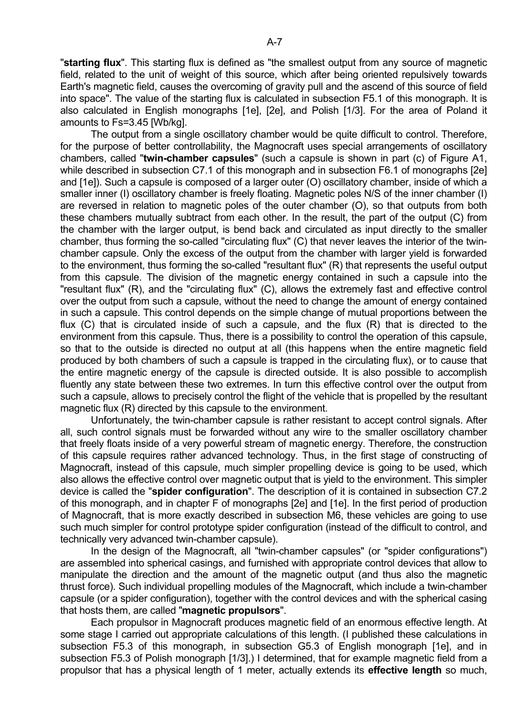"**starting flux**". This starting flux is defined as "the smallest output from any source of magnetic field, related to the unit of weight of this source, which after being oriented repulsively towards Earth's magnetic field, causes the overcoming of gravity pull and the ascend of this source of field into space". The value of the starting flux is calculated in subsection F5.1 of this monograph. It is also calculated in English monographs [1e], [2e], and Polish [1/3]. For the area of Poland it amounts to Fs=3.45 [Wb/kg].

 The output from a single oscillatory chamber would be quite difficult to control. Therefore, for the purpose of better controllability, the Magnocraft uses special arrangements of oscillatory chambers, called "**twin-chamber capsules**" (such a capsule is shown in part (c) of Figure A1, while described in subsection C7.1 of this monograph and in subsection F6.1 of monographs [2e] and [1e]). Such a capsule is composed of a larger outer (O) oscillatory chamber, inside of which a smaller inner (I) oscillatory chamber is freely floating. Magnetic poles N/S of the inner chamber (I) are reversed in relation to magnetic poles of the outer chamber (O), so that outputs from both these chambers mutually subtract from each other. In the result, the part of the output (C) from the chamber with the larger output, is bend back and circulated as input directly to the smaller chamber, thus forming the so-called "circulating flux" (C) that never leaves the interior of the twinchamber capsule. Only the excess of the output from the chamber with larger yield is forwarded to the environment, thus forming the so-called "resultant flux" (R) that represents the useful output from this capsule. The division of the magnetic energy contained in such a capsule into the "resultant flux" (R), and the "circulating flux" (C), allows the extremely fast and effective control over the output from such a capsule, without the need to change the amount of energy contained in such a capsule. This control depends on the simple change of mutual proportions between the flux (C) that is circulated inside of such a capsule, and the flux (R) that is directed to the environment from this capsule. Thus, there is a possibility to control the operation of this capsule, so that to the outside is directed no output at all (this happens when the entire magnetic field produced by both chambers of such a capsule is trapped in the circulating flux), or to cause that the entire magnetic energy of the capsule is directed outside. It is also possible to accomplish fluently any state between these two extremes. In turn this effective control over the output from such a capsule, allows to precisely control the flight of the vehicle that is propelled by the resultant magnetic flux (R) directed by this capsule to the environment.

 Unfortunately, the twin-chamber capsule is rather resistant to accept control signals. After all, such control signals must be forwarded without any wire to the smaller oscillatory chamber that freely floats inside of a very powerful stream of magnetic energy. Therefore, the construction of this capsule requires rather advanced technology. Thus, in the first stage of constructing of Magnocraft, instead of this capsule, much simpler propelling device is going to be used, which also allows the effective control over magnetic output that is yield to the environment. This simpler device is called the "**spider configuration**". The description of it is contained in subsection C7.2 of this monograph, and in chapter F of monographs [2e] and [1e]. In the first period of production of Magnocraft, that is more exactly described in subsection M6, these vehicles are going to use such much simpler for control prototype spider configuration (instead of the difficult to control, and technically very advanced twin-chamber capsule).

 In the design of the Magnocraft, all "twin-chamber capsules" (or "spider configurations") are assembled into spherical casings, and furnished with appropriate control devices that allow to manipulate the direction and the amount of the magnetic output (and thus also the magnetic thrust force). Such individual propelling modules of the Magnocraft, which include a twin-chamber capsule (or a spider configuration), together with the control devices and with the spherical casing that hosts them, are called "**magnetic propulsors**".

 Each propulsor in Magnocraft produces magnetic field of an enormous effective length. At some stage I carried out appropriate calculations of this length. (I published these calculations in subsection F5.3 of this monograph, in subsection G5.3 of English monograph [1e], and in subsection F5.3 of Polish monograph [1/3].) I determined, that for example magnetic field from a propulsor that has a physical length of 1 meter, actually extends its **effective length** so much,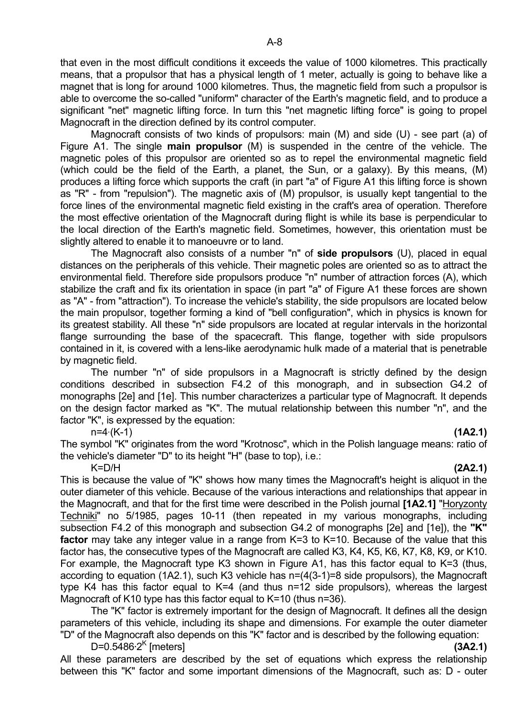that even in the most difficult conditions it exceeds the value of 1000 kilometres. This practically means, that a propulsor that has a physical length of 1 meter, actually is going to behave like a magnet that is long for around 1000 kilometres. Thus, the magnetic field from such a propulsor is able to overcome the so-called "uniform" character of the Earth's magnetic field, and to produce a significant "net" magnetic lifting force. In turn this "net magnetic lifting force" is going to propel Magnocraft in the direction defined by its control computer.

 Magnocraft consists of two kinds of propulsors: main (M) and side (U) - see part (a) of Figure A1. The single **main propulsor** (M) is suspended in the centre of the vehicle. The magnetic poles of this propulsor are oriented so as to repel the environmental magnetic field (which could be the field of the Earth, a planet, the Sun, or a galaxy). By this means, (M) produces a lifting force which supports the craft (in part "a" of Figure A1 this lifting force is shown as "R" - from "repulsion"). The magnetic axis of (M) propulsor, is usually kept tangential to the force lines of the environmental magnetic field existing in the craft's area of operation. Therefore the most effective orientation of the Magnocraft during flight is while its base is perpendicular to the local direction of the Earth's magnetic field. Sometimes, however, this orientation must be slightly altered to enable it to manoeuvre or to land.

 The Magnocraft also consists of a number "n" of **side propulsors** (U), placed in equal distances on the peripherals of this vehicle. Their magnetic poles are oriented so as to attract the environmental field. Therefore side propulsors produce "n" number of attraction forces (A), which stabilize the craft and fix its orientation in space (in part "a" of Figure A1 these forces are shown as "A" - from "attraction"). To increase the vehicle's stability, the side propulsors are located below the main propulsor, together forming a kind of "bell configuration", which in physics is known for its greatest stability. All these "n" side propulsors are located at regular intervals in the horizontal flange surrounding the base of the spacecraft. This flange, together with side propulsors contained in it, is covered with a lens-like aerodynamic hulk made of a material that is penetrable by magnetic field.

 The number "n" of side propulsors in a Magnocraft is strictly defined by the design conditions described in subsection F4.2 of this monograph, and in subsection G4.2 of monographs [2e] and [1e]. This number characterizes a particular type of Magnocraft. It depends on the design factor marked as "K". The mutual relationship between this number "n", and the factor "K", is expressed by the equation:

n=4·(K-1) (**1A2.1**)

The symbol "K" originates from the word "Krotnosc", which in the Polish language means: ratio of the vehicle's diameter "D" to its height "H" (base to top), i.e.:

K=D/H **(2A2.1)**

This is because the value of "K" shows how many times the Magnocraft's height is aliquot in the outer diameter of this vehicle. Because of the various interactions and relationships that appear in the Magnocraft, and that for the first time were described in the Polish journal **[1A2.1]** "Horyzonty Techniki" no 5/1985, pages 10-11 (then repeated in my various monographs, including subsection F4.2 of this monograph and subsection G4.2 of monographs [2e] and [1e]), the **"K" factor** may take any integer value in a range from K=3 to K=10. Because of the value that this factor has, the consecutive types of the Magnocraft are called K3, K4, K5, K6, K7, K8, K9, or K10. For example, the Magnocraft type K3 shown in Figure A1, has this factor equal to K=3 (thus, according to equation (1A2.1), such K3 vehicle has n=(4(3-1)=8 side propulsors), the Magnocraft type K4 has this factor equal to K=4 (and thus n=12 side propulsors), whereas the largest Magnocraft of K10 type has this factor equal to K=10 (thus n=36).

 The "K" factor is extremely important for the design of Magnocraft. It defines all the design parameters of this vehicle, including its shape and dimensions. For example the outer diameter "D" of the Magnocraft also depends on this "K" factor and is described by the following equation:

D=0.5486.2<sup>K</sup> [meters] (3A2.1)

All these parameters are described by the set of equations which express the relationship between this "K" factor and some important dimensions of the Magnocraft, such as: D - outer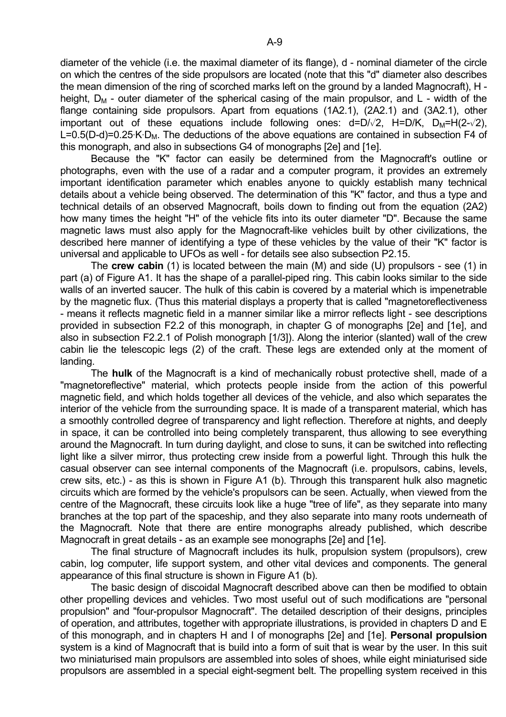diameter of the vehicle (i.e. the maximal diameter of its flange), d - nominal diameter of the circle on which the centres of the side propulsors are located (note that this "d" diameter also describes the mean dimension of the ring of scorched marks left on the ground by a landed Magnocraft), H height,  $D_M$  - outer diameter of the spherical casing of the main propulsor, and L - width of the flange containing side propulsors. Apart from equations (1A2.1), (2A2.1) and (3A2.1), other important out of these equations include following ones:  $d=D/\sqrt{2}$ , H=D/K, D<sub>M</sub>=H(2- $\sqrt{2}$ ), L=0.5(D-d)=0.25 K $\cdot$ D<sub>M</sub>. The deductions of the above equations are contained in subsection F4 of this monograph, and also in subsections G4 of monographs [2e] and [1e].

 Because the "K" factor can easily be determined from the Magnocraft's outline or photographs, even with the use of a radar and a computer program, it provides an extremely important identification parameter which enables anyone to quickly establish many technical details about a vehicle being observed. The determination of this "K" factor, and thus a type and technical details of an observed Magnocraft, boils down to finding out from the equation (2A2) how many times the height "H" of the vehicle fits into its outer diameter "D". Because the same magnetic laws must also apply for the Magnocraft-like vehicles built by other civilizations, the described here manner of identifying a type of these vehicles by the value of their "K" factor is universal and applicable to UFOs as well - for details see also subsection P2.15.

 The **crew cabin** (1) is located between the main (M) and side (U) propulsors - see (1) in part (a) of Figure A1. It has the shape of a parallel-piped ring. This cabin looks similar to the side walls of an inverted saucer. The hulk of this cabin is covered by a material which is impenetrable by the magnetic flux. (Thus this material displays a property that is called "magnetoreflectiveness - means it reflects magnetic field in a manner similar like a mirror reflects light - see descriptions provided in subsection F2.2 of this monograph, in chapter G of monographs [2e] and [1e], and also in subsection F2.2.1 of Polish monograph [1/3]). Along the interior (slanted) wall of the crew cabin lie the telescopic legs (2) of the craft. These legs are extended only at the moment of landing.

 The **hulk** of the Magnocraft is a kind of mechanically robust protective shell, made of a "magnetoreflective" material, which protects people inside from the action of this powerful magnetic field, and which holds together all devices of the vehicle, and also which separates the interior of the vehicle from the surrounding space. It is made of a transparent material, which has a smoothly controlled degree of transparency and light reflection. Therefore at nights, and deeply in space, it can be controlled into being completely transparent, thus allowing to see everything around the Magnocraft. In turn during daylight, and close to suns, it can be switched into reflecting light like a silver mirror, thus protecting crew inside from a powerful light. Through this hulk the casual observer can see internal components of the Magnocraft (i.e. propulsors, cabins, levels, crew sits, etc.) - as this is shown in Figure A1 (b). Through this transparent hulk also magnetic circuits which are formed by the vehicle's propulsors can be seen. Actually, when viewed from the centre of the Magnocraft, these circuits look like a huge "tree of life", as they separate into many branches at the top part of the spaceship, and they also separate into many roots underneath of the Magnocraft. Note that there are entire monographs already published, which describe Magnocraft in great details - as an example see monographs [2e] and [1e].

 The final structure of Magnocraft includes its hulk, propulsion system (propulsors), crew cabin, log computer, life support system, and other vital devices and components. The general appearance of this final structure is shown in Figure A1 (b).

 The basic design of discoidal Magnocraft described above can then be modified to obtain other propelling devices and vehicles. Two most useful out of such modifications are "personal propulsion" and "four-propulsor Magnocraft". The detailed description of their designs, principles of operation, and attributes, together with appropriate illustrations, is provided in chapters D and E of this monograph, and in chapters H and I of monographs [2e] and [1e]. **Personal propulsion** system is a kind of Magnocraft that is build into a form of suit that is wear by the user. In this suit two miniaturised main propulsors are assembled into soles of shoes, while eight miniaturised side propulsors are assembled in a special eight-segment belt. The propelling system received in this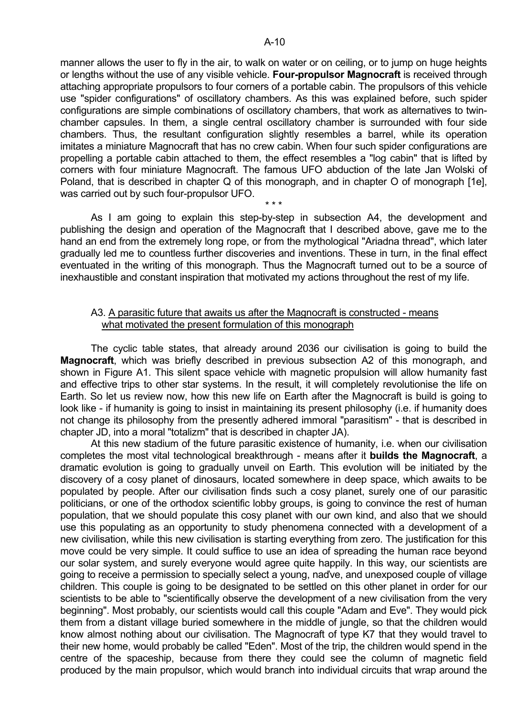manner allows the user to fly in the air, to walk on water or on ceiling, or to jump on huge heights or lengths without the use of any visible vehicle. **Four-propulsor Magnocraft** is received through attaching appropriate propulsors to four corners of a portable cabin. The propulsors of this vehicle use "spider configurations" of oscillatory chambers. As this was explained before, such spider configurations are simple combinations of oscillatory chambers, that work as alternatives to twinchamber capsules. In them, a single central oscillatory chamber is surrounded with four side chambers. Thus, the resultant configuration slightly resembles a barrel, while its operation imitates a miniature Magnocraft that has no crew cabin. When four such spider configurations are propelling a portable cabin attached to them, the effect resembles a "log cabin" that is lifted by corners with four miniature Magnocraft. The famous UFO abduction of the late Jan Wolski of Poland, that is described in chapter Q of this monograph, and in chapter O of monograph [1e], was carried out by such four-propulsor UFO.

 $\star \star \star$  As I am going to explain this step-by-step in subsection A4, the development and publishing the design and operation of the Magnocraft that I described above, gave me to the hand an end from the extremely long rope, or from the mythological "Ariadna thread", which later gradually led me to countless further discoveries and inventions. These in turn, in the final effect eventuated in the writing of this monograph. Thus the Magnocraft turned out to be a source of inexhaustible and constant inspiration that motivated my actions throughout the rest of my life.

#### A3. A parasitic future that awaits us after the Magnocraft is constructed - means what motivated the present formulation of this monograph

 The cyclic table states, that already around 2036 our civilisation is going to build the **Magnocraft**, which was briefly described in previous subsection A2 of this monograph, and shown in Figure A1. This silent space vehicle with magnetic propulsion will allow humanity fast and effective trips to other star systems. In the result, it will completely revolutionise the life on Earth. So let us review now, how this new life on Earth after the Magnocraft is build is going to look like - if humanity is going to insist in maintaining its present philosophy (i.e. if humanity does not change its philosophy from the presently adhered immoral "parasitism" - that is described in chapter JD, into a moral "totalizm" that is described in chapter JA).

 At this new stadium of the future parasitic existence of humanity, i.e. when our civilisation completes the most vital technological breakthrough - means after it **builds the Magnocraft**, a dramatic evolution is going to gradually unveil on Earth. This evolution will be initiated by the discovery of a cosy planet of dinosaurs, located somewhere in deep space, which awaits to be populated by people. After our civilisation finds such a cosy planet, surely one of our parasitic politicians, or one of the orthodox scientific lobby groups, is going to convince the rest of human population, that we should populate this cosy planet with our own kind, and also that we should use this populating as an opportunity to study phenomena connected with a development of a new civilisation, while this new civilisation is starting everything from zero. The justification for this move could be very simple. It could suffice to use an idea of spreading the human race beyond our solar system, and surely everyone would agree quite happily. In this way, our scientists are going to receive a permission to specially select a young, naďve, and unexposed couple of village children. This couple is going to be designated to be settled on this other planet in order for our scientists to be able to "scientifically observe the development of a new civilisation from the very beginning". Most probably, our scientists would call this couple "Adam and Eve". They would pick them from a distant village buried somewhere in the middle of jungle, so that the children would know almost nothing about our civilisation. The Magnocraft of type K7 that they would travel to their new home, would probably be called "Eden". Most of the trip, the children would spend in the centre of the spaceship, because from there they could see the column of magnetic field produced by the main propulsor, which would branch into individual circuits that wrap around the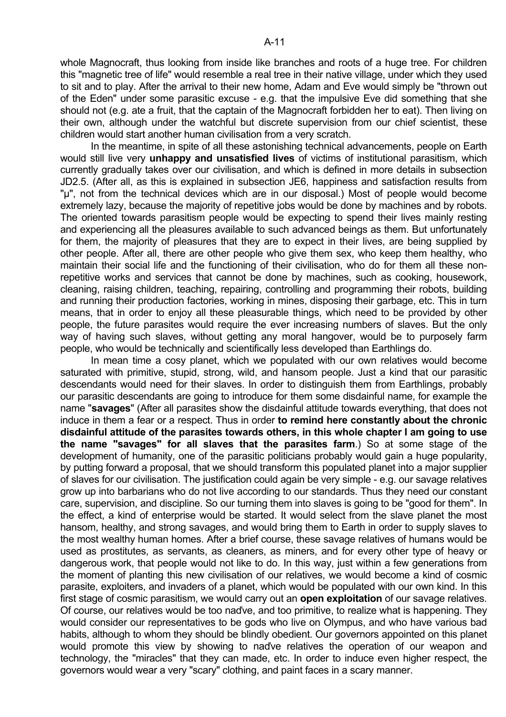whole Magnocraft, thus looking from inside like branches and roots of a huge tree. For children this "magnetic tree of life" would resemble a real tree in their native village, under which they used to sit and to play. After the arrival to their new home, Adam and Eve would simply be "thrown out of the Eden" under some parasitic excuse - e.g. that the impulsive Eve did something that she should not (e.g. ate a fruit, that the captain of the Magnocraft forbidden her to eat). Then living on their own, although under the watchful but discrete supervision from our chief scientist, these children would start another human civilisation from a very scratch.

 In the meantime, in spite of all these astonishing technical advancements, people on Earth would still live very **unhappy and unsatisfied lives** of victims of institutional parasitism, which currently gradually takes over our civilisation, and which is defined in more details in subsection JD2.5. (After all, as this is explained in subsection JE6, happiness and satisfaction results from "µ", not from the technical devices which are in our disposal.) Most of people would become extremely lazy, because the majority of repetitive jobs would be done by machines and by robots. The oriented towards parasitism people would be expecting to spend their lives mainly resting and experiencing all the pleasures available to such advanced beings as them. But unfortunately for them, the majority of pleasures that they are to expect in their lives, are being supplied by other people. After all, there are other people who give them sex, who keep them healthy, who maintain their social life and the functioning of their civilisation, who do for them all these nonrepetitive works and services that cannot be done by machines, such as cooking, housework, cleaning, raising children, teaching, repairing, controlling and programming their robots, building and running their production factories, working in mines, disposing their garbage, etc. This in turn means, that in order to enjoy all these pleasurable things, which need to be provided by other people, the future parasites would require the ever increasing numbers of slaves. But the only way of having such slaves, without getting any moral hangover, would be to purposely farm people, who would be technically and scientifically less developed than Earthlings do.

 In mean time a cosy planet, which we populated with our own relatives would become saturated with primitive, stupid, strong, wild, and hansom people. Just a kind that our parasitic descendants would need for their slaves. In order to distinguish them from Earthlings, probably our parasitic descendants are going to introduce for them some disdainful name, for example the name "**savages**" (After all parasites show the disdainful attitude towards everything, that does not induce in them a fear or a respect. Thus in order **to remind here constantly about the chronic disdainful attitude of the parasites towards others, in this whole chapter I am going to use the name "savages" for all slaves that the parasites farm**.) So at some stage of the development of humanity, one of the parasitic politicians probably would gain a huge popularity, by putting forward a proposal, that we should transform this populated planet into a major supplier of slaves for our civilisation. The justification could again be very simple - e.g. our savage relatives grow up into barbarians who do not live according to our standards. Thus they need our constant care, supervision, and discipline. So our turning them into slaves is going to be "good for them". In the effect, a kind of enterprise would be started. It would select from the slave planet the most hansom, healthy, and strong savages, and would bring them to Earth in order to supply slaves to the most wealthy human homes. After a brief course, these savage relatives of humans would be used as prostitutes, as servants, as cleaners, as miners, and for every other type of heavy or dangerous work, that people would not like to do. In this way, just within a few generations from the moment of planting this new civilisation of our relatives, we would become a kind of cosmic parasite, exploiters, and invaders of a planet, which would be populated with our own kind. In this first stage of cosmic parasitism, we would carry out an **open exploitation** of our savage relatives. Of course, our relatives would be too naďve, and too primitive, to realize what is happening. They would consider our representatives to be gods who live on Olympus, and who have various bad habits, although to whom they should be blindly obedient. Our governors appointed on this planet would promote this view by showing to naďve relatives the operation of our weapon and technology, the "miracles" that they can made, etc. In order to induce even higher respect, the governors would wear a very "scary" clothing, and paint faces in a scary manner.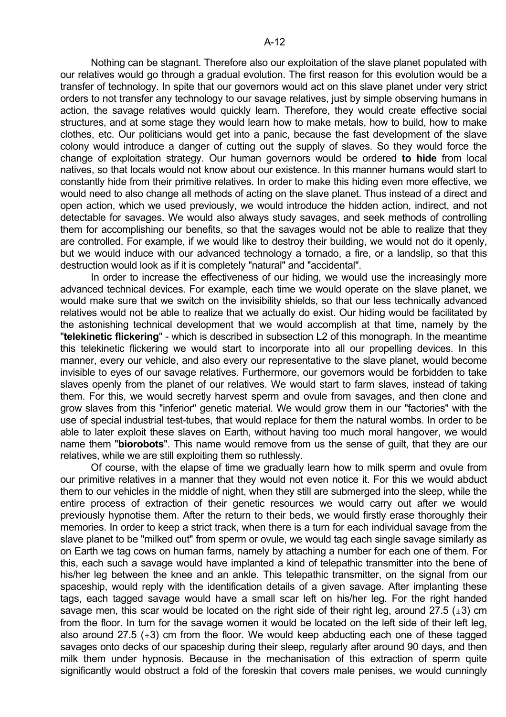Nothing can be stagnant. Therefore also our exploitation of the slave planet populated with our relatives would go through a gradual evolution. The first reason for this evolution would be a transfer of technology. In spite that our governors would act on this slave planet under very strict orders to not transfer any technology to our savage relatives, just by simple observing humans in action, the savage relatives would quickly learn. Therefore, they would create effective social structures, and at some stage they would learn how to make metals, how to build, how to make clothes, etc. Our politicians would get into a panic, because the fast development of the slave colony would introduce a danger of cutting out the supply of slaves. So they would force the change of exploitation strategy. Our human governors would be ordered **to hide** from local natives, so that locals would not know about our existence. In this manner humans would start to constantly hide from their primitive relatives. In order to make this hiding even more effective, we would need to also change all methods of acting on the slave planet. Thus instead of a direct and open action, which we used previously, we would introduce the hidden action, indirect, and not detectable for savages. We would also always study savages, and seek methods of controlling them for accomplishing our benefits, so that the savages would not be able to realize that they are controlled. For example, if we would like to destroy their building, we would not do it openly, but we would induce with our advanced technology a tornado, a fire, or a landslip, so that this destruction would look as if it is completely "natural" and "accidental".

 In order to increase the effectiveness of our hiding, we would use the increasingly more advanced technical devices. For example, each time we would operate on the slave planet, we would make sure that we switch on the invisibility shields, so that our less technically advanced relatives would not be able to realize that we actually do exist. Our hiding would be facilitated by the astonishing technical development that we would accomplish at that time, namely by the "**telekinetic flickering**" - which is described in subsection L2 of this monograph. In the meantime this telekinetic flickering we would start to incorporate into all our propelling devices. In this manner, every our vehicle, and also every our representative to the slave planet, would become invisible to eyes of our savage relatives. Furthermore, our governors would be forbidden to take slaves openly from the planet of our relatives. We would start to farm slaves, instead of taking them. For this, we would secretly harvest sperm and ovule from savages, and then clone and grow slaves from this "inferior" genetic material. We would grow them in our "factories" with the use of special industrial test-tubes, that would replace for them the natural wombs. In order to be able to later exploit these slaves on Earth, without having too much moral hangover, we would name them "**biorobots**". This name would remove from us the sense of guilt, that they are our relatives, while we are still exploiting them so ruthlessly.

 Of course, with the elapse of time we gradually learn how to milk sperm and ovule from our primitive relatives in a manner that they would not even notice it. For this we would abduct them to our vehicles in the middle of night, when they still are submerged into the sleep, while the entire process of extraction of their genetic resources we would carry out after we would previously hypnotise them. After the return to their beds, we would firstly erase thoroughly their memories. In order to keep a strict track, when there is a turn for each individual savage from the slave planet to be "milked out" from sperm or ovule, we would tag each single savage similarly as on Earth we tag cows on human farms, namely by attaching a number for each one of them. For this, each such a savage would have implanted a kind of telepathic transmitter into the bene of his/her leg between the knee and an ankle. This telepathic transmitter, on the signal from our spaceship, would reply with the identification details of a given savage. After implanting these tags, each tagged savage would have a small scar left on his/her leg. For the right handed savage men, this scar would be located on the right side of their right leg, around 27.5 ( $\pm$ 3) cm from the floor. In turn for the savage women it would be located on the left side of their left leg, also around 27.5 ( $\pm$ 3) cm from the floor. We would keep abducting each one of these tagged savages onto decks of our spaceship during their sleep, regularly after around 90 days, and then milk them under hypnosis. Because in the mechanisation of this extraction of sperm quite significantly would obstruct a fold of the foreskin that covers male penises, we would cunningly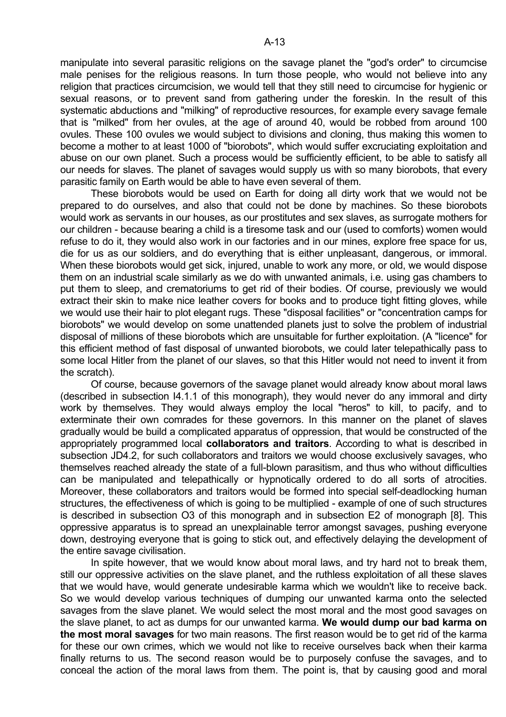manipulate into several parasitic religions on the savage planet the "god's order" to circumcise male penises for the religious reasons. In turn those people, who would not believe into any religion that practices circumcision, we would tell that they still need to circumcise for hygienic or sexual reasons, or to prevent sand from gathering under the foreskin. In the result of this systematic abductions and "milking" of reproductive resources, for example every savage female that is "milked" from her ovules, at the age of around 40, would be robbed from around 100 ovules. These 100 ovules we would subject to divisions and cloning, thus making this women to become a mother to at least 1000 of "biorobots", which would suffer excruciating exploitation and abuse on our own planet. Such a process would be sufficiently efficient, to be able to satisfy all our needs for slaves. The planet of savages would supply us with so many biorobots, that every parasitic family on Earth would be able to have even several of them.

 These biorobots would be used on Earth for doing all dirty work that we would not be prepared to do ourselves, and also that could not be done by machines. So these biorobots would work as servants in our houses, as our prostitutes and sex slaves, as surrogate mothers for our children - because bearing a child is a tiresome task and our (used to comforts) women would refuse to do it, they would also work in our factories and in our mines, explore free space for us, die for us as our soldiers, and do everything that is either unpleasant, dangerous, or immoral. When these biorobots would get sick, injured, unable to work any more, or old, we would dispose them on an industrial scale similarly as we do with unwanted animals, i.e. using gas chambers to put them to sleep, and crematoriums to get rid of their bodies. Of course, previously we would extract their skin to make nice leather covers for books and to produce tight fitting gloves, while we would use their hair to plot elegant rugs. These "disposal facilities" or "concentration camps for biorobots" we would develop on some unattended planets just to solve the problem of industrial disposal of millions of these biorobots which are unsuitable for further exploitation. (A "licence" for this efficient method of fast disposal of unwanted biorobots, we could later telepathically pass to some local Hitler from the planet of our slaves, so that this Hitler would not need to invent it from the scratch).

 Of course, because governors of the savage planet would already know about moral laws (described in subsection I4.1.1 of this monograph), they would never do any immoral and dirty work by themselves. They would always employ the local "heros" to kill, to pacify, and to exterminate their own comrades for these governors. In this manner on the planet of slaves gradually would be build a complicated apparatus of oppression, that would be constructed of the appropriately programmed local **collaborators and traitors**. According to what is described in subsection JD4.2, for such collaborators and traitors we would choose exclusively savages, who themselves reached already the state of a full-blown parasitism, and thus who without difficulties can be manipulated and telepathically or hypnotically ordered to do all sorts of atrocities. Moreover, these collaborators and traitors would be formed into special self-deadlocking human structures, the effectiveness of which is going to be multiplied - example of one of such structures is described in subsection O3 of this monograph and in subsection E2 of monograph [8]. This oppressive apparatus is to spread an unexplainable terror amongst savages, pushing everyone down, destroying everyone that is going to stick out, and effectively delaying the development of the entire savage civilisation.

 In spite however, that we would know about moral laws, and try hard not to break them, still our oppressive activities on the slave planet, and the ruthless exploitation of all these slaves that we would have, would generate undesirable karma which we wouldn't like to receive back. So we would develop various techniques of dumping our unwanted karma onto the selected savages from the slave planet. We would select the most moral and the most good savages on the slave planet, to act as dumps for our unwanted karma. **We would dump our bad karma on the most moral savages** for two main reasons. The first reason would be to get rid of the karma for these our own crimes, which we would not like to receive ourselves back when their karma finally returns to us. The second reason would be to purposely confuse the savages, and to conceal the action of the moral laws from them. The point is, that by causing good and moral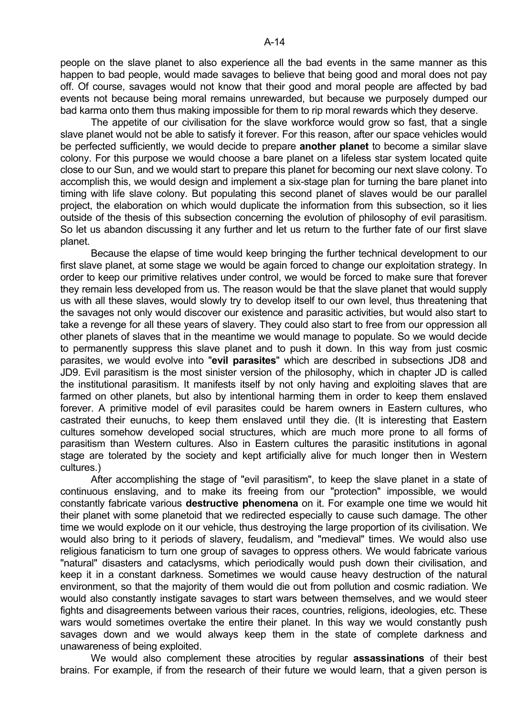people on the slave planet to also experience all the bad events in the same manner as this happen to bad people, would made savages to believe that being good and moral does not pay off. Of course, savages would not know that their good and moral people are affected by bad events not because being moral remains unrewarded, but because we purposely dumped our bad karma onto them thus making impossible for them to rip moral rewards which they deserve.

 The appetite of our civilisation for the slave workforce would grow so fast, that a single slave planet would not be able to satisfy it forever. For this reason, after our space vehicles would be perfected sufficiently, we would decide to prepare **another planet** to become a similar slave colony. For this purpose we would choose a bare planet on a lifeless star system located quite close to our Sun, and we would start to prepare this planet for becoming our next slave colony. To accomplish this, we would design and implement a six-stage plan for turning the bare planet into timing with life slave colony. But populating this second planet of slaves would be our parallel project, the elaboration on which would duplicate the information from this subsection, so it lies outside of the thesis of this subsection concerning the evolution of philosophy of evil parasitism. So let us abandon discussing it any further and let us return to the further fate of our first slave planet.

 Because the elapse of time would keep bringing the further technical development to our first slave planet, at some stage we would be again forced to change our exploitation strategy. In order to keep our primitive relatives under control, we would be forced to make sure that forever they remain less developed from us. The reason would be that the slave planet that would supply us with all these slaves, would slowly try to develop itself to our own level, thus threatening that the savages not only would discover our existence and parasitic activities, but would also start to take a revenge for all these years of slavery. They could also start to free from our oppression all other planets of slaves that in the meantime we would manage to populate. So we would decide to permanently suppress this slave planet and to push it down. In this way from just cosmic parasites, we would evolve into "**evil parasites**" which are described in subsections JD8 and JD9. Evil parasitism is the most sinister version of the philosophy, which in chapter JD is called the institutional parasitism. It manifests itself by not only having and exploiting slaves that are farmed on other planets, but also by intentional harming them in order to keep them enslaved forever. A primitive model of evil parasites could be harem owners in Eastern cultures, who castrated their eunuchs, to keep them enslaved until they die. (It is interesting that Eastern cultures somehow developed social structures, which are much more prone to all forms of parasitism than Western cultures. Also in Eastern cultures the parasitic institutions in agonal stage are tolerated by the society and kept artificially alive for much longer then in Western cultures.)

 After accomplishing the stage of "evil parasitism", to keep the slave planet in a state of continuous enslaving, and to make its freeing from our "protection" impossible, we would constantly fabricate various **destructive phenomena** on it. For example one time we would hit their planet with some planetoid that we redirected especially to cause such damage. The other time we would explode on it our vehicle, thus destroying the large proportion of its civilisation. We would also bring to it periods of slavery, feudalism, and "medieval" times. We would also use religious fanaticism to turn one group of savages to oppress others. We would fabricate various "natural" disasters and cataclysms, which periodically would push down their civilisation, and keep it in a constant darkness. Sometimes we would cause heavy destruction of the natural environment, so that the majority of them would die out from pollution and cosmic radiation. We would also constantly instigate savages to start wars between themselves, and we would steer fights and disagreements between various their races, countries, religions, ideologies, etc. These wars would sometimes overtake the entire their planet. In this way we would constantly push savages down and we would always keep them in the state of complete darkness and unawareness of being exploited.

 We would also complement these atrocities by regular **assassinations** of their best brains. For example, if from the research of their future we would learn, that a given person is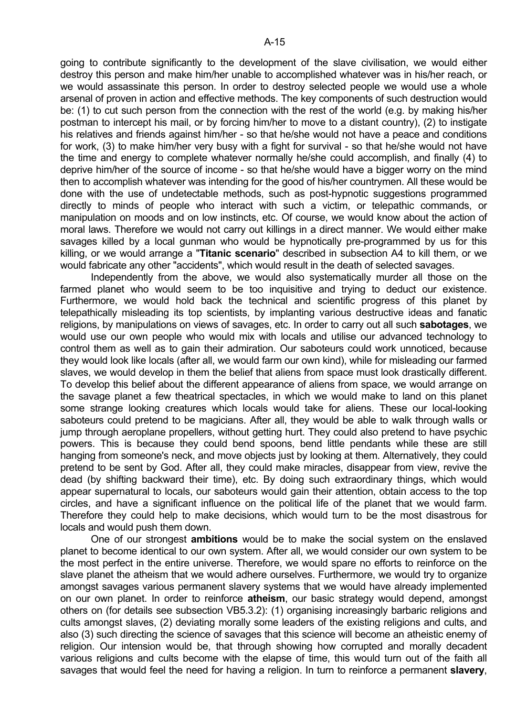going to contribute significantly to the development of the slave civilisation, we would either destroy this person and make him/her unable to accomplished whatever was in his/her reach, or we would assassinate this person. In order to destroy selected people we would use a whole arsenal of proven in action and effective methods. The key components of such destruction would be: (1) to cut such person from the connection with the rest of the world (e.g. by making his/her postman to intercept his mail, or by forcing him/her to move to a distant country), (2) to instigate his relatives and friends against him/her - so that he/she would not have a peace and conditions for work, (3) to make him/her very busy with a fight for survival - so that he/she would not have the time and energy to complete whatever normally he/she could accomplish, and finally (4) to deprive him/her of the source of income - so that he/she would have a bigger worry on the mind then to accomplish whatever was intending for the good of his/her countrymen. All these would be done with the use of undetectable methods, such as post-hypnotic suggestions programmed directly to minds of people who interact with such a victim, or telepathic commands, or manipulation on moods and on low instincts, etc. Of course, we would know about the action of moral laws. Therefore we would not carry out killings in a direct manner. We would either make savages killed by a local gunman who would be hypnotically pre-programmed by us for this killing, or we would arrange a "**Titanic scenario**" described in subsection A4 to kill them, or we would fabricate any other "accidents", which would result in the death of selected savages.

 Independently from the above, we would also systematically murder all those on the farmed planet who would seem to be too inquisitive and trying to deduct our existence. Furthermore, we would hold back the technical and scientific progress of this planet by telepathically misleading its top scientists, by implanting various destructive ideas and fanatic religions, by manipulations on views of savages, etc. In order to carry out all such **sabotages**, we would use our own people who would mix with locals and utilise our advanced technology to control them as well as to gain their admiration. Our saboteurs could work unnoticed, because they would look like locals (after all, we would farm our own kind), while for misleading our farmed slaves, we would develop in them the belief that aliens from space must look drastically different. To develop this belief about the different appearance of aliens from space, we would arrange on the savage planet a few theatrical spectacles, in which we would make to land on this planet some strange looking creatures which locals would take for aliens. These our local-looking saboteurs could pretend to be magicians. After all, they would be able to walk through walls or jump through aeroplane propellers, without getting hurt. They could also pretend to have psychic powers. This is because they could bend spoons, bend little pendants while these are still hanging from someone's neck, and move objects just by looking at them. Alternatively, they could pretend to be sent by God. After all, they could make miracles, disappear from view, revive the dead (by shifting backward their time), etc. By doing such extraordinary things, which would appear supernatural to locals, our saboteurs would gain their attention, obtain access to the top circles, and have a significant influence on the political life of the planet that we would farm. Therefore they could help to make decisions, which would turn to be the most disastrous for locals and would push them down.

 One of our strongest **ambitions** would be to make the social system on the enslaved planet to become identical to our own system. After all, we would consider our own system to be the most perfect in the entire universe. Therefore, we would spare no efforts to reinforce on the slave planet the atheism that we would adhere ourselves. Furthermore, we would try to organize amongst savages various permanent slavery systems that we would have already implemented on our own planet. In order to reinforce **atheism**, our basic strategy would depend, amongst others on (for details see subsection VB5.3.2): (1) organising increasingly barbaric religions and cults amongst slaves, (2) deviating morally some leaders of the existing religions and cults, and also (3) such directing the science of savages that this science will become an atheistic enemy of religion. Our intension would be, that through showing how corrupted and morally decadent various religions and cults become with the elapse of time, this would turn out of the faith all savages that would feel the need for having a religion. In turn to reinforce a permanent **slavery**,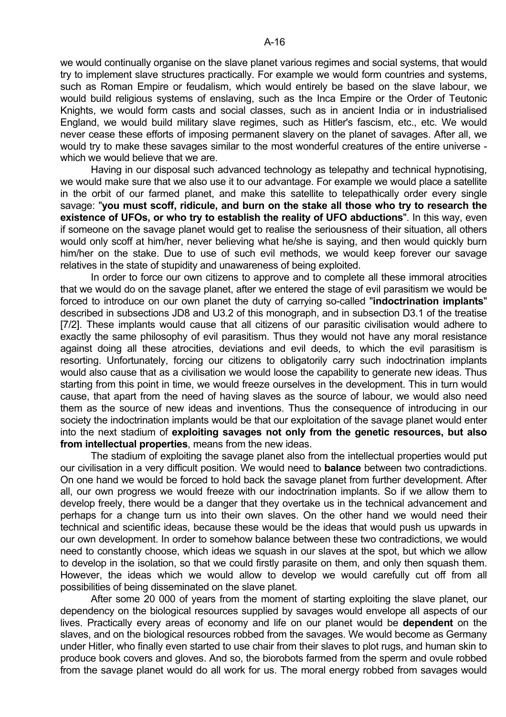we would continually organise on the slave planet various regimes and social systems, that would try to implement slave structures practically. For example we would form countries and systems, such as Roman Empire or feudalism, which would entirely be based on the slave labour, we would build religious systems of enslaving, such as the Inca Empire or the Order of Teutonic Knights, we would form casts and social classes, such as in ancient India or in industrialised England, we would build military slave regimes, such as Hitler's fascism, etc., etc. We would never cease these efforts of imposing permanent slavery on the planet of savages. After all, we would try to make these savages similar to the most wonderful creatures of the entire universe which we would believe that we are.

 Having in our disposal such advanced technology as telepathy and technical hypnotising, we would make sure that we also use it to our advantage. For example we would place a satellite in the orbit of our farmed planet, and make this satellite to telepathically order every single savage: "**you must scoff, ridicule, and burn on the stake all those who try to research the existence of UFOs, or who try to establish the reality of UFO abductions**". In this way, even if someone on the savage planet would get to realise the seriousness of their situation, all others would only scoff at him/her, never believing what he/she is saying, and then would quickly burn him/her on the stake. Due to use of such evil methods, we would keep forever our savage relatives in the state of stupidity and unawareness of being exploited.

 In order to force our own citizens to approve and to complete all these immoral atrocities that we would do on the savage planet, after we entered the stage of evil parasitism we would be forced to introduce on our own planet the duty of carrying so-called "**indoctrination implants**" described in subsections JD8 and U3.2 of this monograph, and in subsection D3.1 of the treatise [7/2]. These implants would cause that all citizens of our parasitic civilisation would adhere to exactly the same philosophy of evil parasitism. Thus they would not have any moral resistance against doing all these atrocities, deviations and evil deeds, to which the evil parasitism is resorting. Unfortunately, forcing our citizens to obligatorily carry such indoctrination implants would also cause that as a civilisation we would loose the capability to generate new ideas. Thus starting from this point in time, we would freeze ourselves in the development. This in turn would cause, that apart from the need of having slaves as the source of labour, we would also need them as the source of new ideas and inventions. Thus the consequence of introducing in our society the indoctrination implants would be that our exploitation of the savage planet would enter into the next stadium of **exploiting savages not only from the genetic resources, but also from intellectual properties**, means from the new ideas.

 The stadium of exploiting the savage planet also from the intellectual properties would put our civilisation in a very difficult position. We would need to **balance** between two contradictions. On one hand we would be forced to hold back the savage planet from further development. After all, our own progress we would freeze with our indoctrination implants. So if we allow them to develop freely, there would be a danger that they overtake us in the technical advancement and perhaps for a change turn us into their own slaves. On the other hand we would need their technical and scientific ideas, because these would be the ideas that would push us upwards in our own development. In order to somehow balance between these two contradictions, we would need to constantly choose, which ideas we squash in our slaves at the spot, but which we allow to develop in the isolation, so that we could firstly parasite on them, and only then squash them. However, the ideas which we would allow to develop we would carefully cut off from all possibilities of being disseminated on the slave planet.

 After some 20 000 of years from the moment of starting exploiting the slave planet, our dependency on the biological resources supplied by savages would envelope all aspects of our lives. Practically every areas of economy and life on our planet would be **dependent** on the slaves, and on the biological resources robbed from the savages. We would become as Germany under Hitler, who finally even started to use chair from their slaves to plot rugs, and human skin to produce book covers and gloves. And so, the biorobots farmed from the sperm and ovule robbed from the savage planet would do all work for us. The moral energy robbed from savages would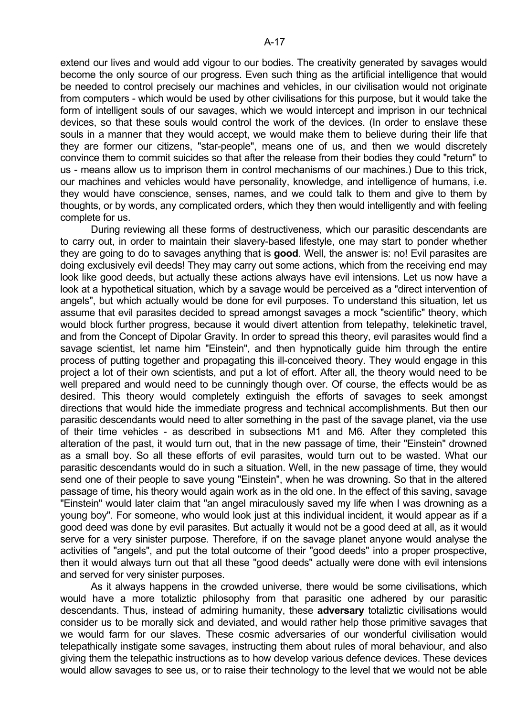extend our lives and would add vigour to our bodies. The creativity generated by savages would become the only source of our progress. Even such thing as the artificial intelligence that would be needed to control precisely our machines and vehicles, in our civilisation would not originate from computers - which would be used by other civilisations for this purpose, but it would take the form of intelligent souls of our savages, which we would intercept and imprison in our technical devices, so that these souls would control the work of the devices. (In order to enslave these souls in a manner that they would accept, we would make them to believe during their life that they are former our citizens, "star-people", means one of us, and then we would discretely convince them to commit suicides so that after the release from their bodies they could "return" to us - means allow us to imprison them in control mechanisms of our machines.) Due to this trick, our machines and vehicles would have personality, knowledge, and intelligence of humans, i.e. they would have conscience, senses, names, and we could talk to them and give to them by thoughts, or by words, any complicated orders, which they then would intelligently and with feeling complete for us.

 During reviewing all these forms of destructiveness, which our parasitic descendants are to carry out, in order to maintain their slavery-based lifestyle, one may start to ponder whether they are going to do to savages anything that is **good**. Well, the answer is: no! Evil parasites are doing exclusively evil deeds! They may carry out some actions, which from the receiving end may look like good deeds, but actually these actions always have evil intensions. Let us now have a look at a hypothetical situation, which by a savage would be perceived as a "direct intervention of angels", but which actually would be done for evil purposes. To understand this situation, let us assume that evil parasites decided to spread amongst savages a mock "scientific" theory, which would block further progress, because it would divert attention from telepathy, telekinetic travel, and from the Concept of Dipolar Gravity. In order to spread this theory, evil parasites would find a savage scientist, let name him "Einstein", and then hypnotically guide him through the entire process of putting together and propagating this ill-conceived theory. They would engage in this project a lot of their own scientists, and put a lot of effort. After all, the theory would need to be well prepared and would need to be cunningly though over. Of course, the effects would be as desired. This theory would completely extinguish the efforts of savages to seek amongst directions that would hide the immediate progress and technical accomplishments. But then our parasitic descendants would need to alter something in the past of the savage planet, via the use of their time vehicles - as described in subsections M1 and M6. After they completed this alteration of the past, it would turn out, that in the new passage of time, their "Einstein" drowned as a small boy. So all these efforts of evil parasites, would turn out to be wasted. What our parasitic descendants would do in such a situation. Well, in the new passage of time, they would send one of their people to save young "Einstein", when he was drowning. So that in the altered passage of time, his theory would again work as in the old one. In the effect of this saving, savage "Einstein" would later claim that "an angel miraculously saved my life when I was drowning as a young boy". For someone, who would look just at this individual incident, it would appear as if a good deed was done by evil parasites. But actually it would not be a good deed at all, as it would serve for a very sinister purpose. Therefore, if on the savage planet anyone would analyse the activities of "angels", and put the total outcome of their "good deeds" into a proper prospective, then it would always turn out that all these "good deeds" actually were done with evil intensions and served for very sinister purposes.

 As it always happens in the crowded universe, there would be some civilisations, which would have a more totaliztic philosophy from that parasitic one adhered by our parasitic descendants. Thus, instead of admiring humanity, these **adversary** totaliztic civilisations would consider us to be morally sick and deviated, and would rather help those primitive savages that we would farm for our slaves. These cosmic adversaries of our wonderful civilisation would telepathically instigate some savages, instructing them about rules of moral behaviour, and also giving them the telepathic instructions as to how develop various defence devices. These devices would allow savages to see us, or to raise their technology to the level that we would not be able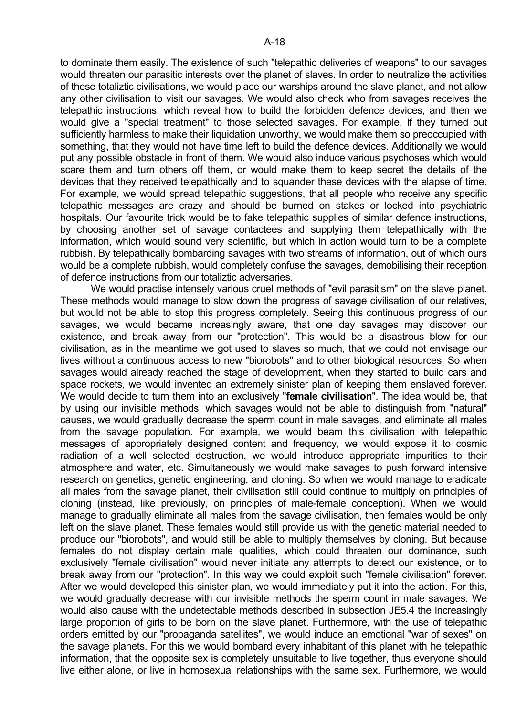to dominate them easily. The existence of such "telepathic deliveries of weapons" to our savages would threaten our parasitic interests over the planet of slaves. In order to neutralize the activities of these totaliztic civilisations, we would place our warships around the slave planet, and not allow any other civilisation to visit our savages. We would also check who from savages receives the telepathic instructions, which reveal how to build the forbidden defence devices, and then we would give a "special treatment" to those selected savages. For example, if they turned out sufficiently harmless to make their liquidation unworthy, we would make them so preoccupied with something, that they would not have time left to build the defence devices. Additionally we would put any possible obstacle in front of them. We would also induce various psychoses which would scare them and turn others off them, or would make them to keep secret the details of the devices that they received telepathically and to squander these devices with the elapse of time. For example, we would spread telepathic suggestions, that all people who receive any specific telepathic messages are crazy and should be burned on stakes or locked into psychiatric hospitals. Our favourite trick would be to fake telepathic supplies of similar defence instructions, by choosing another set of savage contactees and supplying them telepathically with the information, which would sound very scientific, but which in action would turn to be a complete rubbish. By telepathically bombarding savages with two streams of information, out of which ours would be a complete rubbish, would completely confuse the savages, demobilising their reception of defence instructions from our totaliztic adversaries.

 We would practise intensely various cruel methods of "evil parasitism" on the slave planet. These methods would manage to slow down the progress of savage civilisation of our relatives, but would not be able to stop this progress completely. Seeing this continuous progress of our savages, we would became increasingly aware, that one day savages may discover our existence, and break away from our "protection". This would be a disastrous blow for our civilisation, as in the meantime we got used to slaves so much, that we could not envisage our lives without a continuous access to new "biorobots" and to other biological resources. So when savages would already reached the stage of development, when they started to build cars and space rockets, we would invented an extremely sinister plan of keeping them enslaved forever. We would decide to turn them into an exclusively "**female civilisation**". The idea would be, that by using our invisible methods, which savages would not be able to distinguish from "natural" causes, we would gradually decrease the sperm count in male savages, and eliminate all males from the savage population. For example, we would beam this civilisation with telepathic messages of appropriately designed content and frequency, we would expose it to cosmic radiation of a well selected destruction, we would introduce appropriate impurities to their atmosphere and water, etc. Simultaneously we would make savages to push forward intensive research on genetics, genetic engineering, and cloning. So when we would manage to eradicate all males from the savage planet, their civilisation still could continue to multiply on principles of cloning (instead, like previously, on principles of male-female conception). When we would manage to gradually eliminate all males from the savage civilisation, then females would be only left on the slave planet. These females would still provide us with the genetic material needed to produce our "biorobots", and would still be able to multiply themselves by cloning. But because females do not display certain male qualities, which could threaten our dominance, such exclusively "female civilisation" would never initiate any attempts to detect our existence, or to break away from our "protection". In this way we could exploit such "female civilisation" forever. After we would developed this sinister plan, we would immediately put it into the action. For this, we would gradually decrease with our invisible methods the sperm count in male savages. We would also cause with the undetectable methods described in subsection JE5.4 the increasingly large proportion of girls to be born on the slave planet. Furthermore, with the use of telepathic orders emitted by our "propaganda satellites", we would induce an emotional "war of sexes" on the savage planets. For this we would bombard every inhabitant of this planet with he telepathic information, that the opposite sex is completely unsuitable to live together, thus everyone should live either alone, or live in homosexual relationships with the same sex. Furthermore, we would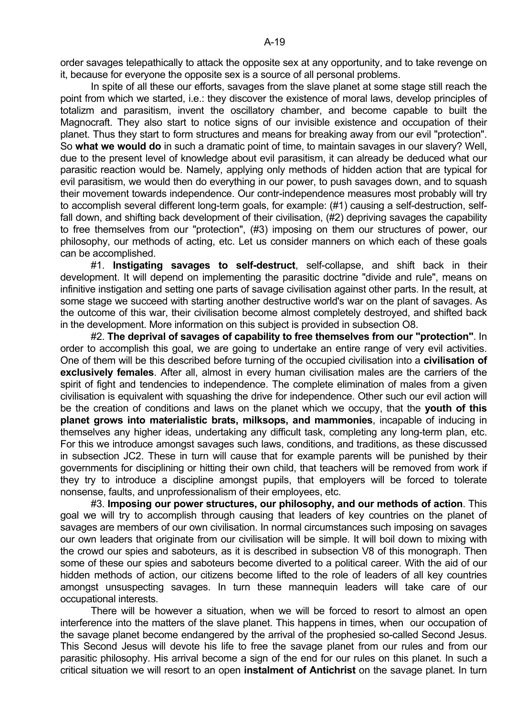order savages telepathically to attack the opposite sex at any opportunity, and to take revenge on it, because for everyone the opposite sex is a source of all personal problems.

 In spite of all these our efforts, savages from the slave planet at some stage still reach the point from which we started, i.e.: they discover the existence of moral laws, develop principles of totalizm and parasitism, invent the oscillatory chamber, and become capable to built the Magnocraft. They also start to notice signs of our invisible existence and occupation of their planet. Thus they start to form structures and means for breaking away from our evil "protection". So **what we would do** in such a dramatic point of time, to maintain savages in our slavery? Well, due to the present level of knowledge about evil parasitism, it can already be deduced what our parasitic reaction would be. Namely, applying only methods of hidden action that are typical for evil parasitism, we would then do everything in our power, to push savages down, and to squash their movement towards independence. Our contr-independence measures most probably will try to accomplish several different long-term goals, for example: (#1) causing a self-destruction, selffall down, and shifting back development of their civilisation, (#2) depriving savages the capability to free themselves from our "protection", (#3) imposing on them our structures of power, our philosophy, our methods of acting, etc. Let us consider manners on which each of these goals can be accomplished.

 #1. **Instigating savages to self-destruct**, self-collapse, and shift back in their development. It will depend on implementing the parasitic doctrine "divide and rule", means on infinitive instigation and setting one parts of savage civilisation against other parts. In the result, at some stage we succeed with starting another destructive world's war on the plant of savages. As the outcome of this war, their civilisation become almost completely destroyed, and shifted back in the development. More information on this subject is provided in subsection O8.

 #2. **The deprival of savages of capability to free themselves from our "protection"**. In order to accomplish this goal, we are going to undertake an entire range of very evil activities. One of them will be this described before turning of the occupied civilisation into a **civilisation of exclusively females**. After all, almost in every human civilisation males are the carriers of the spirit of fight and tendencies to independence. The complete elimination of males from a given civilisation is equivalent with squashing the drive for independence. Other such our evil action will be the creation of conditions and laws on the planet which we occupy, that the **youth of this planet grows into materialistic brats, milksops, and mammonies**, incapable of inducing in themselves any higher ideas, undertaking any difficult task, completing any long-term plan, etc. For this we introduce amongst savages such laws, conditions, and traditions, as these discussed in subsection JC2. These in turn will cause that for example parents will be punished by their governments for disciplining or hitting their own child, that teachers will be removed from work if they try to introduce a discipline amongst pupils, that employers will be forced to tolerate nonsense, faults, and unprofessionalism of their employees, etc.

 #3. **Imposing our power structures, our philosophy, and our methods of action**. This goal we will try to accomplish through causing that leaders of key countries on the planet of savages are members of our own civilisation. In normal circumstances such imposing on savages our own leaders that originate from our civilisation will be simple. It will boil down to mixing with the crowd our spies and saboteurs, as it is described in subsection V8 of this monograph. Then some of these our spies and saboteurs become diverted to a political career. With the aid of our hidden methods of action, our citizens become lifted to the role of leaders of all key countries amongst unsuspecting savages. In turn these mannequin leaders will take care of our occupational interests.

 There will be however a situation, when we will be forced to resort to almost an open interference into the matters of the slave planet. This happens in times, when our occupation of the savage planet become endangered by the arrival of the prophesied so-called Second Jesus. This Second Jesus will devote his life to free the savage planet from our rules and from our parasitic philosophy. His arrival become a sign of the end for our rules on this planet. In such a critical situation we will resort to an open **instalment of Antichrist** on the savage planet. In turn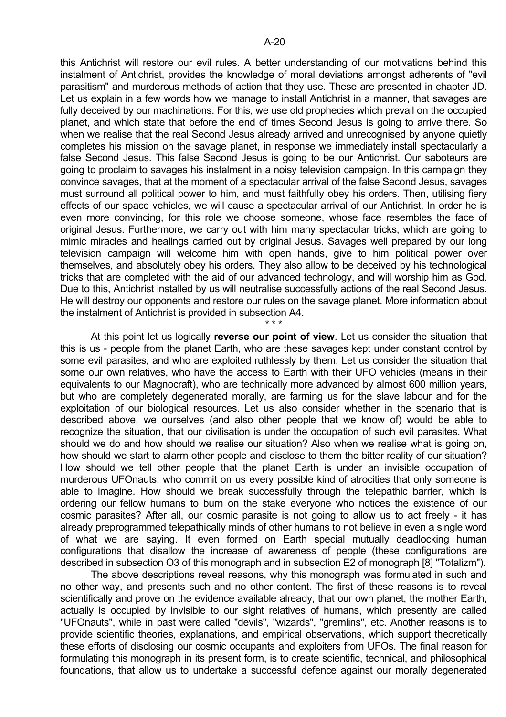this Antichrist will restore our evil rules. A better understanding of our motivations behind this instalment of Antichrist, provides the knowledge of moral deviations amongst adherents of "evil parasitism" and murderous methods of action that they use. These are presented in chapter JD. Let us explain in a few words how we manage to install Antichrist in a manner, that savages are fully deceived by our machinations. For this, we use old prophecies which prevail on the occupied planet, and which state that before the end of times Second Jesus is going to arrive there. So when we realise that the real Second Jesus already arrived and unrecognised by anyone quietly completes his mission on the savage planet, in response we immediately install spectacularly a false Second Jesus. This false Second Jesus is going to be our Antichrist. Our saboteurs are going to proclaim to savages his instalment in a noisy television campaign. In this campaign they convince savages, that at the moment of a spectacular arrival of the false Second Jesus, savages must surround all political power to him, and must faithfully obey his orders. Then, utilising fiery effects of our space vehicles, we will cause a spectacular arrival of our Antichrist. In order he is even more convincing, for this role we choose someone, whose face resembles the face of original Jesus. Furthermore, we carry out with him many spectacular tricks, which are going to mimic miracles and healings carried out by original Jesus. Savages well prepared by our long television campaign will welcome him with open hands, give to him political power over themselves, and absolutely obey his orders. They also allow to be deceived by his technological tricks that are completed with the aid of our advanced technology, and will worship him as God. Due to this, Antichrist installed by us will neutralise successfully actions of the real Second Jesus. He will destroy our opponents and restore our rules on the savage planet. More information about the instalment of Antichrist is provided in subsection A4.

 At this point let us logically **reverse our point of view**. Let us consider the situation that this is us - people from the planet Earth, who are these savages kept under constant control by some evil parasites, and who are exploited ruthlessly by them. Let us consider the situation that some our own relatives, who have the access to Earth with their UFO vehicles (means in their equivalents to our Magnocraft), who are technically more advanced by almost 600 million years, but who are completely degenerated morally, are farming us for the slave labour and for the exploitation of our biological resources. Let us also consider whether in the scenario that is described above, we ourselves (and also other people that we know of) would be able to recognize the situation, that our civilisation is under the occupation of such evil parasites. What should we do and how should we realise our situation? Also when we realise what is going on, how should we start to alarm other people and disclose to them the bitter reality of our situation? How should we tell other people that the planet Earth is under an invisible occupation of murderous UFOnauts, who commit on us every possible kind of atrocities that only someone is able to imagine. How should we break successfully through the telepathic barrier, which is ordering our fellow humans to burn on the stake everyone who notices the existence of our cosmic parasites? After all, our cosmic parasite is not going to allow us to act freely - it has already preprogrammed telepathically minds of other humans to not believe in even a single word of what we are saying. It even formed on Earth special mutually deadlocking human configurations that disallow the increase of awareness of people (these configurations are described in subsection O3 of this monograph and in subsection E2 of monograph [8] "Totalizm").

 $\star \star \star$ 

 The above descriptions reveal reasons, why this monograph was formulated in such and no other way, and presents such and no other content. The first of these reasons is to reveal scientifically and prove on the evidence available already, that our own planet, the mother Earth, actually is occupied by invisible to our sight relatives of humans, which presently are called "UFOnauts", while in past were called "devils", "wizards", "gremlins", etc. Another reasons is to provide scientific theories, explanations, and empirical observations, which support theoretically these efforts of disclosing our cosmic occupants and exploiters from UFOs. The final reason for formulating this monograph in its present form, is to create scientific, technical, and philosophical foundations, that allow us to undertake a successful defence against our morally degenerated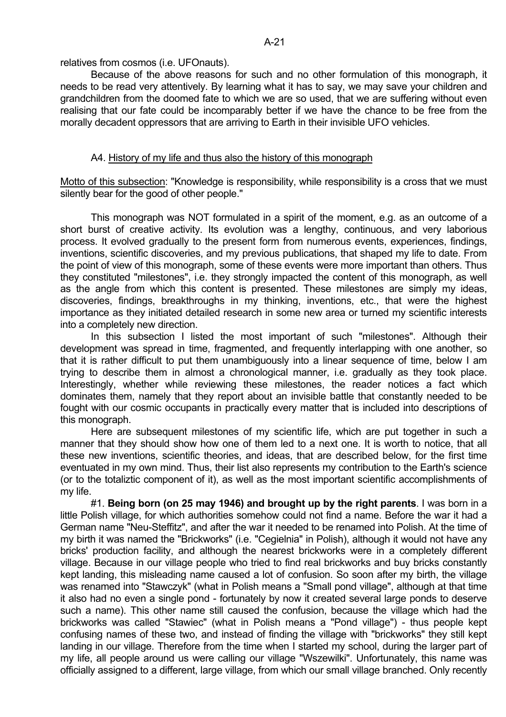relatives from cosmos (i.e. UFOnauts).

 Because of the above reasons for such and no other formulation of this monograph, it needs to be read very attentively. By learning what it has to say, we may save your children and grandchildren from the doomed fate to which we are so used, that we are suffering without even realising that our fate could be incomparably better if we have the chance to be free from the morally decadent oppressors that are arriving to Earth in their invisible UFO vehicles.

## A4. History of my life and thus also the history of this monograph

Motto of this subsection: "Knowledge is responsibility, while responsibility is a cross that we must silently bear for the good of other people."

 This monograph was NOT formulated in a spirit of the moment, e.g. as an outcome of a short burst of creative activity. Its evolution was a lengthy, continuous, and very laborious process. It evolved gradually to the present form from numerous events, experiences, findings, inventions, scientific discoveries, and my previous publications, that shaped my life to date. From the point of view of this monograph, some of these events were more important than others. Thus they constituted "milestones", i.e. they strongly impacted the content of this monograph, as well as the angle from which this content is presented. These milestones are simply my ideas, discoveries, findings, breakthroughs in my thinking, inventions, etc., that were the highest importance as they initiated detailed research in some new area or turned my scientific interests into a completely new direction.

 In this subsection I listed the most important of such "milestones". Although their development was spread in time, fragmented, and frequently interlapping with one another, so that it is rather difficult to put them unambiguously into a linear sequence of time, below I am trying to describe them in almost a chronological manner, i.e. gradually as they took place. Interestingly, whether while reviewing these milestones, the reader notices a fact which dominates them, namely that they report about an invisible battle that constantly needed to be fought with our cosmic occupants in practically every matter that is included into descriptions of this monograph.

 Here are subsequent milestones of my scientific life, which are put together in such a manner that they should show how one of them led to a next one. It is worth to notice, that all these new inventions, scientific theories, and ideas, that are described below, for the first time eventuated in my own mind. Thus, their list also represents my contribution to the Earth's science (or to the totaliztic component of it), as well as the most important scientific accomplishments of my life.

 #1. **Being born (on 25 may 1946) and brought up by the right parents**. I was born in a little Polish village, for which authorities somehow could not find a name. Before the war it had a German name "Neu-Steffitz", and after the war it needed to be renamed into Polish. At the time of my birth it was named the "Brickworks" (i.e. "Cegielnia" in Polish), although it would not have any bricks' production facility, and although the nearest brickworks were in a completely different village. Because in our village people who tried to find real brickworks and buy bricks constantly kept landing, this misleading name caused a lot of confusion. So soon after my birth, the village was renamed into "Stawczyk" (what in Polish means a "Small pond village", although at that time it also had no even a single pond - fortunately by now it created several large ponds to deserve such a name). This other name still caused the confusion, because the village which had the brickworks was called "Stawiec" (what in Polish means a "Pond village") - thus people kept confusing names of these two, and instead of finding the village with "brickworks" they still kept landing in our village. Therefore from the time when I started my school, during the larger part of my life, all people around us were calling our village "Wszewilki". Unfortunately, this name was officially assigned to a different, large village, from which our small village branched. Only recently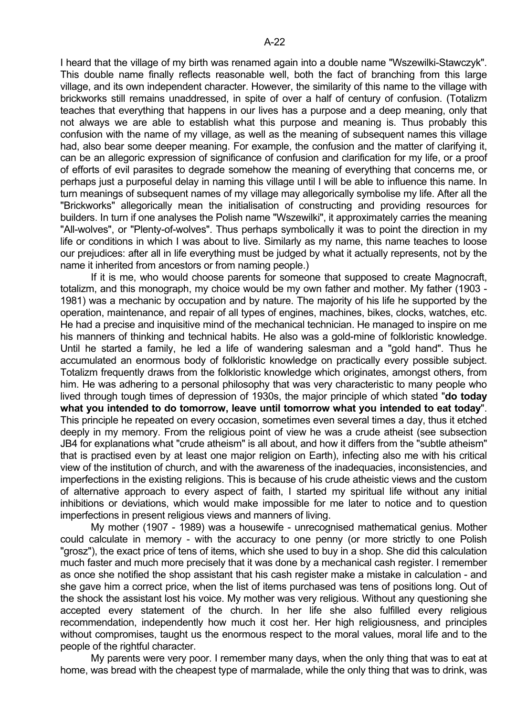I heard that the village of my birth was renamed again into a double name "Wszewilki-Stawczyk". This double name finally reflects reasonable well, both the fact of branching from this large village, and its own independent character. However, the similarity of this name to the village with brickworks still remains unaddressed, in spite of over a half of century of confusion. (Totalizm teaches that everything that happens in our lives has a purpose and a deep meaning, only that not always we are able to establish what this purpose and meaning is. Thus probably this confusion with the name of my village, as well as the meaning of subsequent names this village had, also bear some deeper meaning. For example, the confusion and the matter of clarifying it, can be an allegoric expression of significance of confusion and clarification for my life, or a proof of efforts of evil parasites to degrade somehow the meaning of everything that concerns me, or perhaps just a purposeful delay in naming this village until I will be able to influence this name. In turn meanings of subsequent names of my village may allegorically symbolise my life. After all the "Brickworks" allegorically mean the initialisation of constructing and providing resources for builders. In turn if one analyses the Polish name "Wszewilki", it approximately carries the meaning "All-wolves", or "Plenty-of-wolves". Thus perhaps symbolically it was to point the direction in my life or conditions in which I was about to live. Similarly as my name, this name teaches to loose our prejudices: after all in life everything must be judged by what it actually represents, not by the name it inherited from ancestors or from naming people.)

 If it is me, who would choose parents for someone that supposed to create Magnocraft, totalizm, and this monograph, my choice would be my own father and mother. My father (1903 - 1981) was a mechanic by occupation and by nature. The majority of his life he supported by the operation, maintenance, and repair of all types of engines, machines, bikes, clocks, watches, etc. He had a precise and inquisitive mind of the mechanical technician. He managed to inspire on me his manners of thinking and technical habits. He also was a gold-mine of folkloristic knowledge. Until he started a family, he led a life of wandering salesman and a "gold hand". Thus he accumulated an enormous body of folkloristic knowledge on practically every possible subject. Totalizm frequently draws from the folkloristic knowledge which originates, amongst others, from him. He was adhering to a personal philosophy that was very characteristic to many people who lived through tough times of depression of 1930s, the major principle of which stated "**do today what you intended to do tomorrow, leave until tomorrow what you intended to eat today**". This principle he repeated on every occasion, sometimes even several times a day, thus it etched deeply in my memory. From the religious point of view he was a crude atheist (see subsection JB4 for explanations what "crude atheism" is all about, and how it differs from the "subtle atheism" that is practised even by at least one major religion on Earth), infecting also me with his critical view of the institution of church, and with the awareness of the inadequacies, inconsistencies, and imperfections in the existing religions. This is because of his crude atheistic views and the custom of alternative approach to every aspect of faith, I started my spiritual life without any initial inhibitions or deviations, which would make impossible for me later to notice and to question imperfections in present religious views and manners of living.

 My mother (1907 - 1989) was a housewife - unrecognised mathematical genius. Mother could calculate in memory - with the accuracy to one penny (or more strictly to one Polish "grosz"), the exact price of tens of items, which she used to buy in a shop. She did this calculation much faster and much more precisely that it was done by a mechanical cash register. I remember as once she notified the shop assistant that his cash register make a mistake in calculation - and she gave him a correct price, when the list of items purchased was tens of positions long. Out of the shock the assistant lost his voice. My mother was very religious. Without any questioning she accepted every statement of the church. In her life she also fulfilled every religious recommendation, independently how much it cost her. Her high religiousness, and principles without compromises, taught us the enormous respect to the moral values, moral life and to the people of the rightful character.

 My parents were very poor. I remember many days, when the only thing that was to eat at home, was bread with the cheapest type of marmalade, while the only thing that was to drink, was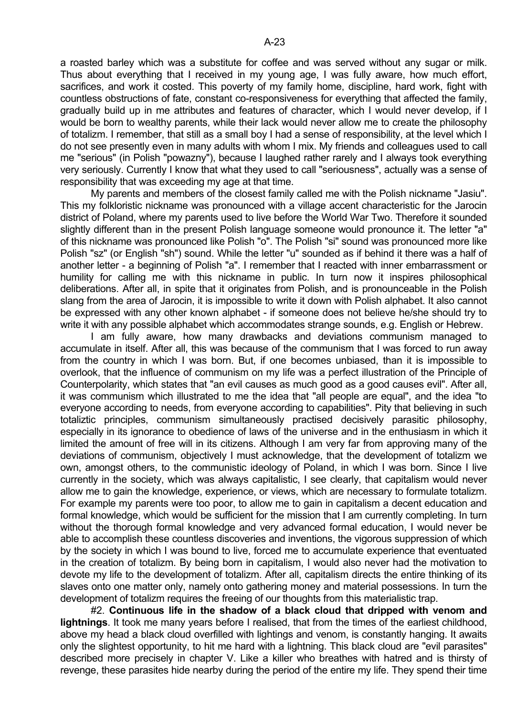a roasted barley which was a substitute for coffee and was served without any sugar or milk. Thus about everything that I received in my young age, I was fully aware, how much effort, sacrifices, and work it costed. This poverty of my family home, discipline, hard work, fight with countless obstructions of fate, constant co-responsiveness for everything that affected the family, gradually build up in me attributes and features of character, which I would never develop, if I would be born to wealthy parents, while their lack would never allow me to create the philosophy of totalizm. I remember, that still as a small boy I had a sense of responsibility, at the level which I do not see presently even in many adults with whom I mix. My friends and colleagues used to call me "serious" (in Polish "powazny"), because I laughed rather rarely and I always took everything very seriously. Currently I know that what they used to call "seriousness", actually was a sense of responsibility that was exceeding my age at that time.

 My parents and members of the closest family called me with the Polish nickname "Jasiu". This my folkloristic nickname was pronounced with a village accent characteristic for the Jarocin district of Poland, where my parents used to live before the World War Two. Therefore it sounded slightly different than in the present Polish language someone would pronounce it. The letter "a" of this nickname was pronounced like Polish "o". The Polish "si" sound was pronounced more like Polish "sz" (or English "sh") sound. While the letter "u" sounded as if behind it there was a half of another letter - a beginning of Polish "a". I remember that I reacted with inner embarrassment or humility for calling me with this nickname in public. In turn now it inspires philosophical deliberations. After all, in spite that it originates from Polish, and is pronounceable in the Polish slang from the area of Jarocin, it is impossible to write it down with Polish alphabet. It also cannot be expressed with any other known alphabet - if someone does not believe he/she should try to write it with any possible alphabet which accommodates strange sounds, e.g. English or Hebrew.

 I am fully aware, how many drawbacks and deviations communism managed to accumulate in itself. After all, this was because of the communism that I was forced to run away from the country in which I was born. But, if one becomes unbiased, than it is impossible to overlook, that the influence of communism on my life was a perfect illustration of the Principle of Counterpolarity, which states that "an evil causes as much good as a good causes evil". After all, it was communism which illustrated to me the idea that "all people are equal", and the idea "to everyone according to needs, from everyone according to capabilities". Pity that believing in such totaliztic principles, communism simultaneously practised decisively parasitic philosophy, especially in its ignorance to obedience of laws of the universe and in the enthusiasm in which it limited the amount of free will in its citizens. Although I am very far from approving many of the deviations of communism, objectively I must acknowledge, that the development of totalizm we own, amongst others, to the communistic ideology of Poland, in which I was born. Since I live currently in the society, which was always capitalistic, I see clearly, that capitalism would never allow me to gain the knowledge, experience, or views, which are necessary to formulate totalizm. For example my parents were too poor, to allow me to gain in capitalism a decent education and formal knowledge, which would be sufficient for the mission that I am currently completing. In turn without the thorough formal knowledge and very advanced formal education, I would never be able to accomplish these countless discoveries and inventions, the vigorous suppression of which by the society in which I was bound to live, forced me to accumulate experience that eventuated in the creation of totalizm. By being born in capitalism, I would also never had the motivation to devote my life to the development of totalizm. After all, capitalism directs the entire thinking of its slaves onto one matter only, namely onto gathering money and material possessions. In turn the development of totalizm requires the freeing of our thoughts from this materialistic trap.

 #2. **Continuous life in the shadow of a black cloud that dripped with venom and lightnings**. It took me many years before I realised, that from the times of the earliest childhood, above my head a black cloud overfilled with lightings and venom, is constantly hanging. It awaits only the slightest opportunity, to hit me hard with a lightning. This black cloud are "evil parasites" described more precisely in chapter V. Like a killer who breathes with hatred and is thirsty of revenge, these parasites hide nearby during the period of the entire my life. They spend their time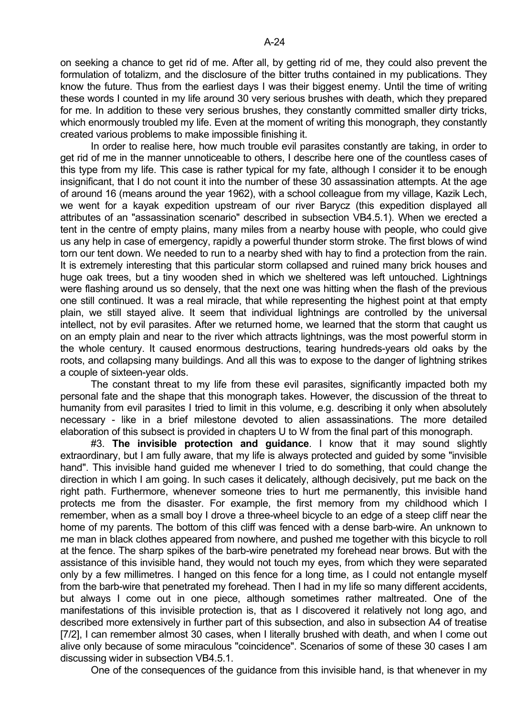on seeking a chance to get rid of me. After all, by getting rid of me, they could also prevent the formulation of totalizm, and the disclosure of the bitter truths contained in my publications. They know the future. Thus from the earliest days I was their biggest enemy. Until the time of writing these words I counted in my life around 30 very serious brushes with death, which they prepared for me. In addition to these very serious brushes, they constantly committed smaller dirty tricks, which enormously troubled my life. Even at the moment of writing this monograph, they constantly created various problems to make impossible finishing it.

 In order to realise here, how much trouble evil parasites constantly are taking, in order to get rid of me in the manner unnoticeable to others, I describe here one of the countless cases of this type from my life. This case is rather typical for my fate, although I consider it to be enough insignificant, that I do not count it into the number of these 30 assassination attempts. At the age of around 16 (means around the year 1962), with a school colleague from my village, Kazik Lech, we went for a kayak expedition upstream of our river Barycz (this expedition displayed all attributes of an "assassination scenario" described in subsection VB4.5.1). When we erected a tent in the centre of empty plains, many miles from a nearby house with people, who could give us any help in case of emergency, rapidly a powerful thunder storm stroke. The first blows of wind torn our tent down. We needed to run to a nearby shed with hay to find a protection from the rain. It is extremely interesting that this particular storm collapsed and ruined many brick houses and huge oak trees, but a tiny wooden shed in which we sheltered was left untouched. Lightnings were flashing around us so densely, that the next one was hitting when the flash of the previous one still continued. It was a real miracle, that while representing the highest point at that empty plain, we still stayed alive. It seem that individual lightnings are controlled by the universal intellect, not by evil parasites. After we returned home, we learned that the storm that caught us on an empty plain and near to the river which attracts lightnings, was the most powerful storm in the whole century. It caused enormous destructions, tearing hundreds-years old oaks by the roots, and collapsing many buildings. And all this was to expose to the danger of lightning strikes a couple of sixteen-year olds.

 The constant threat to my life from these evil parasites, significantly impacted both my personal fate and the shape that this monograph takes. However, the discussion of the threat to humanity from evil parasites I tried to limit in this volume, e.g. describing it only when absolutely necessary - like in a brief milestone devoted to alien assassinations. The more detailed elaboration of this subsect is provided in chapters U to W from the final part of this monograph.

 #3. **The invisible protection and guidance**. I know that it may sound slightly extraordinary, but I am fully aware, that my life is always protected and guided by some "invisible hand". This invisible hand guided me whenever I tried to do something, that could change the direction in which I am going. In such cases it delicately, although decisively, put me back on the right path. Furthermore, whenever someone tries to hurt me permanently, this invisible hand protects me from the disaster. For example, the first memory from my childhood which I remember, when as a small boy I drove a three-wheel bicycle to an edge of a steep cliff near the home of my parents. The bottom of this cliff was fenced with a dense barb-wire. An unknown to me man in black clothes appeared from nowhere, and pushed me together with this bicycle to roll at the fence. The sharp spikes of the barb-wire penetrated my forehead near brows. But with the assistance of this invisible hand, they would not touch my eyes, from which they were separated only by a few millimetres. I hanged on this fence for a long time, as I could not entangle myself from the barb-wire that penetrated my forehead. Then I had in my life so many different accidents, but always I come out in one piece, although sometimes rather maltreated. One of the manifestations of this invisible protection is, that as I discovered it relatively not long ago, and described more extensively in further part of this subsection, and also in subsection A4 of treatise [7/2], I can remember almost 30 cases, when I literally brushed with death, and when I come out alive only because of some miraculous "coincidence". Scenarios of some of these 30 cases I am discussing wider in subsection VB4.5.1.

One of the consequences of the guidance from this invisible hand, is that whenever in my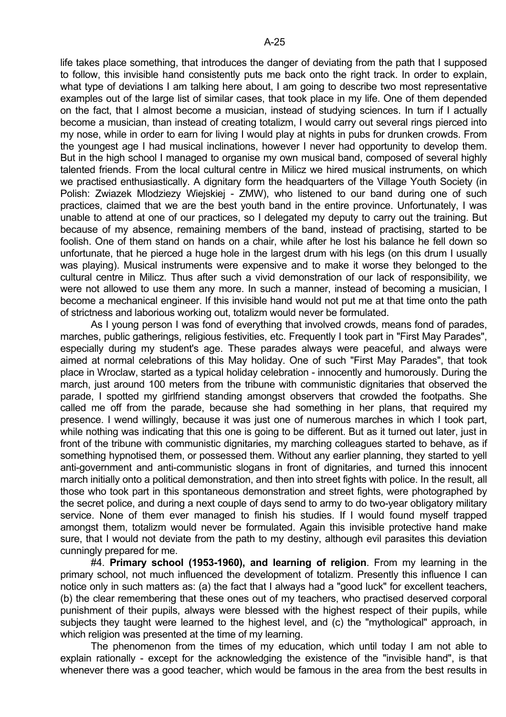life takes place something, that introduces the danger of deviating from the path that I supposed to follow, this invisible hand consistently puts me back onto the right track. In order to explain, what type of deviations I am talking here about, I am going to describe two most representative examples out of the large list of similar cases, that took place in my life. One of them depended on the fact, that I almost become a musician, instead of studying sciences. In turn if I actually become a musician, than instead of creating totalizm, I would carry out several rings pierced into my nose, while in order to earn for living I would play at nights in pubs for drunken crowds. From the youngest age I had musical inclinations, however I never had opportunity to develop them. But in the high school I managed to organise my own musical band, composed of several highly talented friends. From the local cultural centre in Milicz we hired musical instruments, on which we practised enthusiastically. A dignitary form the headquarters of the Village Youth Society (in Polish: Zwiazek Mlodziezy Wiejskiej - ZMW), who listened to our band during one of such practices, claimed that we are the best youth band in the entire province. Unfortunately, I was unable to attend at one of our practices, so I delegated my deputy to carry out the training. But because of my absence, remaining members of the band, instead of practising, started to be foolish. One of them stand on hands on a chair, while after he lost his balance he fell down so unfortunate, that he pierced a huge hole in the largest drum with his legs (on this drum I usually was playing). Musical instruments were expensive and to make it worse they belonged to the cultural centre in Milicz. Thus after such a vivid demonstration of our lack of responsibility, we were not allowed to use them any more. In such a manner, instead of becoming a musician, I become a mechanical engineer. If this invisible hand would not put me at that time onto the path of strictness and laborious working out, totalizm would never be formulated.

 As I young person I was fond of everything that involved crowds, means fond of parades, marches, public gatherings, religious festivities, etc. Frequently I took part in "First May Parades", especially during my student's age. These parades always were peaceful, and always were aimed at normal celebrations of this May holiday. One of such "First May Parades", that took place in Wroclaw, started as a typical holiday celebration - innocently and humorously. During the march, just around 100 meters from the tribune with communistic dignitaries that observed the parade, I spotted my girlfriend standing amongst observers that crowded the footpaths. She called me off from the parade, because she had something in her plans, that required my presence. I wend willingly, because it was just one of numerous marches in which I took part, while nothing was indicating that this one is going to be different. But as it turned out later, just in front of the tribune with communistic dignitaries, my marching colleagues started to behave, as if something hypnotised them, or possessed them. Without any earlier planning, they started to yell anti-government and anti-communistic slogans in front of dignitaries, and turned this innocent march initially onto a political demonstration, and then into street fights with police. In the result, all those who took part in this spontaneous demonstration and street fights, were photographed by the secret police, and during a next couple of days send to army to do two-year obligatory military service. None of them ever managed to finish his studies. If I would found myself trapped amongst them, totalizm would never be formulated. Again this invisible protective hand make sure, that I would not deviate from the path to my destiny, although evil parasites this deviation cunningly prepared for me.

 #4. **Primary school (1953-1960), and learning of religion**. From my learning in the primary school, not much influenced the development of totalizm. Presently this influence I can notice only in such matters as: (a) the fact that I always had a "good luck" for excellent teachers, (b) the clear remembering that these ones out of my teachers, who practised deserved corporal punishment of their pupils, always were blessed with the highest respect of their pupils, while subjects they taught were learned to the highest level, and (c) the "mythological" approach, in which religion was presented at the time of my learning.

 The phenomenon from the times of my education, which until today I am not able to explain rationally - except for the acknowledging the existence of the "invisible hand", is that whenever there was a good teacher, which would be famous in the area from the best results in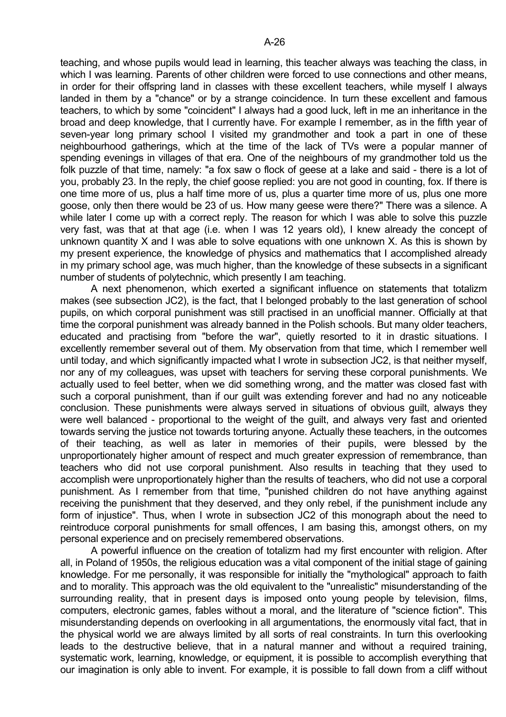teaching, and whose pupils would lead in learning, this teacher always was teaching the class, in which I was learning. Parents of other children were forced to use connections and other means, in order for their offspring land in classes with these excellent teachers, while myself I always landed in them by a "chance" or by a strange coincidence. In turn these excellent and famous teachers, to which by some "coincident" I always had a good luck, left in me an inheritance in the broad and deep knowledge, that I currently have. For example I remember, as in the fifth year of seven-year long primary school I visited my grandmother and took a part in one of these neighbourhood gatherings, which at the time of the lack of TVs were a popular manner of spending evenings in villages of that era. One of the neighbours of my grandmother told us the folk puzzle of that time, namely: "a fox saw o flock of geese at a lake and said - there is a lot of you, probably 23. In the reply, the chief goose replied: you are not good in counting, fox. If there is one time more of us, plus a half time more of us, plus a quarter time more of us, plus one more goose, only then there would be 23 of us. How many geese were there?" There was a silence. A while later I come up with a correct reply. The reason for which I was able to solve this puzzle very fast, was that at that age (i.e. when I was 12 years old), I knew already the concept of unknown quantity X and I was able to solve equations with one unknown X. As this is shown by my present experience, the knowledge of physics and mathematics that I accomplished already in my primary school age, was much higher, than the knowledge of these subsects in a significant number of students of polytechnic, which presently I am teaching.

 A next phenomenon, which exerted a significant influence on statements that totalizm makes (see subsection JC2), is the fact, that I belonged probably to the last generation of school pupils, on which corporal punishment was still practised in an unofficial manner. Officially at that time the corporal punishment was already banned in the Polish schools. But many older teachers, educated and practising from "before the war", quietly resorted to it in drastic situations. I excellently remember several out of them. My observation from that time, which I remember well until today, and which significantly impacted what I wrote in subsection JC2, is that neither myself, nor any of my colleagues, was upset with teachers for serving these corporal punishments. We actually used to feel better, when we did something wrong, and the matter was closed fast with such a corporal punishment, than if our guilt was extending forever and had no any noticeable conclusion. These punishments were always served in situations of obvious guilt, always they were well balanced - proportional to the weight of the guilt, and always very fast and oriented towards serving the justice not towards torturing anyone. Actually these teachers, in the outcomes of their teaching, as well as later in memories of their pupils, were blessed by the unproportionately higher amount of respect and much greater expression of remembrance, than teachers who did not use corporal punishment. Also results in teaching that they used to accomplish were unproportionately higher than the results of teachers, who did not use a corporal punishment. As I remember from that time, "punished children do not have anything against receiving the punishment that they deserved, and they only rebel, if the punishment include any form of injustice". Thus, when I wrote in subsection JC2 of this monograph about the need to reintroduce corporal punishments for small offences, I am basing this, amongst others, on my personal experience and on precisely remembered observations.

 A powerful influence on the creation of totalizm had my first encounter with religion. After all, in Poland of 1950s, the religious education was a vital component of the initial stage of gaining knowledge. For me personally, it was responsible for initially the "mythological" approach to faith and to morality. This approach was the old equivalent to the "unrealistic" misunderstanding of the surrounding reality, that in present days is imposed onto young people by television, films, computers, electronic games, fables without a moral, and the literature of "science fiction". This misunderstanding depends on overlooking in all argumentations, the enormously vital fact, that in the physical world we are always limited by all sorts of real constraints. In turn this overlooking leads to the destructive believe, that in a natural manner and without a required training, systematic work, learning, knowledge, or equipment, it is possible to accomplish everything that our imagination is only able to invent. For example, it is possible to fall down from a cliff without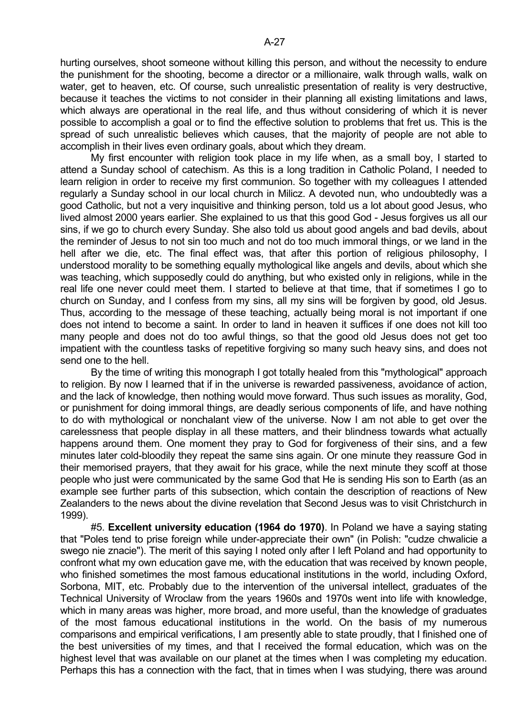hurting ourselves, shoot someone without killing this person, and without the necessity to endure the punishment for the shooting, become a director or a millionaire, walk through walls, walk on water, get to heaven, etc. Of course, such unrealistic presentation of reality is very destructive, because it teaches the victims to not consider in their planning all existing limitations and laws, which always are operational in the real life, and thus without considering of which it is never possible to accomplish a goal or to find the effective solution to problems that fret us. This is the spread of such unrealistic believes which causes, that the majority of people are not able to accomplish in their lives even ordinary goals, about which they dream.

 My first encounter with religion took place in my life when, as a small boy, I started to attend a Sunday school of catechism. As this is a long tradition in Catholic Poland, I needed to learn religion in order to receive my first communion. So together with my colleagues I attended regularly a Sunday school in our local church in Milicz. A devoted nun, who undoubtedly was a good Catholic, but not a very inquisitive and thinking person, told us a lot about good Jesus, who lived almost 2000 years earlier. She explained to us that this good God - Jesus forgives us all our sins, if we go to church every Sunday. She also told us about good angels and bad devils, about the reminder of Jesus to not sin too much and not do too much immoral things, or we land in the hell after we die, etc. The final effect was, that after this portion of religious philosophy, I understood morality to be something equally mythological like angels and devils, about which she was teaching, which supposedly could do anything, but who existed only in religions, while in the real life one never could meet them. I started to believe at that time, that if sometimes I go to church on Sunday, and I confess from my sins, all my sins will be forgiven by good, old Jesus. Thus, according to the message of these teaching, actually being moral is not important if one does not intend to become a saint. In order to land in heaven it suffices if one does not kill too many people and does not do too awful things, so that the good old Jesus does not get too impatient with the countless tasks of repetitive forgiving so many such heavy sins, and does not send one to the hell.

By the time of writing this monograph I got totally healed from this "mythological" approach to religion. By now I learned that if in the universe is rewarded passiveness, avoidance of action, and the lack of knowledge, then nothing would move forward. Thus such issues as morality, God, or punishment for doing immoral things, are deadly serious components of life, and have nothing to do with mythological or nonchalant view of the universe. Now I am not able to get over the carelessness that people display in all these matters, and their blindness towards what actually happens around them. One moment they pray to God for forgiveness of their sins, and a few minutes later cold-bloodily they repeat the same sins again. Or one minute they reassure God in their memorised prayers, that they await for his grace, while the next minute they scoff at those people who just were communicated by the same God that He is sending His son to Earth (as an example see further parts of this subsection, which contain the description of reactions of New Zealanders to the news about the divine revelation that Second Jesus was to visit Christchurch in 1999).

 #5. **Excellent university education (1964 do 1970)**. In Poland we have a saying stating that "Poles tend to prise foreign while under-appreciate their own" (in Polish: "cudze chwalicie a swego nie znacie"). The merit of this saying I noted only after I left Poland and had opportunity to confront what my own education gave me, with the education that was received by known people, who finished sometimes the most famous educational institutions in the world, including Oxford, Sorbona, MIT, etc. Probably due to the intervention of the universal intellect, graduates of the Technical University of Wroclaw from the years 1960s and 1970s went into life with knowledge, which in many areas was higher, more broad, and more useful, than the knowledge of graduates of the most famous educational institutions in the world. On the basis of my numerous comparisons and empirical verifications, I am presently able to state proudly, that I finished one of the best universities of my times, and that I received the formal education, which was on the highest level that was available on our planet at the times when I was completing my education. Perhaps this has a connection with the fact, that in times when I was studying, there was around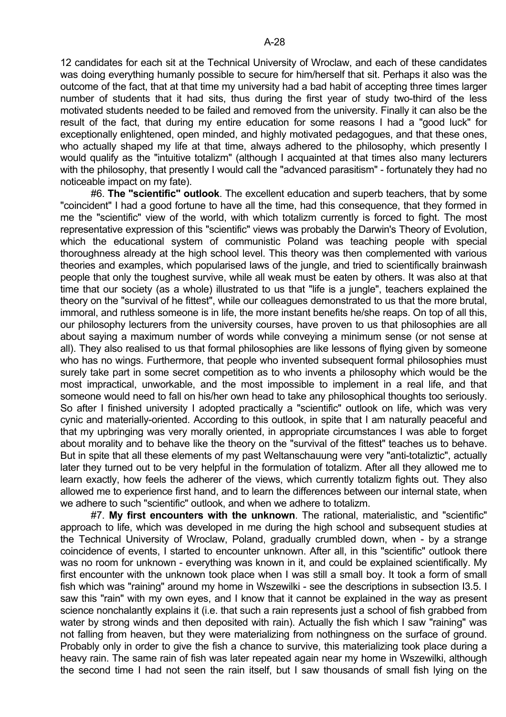12 candidates for each sit at the Technical University of Wroclaw, and each of these candidates was doing everything humanly possible to secure for him/herself that sit. Perhaps it also was the outcome of the fact, that at that time my university had a bad habit of accepting three times larger number of students that it had sits, thus during the first year of study two-third of the less motivated students needed to be failed and removed from the university. Finally it can also be the result of the fact, that during my entire education for some reasons I had a "good luck" for exceptionally enlightened, open minded, and highly motivated pedagogues, and that these ones, who actually shaped my life at that time, always adhered to the philosophy, which presently I would qualify as the "intuitive totalizm" (although I acquainted at that times also many lecturers with the philosophy, that presently I would call the "advanced parasitism" - fortunately they had no noticeable impact on my fate).

 #6. **The "scientific" outlook**. The excellent education and superb teachers, that by some "coincident" I had a good fortune to have all the time, had this consequence, that they formed in me the "scientific" view of the world, with which totalizm currently is forced to fight. The most representative expression of this "scientific" views was probably the Darwin's Theory of Evolution, which the educational system of communistic Poland was teaching people with special thoroughness already at the high school level. This theory was then complemented with various theories and examples, which popularised laws of the jungle, and tried to scientifically brainwash people that only the toughest survive, while all weak must be eaten by others. It was also at that time that our society (as a whole) illustrated to us that "life is a jungle", teachers explained the theory on the "survival of he fittest", while our colleagues demonstrated to us that the more brutal, immoral, and ruthless someone is in life, the more instant benefits he/she reaps. On top of all this, our philosophy lecturers from the university courses, have proven to us that philosophies are all about saying a maximum number of words while conveying a minimum sense (or not sense at all). They also realised to us that formal philosophies are like lessons of flying given by someone who has no wings. Furthermore, that people who invented subsequent formal philosophies must surely take part in some secret competition as to who invents a philosophy which would be the most impractical, unworkable, and the most impossible to implement in a real life, and that someone would need to fall on his/her own head to take any philosophical thoughts too seriously. So after I finished university I adopted practically a "scientific" outlook on life, which was very cynic and materially-oriented. According to this outlook, in spite that I am naturally peaceful and that my upbringing was very morally oriented, in appropriate circumstances I was able to forget about morality and to behave like the theory on the "survival of the fittest" teaches us to behave. But in spite that all these elements of my past Weltanschauung were very "anti-totaliztic", actually later they turned out to be very helpful in the formulation of totalizm. After all they allowed me to learn exactly, how feels the adherer of the views, which currently totalizm fights out. They also allowed me to experience first hand, and to learn the differences between our internal state, when we adhere to such "scientific" outlook, and when we adhere to totalizm.

 #7. **My first encounters with the unknown**. The rational, materialistic, and "scientific" approach to life, which was developed in me during the high school and subsequent studies at the Technical University of Wroclaw, Poland, gradually crumbled down, when - by a strange coincidence of events, I started to encounter unknown. After all, in this "scientific" outlook there was no room for unknown - everything was known in it, and could be explained scientifically. My first encounter with the unknown took place when I was still a small boy. It took a form of small fish which was "raining" around my home in Wszewilki - see the descriptions in subsection I3.5. I saw this "rain" with my own eyes, and I know that it cannot be explained in the way as present science nonchalantly explains it (i.e. that such a rain represents just a school of fish grabbed from water by strong winds and then deposited with rain). Actually the fish which I saw "raining" was not falling from heaven, but they were materializing from nothingness on the surface of ground. Probably only in order to give the fish a chance to survive, this materializing took place during a heavy rain. The same rain of fish was later repeated again near my home in Wszewilki, although the second time I had not seen the rain itself, but I saw thousands of small fish lying on the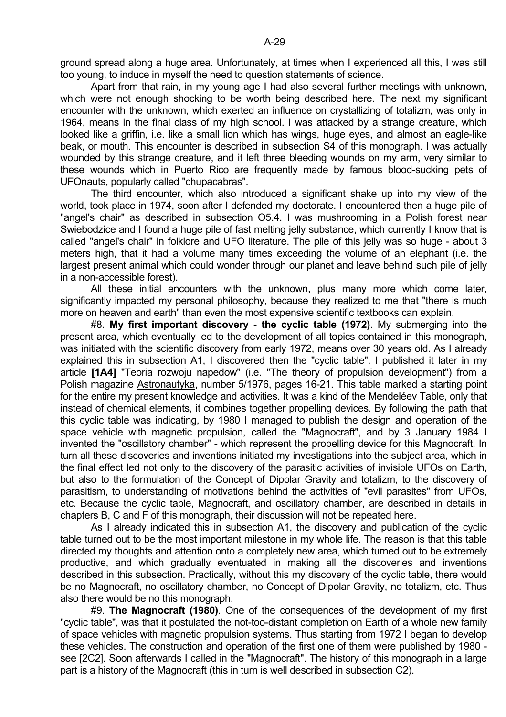ground spread along a huge area. Unfortunately, at times when I experienced all this, I was still too young, to induce in myself the need to question statements of science.

 Apart from that rain, in my young age I had also several further meetings with unknown, which were not enough shocking to be worth being described here. The next my significant encounter with the unknown, which exerted an influence on crystallizing of totalizm, was only in 1964, means in the final class of my high school. I was attacked by a strange creature, which looked like a griffin, i.e. like a small lion which has wings, huge eyes, and almost an eagle-like beak, or mouth. This encounter is described in subsection S4 of this monograph. I was actually wounded by this strange creature, and it left three bleeding wounds on my arm, very similar to these wounds which in Puerto Rico are frequently made by famous blood-sucking pets of UFOnauts, popularly called "chupacabras".

 The third encounter, which also introduced a significant shake up into my view of the world, took place in 1974, soon after I defended my doctorate. I encountered then a huge pile of "angel's chair" as described in subsection O5.4. I was mushrooming in a Polish forest near Swiebodzice and I found a huge pile of fast melting jelly substance, which currently I know that is called "angel's chair" in folklore and UFO literature. The pile of this jelly was so huge - about 3 meters high, that it had a volume many times exceeding the volume of an elephant (i.e. the largest present animal which could wonder through our planet and leave behind such pile of jelly in a non-accessible forest).

 All these initial encounters with the unknown, plus many more which come later, significantly impacted my personal philosophy, because they realized to me that "there is much more on heaven and earth" than even the most expensive scientific textbooks can explain.

 #8. **My first important discovery - the cyclic table (1972)**. My submerging into the present area, which eventually led to the development of all topics contained in this monograph, was initiated with the scientific discovery from early 1972, means over 30 years old. As I already explained this in subsection A1, I discovered then the "cyclic table". I published it later in my article **[1A4]** "Teoria rozwoju napedow" (i.e. "The theory of propulsion development") from a Polish magazine Astronautyka, number 5/1976, pages 16-21. This table marked a starting point for the entire my present knowledge and activities. It was a kind of the Mendeléev Table, only that instead of chemical elements, it combines together propelling devices. By following the path that this cyclic table was indicating, by 1980 I managed to publish the design and operation of the space vehicle with magnetic propulsion, called the "Magnocraft", and by 3 January 1984 I invented the "oscillatory chamber" - which represent the propelling device for this Magnocraft. In turn all these discoveries and inventions initiated my investigations into the subject area, which in the final effect led not only to the discovery of the parasitic activities of invisible UFOs on Earth, but also to the formulation of the Concept of Dipolar Gravity and totalizm, to the discovery of parasitism, to understanding of motivations behind the activities of "evil parasites" from UFOs, etc. Because the cyclic table, Magnocraft, and oscillatory chamber, are described in details in chapters B, C and F of this monograph, their discussion will not be repeated here.

 As I already indicated this in subsection A1, the discovery and publication of the cyclic table turned out to be the most important milestone in my whole life. The reason is that this table directed my thoughts and attention onto a completely new area, which turned out to be extremely productive, and which gradually eventuated in making all the discoveries and inventions described in this subsection. Practically, without this my discovery of the cyclic table, there would be no Magnocraft, no oscillatory chamber, no Concept of Dipolar Gravity, no totalizm, etc. Thus also there would be no this monograph.

 #9. **The Magnocraft (1980)**. One of the consequences of the development of my first "cyclic table", was that it postulated the not-too-distant completion on Earth of a whole new family of space vehicles with magnetic propulsion systems. Thus starting from 1972 I began to develop these vehicles. The construction and operation of the first one of them were published by 1980 see [2C2]. Soon afterwards I called in the "Magnocraft". The history of this monograph in a large part is a history of the Magnocraft (this in turn is well described in subsection C2).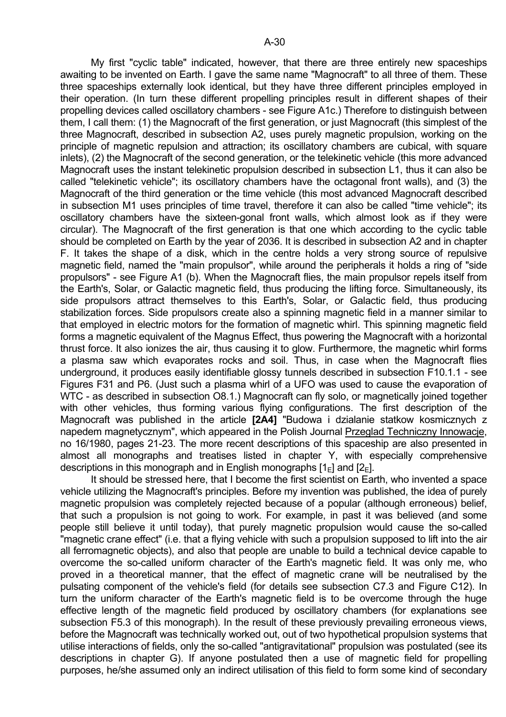My first "cyclic table" indicated, however, that there are three entirely new spaceships awaiting to be invented on Earth. I gave the same name "Magnocraft" to all three of them. These three spaceships externally look identical, but they have three different principles employed in their operation. (In turn these different propelling principles result in different shapes of their propelling devices called oscillatory chambers - see Figure A1c.) Therefore to distinguish between them, I call them: (1) the Magnocraft of the first generation, or just Magnocraft (this simplest of the three Magnocraft, described in subsection A2, uses purely magnetic propulsion, working on the principle of magnetic repulsion and attraction; its oscillatory chambers are cubical, with square inlets), (2) the Magnocraft of the second generation, or the telekinetic vehicle (this more advanced Magnocraft uses the instant telekinetic propulsion described in subsection L1, thus it can also be called "telekinetic vehicle"; its oscillatory chambers have the octagonal front walls), and (3) the Magnocraft of the third generation or the time vehicle (this most advanced Magnocraft described in subsection M1 uses principles of time travel, therefore it can also be called "time vehicle"; its oscillatory chambers have the sixteen-gonal front walls, which almost look as if they were circular). The Magnocraft of the first generation is that one which according to the cyclic table should be completed on Earth by the year of 2036. It is described in subsection A2 and in chapter F. It takes the shape of a disk, which in the centre holds a very strong source of repulsive magnetic field, named the "main propulsor", while around the peripherals it holds a ring of "side propulsors" - see Figure A1 (b). When the Magnocraft flies, the main propulsor repels itself from the Earth's, Solar, or Galactic magnetic field, thus producing the lifting force. Simultaneously, its side propulsors attract themselves to this Earth's, Solar, or Galactic field, thus producing stabilization forces. Side propulsors create also a spinning magnetic field in a manner similar to that employed in electric motors for the formation of magnetic whirl. This spinning magnetic field forms a magnetic equivalent of the Magnus Effect, thus powering the Magnocraft with a horizontal thrust force. It also ionizes the air, thus causing it to glow. Furthermore, the magnetic whirl forms a plasma saw which evaporates rocks and soil. Thus, in case when the Magnocraft flies underground, it produces easily identifiable glossy tunnels described in subsection F10.1.1 - see Figures F31 and P6. (Just such a plasma whirl of a UFO was used to cause the evaporation of WTC - as described in subsection O8.1.) Magnocraft can fly solo, or magnetically joined together with other vehicles, thus forming various flying configurations. The first description of the Magnocraft was published in the article **[2A4]** "Budowa i dzialanie statkow kosmicznych z napedem magnetycznym", which appeared in the Polish Journal Przeglad Techniczny Innowacje, no 16/1980, pages 21-23. The more recent descriptions of this spaceship are also presented in almost all monographs and treatises listed in chapter Y, with especially comprehensive descriptions in this monograph and in English monographs  $[1_F]$  and  $[2_F]$ .

 It should be stressed here, that I become the first scientist on Earth, who invented a space vehicle utilizing the Magnocraft's principles. Before my invention was published, the idea of purely magnetic propulsion was completely rejected because of a popular (although erroneous) belief, that such a propulsion is not going to work. For example, in past it was believed (and some people still believe it until today), that purely magnetic propulsion would cause the so-called "magnetic crane effect" (i.e. that a flying vehicle with such a propulsion supposed to lift into the air all ferromagnetic objects), and also that people are unable to build a technical device capable to overcome the so-called uniform character of the Earth's magnetic field. It was only me, who proved in a theoretical manner, that the effect of magnetic crane will be neutralised by the pulsating component of the vehicle's field (for details see subsection C7.3 and Figure C12). In turn the uniform character of the Earth's magnetic field is to be overcome through the huge effective length of the magnetic field produced by oscillatory chambers (for explanations see subsection F5.3 of this monograph). In the result of these previously prevailing erroneous views, before the Magnocraft was technically worked out, out of two hypothetical propulsion systems that utilise interactions of fields, only the so-called "antigravitational" propulsion was postulated (see its descriptions in chapter G). If anyone postulated then a use of magnetic field for propelling purposes, he/she assumed only an indirect utilisation of this field to form some kind of secondary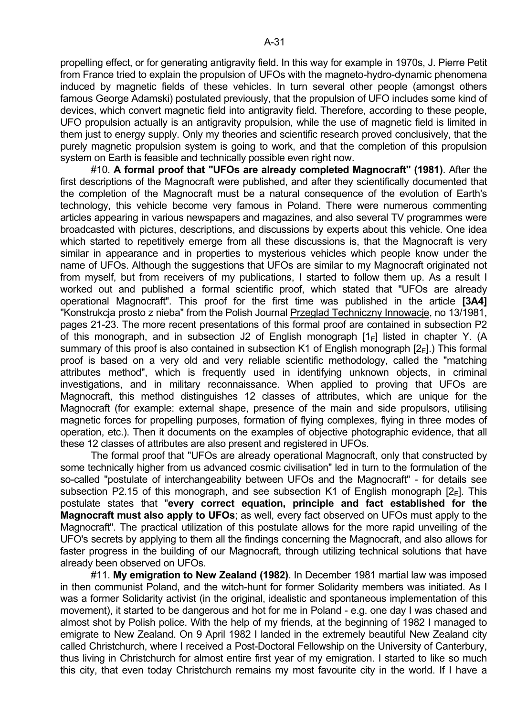purely magnetic propulsion system is going to work, and that the completion of this propulsion

system on Earth is feasible and technically possible even right now. #10. **A formal proof that "UFOs are already completed Magnocraft" (1981)**. After the first descriptions of the Magnocraft were published, and after they scientifically documented that the completion of the Magnocraft must be a natural consequence of the evolution of Earth's technology, this vehicle become very famous in Poland. There were numerous commenting articles appearing in various newspapers and magazines, and also several TV programmes were broadcasted with pictures, descriptions, and discussions by experts about this vehicle. One idea which started to repetitively emerge from all these discussions is, that the Magnocraft is very similar in appearance and in properties to mysterious vehicles which people know under the name of UFOs. Although the suggestions that UFOs are similar to my Magnocraft originated not from myself, but from receivers of my publications, I started to follow them up. As a result I worked out and published a formal scientific proof, which stated that "UFOs are already operational Magnocraft". This proof for the first time was published in the article **[3A4]** "Konstrukcja prosto z nieba" from the Polish Journal Przeglad Techniczny Innowacje, no 13/1981, pages 21-23. The more recent presentations of this formal proof are contained in subsection P2 of this monograph, and in subsection J2 of English monograph  $[1_F]$  listed in chapter Y. (A summary of this proof is also contained in subsection K1 of English monograph  $[2_{E}]$ .) This formal proof is based on a very old and very reliable scientific methodology, called the "matching attributes method", which is frequently used in identifying unknown objects, in criminal investigations, and in military reconnaissance. When applied to proving that UFOs are Magnocraft, this method distinguishes 12 classes of attributes, which are unique for the Magnocraft (for example: external shape, presence of the main and side propulsors, utilising magnetic forces for propelling purposes, formation of flying complexes, flying in three modes of operation, etc.). Then it documents on the examples of objective photographic evidence, that all these 12 classes of attributes are also present and registered in UFOs.

 The formal proof that "UFOs are already operational Magnocraft, only that constructed by some technically higher from us advanced cosmic civilisation" led in turn to the formulation of the so-called "postulate of interchangeability between UFOs and the Magnocraft" - for details see subsection P2.15 of this monograph, and see subsection K1 of English monograph  $[2_F]$ . This postulate states that "**every correct equation, principle and fact established for the Magnocraft must also apply to UFOs**; as well, every fact observed on UFOs must apply to the Magnocraft". The practical utilization of this postulate allows for the more rapid unveiling of the UFO's secrets by applying to them all the findings concerning the Magnocraft, and also allows for faster progress in the building of our Magnocraft, through utilizing technical solutions that have already been observed on UFOs.

 #11. **My emigration to New Zealand (1982)**. In December 1981 martial law was imposed in then communist Poland, and the witch-hunt for former Solidarity members was initiated. As I was a former Solidarity activist (in the original, idealistic and spontaneous implementation of this movement), it started to be dangerous and hot for me in Poland - e.g. one day I was chased and almost shot by Polish police. With the help of my friends, at the beginning of 1982 I managed to emigrate to New Zealand. On 9 April 1982 I landed in the extremely beautiful New Zealand city called Christchurch, where I received a Post-Doctoral Fellowship on the University of Canterbury, thus living in Christchurch for almost entire first year of my emigration. I started to like so much this city, that even today Christchurch remains my most favourite city in the world. If I have a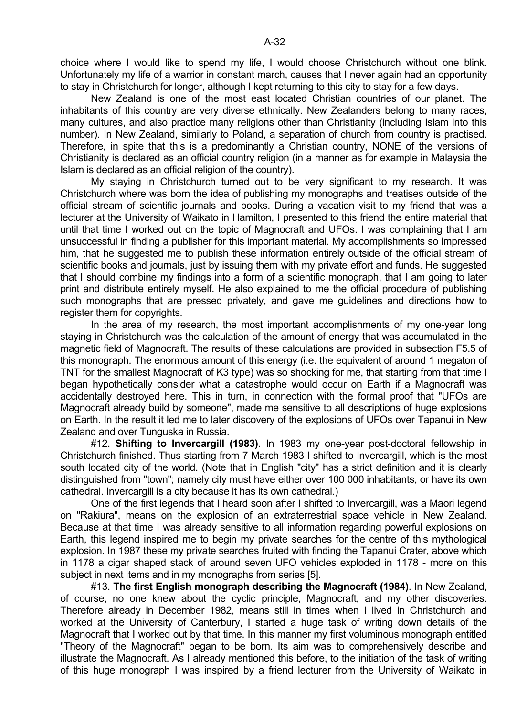choice where I would like to spend my life, I would choose Christchurch without one blink. Unfortunately my life of a warrior in constant march, causes that I never again had an opportunity to stay in Christchurch for longer, although I kept returning to this city to stay for a few days.

 New Zealand is one of the most east located Christian countries of our planet. The inhabitants of this country are very diverse ethnically. New Zealanders belong to many races, many cultures, and also practice many religions other than Christianity (including Islam into this number). In New Zealand, similarly to Poland, a separation of church from country is practised. Therefore, in spite that this is a predominantly a Christian country, NONE of the versions of Christianity is declared as an official country religion (in a manner as for example in Malaysia the Islam is declared as an official religion of the country).

 My staying in Christchurch turned out to be very significant to my research. It was Christchurch where was born the idea of publishing my monographs and treatises outside of the official stream of scientific journals and books. During a vacation visit to my friend that was a lecturer at the University of Waikato in Hamilton, I presented to this friend the entire material that until that time I worked out on the topic of Magnocraft and UFOs. I was complaining that I am unsuccessful in finding a publisher for this important material. My accomplishments so impressed him, that he suggested me to publish these information entirely outside of the official stream of scientific books and journals, just by issuing them with my private effort and funds. He suggested that I should combine my findings into a form of a scientific monograph, that I am going to later print and distribute entirely myself. He also explained to me the official procedure of publishing such monographs that are pressed privately, and gave me guidelines and directions how to register them for copyrights.

 In the area of my research, the most important accomplishments of my one-year long staying in Christchurch was the calculation of the amount of energy that was accumulated in the magnetic field of Magnocraft. The results of these calculations are provided in subsection F5.5 of this monograph. The enormous amount of this energy (i.e. the equivalent of around 1 megaton of TNT for the smallest Magnocraft of K3 type) was so shocking for me, that starting from that time I began hypothetically consider what a catastrophe would occur on Earth if a Magnocraft was accidentally destroyed here. This in turn, in connection with the formal proof that "UFOs are Magnocraft already build by someone", made me sensitive to all descriptions of huge explosions on Earth. In the result it led me to later discovery of the explosions of UFOs over Tapanui in New Zealand and over Tunguska in Russia.

 #12. **Shifting to Invercargill (1983)**. In 1983 my one-year post-doctoral fellowship in Christchurch finished. Thus starting from 7 March 1983 I shifted to Invercargill, which is the most south located city of the world. (Note that in English "city" has a strict definition and it is clearly distinguished from "town"; namely city must have either over 100 000 inhabitants, or have its own cathedral. Invercargill is a city because it has its own cathedral.)

 One of the first legends that I heard soon after I shifted to Invercargill, was a Maori legend on "Rakiura", means on the explosion of an extraterrestrial space vehicle in New Zealand. Because at that time I was already sensitive to all information regarding powerful explosions on Earth, this legend inspired me to begin my private searches for the centre of this mythological explosion. In 1987 these my private searches fruited with finding the Tapanui Crater, above which in 1178 a cigar shaped stack of around seven UFO vehicles exploded in 1178 - more on this subject in next items and in my monographs from series [5].

 #13. **The first English monograph describing the Magnocraft (1984)**. In New Zealand, of course, no one knew about the cyclic principle, Magnocraft, and my other discoveries. Therefore already in December 1982, means still in times when I lived in Christchurch and worked at the University of Canterbury, I started a huge task of writing down details of the Magnocraft that I worked out by that time. In this manner my first voluminous monograph entitled "Theory of the Magnocraft" began to be born. Its aim was to comprehensively describe and illustrate the Magnocraft. As I already mentioned this before, to the initiation of the task of writing of this huge monograph I was inspired by a friend lecturer from the University of Waikato in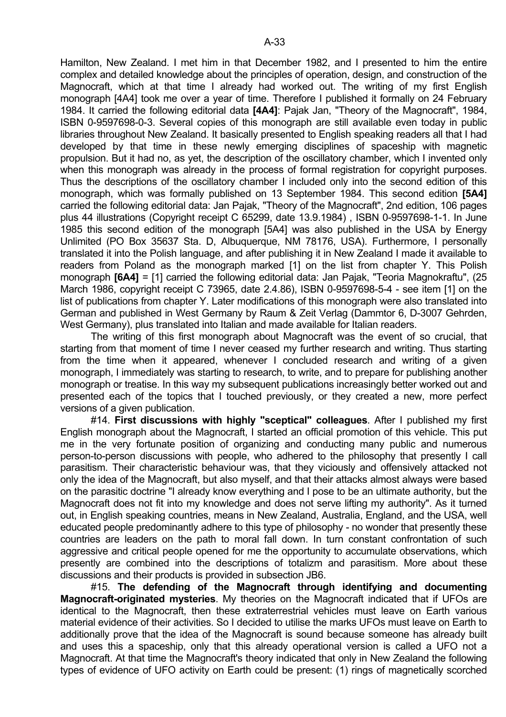Hamilton, New Zealand. I met him in that December 1982, and I presented to him the entire complex and detailed knowledge about the principles of operation, design, and construction of the Magnocraft, which at that time I already had worked out. The writing of my first English monograph [4A4] took me over a year of time. Therefore I published it formally on 24 February 1984. It carried the following editorial data **[4A4]**: Pajak Jan, "Theory of the Magnocraft", 1984, ISBN 0-9597698-0-3. Several copies of this monograph are still available even today in public libraries throughout New Zealand. It basically presented to English speaking readers all that I had developed by that time in these newly emerging disciplines of spaceship with magnetic propulsion. But it had no, as yet, the description of the oscillatory chamber, which I invented only when this monograph was already in the process of formal registration for copyright purposes. Thus the descriptions of the oscillatory chamber I included only into the second edition of this monograph, which was formally published on 13 September 1984. This second edition **[5A4]** carried the following editorial data: Jan Pajak, "Theory of the Magnocraft", 2nd edition, 106 pages plus 44 illustrations (Copyright receipt C 65299, date 13.9.1984) , ISBN 0-9597698-1-1. In June 1985 this second edition of the monograph [5A4] was also published in the USA by Energy Unlimited (PO Box 35637 Sta. D, Albuquerque, NM 78176, USA). Furthermore, I personally translated it into the Polish language, and after publishing it in New Zealand I made it available to readers from Poland as the monograph marked [1] on the list from chapter Y. This Polish monograph **[6A4]** = [1] carried the following editorial data: Jan Pajak, "Teoria Magnokraftu", (25 March 1986, copyright receipt C 73965, date 2.4.86), ISBN 0-9597698-5-4 - see item [1] on the list of publications from chapter Y. Later modifications of this monograph were also translated into German and published in West Germany by Raum & Zeit Verlag (Dammtor 6, D-3007 Gehrden, West Germany), plus translated into Italian and made available for Italian readers.

 The writing of this first monograph about Magnocraft was the event of so crucial, that starting from that moment of time I never ceased my further research and writing. Thus starting from the time when it appeared, whenever I concluded research and writing of a given monograph, I immediately was starting to research, to write, and to prepare for publishing another monograph or treatise. In this way my subsequent publications increasingly better worked out and presented each of the topics that I touched previously, or they created a new, more perfect versions of a given publication.

 #14. **First discussions with highly "sceptical" colleagues**. After I published my first English monograph about the Magnocraft, I started an official promotion of this vehicle. This put me in the very fortunate position of organizing and conducting many public and numerous person-to-person discussions with people, who adhered to the philosophy that presently I call parasitism. Their characteristic behaviour was, that they viciously and offensively attacked not only the idea of the Magnocraft, but also myself, and that their attacks almost always were based on the parasitic doctrine "I already know everything and I pose to be an ultimate authority, but the Magnocraft does not fit into my knowledge and does not serve lifting my authority". As it turned out, in English speaking countries, means in New Zealand, Australia, England, and the USA, well educated people predominantly adhere to this type of philosophy - no wonder that presently these countries are leaders on the path to moral fall down. In turn constant confrontation of such aggressive and critical people opened for me the opportunity to accumulate observations, which presently are combined into the descriptions of totalizm and parasitism. More about these discussions and their products is provided in subsection JB6.

 #15. **The defending of the Magnocraft through identifying and documenting Magnocraft-originated mysteries**. My theories on the Magnocraft indicated that if UFOs are identical to the Magnocraft, then these extraterrestrial vehicles must leave on Earth various material evidence of their activities. So I decided to utilise the marks UFOs must leave on Earth to additionally prove that the idea of the Magnocraft is sound because someone has already built and uses this a spaceship, only that this already operational version is called a UFO not a Magnocraft. At that time the Magnocraft's theory indicated that only in New Zealand the following types of evidence of UFO activity on Earth could be present: (1) rings of magnetically scorched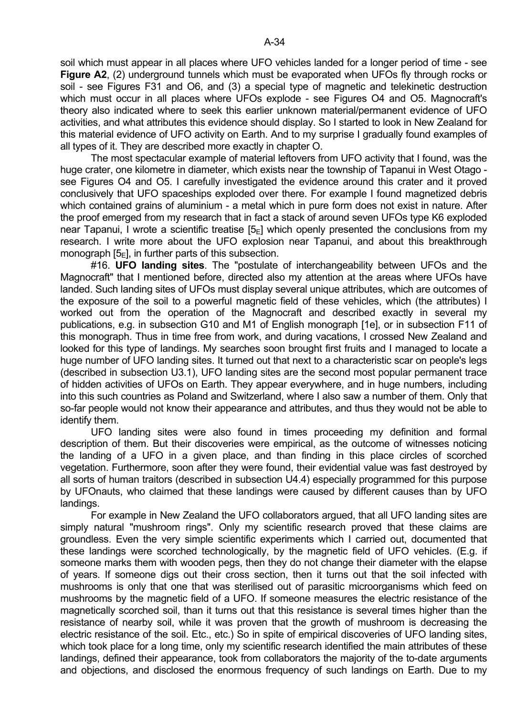soil which must appear in all places where UFO vehicles landed for a longer period of time - see **Figure A2**, (2) underground tunnels which must be evaporated when UFOs fly through rocks or soil - see Figures F31 and O6, and (3) a special type of magnetic and telekinetic destruction which must occur in all places where UFOs explode - see Figures O4 and O5. Magnocraft's theory also indicated where to seek this earlier unknown material/permanent evidence of UFO activities, and what attributes this evidence should display. So I started to look in New Zealand for this material evidence of UFO activity on Earth. And to my surprise I gradually found examples of all types of it. They are described more exactly in chapter O.

 The most spectacular example of material leftovers from UFO activity that I found, was the huge crater, one kilometre in diameter, which exists near the township of Tapanui in West Otago see Figures O4 and O5. I carefully investigated the evidence around this crater and it proved conclusively that UFO spaceships exploded over there. For example I found magnetized debris which contained grains of aluminium - a metal which in pure form does not exist in nature. After the proof emerged from my research that in fact a stack of around seven UFOs type K6 exploded near Tapanui, I wrote a scientific treatise  $[5_F]$  which openly presented the conclusions from my research. I write more about the UFO explosion near Tapanui, and about this breakthrough monograph  $[5_F]$ , in further parts of this subsection.

 #16. **UFO landing sites**. The "postulate of interchangeability between UFOs and the Magnocraft" that I mentioned before, directed also my attention at the areas where UFOs have landed. Such landing sites of UFOs must display several unique attributes, which are outcomes of the exposure of the soil to a powerful magnetic field of these vehicles, which (the attributes) I worked out from the operation of the Magnocraft and described exactly in several my publications, e.g. in subsection G10 and M1 of English monograph [1e], or in subsection F11 of this monograph. Thus in time free from work, and during vacations, I crossed New Zealand and looked for this type of landings. My searches soon brought first fruits and I managed to locate a huge number of UFO landing sites. It turned out that next to a characteristic scar on people's legs (described in subsection U3.1), UFO landing sites are the second most popular permanent trace of hidden activities of UFOs on Earth. They appear everywhere, and in huge numbers, including into this such countries as Poland and Switzerland, where I also saw a number of them. Only that so-far people would not know their appearance and attributes, and thus they would not be able to identify them.

 UFO landing sites were also found in times proceeding my definition and formal description of them. But their discoveries were empirical, as the outcome of witnesses noticing the landing of a UFO in a given place, and than finding in this place circles of scorched vegetation. Furthermore, soon after they were found, their evidential value was fast destroyed by all sorts of human traitors (described in subsection U4.4) especially programmed for this purpose by UFOnauts, who claimed that these landings were caused by different causes than by UFO landings.

 For example in New Zealand the UFO collaborators argued, that all UFO landing sites are simply natural "mushroom rings". Only my scientific research proved that these claims are groundless. Even the very simple scientific experiments which I carried out, documented that these landings were scorched technologically, by the magnetic field of UFO vehicles. (E.g. if someone marks them with wooden pegs, then they do not change their diameter with the elapse of years. If someone digs out their cross section, then it turns out that the soil infected with mushrooms is only that one that was sterilised out of parasitic microorganisms which feed on mushrooms by the magnetic field of a UFO. If someone measures the electric resistance of the magnetically scorched soil, than it turns out that this resistance is several times higher than the resistance of nearby soil, while it was proven that the growth of mushroom is decreasing the electric resistance of the soil. Etc., etc.) So in spite of empirical discoveries of UFO landing sites, which took place for a long time, only my scientific research identified the main attributes of these landings, defined their appearance, took from collaborators the majority of the to-date arguments and objections, and disclosed the enormous frequency of such landings on Earth. Due to my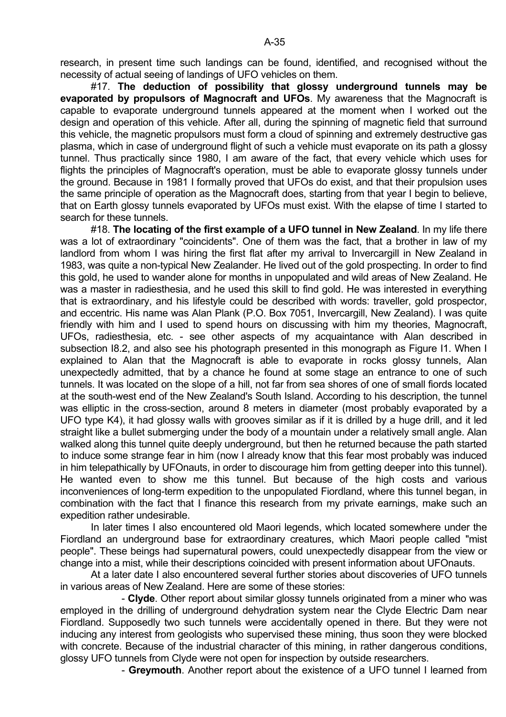research, in present time such landings can be found, identified, and recognised without the necessity of actual seeing of landings of UFO vehicles on them.

 #17. **The deduction of possibility that glossy underground tunnels may be evaporated by propulsors of Magnocraft and UFOs**. My awareness that the Magnocraft is capable to evaporate underground tunnels appeared at the moment when I worked out the design and operation of this vehicle. After all, during the spinning of magnetic field that surround this vehicle, the magnetic propulsors must form a cloud of spinning and extremely destructive gas plasma, which in case of underground flight of such a vehicle must evaporate on its path a glossy tunnel. Thus practically since 1980, I am aware of the fact, that every vehicle which uses for flights the principles of Magnocraft's operation, must be able to evaporate glossy tunnels under the ground. Because in 1981 I formally proved that UFOs do exist, and that their propulsion uses the same principle of operation as the Magnocraft does, starting from that year I begin to believe, that on Earth glossy tunnels evaporated by UFOs must exist. With the elapse of time I started to search for these tunnels.

 #18. **The locating of the first example of a UFO tunnel in New Zealand**. In my life there was a lot of extraordinary "coincidents". One of them was the fact, that a brother in law of my landlord from whom I was hiring the first flat after my arrival to Invercargill in New Zealand in 1983, was quite a non-typical New Zealander. He lived out of the gold prospecting. In order to find this gold, he used to wander alone for months in unpopulated and wild areas of New Zealand. He was a master in radiesthesia, and he used this skill to find gold. He was interested in everything that is extraordinary, and his lifestyle could be described with words: traveller, gold prospector, and eccentric. His name was Alan Plank (P.O. Box 7051, Invercargill, New Zealand). I was quite friendly with him and I used to spend hours on discussing with him my theories, Magnocraft, UFOs, radiesthesia, etc. - see other aspects of my acquaintance with Alan described in subsection I8.2, and also see his photograph presented in this monograph as Figure I1. When I explained to Alan that the Magnocraft is able to evaporate in rocks glossy tunnels, Alan unexpectedly admitted, that by a chance he found at some stage an entrance to one of such tunnels. It was located on the slope of a hill, not far from sea shores of one of small fiords located at the south-west end of the New Zealand's South Island. According to his description, the tunnel was elliptic in the cross-section, around 8 meters in diameter (most probably evaporated by a UFO type K4), it had glossy walls with grooves similar as if it is drilled by a huge drill, and it led straight like a bullet submerging under the body of a mountain under a relatively small angle. Alan walked along this tunnel quite deeply underground, but then he returned because the path started to induce some strange fear in him (now I already know that this fear most probably was induced in him telepathically by UFOnauts, in order to discourage him from getting deeper into this tunnel). He wanted even to show me this tunnel. But because of the high costs and various inconveniences of long-term expedition to the unpopulated Fiordland, where this tunnel began, in combination with the fact that I finance this research from my private earnings, make such an expedition rather undesirable.

 In later times I also encountered old Maori legends, which located somewhere under the Fiordland an underground base for extraordinary creatures, which Maori people called "mist people". These beings had supernatural powers, could unexpectedly disappear from the view or change into a mist, while their descriptions coincided with present information about UFOnauts.

 At a later date I also encountered several further stories about discoveries of UFO tunnels in various areas of New Zealand. Here are some of these stories:

 - **Clyde**. Other report about similar glossy tunnels originated from a miner who was employed in the drilling of underground dehydration system near the Clyde Electric Dam near Fiordland. Supposedly two such tunnels were accidentally opened in there. But they were not inducing any interest from geologists who supervised these mining, thus soon they were blocked with concrete. Because of the industrial character of this mining, in rather dangerous conditions, glossy UFO tunnels from Clyde were not open for inspection by outside researchers.

- **Greymouth**. Another report about the existence of a UFO tunnel I learned from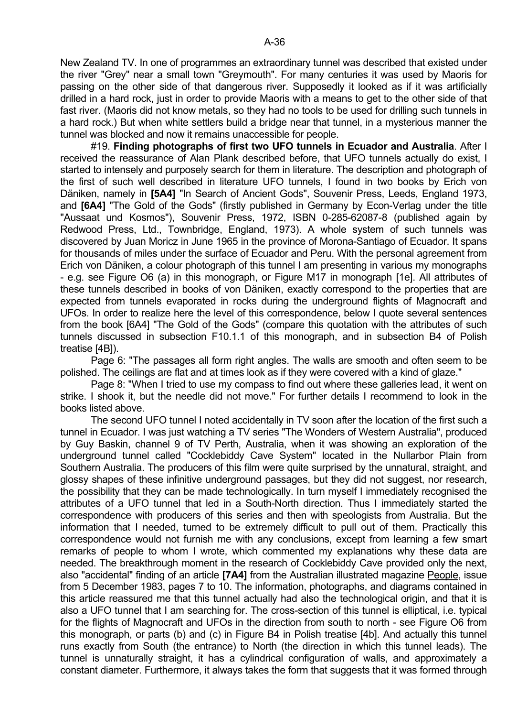New Zealand TV. In one of programmes an extraordinary tunnel was described that existed under the river "Grey" near a small town "Greymouth". For many centuries it was used by Maoris for passing on the other side of that dangerous river. Supposedly it looked as if it was artificially drilled in a hard rock, just in order to provide Maoris with a means to get to the other side of that fast river. (Maoris did not know metals, so they had no tools to be used for drilling such tunnels in a hard rock.) But when white settlers build a bridge near that tunnel, in a mysterious manner the tunnel was blocked and now it remains unaccessible for people.

 #19. **Finding photographs of first two UFO tunnels in Ecuador and Australia**. After I received the reassurance of Alan Plank described before, that UFO tunnels actually do exist, I started to intensely and purposely search for them in literature. The description and photograph of the first of such well described in literature UFO tunnels, I found in two books by Erich von Däniken, namely in **[5A4]** "In Search of Ancient Gods", Souvenir Press, Leeds, England 1973, and **[6A4]** "The Gold of the Gods" (firstly published in Germany by Econ-Verlag under the title "Aussaat und Kosmos"), Souvenir Press, 1972, ISBN 0-285-62087-8 (published again by Redwood Press, Ltd., Townbridge, England, 1973). A whole system of such tunnels was discovered by Juan Moricz in June 1965 in the province of Morona-Santiago of Ecuador. It spans for thousands of miles under the surface of Ecuador and Peru. With the personal agreement from Erich von Däniken, a colour photograph of this tunnel I am presenting in various my monographs - e.g. see Figure O6 (a) in this monograph, or Figure M17 in monograph [1e]. All attributes of these tunnels described in books of von Däniken, exactly correspond to the properties that are expected from tunnels evaporated in rocks during the underground flights of Magnocraft and UFOs. In order to realize here the level of this correspondence, below I quote several sentences from the book [6A4] "The Gold of the Gods" (compare this quotation with the attributes of such tunnels discussed in subsection F10.1.1 of this monograph, and in subsection B4 of Polish treatise [4B]).

 Page 6: "The passages all form right angles. The walls are smooth and often seem to be polished. The ceilings are flat and at times look as if they were covered with a kind of glaze."

 Page 8: "When I tried to use my compass to find out where these galleries lead, it went on strike. I shook it, but the needle did not move." For further details I recommend to look in the books listed above.

 The second UFO tunnel I noted accidentally in TV soon after the location of the first such a tunnel in Ecuador. I was just watching a TV series "The Wonders of Western Australia", produced by Guy Baskin, channel 9 of TV Perth, Australia, when it was showing an exploration of the underground tunnel called "Cocklebiddy Cave System" located in the Nullarbor Plain from Southern Australia. The producers of this film were quite surprised by the unnatural, straight, and glossy shapes of these infinitive underground passages, but they did not suggest, nor research, the possibility that they can be made technologically. In turn myself I immediately recognised the attributes of a UFO tunnel that led in a South-North direction. Thus I immediately started the correspondence with producers of this series and then with speologists from Australia. But the information that I needed, turned to be extremely difficult to pull out of them. Practically this correspondence would not furnish me with any conclusions, except from learning a few smart remarks of people to whom I wrote, which commented my explanations why these data are needed. The breakthrough moment in the research of Cocklebiddy Cave provided only the next, also "accidental" finding of an article **[7A4]** from the Australian illustrated magazine People, issue from 5 December 1983, pages 7 to 10. The information, photographs, and diagrams contained in this article reassured me that this tunnel actually had also the technological origin, and that it is also a UFO tunnel that I am searching for. The cross-section of this tunnel is elliptical, i.e. typical for the flights of Magnocraft and UFOs in the direction from south to north - see Figure O6 from this monograph, or parts (b) and (c) in Figure B4 in Polish treatise [4b]. And actually this tunnel runs exactly from South (the entrance) to North (the direction in which this tunnel leads). The tunnel is unnaturally straight, it has a cylindrical configuration of walls, and approximately a constant diameter. Furthermore, it always takes the form that suggests that it was formed through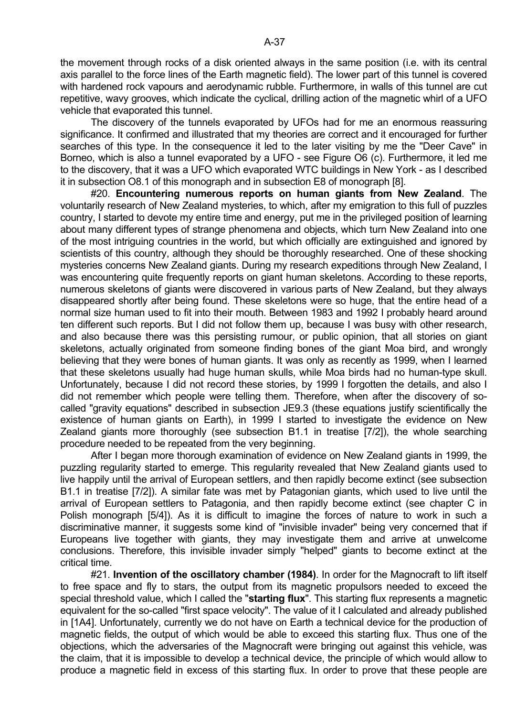the movement through rocks of a disk oriented always in the same position (i.e. with its central axis parallel to the force lines of the Earth magnetic field). The lower part of this tunnel is covered with hardened rock vapours and aerodynamic rubble. Furthermore, in walls of this tunnel are cut repetitive, wavy grooves, which indicate the cyclical, drilling action of the magnetic whirl of a UFO vehicle that evaporated this tunnel.

 The discovery of the tunnels evaporated by UFOs had for me an enormous reassuring significance. It confirmed and illustrated that my theories are correct and it encouraged for further searches of this type. In the consequence it led to the later visiting by me the "Deer Cave" in Borneo, which is also a tunnel evaporated by a UFO - see Figure O6 (c). Furthermore, it led me to the discovery, that it was a UFO which evaporated WTC buildings in New York - as I described it in subsection O8.1 of this monograph and in subsection E8 of monograph [8].

 #20. **Encountering numerous reports on human giants from New Zealand**. The voluntarily research of New Zealand mysteries, to which, after my emigration to this full of puzzles country, I started to devote my entire time and energy, put me in the privileged position of learning about many different types of strange phenomena and objects, which turn New Zealand into one of the most intriguing countries in the world, but which officially are extinguished and ignored by scientists of this country, although they should be thoroughly researched. One of these shocking mysteries concerns New Zealand giants. During my research expeditions through New Zealand, I was encountering quite frequently reports on giant human skeletons. According to these reports, numerous skeletons of giants were discovered in various parts of New Zealand, but they always disappeared shortly after being found. These skeletons were so huge, that the entire head of a normal size human used to fit into their mouth. Between 1983 and 1992 I probably heard around ten different such reports. But I did not follow them up, because I was busy with other research, and also because there was this persisting rumour, or public opinion, that all stories on giant skeletons, actually originated from someone finding bones of the giant Moa bird, and wrongly believing that they were bones of human giants. It was only as recently as 1999, when I learned that these skeletons usually had huge human skulls, while Moa birds had no human-type skull. Unfortunately, because I did not record these stories, by 1999 I forgotten the details, and also I did not remember which people were telling them. Therefore, when after the discovery of socalled "gravity equations" described in subsection JE9.3 (these equations justify scientifically the existence of human giants on Earth), in 1999 I started to investigate the evidence on New Zealand giants more thoroughly (see subsection B1.1 in treatise [7/2]), the whole searching procedure needed to be repeated from the very beginning.

 After I began more thorough examination of evidence on New Zealand giants in 1999, the puzzling regularity started to emerge. This regularity revealed that New Zealand giants used to live happily until the arrival of European settlers, and then rapidly become extinct (see subsection B1.1 in treatise [7/2]). A similar fate was met by Patagonian giants, which used to live until the arrival of European settlers to Patagonia, and then rapidly become extinct (see chapter C in Polish monograph [5/4]). As it is difficult to imagine the forces of nature to work in such a discriminative manner, it suggests some kind of "invisible invader" being very concerned that if Europeans live together with giants, they may investigate them and arrive at unwelcome conclusions. Therefore, this invisible invader simply "helped" giants to become extinct at the critical time.

 #21. **Invention of the oscillatory chamber (1984)**. In order for the Magnocraft to lift itself to free space and fly to stars, the output from its magnetic propulsors needed to exceed the special threshold value, which I called the "**starting flux**". This starting flux represents a magnetic equivalent for the so-called "first space velocity". The value of it I calculated and already published in [1A4]. Unfortunately, currently we do not have on Earth a technical device for the production of magnetic fields, the output of which would be able to exceed this starting flux. Thus one of the objections, which the adversaries of the Magnocraft were bringing out against this vehicle, was the claim, that it is impossible to develop a technical device, the principle of which would allow to produce a magnetic field in excess of this starting flux. In order to prove that these people are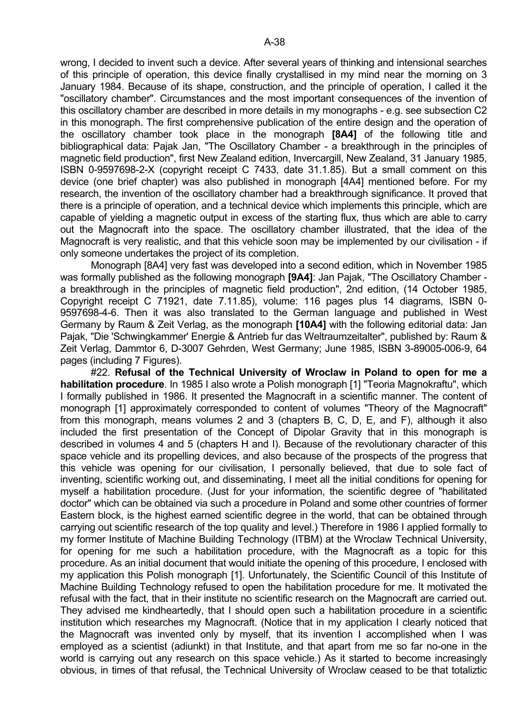wrong, I decided to invent such a device. After several years of thinking and intensional searches of this principle of operation, this device finally crystallised in my mind near the morning on 3 January 1984. Because of its shape, construction, and the principle of operation, I called it the "oscillatory chamber". Circumstances and the most important consequences of the invention of this oscillatory chamber are described in more details in my monographs - e.g. see subsection C2 in this monograph. The first comprehensive publication of the entire design and the operation of the oscillatory chamber took place in the monograph **[8A4]** of the following title and bibliographical data: Pajak Jan, "The Oscillatory Chamber - a breakthrough in the principles of magnetic field production", first New Zealand edition, Invercargill, New Zealand, 31 January 1985, ISBN 0-9597698-2-X (copyright receipt C 7433, date 31.1.85). But a small comment on this device (one brief chapter) was also published in monograph [4A4] mentioned before. For my research, the invention of the oscillatory chamber had a breakthrough significance. It proved that there is a principle of operation, and a technical device which implements this principle, which are capable of yielding a magnetic output in excess of the starting flux, thus which are able to carry out the Magnocraft into the space. The oscillatory chamber illustrated, that the idea of the Magnocraft is very realistic, and that this vehicle soon may be implemented by our civilisation - if only someone undertakes the project of its completion.

 Monograph [8A4] very fast was developed into a second edition, which in November 1985 was formally published as the following monograph **[9A4]**: Jan Pajak, "The Oscillatory Chamber a breakthrough in the principles of magnetic field production", 2nd edition, (14 October 1985, Copyright receipt C 71921, date 7.11.85), volume: 116 pages plus 14 diagrams, ISBN 0- 9597698-4-6. Then it was also translated to the German language and published in West Germany by Raum & Zeit Verlag, as the monograph **[10A4]** with the following editorial data: Jan Pajak, "Die 'Schwingkammer' Energie & Antrieb fur das Weltraumzeitalter", published by: Raum & Zeit Verlag, Dammtor 6, D-3007 Gehrden, West Germany; June 1985, ISBN 3-89005-006-9, 64 pages (including 7 Figures).

 #22. **Refusal of the Technical University of Wroclaw in Poland to open for me a habilitation procedure**. In 1985 I also wrote a Polish monograph [1] "Teoria Magnokraftu", which I formally published in 1986. It presented the Magnocraft in a scientific manner. The content of monograph [1] approximately corresponded to content of volumes "Theory of the Magnocraft" from this monograph, means volumes 2 and 3 (chapters B, C, D, E, and F), although it also included the first presentation of the Concept of Dipolar Gravity that in this monograph is described in volumes 4 and 5 (chapters H and I). Because of the revolutionary character of this space vehicle and its propelling devices, and also because of the prospects of the progress that this vehicle was opening for our civilisation, I personally believed, that due to sole fact of inventing, scientific working out, and disseminating, I meet all the initial conditions for opening for myself a habilitation procedure. (Just for your information, the scientific degree of "habilitated doctor" which can be obtained via such a procedure in Poland and some other countries of former Eastern block, is the highest earned scientific degree in the world, that can be obtained through carrying out scientific research of the top quality and level.) Therefore in 1986 I applied formally to my former Institute of Machine Building Technology (ITBM) at the Wroclaw Technical University, for opening for me such a habilitation procedure, with the Magnocraft as a topic for this procedure. As an initial document that would initiate the opening of this procedure, I enclosed with my application this Polish monograph [1]. Unfortunately, the Scientific Council of this Institute of Machine Building Technology refused to open the habilitation procedure for me. It motivated the refusal with the fact, that in their institute no scientific research on the Magnocraft are carried out. They advised me kindheartedly, that I should open such a habilitation procedure in a scientific institution which researches my Magnocraft. (Notice that in my application I clearly noticed that the Magnocraft was invented only by myself, that its invention I accomplished when I was employed as a scientist (adiunkt) in that Institute, and that apart from me so far no-one in the world is carrying out any research on this space vehicle.) As it started to become increasingly obvious, in times of that refusal, the Technical University of Wroclaw ceased to be that totaliztic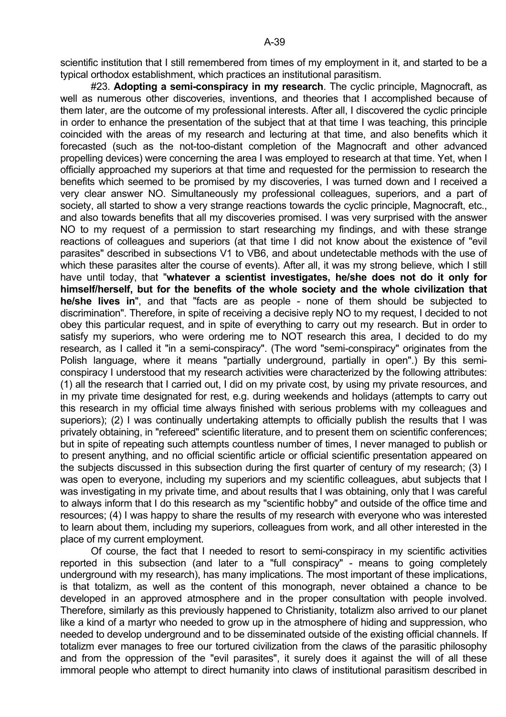scientific institution that I still remembered from times of my employment in it, and started to be a typical orthodox establishment, which practices an institutional parasitism.

 #23. **Adopting a semi-conspiracy in my research**. The cyclic principle, Magnocraft, as well as numerous other discoveries, inventions, and theories that I accomplished because of them later, are the outcome of my professional interests. After all, I discovered the cyclic principle in order to enhance the presentation of the subject that at that time I was teaching, this principle coincided with the areas of my research and lecturing at that time, and also benefits which it forecasted (such as the not-too-distant completion of the Magnocraft and other advanced propelling devices) were concerning the area I was employed to research at that time. Yet, when I officially approached my superiors at that time and requested for the permission to research the benefits which seemed to be promised by my discoveries, I was turned down and I received a very clear answer NO. Simultaneously my professional colleagues, superiors, and a part of society, all started to show a very strange reactions towards the cyclic principle, Magnocraft, etc., and also towards benefits that all my discoveries promised. I was very surprised with the answer NO to my request of a permission to start researching my findings, and with these strange reactions of colleagues and superiors (at that time I did not know about the existence of "evil parasites" described in subsections V1 to VB6, and about undetectable methods with the use of which these parasites alter the course of events). After all, it was my strong believe, which I still have until today, that "**whatever a scientist investigates, he/she does not do it only for himself/herself, but for the benefits of the whole society and the whole civilization that he/she lives in**", and that "facts are as people - none of them should be subjected to discrimination". Therefore, in spite of receiving a decisive reply NO to my request, I decided to not obey this particular request, and in spite of everything to carry out my research. But in order to satisfy my superiors, who were ordering me to NOT research this area, I decided to do my research, as I called it "in a semi-conspiracy". (The word "semi-conspiracy" originates from the Polish language, where it means "partially underground, partially in open".) By this semiconspiracy I understood that my research activities were characterized by the following attributes: (1) all the research that I carried out, I did on my private cost, by using my private resources, and in my private time designated for rest, e.g. during weekends and holidays (attempts to carry out this research in my official time always finished with serious problems with my colleagues and superiors); (2) I was continually undertaking attempts to officially publish the results that I was privately obtaining, in "refereed" scientific literature, and to present them on scientific conferences; but in spite of repeating such attempts countless number of times, I never managed to publish or to present anything, and no official scientific article or official scientific presentation appeared on the subjects discussed in this subsection during the first quarter of century of my research; (3) I was open to everyone, including my superiors and my scientific colleagues, abut subjects that I was investigating in my private time, and about results that I was obtaining, only that I was careful to always inform that I do this research as my "scientific hobby" and outside of the office time and resources; (4) I was happy to share the results of my research with everyone who was interested to learn about them, including my superiors, colleagues from work, and all other interested in the place of my current employment.

 Of course, the fact that I needed to resort to semi-conspiracy in my scientific activities reported in this subsection (and later to a "full conspiracy" - means to going completely underground with my research), has many implications. The most important of these implications, is that totalizm, as well as the content of this monograph, never obtained a chance to be developed in an approved atmosphere and in the proper consultation with people involved. Therefore, similarly as this previously happened to Christianity, totalizm also arrived to our planet like a kind of a martyr who needed to grow up in the atmosphere of hiding and suppression, who needed to develop underground and to be disseminated outside of the existing official channels. If totalizm ever manages to free our tortured civilization from the claws of the parasitic philosophy and from the oppression of the "evil parasites", it surely does it against the will of all these immoral people who attempt to direct humanity into claws of institutional parasitism described in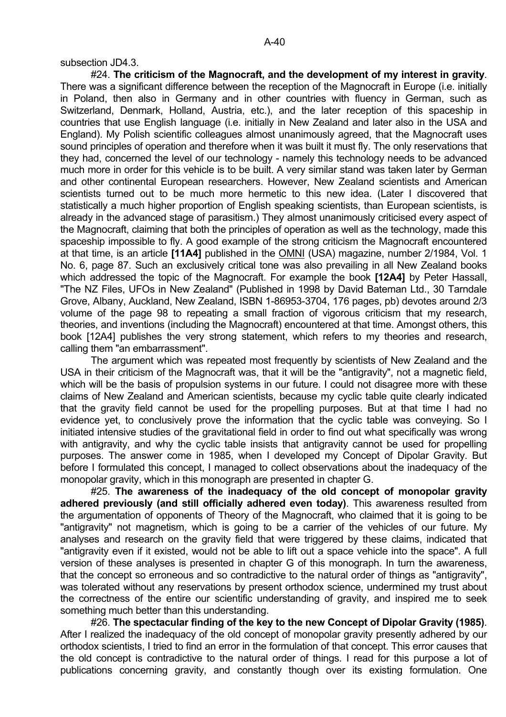subsection JD4.3.

 #24. **The criticism of the Magnocraft, and the development of my interest in gravity**. There was a significant difference between the reception of the Magnocraft in Europe (i.e. initially in Poland, then also in Germany and in other countries with fluency in German, such as Switzerland, Denmark, Holland, Austria, etc.), and the later reception of this spaceship in countries that use English language (i.e. initially in New Zealand and later also in the USA and England). My Polish scientific colleagues almost unanimously agreed, that the Magnocraft uses sound principles of operation and therefore when it was built it must fly. The only reservations that they had, concerned the level of our technology - namely this technology needs to be advanced much more in order for this vehicle is to be built. A very similar stand was taken later by German and other continental European researchers. However, New Zealand scientists and American scientists turned out to be much more hermetic to this new idea. (Later I discovered that statistically a much higher proportion of English speaking scientists, than European scientists, is already in the advanced stage of parasitism.) They almost unanimously criticised every aspect of the Magnocraft, claiming that both the principles of operation as well as the technology, made this spaceship impossible to fly. A good example of the strong criticism the Magnocraft encountered at that time, is an article **[11A4]** published in the OMNI (USA) magazine, number 2/1984, Vol. 1 No. 6, page 87. Such an exclusively critical tone was also prevailing in all New Zealand books which addressed the topic of the Magnocraft. For example the book **[12A4]** by Peter Hassall, "The NZ Files, UFOs in New Zealand" (Published in 1998 by David Bateman Ltd., 30 Tarndale Grove, Albany, Auckland, New Zealand, ISBN 1-86953-3704, 176 pages, pb) devotes around 2/3 volume of the page 98 to repeating a small fraction of vigorous criticism that my research, theories, and inventions (including the Magnocraft) encountered at that time. Amongst others, this book [12A4] publishes the very strong statement, which refers to my theories and research, calling them "an embarrassment".

 The argument which was repeated most frequently by scientists of New Zealand and the USA in their criticism of the Magnocraft was, that it will be the "antigravity", not a magnetic field, which will be the basis of propulsion systems in our future. I could not disagree more with these claims of New Zealand and American scientists, because my cyclic table quite clearly indicated that the gravity field cannot be used for the propelling purposes. But at that time I had no evidence yet, to conclusively prove the information that the cyclic table was conveying. So I initiated intensive studies of the gravitational field in order to find out what specifically was wrong with antigravity, and why the cyclic table insists that antigravity cannot be used for propelling purposes. The answer come in 1985, when I developed my Concept of Dipolar Gravity. But before I formulated this concept, I managed to collect observations about the inadequacy of the monopolar gravity, which in this monograph are presented in chapter G.

 #25. **The awareness of the inadequacy of the old concept of monopolar gravity adhered previously (and still officially adhered even today)**. This awareness resulted from the argumentation of opponents of Theory of the Magnocraft, who claimed that it is going to be "antigravity" not magnetism, which is going to be a carrier of the vehicles of our future. My analyses and research on the gravity field that were triggered by these claims, indicated that "antigravity even if it existed, would not be able to lift out a space vehicle into the space". A full version of these analyses is presented in chapter G of this monograph. In turn the awareness, that the concept so erroneous and so contradictive to the natural order of things as "antigravity", was tolerated without any reservations by present orthodox science, undermined my trust about the correctness of the entire our scientific understanding of gravity, and inspired me to seek something much better than this understanding.

 #26. **The spectacular finding of the key to the new Concept of Dipolar Gravity (1985)**. After I realized the inadequacy of the old concept of monopolar gravity presently adhered by our orthodox scientists, I tried to find an error in the formulation of that concept. This error causes that the old concept is contradictive to the natural order of things. I read for this purpose a lot of publications concerning gravity, and constantly though over its existing formulation. One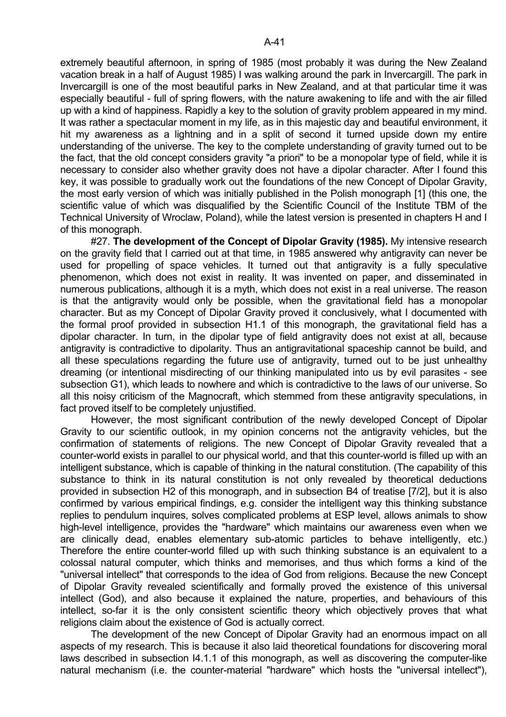extremely beautiful afternoon, in spring of 1985 (most probably it was during the New Zealand vacation break in a half of August 1985) I was walking around the park in Invercargill. The park in Invercargill is one of the most beautiful parks in New Zealand, and at that particular time it was especially beautiful - full of spring flowers, with the nature awakening to life and with the air filled up with a kind of happiness. Rapidly a key to the solution of gravity problem appeared in my mind. It was rather a spectacular moment in my life, as in this majestic day and beautiful environment, it hit my awareness as a lightning and in a split of second it turned upside down my entire understanding of the universe. The key to the complete understanding of gravity turned out to be the fact, that the old concept considers gravity "a priori" to be a monopolar type of field, while it is necessary to consider also whether gravity does not have a dipolar character. After I found this key, it was possible to gradually work out the foundations of the new Concept of Dipolar Gravity, the most early version of which was initially published in the Polish monograph [1] (this one, the scientific value of which was disqualified by the Scientific Council of the Institute TBM of the Technical University of Wroclaw, Poland), while the latest version is presented in chapters H and I of this monograph.

 #27. **The development of the Concept of Dipolar Gravity (1985).** My intensive research on the gravity field that I carried out at that time, in 1985 answered why antigravity can never be used for propelling of space vehicles. It turned out that antigravity is a fully speculative phenomenon, which does not exist in reality. It was invented on paper, and disseminated in numerous publications, although it is a myth, which does not exist in a real universe. The reason is that the antigravity would only be possible, when the gravitational field has a monopolar character. But as my Concept of Dipolar Gravity proved it conclusively, what I documented with the formal proof provided in subsection H1.1 of this monograph, the gravitational field has a dipolar character. In turn, in the dipolar type of field antigravity does not exist at all, because antigravity is contradictive to dipolarity. Thus an antigravitational spaceship cannot be build, and all these speculations regarding the future use of antigravity, turned out to be just unhealthy dreaming (or intentional misdirecting of our thinking manipulated into us by evil parasites - see subsection G1), which leads to nowhere and which is contradictive to the laws of our universe. So all this noisy criticism of the Magnocraft, which stemmed from these antigravity speculations, in fact proved itself to be completely unjustified.

 However, the most significant contribution of the newly developed Concept of Dipolar Gravity to our scientific outlook, in my opinion concerns not the antigravity vehicles, but the confirmation of statements of religions. The new Concept of Dipolar Gravity revealed that a counter-world exists in parallel to our physical world, and that this counter-world is filled up with an intelligent substance, which is capable of thinking in the natural constitution. (The capability of this substance to think in its natural constitution is not only revealed by theoretical deductions provided in subsection H2 of this monograph, and in subsection B4 of treatise [7/2], but it is also confirmed by various empirical findings, e.g. consider the intelligent way this thinking substance replies to pendulum inquires, solves complicated problems at ESP level, allows animals to show high-level intelligence, provides the "hardware" which maintains our awareness even when we are clinically dead, enables elementary sub-atomic particles to behave intelligently, etc.) Therefore the entire counter-world filled up with such thinking substance is an equivalent to a colossal natural computer, which thinks and memorises, and thus which forms a kind of the "universal intellect" that corresponds to the idea of God from religions. Because the new Concept of Dipolar Gravity revealed scientifically and formally proved the existence of this universal intellect (God), and also because it explained the nature, properties, and behaviours of this intellect, so-far it is the only consistent scientific theory which objectively proves that what religions claim about the existence of God is actually correct.

 The development of the new Concept of Dipolar Gravity had an enormous impact on all aspects of my research. This is because it also laid theoretical foundations for discovering moral laws described in subsection I4.1.1 of this monograph, as well as discovering the computer-like natural mechanism (i.e. the counter-material "hardware" which hosts the "universal intellect"),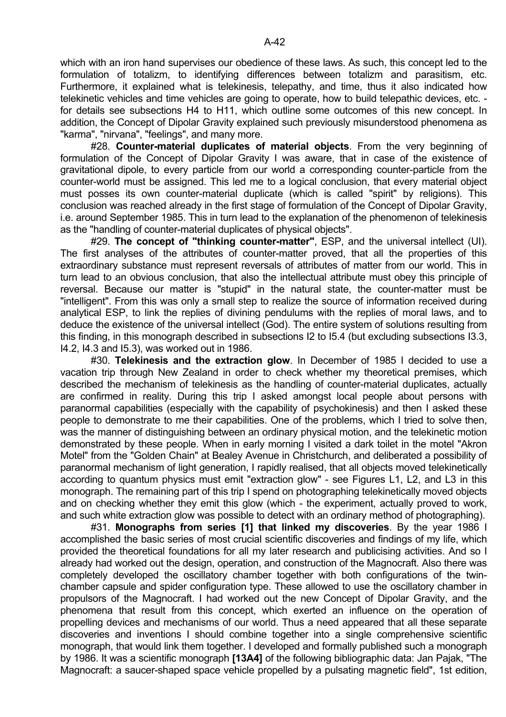which with an iron hand supervises our obedience of these laws. As such, this concept led to the formulation of totalizm, to identifying differences between totalizm and parasitism, etc. Furthermore, it explained what is telekinesis, telepathy, and time, thus it also indicated how telekinetic vehicles and time vehicles are going to operate, how to build telepathic devices, etc. for details see subsections H4 to H11, which outline some outcomes of this new concept. In addition, the Concept of Dipolar Gravity explained such previously misunderstood phenomena as "karma", "nirvana", "feelings", and many more.

 #28. **Counter-material duplicates of material objects**. From the very beginning of formulation of the Concept of Dipolar Gravity I was aware, that in case of the existence of gravitational dipole, to every particle from our world a corresponding counter-particle from the counter-world must be assigned. This led me to a logical conclusion, that every material object must posses its own counter-material duplicate (which is called "spirit" by religions). This conclusion was reached already in the first stage of formulation of the Concept of Dipolar Gravity, i.e. around September 1985. This in turn lead to the explanation of the phenomenon of telekinesis as the "handling of counter-material duplicates of physical objects".

 #29. **The concept of "thinking counter-matter"**, ESP, and the universal intellect (UI). The first analyses of the attributes of counter-matter proved, that all the properties of this extraordinary substance must represent reversals of attributes of matter from our world. This in turn lead to an obvious conclusion, that also the intellectual attribute must obey this principle of reversal. Because our matter is "stupid" in the natural state, the counter-matter must be "intelligent". From this was only a small step to realize the source of information received during analytical ESP, to link the replies of divining pendulums with the replies of moral laws, and to deduce the existence of the universal intellect (God). The entire system of solutions resulting from this finding, in this monograph described in subsections I2 to I5.4 (but excluding subsections I3.3, I4.2, I4.3 and I5.3), was worked out in 1986.

 #30. **Telekinesis and the extraction glow**. In December of 1985 I decided to use a vacation trip through New Zealand in order to check whether my theoretical premises, which described the mechanism of telekinesis as the handling of counter-material duplicates, actually are confirmed in reality. During this trip I asked amongst local people about persons with paranormal capabilities (especially with the capability of psychokinesis) and then I asked these people to demonstrate to me their capabilities. One of the problems, which I tried to solve then, was the manner of distinguishing between an ordinary physical motion, and the telekinetic motion demonstrated by these people. When in early morning I visited a dark toilet in the motel "Akron Motel" from the "Golden Chain" at Bealey Avenue in Christchurch, and deliberated a possibility of paranormal mechanism of light generation, I rapidly realised, that all objects moved telekinetically according to quantum physics must emit "extraction glow" - see Figures L1, L2, and L3 in this monograph. The remaining part of this trip I spend on photographing telekinetically moved objects and on checking whether they emit this glow (which - the experiment, actually proved to work, and such white extraction glow was possible to detect with an ordinary method of photographing).

 #31. **Monographs from series [1] that linked my discoveries**. By the year 1986 I accomplished the basic series of most crucial scientific discoveries and findings of my life, which provided the theoretical foundations for all my later research and publicising activities. And so I already had worked out the design, operation, and construction of the Magnocraft. Also there was completely developed the oscillatory chamber together with both configurations of the twinchamber capsule and spider configuration type. These allowed to use the oscillatory chamber in propulsors of the Magnocraft. I had worked out the new Concept of Dipolar Gravity, and the phenomena that result from this concept, which exerted an influence on the operation of propelling devices and mechanisms of our world. Thus a need appeared that all these separate discoveries and inventions I should combine together into a single comprehensive scientific monograph, that would link them together. I developed and formally published such a monograph by 1986. It was a scientific monograph **[13A4]** of the following bibliographic data: Jan Pajak, "The Magnocraft: a saucer-shaped space vehicle propelled by a pulsating magnetic field", 1st edition,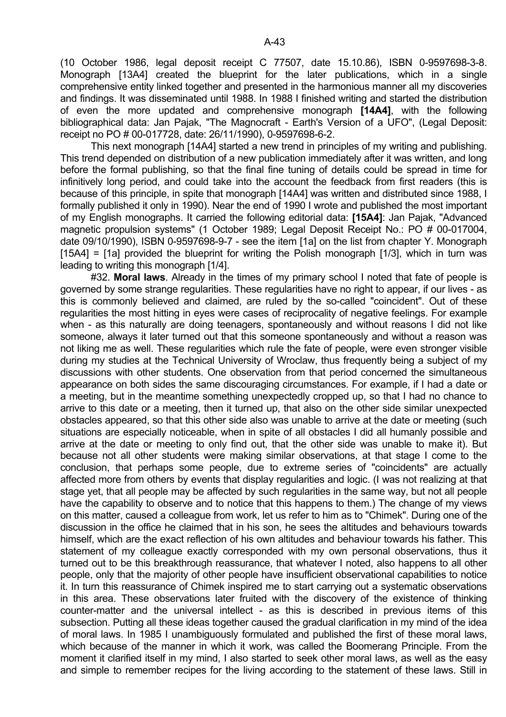(10 October 1986, legal deposit receipt C 77507, date 15.10.86), ISBN 0-9597698-3-8. Monograph [13A4] created the blueprint for the later publications, which in a single comprehensive entity linked together and presented in the harmonious manner all my discoveries and findings. It was disseminated until 1988. In 1988 I finished writing and started the distribution of even the more updated and comprehensive monograph **[14A4]**, with the following bibliographical data: Jan Pajak, "The Magnocraft - Earth's Version of a UFO", (Legal Deposit: receipt no PO # 00-017728, date: 26/11/1990), 0-9597698-6-2.

 This next monograph [14A4] started a new trend in principles of my writing and publishing. This trend depended on distribution of a new publication immediately after it was written, and long before the formal publishing, so that the final fine tuning of details could be spread in time for infinitively long period, and could take into the account the feedback from first readers (this is because of this principle, in spite that monograph [14A4] was written and distributed since 1988, I formally published it only in 1990). Near the end of 1990 I wrote and published the most important of my English monographs. It carried the following editorial data: **[15A4]**: Jan Pajak, "Advanced magnetic propulsion systems" (1 October 1989; Legal Deposit Receipt No.: PO # 00-017004, date 09/10/1990), ISBN 0-9597698-9-7 - see the item [1a] on the list from chapter Y. Monograph  $[15A4]$  =  $[1a]$  provided the blueprint for writing the Polish monograph  $[1/3]$ , which in turn was leading to writing this monograph [1/4].

 #32. **Moral laws**. Already in the times of my primary school I noted that fate of people is governed by some strange regularities. These regularities have no right to appear, if our lives - as this is commonly believed and claimed, are ruled by the so-called "coincident". Out of these regularities the most hitting in eyes were cases of reciprocality of negative feelings. For example when - as this naturally are doing teenagers, spontaneously and without reasons I did not like someone, always it later turned out that this someone spontaneously and without a reason was not liking me as well. These regularities which rule the fate of people, were even stronger visible during my studies at the Technical University of Wroclaw, thus frequently being a subject of my discussions with other students. One observation from that period concerned the simultaneous appearance on both sides the same discouraging circumstances. For example, if I had a date or a meeting, but in the meantime something unexpectedly cropped up, so that I had no chance to arrive to this date or a meeting, then it turned up, that also on the other side similar unexpected obstacles appeared, so that this other side also was unable to arrive at the date or meeting (such situations are especially noticeable, when in spite of all obstacles I did all humanly possible and arrive at the date or meeting to only find out, that the other side was unable to make it). But because not all other students were making similar observations, at that stage I come to the conclusion, that perhaps some people, due to extreme series of "coincidents" are actually affected more from others by events that display regularities and logic. (I was not realizing at that stage yet, that all people may be affected by such regularities in the same way, but not all people have the capability to observe and to notice that this happens to them.) The change of my views on this matter, caused a colleague from work, let us refer to him as to "Chimek". During one of the discussion in the office he claimed that in his son, he sees the altitudes and behaviours towards himself, which are the exact reflection of his own altitudes and behaviour towards his father. This statement of my colleague exactly corresponded with my own personal observations, thus it turned out to be this breakthrough reassurance, that whatever I noted, also happens to all other people, only that the majority of other people have insufficient observational capabilities to notice it. In turn this reassurance of Chimek inspired me to start carrying out a systematic observations in this area. These observations later fruited with the discovery of the existence of thinking counter-matter and the universal intellect - as this is described in previous items of this subsection. Putting all these ideas together caused the gradual clarification in my mind of the idea of moral laws. In 1985 I unambiguously formulated and published the first of these moral laws, which because of the manner in which it work, was called the Boomerang Principle. From the moment it clarified itself in my mind, I also started to seek other moral laws, as well as the easy and simple to remember recipes for the living according to the statement of these laws. Still in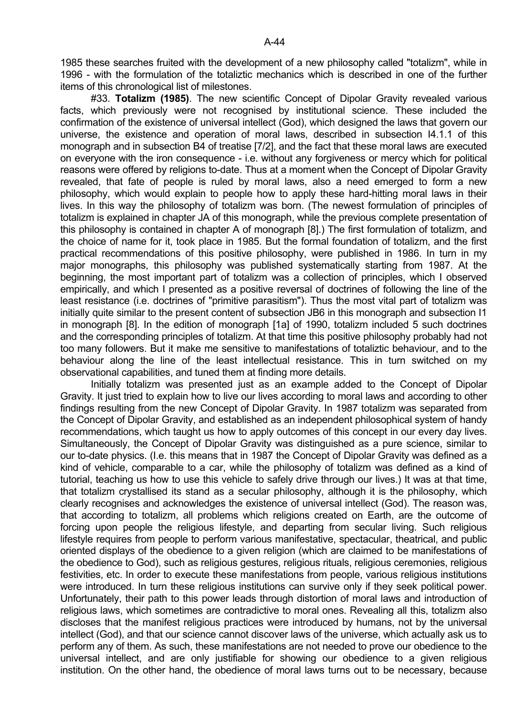1985 these searches fruited with the development of a new philosophy called "totalizm", while in 1996 - with the formulation of the totaliztic mechanics which is described in one of the further items of this chronological list of milestones.

 #33. **Totalizm (1985)**. The new scientific Concept of Dipolar Gravity revealed various facts, which previously were not recognised by institutional science. These included the confirmation of the existence of universal intellect (God), which designed the laws that govern our universe, the existence and operation of moral laws, described in subsection I4.1.1 of this monograph and in subsection B4 of treatise [7/2], and the fact that these moral laws are executed on everyone with the iron consequence - i.e. without any forgiveness or mercy which for political reasons were offered by religions to-date. Thus at a moment when the Concept of Dipolar Gravity revealed, that fate of people is ruled by moral laws, also a need emerged to form a new philosophy, which would explain to people how to apply these hard-hitting moral laws in their lives. In this way the philosophy of totalizm was born. (The newest formulation of principles of totalizm is explained in chapter JA of this monograph, while the previous complete presentation of this philosophy is contained in chapter A of monograph [8].) The first formulation of totalizm, and the choice of name for it, took place in 1985. But the formal foundation of totalizm, and the first practical recommendations of this positive philosophy, were published in 1986. In turn in my major monographs, this philosophy was published systematically starting from 1987. At the beginning, the most important part of totalizm was a collection of principles, which I observed empirically, and which I presented as a positive reversal of doctrines of following the line of the least resistance (i.e. doctrines of "primitive parasitism"). Thus the most vital part of totalizm was initially quite similar to the present content of subsection JB6 in this monograph and subsection I1 in monograph [8]. In the edition of monograph [1a] of 1990, totalizm included 5 such doctrines and the corresponding principles of totalizm. At that time this positive philosophy probably had not too many followers. But it make me sensitive to manifestations of totaliztic behaviour, and to the behaviour along the line of the least intellectual resistance. This in turn switched on my observational capabilities, and tuned them at finding more details.

 Initially totalizm was presented just as an example added to the Concept of Dipolar Gravity. It just tried to explain how to live our lives according to moral laws and according to other findings resulting from the new Concept of Dipolar Gravity. In 1987 totalizm was separated from the Concept of Dipolar Gravity, and established as an independent philosophical system of handy recommendations, which taught us how to apply outcomes of this concept in our every day lives. Simultaneously, the Concept of Dipolar Gravity was distinguished as a pure science, similar to our to-date physics. (I.e. this means that in 1987 the Concept of Dipolar Gravity was defined as a kind of vehicle, comparable to a car, while the philosophy of totalizm was defined as a kind of tutorial, teaching us how to use this vehicle to safely drive through our lives.) It was at that time, that totalizm crystallised its stand as a secular philosophy, although it is the philosophy, which clearly recognises and acknowledges the existence of universal intellect (God). The reason was, that according to totalizm, all problems which religions created on Earth, are the outcome of forcing upon people the religious lifestyle, and departing from secular living. Such religious lifestyle requires from people to perform various manifestative, spectacular, theatrical, and public oriented displays of the obedience to a given religion (which are claimed to be manifestations of the obedience to God), such as religious gestures, religious rituals, religious ceremonies, religious festivities, etc. In order to execute these manifestations from people, various religious institutions were introduced. In turn these religious institutions can survive only if they seek political power. Unfortunately, their path to this power leads through distortion of moral laws and introduction of religious laws, which sometimes are contradictive to moral ones. Revealing all this, totalizm also discloses that the manifest religious practices were introduced by humans, not by the universal intellect (God), and that our science cannot discover laws of the universe, which actually ask us to perform any of them. As such, these manifestations are not needed to prove our obedience to the universal intellect, and are only justifiable for showing our obedience to a given religious institution. On the other hand, the obedience of moral laws turns out to be necessary, because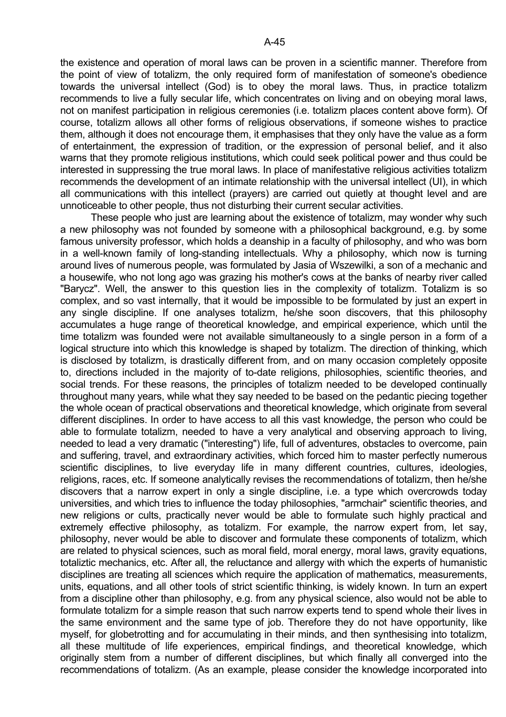the existence and operation of moral laws can be proven in a scientific manner. Therefore from the point of view of totalizm, the only required form of manifestation of someone's obedience towards the universal intellect (God) is to obey the moral laws. Thus, in practice totalizm recommends to live a fully secular life, which concentrates on living and on obeying moral laws, not on manifest participation in religious ceremonies (i.e. totalizm places content above form). Of course, totalizm allows all other forms of religious observations, if someone wishes to practice them, although it does not encourage them, it emphasises that they only have the value as a form of entertainment, the expression of tradition, or the expression of personal belief, and it also warns that they promote religious institutions, which could seek political power and thus could be interested in suppressing the true moral laws. In place of manifestative religious activities totalizm recommends the development of an intimate relationship with the universal intellect (UI), in which all communications with this intellect (prayers) are carried out quietly at thought level and are unnoticeable to other people, thus not disturbing their current secular activities.

 These people who just are learning about the existence of totalizm, may wonder why such a new philosophy was not founded by someone with a philosophical background, e.g. by some famous university professor, which holds a deanship in a faculty of philosophy, and who was born in a well-known family of long-standing intellectuals. Why a philosophy, which now is turning around lives of numerous people, was formulated by Jasia of Wszewilki, a son of a mechanic and a housewife, who not long ago was grazing his mother's cows at the banks of nearby river called "Barycz". Well, the answer to this question lies in the complexity of totalizm. Totalizm is so complex, and so vast internally, that it would be impossible to be formulated by just an expert in any single discipline. If one analyses totalizm, he/she soon discovers, that this philosophy accumulates a huge range of theoretical knowledge, and empirical experience, which until the time totalizm was founded were not available simultaneously to a single person in a form of a logical structure into which this knowledge is shaped by totalizm. The direction of thinking, which is disclosed by totalizm, is drastically different from, and on many occasion completely opposite to, directions included in the majority of to-date religions, philosophies, scientific theories, and social trends. For these reasons, the principles of totalizm needed to be developed continually throughout many years, while what they say needed to be based on the pedantic piecing together the whole ocean of practical observations and theoretical knowledge, which originate from several different disciplines. In order to have access to all this vast knowledge, the person who could be able to formulate totalizm, needed to have a very analytical and observing approach to living, needed to lead a very dramatic ("interesting") life, full of adventures, obstacles to overcome, pain and suffering, travel, and extraordinary activities, which forced him to master perfectly numerous scientific disciplines, to live everyday life in many different countries, cultures, ideologies, religions, races, etc. If someone analytically revises the recommendations of totalizm, then he/she discovers that a narrow expert in only a single discipline, i.e. a type which overcrowds today universities, and which tries to influence the today philosophies, "armchair" scientific theories, and new religions or cults, practically never would be able to formulate such highly practical and extremely effective philosophy, as totalizm. For example, the narrow expert from, let say, philosophy, never would be able to discover and formulate these components of totalizm, which are related to physical sciences, such as moral field, moral energy, moral laws, gravity equations, totaliztic mechanics, etc. After all, the reluctance and allergy with which the experts of humanistic disciplines are treating all sciences which require the application of mathematics, measurements, units, equations, and all other tools of strict scientific thinking, is widely known. In turn an expert from a discipline other than philosophy, e.g. from any physical science, also would not be able to formulate totalizm for a simple reason that such narrow experts tend to spend whole their lives in the same environment and the same type of job. Therefore they do not have opportunity, like myself, for globetrotting and for accumulating in their minds, and then synthesising into totalizm, all these multitude of life experiences, empirical findings, and theoretical knowledge, which originally stem from a number of different disciplines, but which finally all converged into the recommendations of totalizm. (As an example, please consider the knowledge incorporated into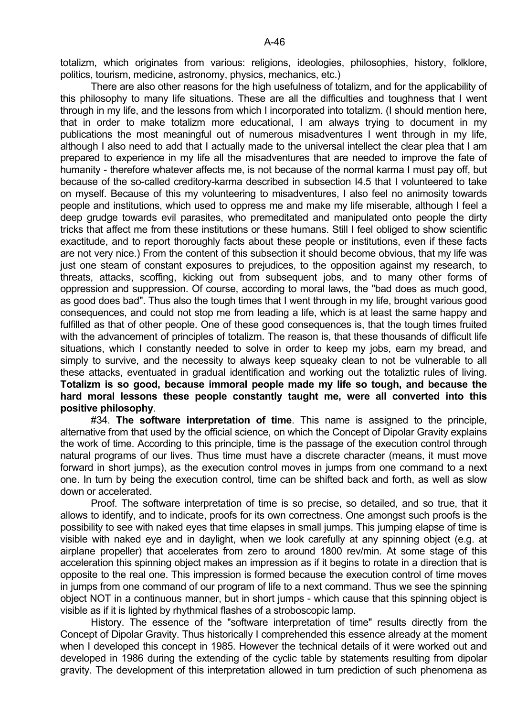totalizm, which originates from various: religions, ideologies, philosophies, history, folklore, politics, tourism, medicine, astronomy, physics, mechanics, etc.)

 There are also other reasons for the high usefulness of totalizm, and for the applicability of this philosophy to many life situations. These are all the difficulties and toughness that I went through in my life, and the lessons from which I incorporated into totalizm. (I should mention here, that in order to make totalizm more educational, I am always trying to document in my publications the most meaningful out of numerous misadventures I went through in my life, although I also need to add that I actually made to the universal intellect the clear plea that I am prepared to experience in my life all the misadventures that are needed to improve the fate of humanity - therefore whatever affects me, is not because of the normal karma I must pay off, but because of the so-called creditory-karma described in subsection I4.5 that I volunteered to take on myself. Because of this my volunteering to misadventures, I also feel no animosity towards people and institutions, which used to oppress me and make my life miserable, although I feel a deep grudge towards evil parasites, who premeditated and manipulated onto people the dirty tricks that affect me from these institutions or these humans. Still I feel obliged to show scientific exactitude, and to report thoroughly facts about these people or institutions, even if these facts are not very nice.) From the content of this subsection it should become obvious, that my life was just one steam of constant exposures to prejudices, to the opposition against my research, to threats, attacks, scoffing, kicking out from subsequent jobs, and to many other forms of oppression and suppression. Of course, according to moral laws, the "bad does as much good, as good does bad". Thus also the tough times that I went through in my life, brought various good consequences, and could not stop me from leading a life, which is at least the same happy and fulfilled as that of other people. One of these good consequences is, that the tough times fruited with the advancement of principles of totalizm. The reason is, that these thousands of difficult life situations, which I constantly needed to solve in order to keep my jobs, earn my bread, and simply to survive, and the necessity to always keep squeaky clean to not be vulnerable to all these attacks, eventuated in gradual identification and working out the totaliztic rules of living. **Totalizm is so good, because immoral people made my life so tough, and because the hard moral lessons these people constantly taught me, were all converted into this positive philosophy**.

 #34. **The software interpretation of time**. This name is assigned to the principle, alternative from that used by the official science, on which the Concept of Dipolar Gravity explains the work of time. According to this principle, time is the passage of the execution control through natural programs of our lives. Thus time must have a discrete character (means, it must move forward in short jumps), as the execution control moves in jumps from one command to a next one. In turn by being the execution control, time can be shifted back and forth, as well as slow down or accelerated.

 Proof. The software interpretation of time is so precise, so detailed, and so true, that it allows to identify, and to indicate, proofs for its own correctness. One amongst such proofs is the possibility to see with naked eyes that time elapses in small jumps. This jumping elapse of time is visible with naked eye and in daylight, when we look carefully at any spinning object (e.g. at airplane propeller) that accelerates from zero to around 1800 rev/min. At some stage of this acceleration this spinning object makes an impression as if it begins to rotate in a direction that is opposite to the real one. This impression is formed because the execution control of time moves in jumps from one command of our program of life to a next command. Thus we see the spinning object NOT in a continuous manner, but in short jumps - which cause that this spinning object is visible as if it is lighted by rhythmical flashes of a stroboscopic lamp.

 History. The essence of the "software interpretation of time" results directly from the Concept of Dipolar Gravity. Thus historically I comprehended this essence already at the moment when I developed this concept in 1985. However the technical details of it were worked out and developed in 1986 during the extending of the cyclic table by statements resulting from dipolar gravity. The development of this interpretation allowed in turn prediction of such phenomena as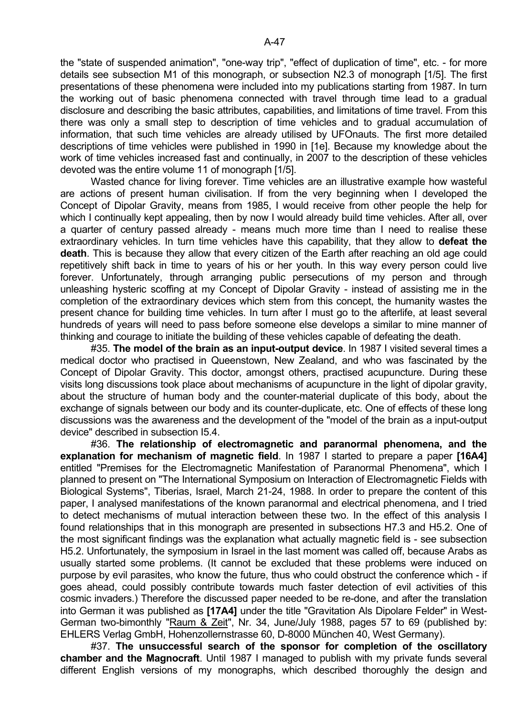the "state of suspended animation", "one-way trip", "effect of duplication of time", etc. - for more details see subsection M1 of this monograph, or subsection N2.3 of monograph [1/5]. The first presentations of these phenomena were included into my publications starting from 1987. In turn the working out of basic phenomena connected with travel through time lead to a gradual disclosure and describing the basic attributes, capabilities, and limitations of time travel. From this there was only a small step to description of time vehicles and to gradual accumulation of information, that such time vehicles are already utilised by UFOnauts. The first more detailed descriptions of time vehicles were published in 1990 in [1e]. Because my knowledge about the work of time vehicles increased fast and continually, in 2007 to the description of these vehicles devoted was the entire volume 11 of monograph [1/5].

 Wasted chance for living forever. Time vehicles are an illustrative example how wasteful are actions of present human civilisation. If from the very beginning when I developed the Concept of Dipolar Gravity, means from 1985, I would receive from other people the help for which I continually kept appealing, then by now I would already build time vehicles. After all, over a quarter of century passed already - means much more time than I need to realise these extraordinary vehicles. In turn time vehicles have this capability, that they allow to **defeat the death**. This is because they allow that every citizen of the Earth after reaching an old age could repetitively shift back in time to years of his or her youth. In this way every person could live forever. Unfortunately, through arranging public persecutions of my person and through unleashing hysteric scoffing at my Concept of Dipolar Gravity - instead of assisting me in the completion of the extraordinary devices which stem from this concept, the humanity wastes the present chance for building time vehicles. In turn after I must go to the afterlife, at least several hundreds of years will need to pass before someone else develops a similar to mine manner of thinking and courage to initiate the building of these vehicles capable of defeating the death.

 #35. **The model of the brain as an input-output device**. In 1987 I visited several times a medical doctor who practised in Queenstown, New Zealand, and who was fascinated by the Concept of Dipolar Gravity. This doctor, amongst others, practised acupuncture. During these visits long discussions took place about mechanisms of acupuncture in the light of dipolar gravity, about the structure of human body and the counter-material duplicate of this body, about the exchange of signals between our body and its counter-duplicate, etc. One of effects of these long discussions was the awareness and the development of the "model of the brain as a input-output device" described in subsection I5.4.

 #36. **The relationship of electromagnetic and paranormal phenomena, and the explanation for mechanism of magnetic field**. In 1987 I started to prepare a paper **[16A4]** entitled "Premises for the Electromagnetic Manifestation of Paranormal Phenomena", which I planned to present on "The International Symposium on Interaction of Electromagnetic Fields with Biological Systems", Tiberias, Israel, March 21-24, 1988. In order to prepare the content of this paper, I analysed manifestations of the known paranormal and electrical phenomena, and I tried to detect mechanisms of mutual interaction between these two. In the effect of this analysis I found relationships that in this monograph are presented in subsections H7.3 and H5.2. One of the most significant findings was the explanation what actually magnetic field is - see subsection H5.2. Unfortunately, the symposium in Israel in the last moment was called off, because Arabs as usually started some problems. (It cannot be excluded that these problems were induced on purpose by evil parasites, who know the future, thus who could obstruct the conference which - if goes ahead, could possibly contribute towards much faster detection of evil activities of this cosmic invaders.) Therefore the discussed paper needed to be re-done, and after the translation into German it was published as **[17A4]** under the title "Gravitation Als Dipolare Felder" in West-German two-bimonthly "Raum & Zeit", Nr. 34, June/July 1988, pages 57 to 69 (published by: EHLERS Verlag GmbH, Hohenzollernstrasse 60, D-8000 München 40, West Germany).

 #37. **The unsuccessful search of the sponsor for completion of the oscillatory chamber and the Magnocraft**. Until 1987 I managed to publish with my private funds several different English versions of my monographs, which described thoroughly the design and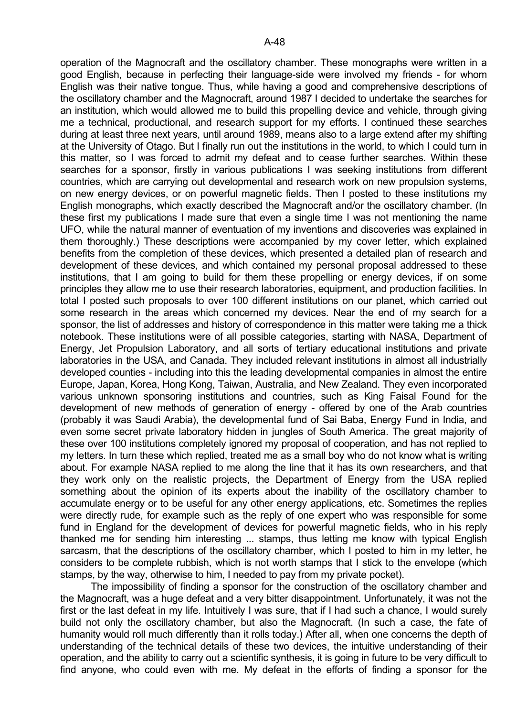operation of the Magnocraft and the oscillatory chamber. These monographs were written in a good English, because in perfecting their language-side were involved my friends - for whom English was their native tongue. Thus, while having a good and comprehensive descriptions of the oscillatory chamber and the Magnocraft, around 1987 I decided to undertake the searches for an institution, which would allowed me to build this propelling device and vehicle, through giving me a technical, productional, and research support for my efforts. I continued these searches during at least three next years, until around 1989, means also to a large extend after my shifting at the University of Otago. But I finally run out the institutions in the world, to which I could turn in this matter, so I was forced to admit my defeat and to cease further searches. Within these searches for a sponsor, firstly in various publications I was seeking institutions from different countries, which are carrying out developmental and research work on new propulsion systems, on new energy devices, or on powerful magnetic fields. Then I posted to these institutions my English monographs, which exactly described the Magnocraft and/or the oscillatory chamber. (In these first my publications I made sure that even a single time I was not mentioning the name UFO, while the natural manner of eventuation of my inventions and discoveries was explained in them thoroughly.) These descriptions were accompanied by my cover letter, which explained benefits from the completion of these devices, which presented a detailed plan of research and development of these devices, and which contained my personal proposal addressed to these institutions, that I am going to build for them these propelling or energy devices, if on some principles they allow me to use their research laboratories, equipment, and production facilities. In total I posted such proposals to over 100 different institutions on our planet, which carried out some research in the areas which concerned my devices. Near the end of my search for a sponsor, the list of addresses and history of correspondence in this matter were taking me a thick notebook. These institutions were of all possible categories, starting with NASA, Department of Energy, Jet Propulsion Laboratory, and all sorts of tertiary educational institutions and private laboratories in the USA, and Canada. They included relevant institutions in almost all industrially developed counties - including into this the leading developmental companies in almost the entire Europe, Japan, Korea, Hong Kong, Taiwan, Australia, and New Zealand. They even incorporated various unknown sponsoring institutions and countries, such as King Faisal Found for the development of new methods of generation of energy - offered by one of the Arab countries (probably it was Saudi Arabia), the developmental fund of Sai Baba, Energy Fund in India, and even some secret private laboratory hidden in jungles of South America. The great majority of these over 100 institutions completely ignored my proposal of cooperation, and has not replied to my letters. In turn these which replied, treated me as a small boy who do not know what is writing about. For example NASA replied to me along the line that it has its own researchers, and that they work only on the realistic projects, the Department of Energy from the USA replied something about the opinion of its experts about the inability of the oscillatory chamber to accumulate energy or to be useful for any other energy applications, etc. Sometimes the replies were directly rude, for example such as the reply of one expert who was responsible for some fund in England for the development of devices for powerful magnetic fields, who in his reply thanked me for sending him interesting ... stamps, thus letting me know with typical English sarcasm, that the descriptions of the oscillatory chamber, which I posted to him in my letter, he considers to be complete rubbish, which is not worth stamps that I stick to the envelope (which stamps, by the way, otherwise to him, I needed to pay from my private pocket).

 The impossibility of finding a sponsor for the construction of the oscillatory chamber and the Magnocraft, was a huge defeat and a very bitter disappointment. Unfortunately, it was not the first or the last defeat in my life. Intuitively I was sure, that if I had such a chance, I would surely build not only the oscillatory chamber, but also the Magnocraft. (In such a case, the fate of humanity would roll much differently than it rolls today.) After all, when one concerns the depth of understanding of the technical details of these two devices, the intuitive understanding of their operation, and the ability to carry out a scientific synthesis, it is going in future to be very difficult to find anyone, who could even with me. My defeat in the efforts of finding a sponsor for the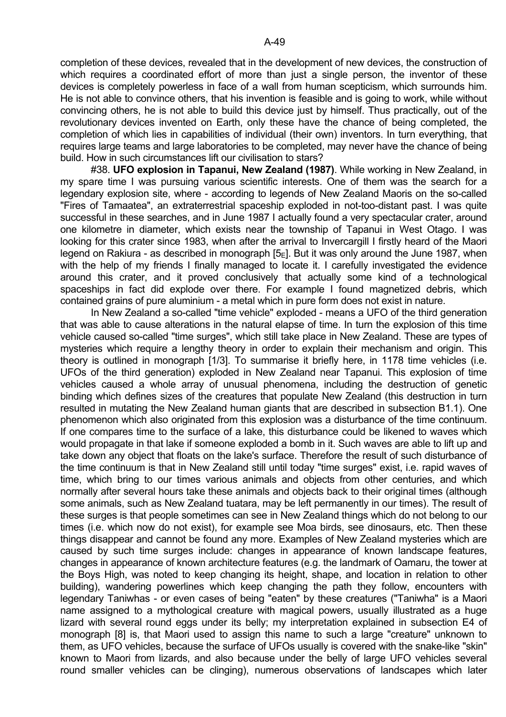completion of these devices, revealed that in the development of new devices, the construction of which requires a coordinated effort of more than just a single person, the inventor of these devices is completely powerless in face of a wall from human scepticism, which surrounds him. He is not able to convince others, that his invention is feasible and is going to work, while without convincing others, he is not able to build this device just by himself. Thus practically, out of the revolutionary devices invented on Earth, only these have the chance of being completed, the completion of which lies in capabilities of individual (their own) inventors. In turn everything, that requires large teams and large laboratories to be completed, may never have the chance of being build. How in such circumstances lift our civilisation to stars?

 #38. **UFO explosion in Tapanui, New Zealand (1987)**. While working in New Zealand, in my spare time I was pursuing various scientific interests. One of them was the search for a legendary explosion site, where - according to legends of New Zealand Maoris on the so-called "Fires of Tamaatea", an extraterrestrial spaceship exploded in not-too-distant past. I was quite successful in these searches, and in June 1987 I actually found a very spectacular crater, around one kilometre in diameter, which exists near the township of Tapanui in West Otago. I was looking for this crater since 1983, when after the arrival to Invercargill I firstly heard of the Maori legend on Rakiura - as described in monograph  $[5_F]$ . But it was only around the June 1987, when with the help of my friends I finally managed to locate it. I carefully investigated the evidence around this crater, and it proved conclusively that actually some kind of a technological spaceships in fact did explode over there. For example I found magnetized debris, which contained grains of pure aluminium - a metal which in pure form does not exist in nature.

 In New Zealand a so-called "time vehicle" exploded - means a UFO of the third generation that was able to cause alterations in the natural elapse of time. In turn the explosion of this time vehicle caused so-called "time surges", which still take place in New Zealand. These are types of mysteries which require a lengthy theory in order to explain their mechanism and origin. This theory is outlined in monograph [1/3]. To summarise it briefly here, in 1178 time vehicles (i.e. UFOs of the third generation) exploded in New Zealand near Tapanui. This explosion of time vehicles caused a whole array of unusual phenomena, including the destruction of genetic binding which defines sizes of the creatures that populate New Zealand (this destruction in turn resulted in mutating the New Zealand human giants that are described in subsection B1.1). One phenomenon which also originated from this explosion was a disturbance of the time continuum. If one compares time to the surface of a lake, this disturbance could be likened to waves which would propagate in that lake if someone exploded a bomb in it. Such waves are able to lift up and take down any object that floats on the lake's surface. Therefore the result of such disturbance of the time continuum is that in New Zealand still until today "time surges" exist, i.e. rapid waves of time, which bring to our times various animals and objects from other centuries, and which normally after several hours take these animals and objects back to their original times (although some animals, such as New Zealand tuatara, may be left permanently in our times). The result of these surges is that people sometimes can see in New Zealand things which do not belong to our times (i.e. which now do not exist), for example see Moa birds, see dinosaurs, etc. Then these things disappear and cannot be found any more. Examples of New Zealand mysteries which are caused by such time surges include: changes in appearance of known landscape features, changes in appearance of known architecture features (e.g. the landmark of Oamaru, the tower at the Boys High, was noted to keep changing its height, shape, and location in relation to other building), wandering powerlines which keep changing the path they follow, encounters with legendary Taniwhas - or even cases of being "eaten" by these creatures ("Taniwha" is a Maori name assigned to a mythological creature with magical powers, usually illustrated as a huge lizard with several round eggs under its belly; my interpretation explained in subsection E4 of monograph [8] is, that Maori used to assign this name to such a large "creature" unknown to them, as UFO vehicles, because the surface of UFOs usually is covered with the snake-like "skin" known to Maori from lizards, and also because under the belly of large UFO vehicles several round smaller vehicles can be clinging), numerous observations of landscapes which later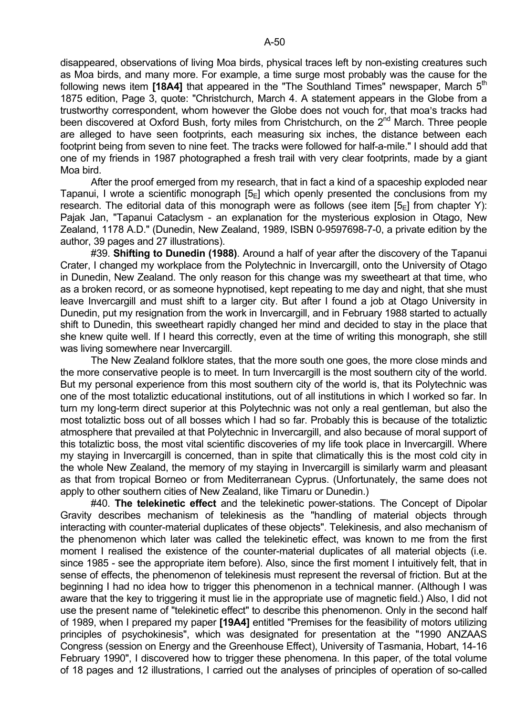disappeared, observations of living Moa birds, physical traces left by non-existing creatures such as Moa birds, and many more. For example, a time surge most probably was the cause for the following news item **[18A4]** that appeared in the "The Southland Times" newspaper, March 5<sup>th</sup> 1875 edition, Page 3, quote: "Christchurch, March 4. A statement appears in the Globe from a trustworthy correspondent, whom however the Globe does not vouch for, that moa's tracks had been discovered at Oxford Bush, forty miles from Christchurch, on the 2<sup>nd</sup> March. Three people are alleged to have seen footprints, each measuring six inches, the distance between each footprint being from seven to nine feet. The tracks were followed for half-a-mile." I should add that one of my friends in 1987 photographed a fresh trail with very clear footprints, made by a giant Moa bird.

 After the proof emerged from my research, that in fact a kind of a spaceship exploded near Tapanui, I wrote a scientific monograph  $[5_F]$  which openly presented the conclusions from my research. The editorial data of this monograph were as follows (see item  $[5_F]$  from chapter Y): Pajak Jan, "Tapanui Cataclysm - an explanation for the mysterious explosion in Otago, New Zealand, 1178 A.D." (Dunedin, New Zealand, 1989, ISBN 0-9597698-7-0, a private edition by the author, 39 pages and 27 illustrations).

 #39. **Shifting to Dunedin (1988)**. Around a half of year after the discovery of the Tapanui Crater, I changed my workplace from the Polytechnic in Invercargill, onto the University of Otago in Dunedin, New Zealand. The only reason for this change was my sweetheart at that time, who as a broken record, or as someone hypnotised, kept repeating to me day and night, that she must leave Invercargill and must shift to a larger city. But after I found a job at Otago University in Dunedin, put my resignation from the work in Invercargill, and in February 1988 started to actually shift to Dunedin, this sweetheart rapidly changed her mind and decided to stay in the place that she knew quite well. If I heard this correctly, even at the time of writing this monograph, she still was living somewhere near Invercargill.

 The New Zealand folklore states, that the more south one goes, the more close minds and the more conservative people is to meet. In turn Invercargill is the most southern city of the world. But my personal experience from this most southern city of the world is, that its Polytechnic was one of the most totaliztic educational institutions, out of all institutions in which I worked so far. In turn my long-term direct superior at this Polytechnic was not only a real gentleman, but also the most totaliztic boss out of all bosses which I had so far. Probably this is because of the totaliztic atmosphere that prevailed at that Polytechnic in Invercargill, and also because of moral support of this totaliztic boss, the most vital scientific discoveries of my life took place in Invercargill. Where my staying in Invercargill is concerned, than in spite that climatically this is the most cold city in the whole New Zealand, the memory of my staying in Invercargill is similarly warm and pleasant as that from tropical Borneo or from Mediterranean Cyprus. (Unfortunately, the same does not apply to other southern cities of New Zealand, like Timaru or Dunedin.)

 #40. **The telekinetic effect** and the telekinetic power-stations. The Concept of Dipolar Gravity describes mechanism of telekinesis as the "handling of material objects through interacting with counter-material duplicates of these objects". Telekinesis, and also mechanism of the phenomenon which later was called the telekinetic effect, was known to me from the first moment I realised the existence of the counter-material duplicates of all material objects (i.e. since 1985 - see the appropriate item before). Also, since the first moment I intuitively felt, that in sense of effects, the phenomenon of telekinesis must represent the reversal of friction. But at the beginning I had no idea how to trigger this phenomenon in a technical manner. (Although I was aware that the key to triggering it must lie in the appropriate use of magnetic field.) Also, I did not use the present name of "telekinetic effect" to describe this phenomenon. Only in the second half of 1989, when I prepared my paper **[19A4]** entitled "Premises for the feasibility of motors utilizing principles of psychokinesis", which was designated for presentation at the "1990 ANZAAS Congress (session on Energy and the Greenhouse Effect), University of Tasmania, Hobart, 14-16 February 1990", I discovered how to trigger these phenomena. In this paper, of the total volume of 18 pages and 12 illustrations, I carried out the analyses of principles of operation of so-called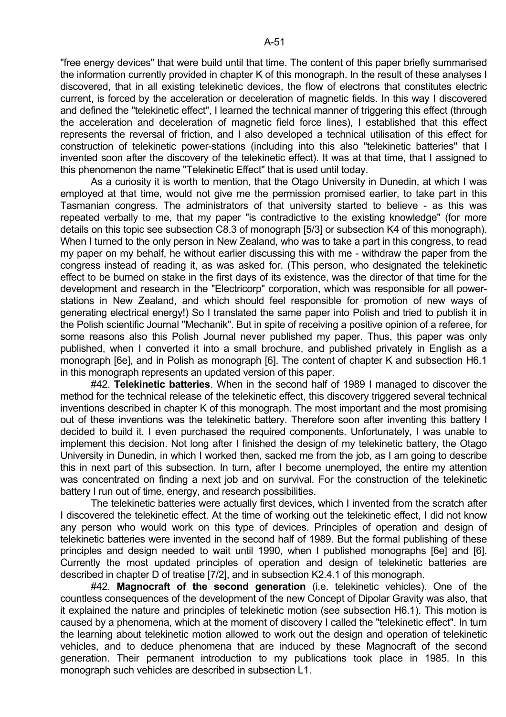"free energy devices" that were build until that time. The content of this paper briefly summarised the information currently provided in chapter K of this monograph. In the result of these analyses I discovered, that in all existing telekinetic devices, the flow of electrons that constitutes electric current, is forced by the acceleration or deceleration of magnetic fields. In this way I discovered and defined the "telekinetic effect", I learned the technical manner of triggering this effect (through the acceleration and deceleration of magnetic field force lines), I established that this effect represents the reversal of friction, and I also developed a technical utilisation of this effect for construction of telekinetic power-stations (including into this also "telekinetic batteries" that I invented soon after the discovery of the telekinetic effect). It was at that time, that I assigned to this phenomenon the name "Telekinetic Effect" that is used until today.

 As a curiosity it is worth to mention, that the Otago University in Dunedin, at which I was employed at that time, would not give me the permission promised earlier, to take part in this Tasmanian congress. The administrators of that university started to believe - as this was repeated verbally to me, that my paper "is contradictive to the existing knowledge" (for more details on this topic see subsection C8.3 of monograph [5/3] or subsection K4 of this monograph). When I turned to the only person in New Zealand, who was to take a part in this congress, to read my paper on my behalf, he without earlier discussing this with me - withdraw the paper from the congress instead of reading it, as was asked for. (This person, who designated the telekinetic effect to be burned on stake in the first days of its existence, was the director of that time for the development and research in the "Electricorp" corporation, which was responsible for all powerstations in New Zealand, and which should feel responsible for promotion of new ways of generating electrical energy!) So I translated the same paper into Polish and tried to publish it in the Polish scientific Journal "Mechanik". But in spite of receiving a positive opinion of a referee, for some reasons also this Polish Journal never published my paper. Thus, this paper was only published, when I converted it into a small brochure, and published privately in English as a monograph [6e], and in Polish as monograph [6]. The content of chapter K and subsection H6.1 in this monograph represents an updated version of this paper.

 #42. **Telekinetic batteries**. When in the second half of 1989 I managed to discover the method for the technical release of the telekinetic effect, this discovery triggered several technical inventions described in chapter K of this monograph. The most important and the most promising out of these inventions was the telekinetic battery. Therefore soon after inventing this battery I decided to build it. I even purchased the required components. Unfortunately, I was unable to implement this decision. Not long after I finished the design of my telekinetic battery, the Otago University in Dunedin, in which I worked then, sacked me from the job, as I am going to describe this in next part of this subsection. In turn, after I become unemployed, the entire my attention was concentrated on finding a next job and on survival. For the construction of the telekinetic battery I run out of time, energy, and research possibilities.

 The telekinetic batteries were actually first devices, which I invented from the scratch after I discovered the telekinetic effect. At the time of working out the telekinetic effect, I did not know any person who would work on this type of devices. Principles of operation and design of telekinetic batteries were invented in the second half of 1989. But the formal publishing of these principles and design needed to wait until 1990, when I published monographs [6e] and [6]. Currently the most updated principles of operation and design of telekinetic batteries are described in chapter D of treatise [7/2], and in subsection K2.4.1 of this monograph.

 #42. **Magnocraft of the second generation** (i.e. telekinetic vehicles). One of the countless consequences of the development of the new Concept of Dipolar Gravity was also, that it explained the nature and principles of telekinetic motion (see subsection H6.1). This motion is caused by a phenomena, which at the moment of discovery I called the "telekinetic effect". In turn the learning about telekinetic motion allowed to work out the design and operation of telekinetic vehicles, and to deduce phenomena that are induced by these Magnocraft of the second generation. Their permanent introduction to my publications took place in 1985. In this monograph such vehicles are described in subsection L1.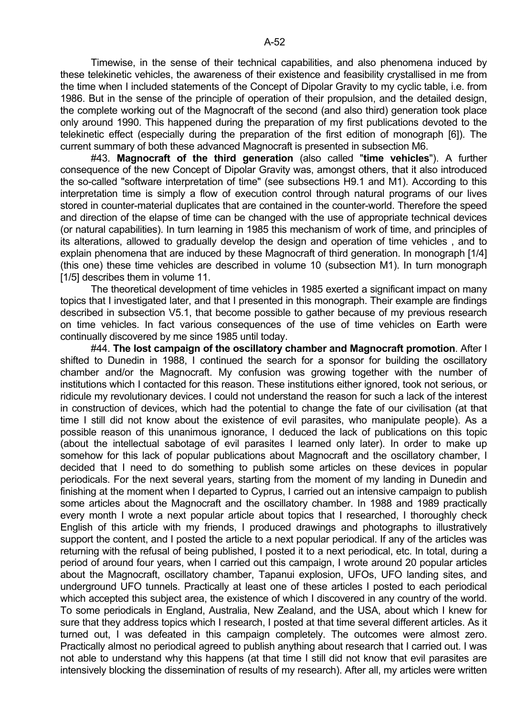Timewise, in the sense of their technical capabilities, and also phenomena induced by these telekinetic vehicles, the awareness of their existence and feasibility crystallised in me from the time when I included statements of the Concept of Dipolar Gravity to my cyclic table, i.e. from 1986. But in the sense of the principle of operation of their propulsion, and the detailed design, the complete working out of the Magnocraft of the second (and also third) generation took place only around 1990. This happened during the preparation of my first publications devoted to the telekinetic effect (especially during the preparation of the first edition of monograph [6]). The current summary of both these advanced Magnocraft is presented in subsection M6.

 #43. **Magnocraft of the third generation** (also called "**time vehicles**"). A further consequence of the new Concept of Dipolar Gravity was, amongst others, that it also introduced the so-called "software interpretation of time" (see subsections H9.1 and M1). According to this interpretation time is simply a flow of execution control through natural programs of our lives stored in counter-material duplicates that are contained in the counter-world. Therefore the speed and direction of the elapse of time can be changed with the use of appropriate technical devices (or natural capabilities). In turn learning in 1985 this mechanism of work of time, and principles of its alterations, allowed to gradually develop the design and operation of time vehicles , and to explain phenomena that are induced by these Magnocraft of third generation. In monograph [1/4] (this one) these time vehicles are described in volume 10 (subsection M1). In turn monograph [1/5] describes them in volume 11.

 The theoretical development of time vehicles in 1985 exerted a significant impact on many topics that I investigated later, and that I presented in this monograph. Their example are findings described in subsection V5.1, that become possible to gather because of my previous research on time vehicles. In fact various consequences of the use of time vehicles on Earth were continually discovered by me since 1985 until today.

 #44. **The lost campaign of the oscillatory chamber and Magnocraft promotion**. After I shifted to Dunedin in 1988, I continued the search for a sponsor for building the oscillatory chamber and/or the Magnocraft. My confusion was growing together with the number of institutions which I contacted for this reason. These institutions either ignored, took not serious, or ridicule my revolutionary devices. I could not understand the reason for such a lack of the interest in construction of devices, which had the potential to change the fate of our civilisation (at that time I still did not know about the existence of evil parasites, who manipulate people). As a possible reason of this unanimous ignorance, I deduced the lack of publications on this topic (about the intellectual sabotage of evil parasites I learned only later). In order to make up somehow for this lack of popular publications about Magnocraft and the oscillatory chamber. I decided that I need to do something to publish some articles on these devices in popular periodicals. For the next several years, starting from the moment of my landing in Dunedin and finishing at the moment when I departed to Cyprus, I carried out an intensive campaign to publish some articles about the Magnocraft and the oscillatory chamber. In 1988 and 1989 practically every month I wrote a next popular article about topics that I researched, I thoroughly check English of this article with my friends, I produced drawings and photographs to illustratively support the content, and I posted the article to a next popular periodical. If any of the articles was returning with the refusal of being published, I posted it to a next periodical, etc. In total, during a period of around four years, when I carried out this campaign, I wrote around 20 popular articles about the Magnocraft, oscillatory chamber, Tapanui explosion, UFOs, UFO landing sites, and underground UFO tunnels. Practically at least one of these articles I posted to each periodical which accepted this subject area, the existence of which I discovered in any country of the world. To some periodicals in England, Australia, New Zealand, and the USA, about which I knew for sure that they address topics which I research, I posted at that time several different articles. As it turned out, I was defeated in this campaign completely. The outcomes were almost zero. Practically almost no periodical agreed to publish anything about research that I carried out. I was not able to understand why this happens (at that time I still did not know that evil parasites are intensively blocking the dissemination of results of my research). After all, my articles were written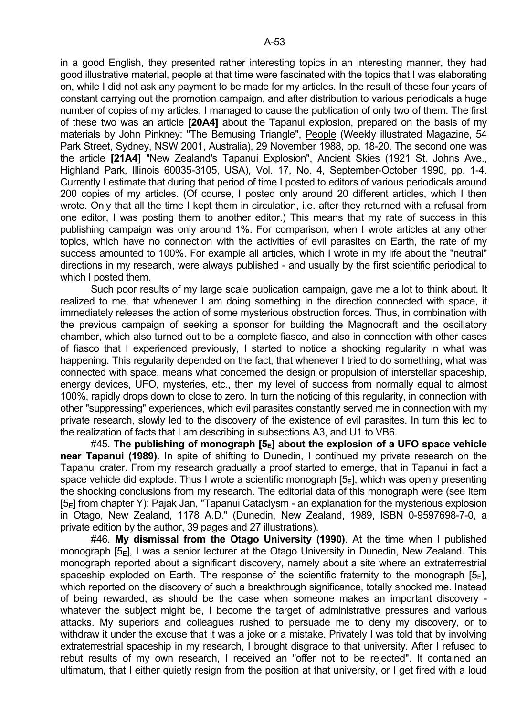in a good English, they presented rather interesting topics in an interesting manner, they had good illustrative material, people at that time were fascinated with the topics that I was elaborating on, while I did not ask any payment to be made for my articles. In the result of these four years of constant carrying out the promotion campaign, and after distribution to various periodicals a huge number of copies of my articles, I managed to cause the publication of only two of them. The first of these two was an article **[20A4]** about the Tapanui explosion, prepared on the basis of my materials by John Pinkney: "The Bemusing Triangle", People (Weekly illustrated Magazine, 54 Park Street, Sydney, NSW 2001, Australia), 29 November 1988, pp. 18-20. The second one was the article **[21A4]** "New Zealand's Tapanui Explosion", Ancient Skies (1921 St. Johns Ave., Highland Park, Illinois 60035-3105, USA), Vol. 17, No. 4, September-October 1990, pp. 1-4. Currently I estimate that during that period of time I posted to editors of various periodicals around 200 copies of my articles. (Of course, I posted only around 20 different articles, which I then wrote. Only that all the time I kept them in circulation, i.e. after they returned with a refusal from one editor, I was posting them to another editor.) This means that my rate of success in this publishing campaign was only around 1%. For comparison, when I wrote articles at any other topics, which have no connection with the activities of evil parasites on Earth, the rate of my success amounted to 100%. For example all articles, which I wrote in my life about the "neutral" directions in my research, were always published - and usually by the first scientific periodical to which I posted them.

 Such poor results of my large scale publication campaign, gave me a lot to think about. It realized to me, that whenever I am doing something in the direction connected with space, it immediately releases the action of some mysterious obstruction forces. Thus, in combination with the previous campaign of seeking a sponsor for building the Magnocraft and the oscillatory chamber, which also turned out to be a complete fiasco, and also in connection with other cases of fiasco that I experienced previously, I started to notice a shocking regularity in what was happening. This regularity depended on the fact, that whenever I tried to do something, what was connected with space, means what concerned the design or propulsion of interstellar spaceship, energy devices, UFO, mysteries, etc., then my level of success from normally equal to almost 100%, rapidly drops down to close to zero. In turn the noticing of this regularity, in connection with other "suppressing" experiences, which evil parasites constantly served me in connection with my private research, slowly led to the discovery of the existence of evil parasites. In turn this led to the realization of facts that I am describing in subsections A3, and U1 to VB6.

 #45. **The publishing of monograph [5E] about the explosion of a UFO space vehicle near Tapanui (1989)**. In spite of shifting to Dunedin, I continued my private research on the Tapanui crater. From my research gradually a proof started to emerge, that in Tapanui in fact a space vehicle did explode. Thus I wrote a scientific monograph  $[5_F]$ , which was openly presenting the shocking conclusions from my research. The editorial data of this monograph were (see item  $[5_F]$  from chapter Y): Pajak Jan, "Tapanui Cataclysm - an explanation for the mysterious explosion in Otago, New Zealand, 1178 A.D." (Dunedin, New Zealand, 1989, ISBN 0-9597698-7-0, a private edition by the author, 39 pages and 27 illustrations).

 #46. **My dismissal from the Otago University (1990)**. At the time when I published monograph  $[5_F]$ , I was a senior lecturer at the Otago University in Dunedin, New Zealand. This monograph reported about a significant discovery, namely about a site where an extraterrestrial spaceship exploded on Earth. The response of the scientific fraternity to the monograph  $[5_F]$ , which reported on the discovery of such a breakthrough significance, totally shocked me. Instead of being rewarded, as should be the case when someone makes an important discovery whatever the subject might be. I become the target of administrative pressures and various attacks. My superiors and colleagues rushed to persuade me to deny my discovery, or to withdraw it under the excuse that it was a joke or a mistake. Privately I was told that by involving extraterrestrial spaceship in my research, I brought disgrace to that university. After I refused to rebut results of my own research, I received an "offer not to be rejected". It contained an ultimatum, that I either quietly resign from the position at that university, or I get fired with a loud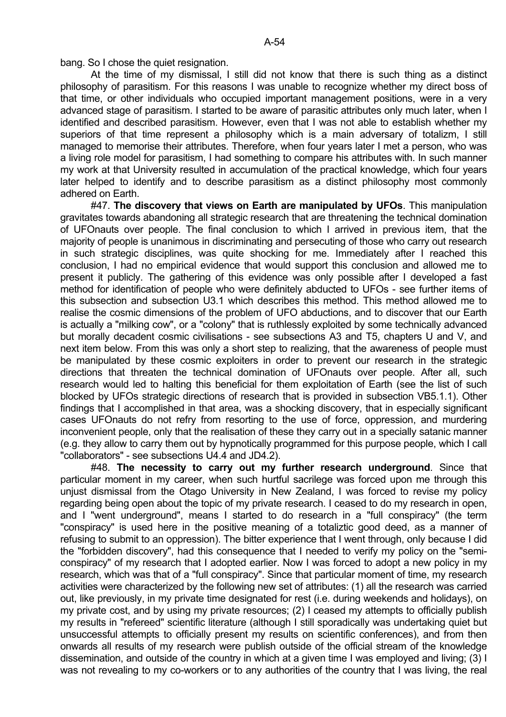bang. So I chose the quiet resignation.

 At the time of my dismissal, I still did not know that there is such thing as a distinct philosophy of parasitism. For this reasons I was unable to recognize whether my direct boss of that time, or other individuals who occupied important management positions, were in a very advanced stage of parasitism. I started to be aware of parasitic attributes only much later, when I identified and described parasitism. However, even that I was not able to establish whether my superiors of that time represent a philosophy which is a main adversary of totalizm, I still managed to memorise their attributes. Therefore, when four years later I met a person, who was a living role model for parasitism, I had something to compare his attributes with. In such manner my work at that University resulted in accumulation of the practical knowledge, which four years later helped to identify and to describe parasitism as a distinct philosophy most commonly adhered on Earth.

 #47. **The discovery that views on Earth are manipulated by UFOs**. This manipulation gravitates towards abandoning all strategic research that are threatening the technical domination of UFOnauts over people. The final conclusion to which I arrived in previous item, that the majority of people is unanimous in discriminating and persecuting of those who carry out research in such strategic disciplines, was quite shocking for me. Immediately after I reached this conclusion, I had no empirical evidence that would support this conclusion and allowed me to present it publicly. The gathering of this evidence was only possible after I developed a fast method for identification of people who were definitely abducted to UFOs - see further items of this subsection and subsection U3.1 which describes this method. This method allowed me to realise the cosmic dimensions of the problem of UFO abductions, and to discover that our Earth is actually a "milking cow", or a "colony" that is ruthlessly exploited by some technically advanced but morally decadent cosmic civilisations - see subsections A3 and T5, chapters U and V, and next item below. From this was only a short step to realizing, that the awareness of people must be manipulated by these cosmic exploiters in order to prevent our research in the strategic directions that threaten the technical domination of UFOnauts over people. After all, such research would led to halting this beneficial for them exploitation of Earth (see the list of such blocked by UFOs strategic directions of research that is provided in subsection VB5.1.1). Other findings that I accomplished in that area, was a shocking discovery, that in especially significant cases UFOnauts do not refry from resorting to the use of force, oppression, and murdering inconvenient people, only that the realisation of these they carry out in a specially satanic manner (e.g. they allow to carry them out by hypnotically programmed for this purpose people, which I call "collaborators" - see subsections U4.4 and JD4.2).

 #48. **The necessity to carry out my further research underground**. Since that particular moment in my career, when such hurtful sacrilege was forced upon me through this unjust dismissal from the Otago University in New Zealand, I was forced to revise my policy regarding being open about the topic of my private research. I ceased to do my research in open, and I "went underground", means I started to do research in a "full conspiracy" (the term "conspiracy" is used here in the positive meaning of a totaliztic good deed, as a manner of refusing to submit to an oppression). The bitter experience that I went through, only because I did the "forbidden discovery", had this consequence that I needed to verify my policy on the "semiconspiracy" of my research that I adopted earlier. Now I was forced to adopt a new policy in my research, which was that of a "full conspiracy". Since that particular moment of time, my research activities were characterized by the following new set of attributes: (1) all the research was carried out, like previously, in my private time designated for rest (i.e. during weekends and holidays), on my private cost, and by using my private resources; (2) I ceased my attempts to officially publish my results in "refereed" scientific literature (although I still sporadically was undertaking quiet but unsuccessful attempts to officially present my results on scientific conferences), and from then onwards all results of my research were publish outside of the official stream of the knowledge dissemination, and outside of the country in which at a given time I was employed and living; (3) I was not revealing to my co-workers or to any authorities of the country that I was living, the real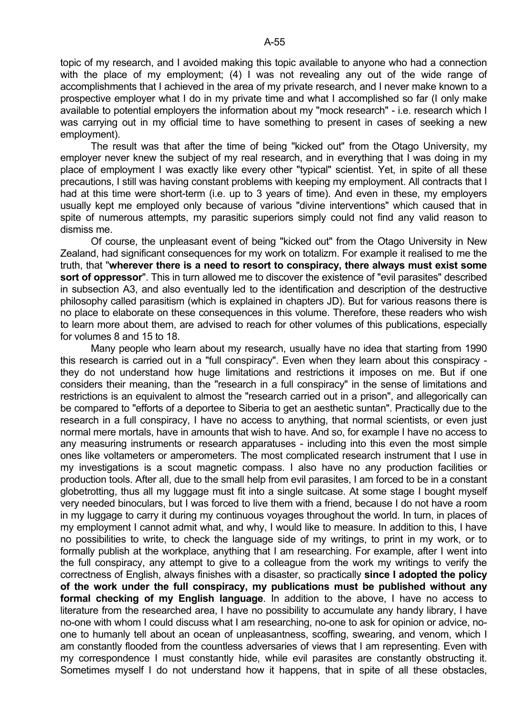topic of my research, and I avoided making this topic available to anyone who had a connection with the place of my employment; (4) I was not revealing any out of the wide range of accomplishments that I achieved in the area of my private research, and I never make known to a prospective employer what I do in my private time and what I accomplished so far (I only make available to potential employers the information about my "mock research" - i.e. research which I was carrying out in my official time to have something to present in cases of seeking a new employment).

 The result was that after the time of being "kicked out" from the Otago University, my employer never knew the subject of my real research, and in everything that I was doing in my place of employment I was exactly like every other "typical" scientist. Yet, in spite of all these precautions, I still was having constant problems with keeping my employment. All contracts that I had at this time were short-term (i.e. up to 3 years of time). And even in these, my employers usually kept me employed only because of various "divine interventions" which caused that in spite of numerous attempts, my parasitic superiors simply could not find any valid reason to dismiss me.

 Of course, the unpleasant event of being "kicked out" from the Otago University in New Zealand, had significant consequences for my work on totalizm. For example it realised to me the truth, that "**wherever there is a need to resort to conspiracy, there always must exist some sort of oppressor**". This in turn allowed me to discover the existence of "evil parasites" described in subsection A3, and also eventually led to the identification and description of the destructive philosophy called parasitism (which is explained in chapters JD). But for various reasons there is no place to elaborate on these consequences in this volume. Therefore, these readers who wish to learn more about them, are advised to reach for other volumes of this publications, especially for volumes 8 and 15 to 18.

 Many people who learn about my research, usually have no idea that starting from 1990 this research is carried out in a "full conspiracy". Even when they learn about this conspiracy they do not understand how huge limitations and restrictions it imposes on me. But if one considers their meaning, than the "research in a full conspiracy" in the sense of limitations and restrictions is an equivalent to almost the "research carried out in a prison", and allegorically can be compared to "efforts of a deportee to Siberia to get an aesthetic suntan". Practically due to the research in a full conspiracy, I have no access to anything, that normal scientists, or even just normal mere mortals, have in amounts that wish to have. And so, for example I have no access to any measuring instruments or research apparatuses - including into this even the most simple ones like voltameters or amperometers. The most complicated research instrument that I use in my investigations is a scout magnetic compass. I also have no any production facilities or production tools. After all, due to the small help from evil parasites, I am forced to be in a constant globetrotting, thus all my luggage must fit into a single suitcase. At some stage I bought myself very needed binoculars, but I was forced to live them with a friend, because I do not have a room in my luggage to carry it during my continuous voyages throughout the world. In turn, in places of my employment I cannot admit what, and why, I would like to measure. In addition to this, I have no possibilities to write, to check the language side of my writings, to print in my work, or to formally publish at the workplace, anything that I am researching. For example, after I went into the full conspiracy, any attempt to give to a colleague from the work my writings to verify the correctness of English, always finishes with a disaster, so practically **since I adopted the policy of the work under the full conspiracy, my publications must be published without any formal checking of my English language**. In addition to the above, I have no access to literature from the researched area, I have no possibility to accumulate any handy library, I have no-one with whom I could discuss what I am researching, no-one to ask for opinion or advice, noone to humanly tell about an ocean of unpleasantness, scoffing, swearing, and venom, which I am constantly flooded from the countless adversaries of views that I am representing. Even with my correspondence I must constantly hide, while evil parasites are constantly obstructing it. Sometimes myself I do not understand how it happens, that in spite of all these obstacles,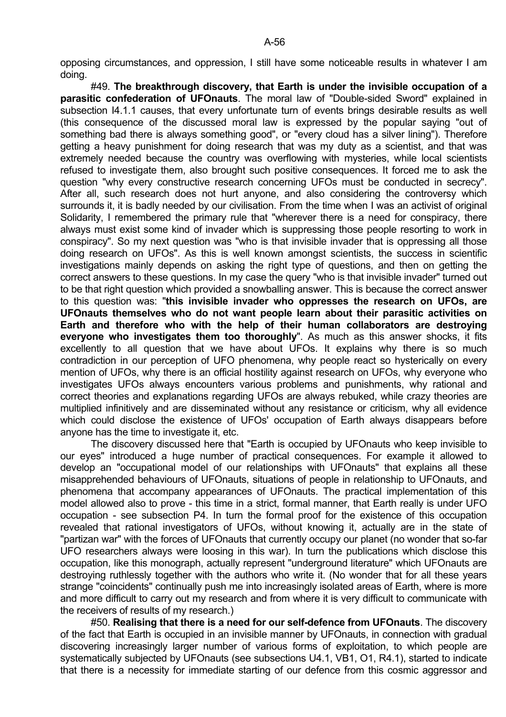opposing circumstances, and oppression, I still have some noticeable results in whatever I am doing.

 #49. **The breakthrough discovery, that Earth is under the invisible occupation of a parasitic confederation of UFOnauts**. The moral law of "Double-sided Sword" explained in subsection I4.1.1 causes, that every unfortunate turn of events brings desirable results as well (this consequence of the discussed moral law is expressed by the popular saying "out of something bad there is always something good", or "every cloud has a silver lining"). Therefore getting a heavy punishment for doing research that was my duty as a scientist, and that was extremely needed because the country was overflowing with mysteries, while local scientists refused to investigate them, also brought such positive consequences. It forced me to ask the question "why every constructive research concerning UFOs must be conducted in secrecy". After all, such research does not hurt anyone, and also considering the controversy which surrounds it, it is badly needed by our civilisation. From the time when I was an activist of original Solidarity, I remembered the primary rule that "wherever there is a need for conspiracy, there always must exist some kind of invader which is suppressing those people resorting to work in conspiracy". So my next question was "who is that invisible invader that is oppressing all those doing research on UFOs". As this is well known amongst scientists, the success in scientific investigations mainly depends on asking the right type of questions, and then on getting the correct answers to these questions. In my case the query "who is that invisible invader" turned out to be that right question which provided a snowballing answer. This is because the correct answer to this question was: "**this invisible invader who oppresses the research on UFOs, are UFOnauts themselves who do not want people learn about their parasitic activities on Earth and therefore who with the help of their human collaborators are destroying everyone who investigates them too thoroughly**". As much as this answer shocks, it fits excellently to all question that we have about UFOs. It explains why there is so much contradiction in our perception of UFO phenomena, why people react so hysterically on every mention of UFOs, why there is an official hostility against research on UFOs, why everyone who investigates UFOs always encounters various problems and punishments, why rational and correct theories and explanations regarding UFOs are always rebuked, while crazy theories are multiplied infinitively and are disseminated without any resistance or criticism, why all evidence which could disclose the existence of UFOs' occupation of Earth always disappears before anyone has the time to investigate it, etc.

 The discovery discussed here that "Earth is occupied by UFOnauts who keep invisible to our eyes" introduced a huge number of practical consequences. For example it allowed to develop an "occupational model of our relationships with UFOnauts" that explains all these misapprehended behaviours of UFOnauts, situations of people in relationship to UFOnauts, and phenomena that accompany appearances of UFOnauts. The practical implementation of this model allowed also to prove - this time in a strict, formal manner, that Earth really is under UFO occupation - see subsection P4. In turn the formal proof for the existence of this occupation revealed that rational investigators of UFOs, without knowing it, actually are in the state of "partizan war" with the forces of UFOnauts that currently occupy our planet (no wonder that so-far UFO researchers always were loosing in this war). In turn the publications which disclose this occupation, like this monograph, actually represent "underground literature" which UFOnauts are destroying ruthlessly together with the authors who write it. (No wonder that for all these years strange "coincidents" continually push me into increasingly isolated areas of Earth, where is more and more difficult to carry out my research and from where it is very difficult to communicate with the receivers of results of my research.)

 #50. **Realising that there is a need for our self-defence from UFOnauts**. The discovery of the fact that Earth is occupied in an invisible manner by UFOnauts, in connection with gradual discovering increasingly larger number of various forms of exploitation, to which people are systematically subjected by UFOnauts (see subsections U4.1, VB1, O1, R4.1), started to indicate that there is a necessity for immediate starting of our defence from this cosmic aggressor and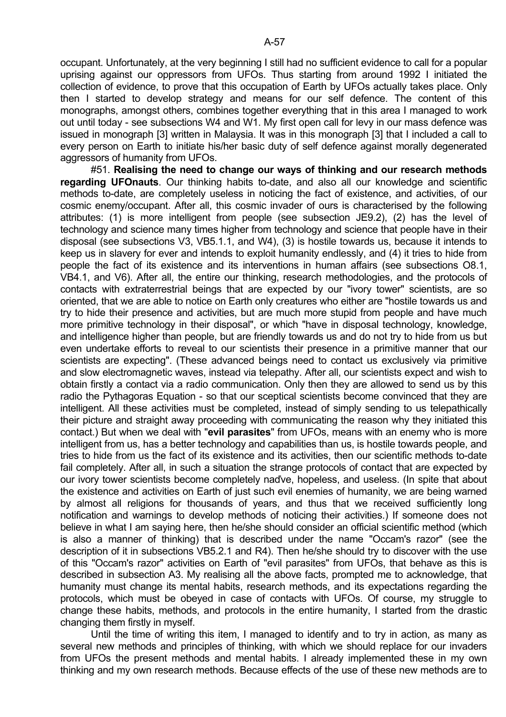occupant. Unfortunately, at the very beginning I still had no sufficient evidence to call for a popular uprising against our oppressors from UFOs. Thus starting from around 1992 I initiated the collection of evidence, to prove that this occupation of Earth by UFOs actually takes place. Only then I started to develop strategy and means for our self defence. The content of this monographs, amongst others, combines together everything that in this area I managed to work out until today - see subsections W4 and W1. My first open call for levy in our mass defence was issued in monograph [3] written in Malaysia. It was in this monograph [3] that I included a call to every person on Earth to initiate his/her basic duty of self defence against morally degenerated aggressors of humanity from UFOs.

 #51. **Realising the need to change our ways of thinking and our research methods regarding UFOnauts**. Our thinking habits to-date, and also all our knowledge and scientific methods to-date, are completely useless in noticing the fact of existence, and activities, of our cosmic enemy/occupant. After all, this cosmic invader of ours is characterised by the following attributes: (1) is more intelligent from people (see subsection JE9.2), (2) has the level of technology and science many times higher from technology and science that people have in their disposal (see subsections V3, VB5.1.1, and W4), (3) is hostile towards us, because it intends to keep us in slavery for ever and intends to exploit humanity endlessly, and (4) it tries to hide from people the fact of its existence and its interventions in human affairs (see subsections O8.1, VB4.1, and V6). After all, the entire our thinking, research methodologies, and the protocols of contacts with extraterrestrial beings that are expected by our "ivory tower" scientists, are so oriented, that we are able to notice on Earth only creatures who either are "hostile towards us and try to hide their presence and activities, but are much more stupid from people and have much more primitive technology in their disposal", or which "have in disposal technology, knowledge, and intelligence higher than people, but are friendly towards us and do not try to hide from us but even undertake efforts to reveal to our scientists their presence in a primitive manner that our scientists are expecting". (These advanced beings need to contact us exclusively via primitive and slow electromagnetic waves, instead via telepathy. After all, our scientists expect and wish to obtain firstly a contact via a radio communication. Only then they are allowed to send us by this radio the Pythagoras Equation - so that our sceptical scientists become convinced that they are intelligent. All these activities must be completed, instead of simply sending to us telepathically their picture and straight away proceeding with communicating the reason why they initiated this contact.) But when we deal with "**evil parasites**" from UFOs, means with an enemy who is more intelligent from us, has a better technology and capabilities than us, is hostile towards people, and tries to hide from us the fact of its existence and its activities, then our scientific methods to-date fail completely. After all, in such a situation the strange protocols of contact that are expected by our ivory tower scientists become completely naďve, hopeless, and useless. (In spite that about the existence and activities on Earth of just such evil enemies of humanity, we are being warned by almost all religions for thousands of years, and thus that we received sufficiently long notification and warnings to develop methods of noticing their activities.) If someone does not believe in what I am saying here, then he/she should consider an official scientific method (which is also a manner of thinking) that is described under the name "Occam's razor" (see the description of it in subsections VB5.2.1 and R4). Then he/she should try to discover with the use of this "Occam's razor" activities on Earth of "evil parasites" from UFOs, that behave as this is described in subsection A3. My realising all the above facts, prompted me to acknowledge, that humanity must change its mental habits, research methods, and its expectations regarding the protocols, which must be obeyed in case of contacts with UFOs. Of course, my struggle to change these habits, methods, and protocols in the entire humanity, I started from the drastic changing them firstly in myself.

 Until the time of writing this item, I managed to identify and to try in action, as many as several new methods and principles of thinking, with which we should replace for our invaders from UFOs the present methods and mental habits. I already implemented these in my own thinking and my own research methods. Because effects of the use of these new methods are to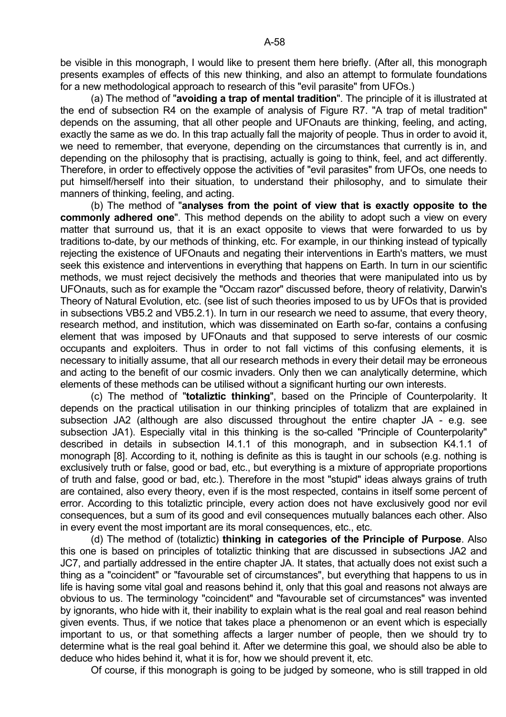be visible in this monograph, I would like to present them here briefly. (After all, this monograph presents examples of effects of this new thinking, and also an attempt to formulate foundations for a new methodological approach to research of this "evil parasite" from UFOs.)

 (a) The method of "**avoiding a trap of mental tradition**". The principle of it is illustrated at the end of subsection R4 on the example of analysis of Figure R7. "A trap of metal tradition" depends on the assuming, that all other people and UFOnauts are thinking, feeling, and acting, exactly the same as we do. In this trap actually fall the majority of people. Thus in order to avoid it, we need to remember, that everyone, depending on the circumstances that currently is in, and depending on the philosophy that is practising, actually is going to think, feel, and act differently. Therefore, in order to effectively oppose the activities of "evil parasites" from UFOs, one needs to put himself/herself into their situation, to understand their philosophy, and to simulate their manners of thinking, feeling, and acting.

 (b) The method of "**analyses from the point of view that is exactly opposite to the commonly adhered one**". This method depends on the ability to adopt such a view on every matter that surround us, that it is an exact opposite to views that were forwarded to us by traditions to-date, by our methods of thinking, etc. For example, in our thinking instead of typically rejecting the existence of UFOnauts and negating their interventions in Earth's matters, we must seek this existence and interventions in everything that happens on Earth. In turn in our scientific methods, we must reject decisively the methods and theories that were manipulated into us by UFOnauts, such as for example the "Occam razor" discussed before, theory of relativity, Darwin's Theory of Natural Evolution, etc. (see list of such theories imposed to us by UFOs that is provided in subsections VB5.2 and VB5.2.1). In turn in our research we need to assume, that every theory, research method, and institution, which was disseminated on Earth so-far, contains a confusing element that was imposed by UFOnauts and that supposed to serve interests of our cosmic occupants and exploiters. Thus in order to not fall victims of this confusing elements, it is necessary to initially assume, that all our research methods in every their detail may be erroneous and acting to the benefit of our cosmic invaders. Only then we can analytically determine, which elements of these methods can be utilised without a significant hurting our own interests.

 (c) The method of "**totaliztic thinking**", based on the Principle of Counterpolarity. It depends on the practical utilisation in our thinking principles of totalizm that are explained in subsection JA2 (although are also discussed throughout the entire chapter JA - e.g. see subsection JA1). Especially vital in this thinking is the so-called "Principle of Counterpolarity" described in details in subsection I4.1.1 of this monograph, and in subsection K4.1.1 of monograph [8]. According to it, nothing is definite as this is taught in our schools (e.g. nothing is exclusively truth or false, good or bad, etc., but everything is a mixture of appropriate proportions of truth and false, good or bad, etc.). Therefore in the most "stupid" ideas always grains of truth are contained, also every theory, even if is the most respected, contains in itself some percent of error. According to this totaliztic principle, every action does not have exclusively good nor evil consequences, but a sum of its good and evil consequences mutually balances each other. Also in every event the most important are its moral consequences, etc., etc.

 (d) The method of (totaliztic) **thinking in categories of the Principle of Purpose**. Also this one is based on principles of totaliztic thinking that are discussed in subsections JA2 and JC7, and partially addressed in the entire chapter JA. It states, that actually does not exist such a thing as a "coincident" or "favourable set of circumstances", but everything that happens to us in life is having some vital goal and reasons behind it, only that this goal and reasons not always are obvious to us. The terminology "coincident" and "favourable set of circumstances" was invented by ignorants, who hide with it, their inability to explain what is the real goal and real reason behind given events. Thus, if we notice that takes place a phenomenon or an event which is especially important to us, or that something affects a larger number of people, then we should try to determine what is the real goal behind it. After we determine this goal, we should also be able to deduce who hides behind it, what it is for, how we should prevent it, etc.

Of course, if this monograph is going to be judged by someone, who is still trapped in old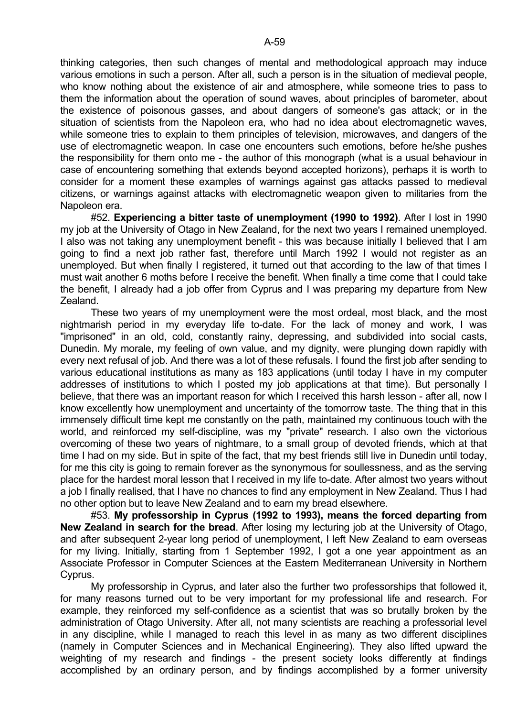thinking categories, then such changes of mental and methodological approach may induce various emotions in such a person. After all, such a person is in the situation of medieval people, who know nothing about the existence of air and atmosphere, while someone tries to pass to them the information about the operation of sound waves, about principles of barometer, about the existence of poisonous gasses, and about dangers of someone's gas attack; or in the situation of scientists from the Napoleon era, who had no idea about electromagnetic waves, while someone tries to explain to them principles of television, microwaves, and dangers of the use of electromagnetic weapon. In case one encounters such emotions, before he/she pushes the responsibility for them onto me - the author of this monograph (what is a usual behaviour in case of encountering something that extends beyond accepted horizons), perhaps it is worth to consider for a moment these examples of warnings against gas attacks passed to medieval citizens, or warnings against attacks with electromagnetic weapon given to militaries from the Napoleon era.

 #52. **Experiencing a bitter taste of unemployment (1990 to 1992)**. After I lost in 1990 my job at the University of Otago in New Zealand, for the next two years I remained unemployed. I also was not taking any unemployment benefit - this was because initially I believed that I am going to find a next job rather fast, therefore until March 1992 I would not register as an unemployed. But when finally I registered, it turned out that according to the law of that times I must wait another 6 moths before I receive the benefit. When finally a time come that I could take the benefit, I already had a job offer from Cyprus and I was preparing my departure from New Zealand.

 These two years of my unemployment were the most ordeal, most black, and the most nightmarish period in my everyday life to-date. For the lack of money and work, I was "imprisoned" in an old, cold, constantly rainy, depressing, and subdivided into social casts, Dunedin. My morale, my feeling of own value, and my dignity, were plunging down rapidly with every next refusal of job. And there was a lot of these refusals. I found the first job after sending to various educational institutions as many as 183 applications (until today I have in my computer addresses of institutions to which I posted my job applications at that time). But personally I believe, that there was an important reason for which I received this harsh lesson - after all, now I know excellently how unemployment and uncertainty of the tomorrow taste. The thing that in this immensely difficult time kept me constantly on the path, maintained my continuous touch with the world, and reinforced my self-discipline, was my "private" research. I also own the victorious overcoming of these two years of nightmare, to a small group of devoted friends, which at that time I had on my side. But in spite of the fact, that my best friends still live in Dunedin until today, for me this city is going to remain forever as the synonymous for soullessness, and as the serving place for the hardest moral lesson that I received in my life to-date. After almost two years without a job I finally realised, that I have no chances to find any employment in New Zealand. Thus I had no other option but to leave New Zealand and to earn my bread elsewhere.

 #53. **My professorship in Cyprus (1992 to 1993), means the forced departing from New Zealand in search for the bread**. After losing my lecturing job at the University of Otago, and after subsequent 2-year long period of unemployment, I left New Zealand to earn overseas for my living. Initially, starting from 1 September 1992, I got a one year appointment as an Associate Professor in Computer Sciences at the Eastern Mediterranean University in Northern Cyprus.

 My professorship in Cyprus, and later also the further two professorships that followed it, for many reasons turned out to be very important for my professional life and research. For example, they reinforced my self-confidence as a scientist that was so brutally broken by the administration of Otago University. After all, not many scientists are reaching a professorial level in any discipline, while I managed to reach this level in as many as two different disciplines (namely in Computer Sciences and in Mechanical Engineering). They also lifted upward the weighting of my research and findings - the present society looks differently at findings accomplished by an ordinary person, and by findings accomplished by a former university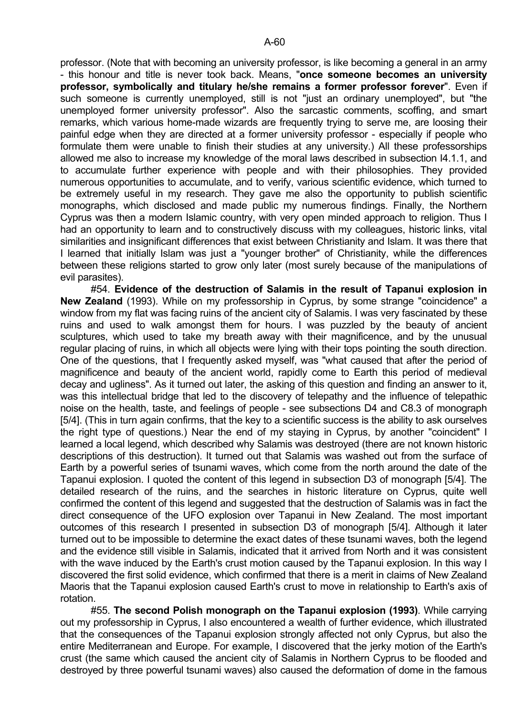professor. (Note that with becoming an university professor, is like becoming a general in an army - this honour and title is never took back. Means, "**once someone becomes an university professor, symbolically and titulary he/she remains a former professor forever**". Even if such someone is currently unemployed, still is not "just an ordinary unemployed", but "the unemployed former university professor". Also the sarcastic comments, scoffing, and smart remarks, which various home-made wizards are frequently trying to serve me, are loosing their painful edge when they are directed at a former university professor - especially if people who formulate them were unable to finish their studies at any university.) All these professorships allowed me also to increase my knowledge of the moral laws described in subsection I4.1.1, and to accumulate further experience with people and with their philosophies. They provided numerous opportunities to accumulate, and to verify, various scientific evidence, which turned to be extremely useful in my research. They gave me also the opportunity to publish scientific monographs, which disclosed and made public my numerous findings. Finally, the Northern Cyprus was then a modern Islamic country, with very open minded approach to religion. Thus I had an opportunity to learn and to constructively discuss with my colleagues, historic links, vital similarities and insignificant differences that exist between Christianity and Islam. It was there that I learned that initially Islam was just a "younger brother" of Christianity, while the differences between these religions started to grow only later (most surely because of the manipulations of evil parasites).

 #54. **Evidence of the destruction of Salamis in the result of Tapanui explosion in New Zealand** (1993). While on my professorship in Cyprus, by some strange "coincidence" a window from my flat was facing ruins of the ancient city of Salamis. I was very fascinated by these ruins and used to walk amongst them for hours. I was puzzled by the beauty of ancient sculptures, which used to take my breath away with their magnificence, and by the unusual regular placing of ruins, in which all objects were lying with their tops pointing the south direction. One of the questions, that I frequently asked myself, was "what caused that after the period of magnificence and beauty of the ancient world, rapidly come to Earth this period of medieval decay and ugliness". As it turned out later, the asking of this question and finding an answer to it, was this intellectual bridge that led to the discovery of telepathy and the influence of telepathic noise on the health, taste, and feelings of people - see subsections D4 and C8.3 of monograph [5/4]. (This in turn again confirms, that the key to a scientific success is the ability to ask ourselves the right type of questions.) Near the end of my staying in Cyprus, by another "coincident" I learned a local legend, which described why Salamis was destroyed (there are not known historic descriptions of this destruction). It turned out that Salamis was washed out from the surface of Earth by a powerful series of tsunami waves, which come from the north around the date of the Tapanui explosion. I quoted the content of this legend in subsection D3 of monograph [5/4]. The detailed research of the ruins, and the searches in historic literature on Cyprus, quite well confirmed the content of this legend and suggested that the destruction of Salamis was in fact the direct consequence of the UFO explosion over Tapanui in New Zealand. The most important outcomes of this research I presented in subsection D3 of monograph [5/4]. Although it later turned out to be impossible to determine the exact dates of these tsunami waves, both the legend and the evidence still visible in Salamis, indicated that it arrived from North and it was consistent with the wave induced by the Earth's crust motion caused by the Tapanui explosion. In this way I discovered the first solid evidence, which confirmed that there is a merit in claims of New Zealand Maoris that the Tapanui explosion caused Earth's crust to move in relationship to Earth's axis of rotation.

 #55. **The second Polish monograph on the Tapanui explosion (1993)**. While carrying out my professorship in Cyprus, I also encountered a wealth of further evidence, which illustrated that the consequences of the Tapanui explosion strongly affected not only Cyprus, but also the entire Mediterranean and Europe. For example, I discovered that the jerky motion of the Earth's crust (the same which caused the ancient city of Salamis in Northern Cyprus to be flooded and destroyed by three powerful tsunami waves) also caused the deformation of dome in the famous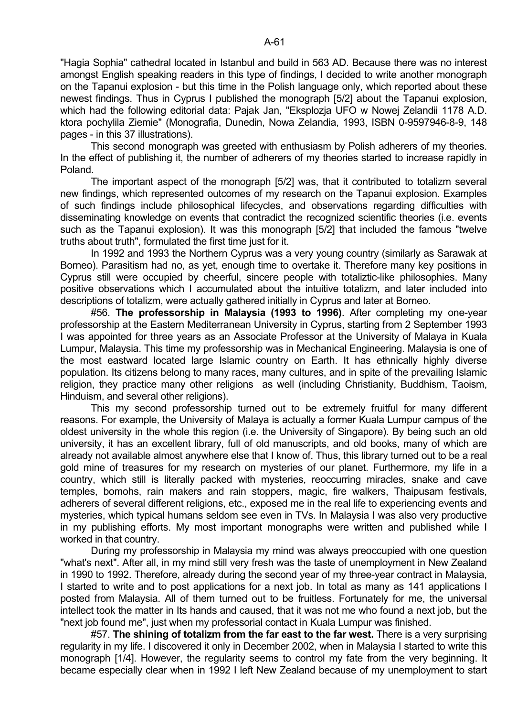"Hagia Sophia" cathedral located in Istanbul and build in 563 AD. Because there was no interest amongst English speaking readers in this type of findings, I decided to write another monograph on the Tapanui explosion - but this time in the Polish language only, which reported about these newest findings. Thus in Cyprus I published the monograph [5/2] about the Tapanui explosion, which had the following editorial data: Pajak Jan, "Eksplozja UFO w Nowej Zelandii 1178 A.D. ktora pochylila Ziemie" (Monografia, Dunedin, Nowa Zelandia, 1993, ISBN 0-9597946-8-9, 148 pages - in this 37 illustrations).

 This second monograph was greeted with enthusiasm by Polish adherers of my theories. In the effect of publishing it, the number of adherers of my theories started to increase rapidly in Poland.

 The important aspect of the monograph [5/2] was, that it contributed to totalizm several new findings, which represented outcomes of my research on the Tapanui explosion. Examples of such findings include philosophical lifecycles, and observations regarding difficulties with disseminating knowledge on events that contradict the recognized scientific theories (i.e. events such as the Tapanui explosion). It was this monograph [5/2] that included the famous "twelve truths about truth", formulated the first time just for it.

 In 1992 and 1993 the Northern Cyprus was a very young country (similarly as Sarawak at Borneo). Parasitism had no, as yet, enough time to overtake it. Therefore many key positions in Cyprus still were occupied by cheerful, sincere people with totaliztic-like philosophies. Many positive observations which I accumulated about the intuitive totalizm, and later included into descriptions of totalizm, were actually gathered initially in Cyprus and later at Borneo.

 #56. **The professorship in Malaysia (1993 to 1996)**. After completing my one-year professorship at the Eastern Mediterranean University in Cyprus, starting from 2 September 1993 I was appointed for three years as an Associate Professor at the University of Malaya in Kuala Lumpur, Malaysia. This time my professorship was in Mechanical Engineering. Malaysia is one of the most eastward located large Islamic country on Earth. It has ethnically highly diverse population. Its citizens belong to many races, many cultures, and in spite of the prevailing Islamic religion, they practice many other religions as well (including Christianity, Buddhism, Taoism, Hinduism, and several other religions).

 This my second professorship turned out to be extremely fruitful for many different reasons. For example, the University of Malaya is actually a former Kuala Lumpur campus of the oldest university in the whole this region (i.e. the University of Singapore). By being such an old university, it has an excellent library, full of old manuscripts, and old books, many of which are already not available almost anywhere else that I know of. Thus, this library turned out to be a real gold mine of treasures for my research on mysteries of our planet. Furthermore, my life in a country, which still is literally packed with mysteries, reoccurring miracles, snake and cave temples, bomohs, rain makers and rain stoppers, magic, fire walkers, Thaipusam festivals, adherers of several different religions, etc., exposed me in the real life to experiencing events and mysteries, which typical humans seldom see even in TVs. In Malaysia I was also very productive in my publishing efforts. My most important monographs were written and published while I worked in that country.

 During my professorship in Malaysia my mind was always preoccupied with one question "what's next". After all, in my mind still very fresh was the taste of unemployment in New Zealand in 1990 to 1992. Therefore, already during the second year of my three-year contract in Malaysia, I started to write and to post applications for a next job. In total as many as 141 applications I posted from Malaysia. All of them turned out to be fruitless. Fortunately for me, the universal intellect took the matter in Its hands and caused, that it was not me who found a next job, but the "next job found me", just when my professorial contact in Kuala Lumpur was finished.

 #57. **The shining of totalizm from the far east to the far west.** There is a very surprising regularity in my life. I discovered it only in December 2002, when in Malaysia I started to write this monograph [1/4]. However, the regularity seems to control my fate from the very beginning. It became especially clear when in 1992 I left New Zealand because of my unemployment to start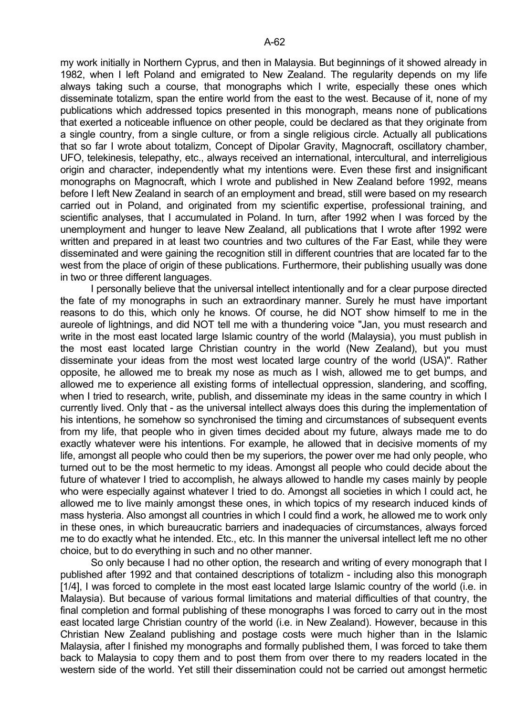my work initially in Northern Cyprus, and then in Malaysia. But beginnings of it showed already in 1982, when I left Poland and emigrated to New Zealand. The regularity depends on my life always taking such a course, that monographs which I write, especially these ones which disseminate totalizm, span the entire world from the east to the west. Because of it, none of my publications which addressed topics presented in this monograph, means none of publications that exerted a noticeable influence on other people, could be declared as that they originate from a single country, from a single culture, or from a single religious circle. Actually all publications that so far I wrote about totalizm, Concept of Dipolar Gravity, Magnocraft, oscillatory chamber, UFO, telekinesis, telepathy, etc., always received an international, intercultural, and interreligious origin and character, independently what my intentions were. Even these first and insignificant monographs on Magnocraft, which I wrote and published in New Zealand before 1992, means before I left New Zealand in search of an employment and bread, still were based on my research carried out in Poland, and originated from my scientific expertise, professional training, and scientific analyses, that I accumulated in Poland. In turn, after 1992 when I was forced by the unemployment and hunger to leave New Zealand, all publications that I wrote after 1992 were written and prepared in at least two countries and two cultures of the Far East, while they were disseminated and were gaining the recognition still in different countries that are located far to the west from the place of origin of these publications. Furthermore, their publishing usually was done in two or three different languages.

 I personally believe that the universal intellect intentionally and for a clear purpose directed the fate of my monographs in such an extraordinary manner. Surely he must have important reasons to do this, which only he knows. Of course, he did NOT show himself to me in the aureole of lightnings, and did NOT tell me with a thundering voice "Jan, you must research and write in the most east located large Islamic country of the world (Malaysia), you must publish in the most east located large Christian country in the world (New Zealand), but you must disseminate your ideas from the most west located large country of the world (USA)". Rather opposite, he allowed me to break my nose as much as I wish, allowed me to get bumps, and allowed me to experience all existing forms of intellectual oppression, slandering, and scoffing, when I tried to research, write, publish, and disseminate my ideas in the same country in which I currently lived. Only that - as the universal intellect always does this during the implementation of his intentions, he somehow so synchronised the timing and circumstances of subsequent events from my life, that people who in given times decided about my future, always made me to do exactly whatever were his intentions. For example, he allowed that in decisive moments of my life, amongst all people who could then be my superiors, the power over me had only people, who turned out to be the most hermetic to my ideas. Amongst all people who could decide about the future of whatever I tried to accomplish, he always allowed to handle my cases mainly by people who were especially against whatever I tried to do. Amongst all societies in which I could act, he allowed me to live mainly amongst these ones, in which topics of my research induced kinds of mass hysteria. Also amongst all countries in which I could find a work, he allowed me to work only in these ones, in which bureaucratic barriers and inadequacies of circumstances, always forced me to do exactly what he intended. Etc., etc. In this manner the universal intellect left me no other choice, but to do everything in such and no other manner.

 So only because I had no other option, the research and writing of every monograph that I published after 1992 and that contained descriptions of totalizm - including also this monograph [1/4], I was forced to complete in the most east located large Islamic country of the world (i.e. in Malaysia). But because of various formal limitations and material difficulties of that country, the final completion and formal publishing of these monographs I was forced to carry out in the most east located large Christian country of the world (i.e. in New Zealand). However, because in this Christian New Zealand publishing and postage costs were much higher than in the Islamic Malaysia, after I finished my monographs and formally published them, I was forced to take them back to Malaysia to copy them and to post them from over there to my readers located in the western side of the world. Yet still their dissemination could not be carried out amongst hermetic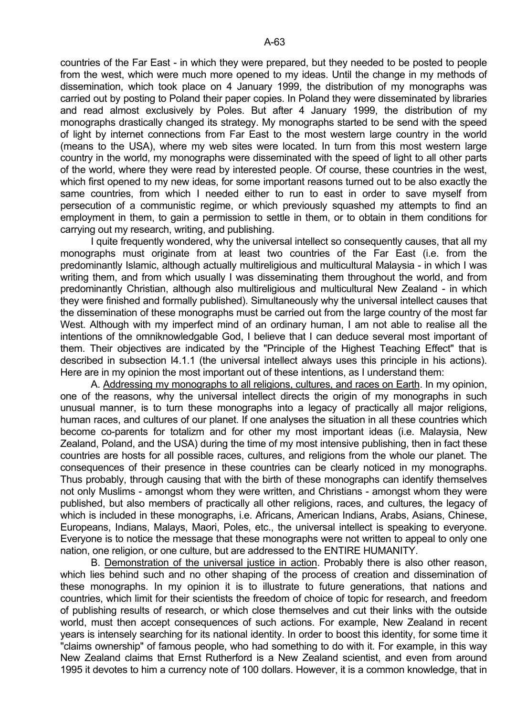countries of the Far East - in which they were prepared, but they needed to be posted to people from the west, which were much more opened to my ideas. Until the change in my methods of dissemination, which took place on 4 January 1999, the distribution of my monographs was carried out by posting to Poland their paper copies. In Poland they were disseminated by libraries and read almost exclusively by Poles. But after 4 January 1999, the distribution of my monographs drastically changed its strategy. My monographs started to be send with the speed of light by internet connections from Far East to the most western large country in the world (means to the USA), where my web sites were located. In turn from this most western large country in the world, my monographs were disseminated with the speed of light to all other parts of the world, where they were read by interested people. Of course, these countries in the west, which first opened to my new ideas, for some important reasons turned out to be also exactly the same countries, from which I needed either to run to east in order to save myself from persecution of a communistic regime, or which previously squashed my attempts to find an employment in them, to gain a permission to settle in them, or to obtain in them conditions for carrying out my research, writing, and publishing.

 I quite frequently wondered, why the universal intellect so consequently causes, that all my monographs must originate from at least two countries of the Far East (i.e. from the predominantly Islamic, although actually multireligious and multicultural Malaysia - in which I was writing them, and from which usually I was disseminating them throughout the world, and from predominantly Christian, although also multireligious and multicultural New Zealand - in which they were finished and formally published). Simultaneously why the universal intellect causes that the dissemination of these monographs must be carried out from the large country of the most far West. Although with my imperfect mind of an ordinary human, I am not able to realise all the intentions of the omniknowledgable God, I believe that I can deduce several most important of them. Their objectives are indicated by the "Principle of the Highest Teaching Effect" that is described in subsection I4.1.1 (the universal intellect always uses this principle in his actions). Here are in my opinion the most important out of these intentions, as I understand them:

 A. Addressing my monographs to all religions, cultures, and races on Earth. In my opinion, one of the reasons, why the universal intellect directs the origin of my monographs in such unusual manner, is to turn these monographs into a legacy of practically all major religions, human races, and cultures of our planet. If one analyses the situation in all these countries which become co-parents for totalizm and for other my most important ideas (i.e. Malaysia, New Zealand, Poland, and the USA) during the time of my most intensive publishing, then in fact these countries are hosts for all possible races, cultures, and religions from the whole our planet. The consequences of their presence in these countries can be clearly noticed in my monographs. Thus probably, through causing that with the birth of these monographs can identify themselves not only Muslims - amongst whom they were written, and Christians - amongst whom they were published, but also members of practically all other religions, races, and cultures, the legacy of which is included in these monographs, i.e. Africans, American Indians, Arabs, Asians, Chinese, Europeans, Indians, Malays, Maori, Poles, etc., the universal intellect is speaking to everyone. Everyone is to notice the message that these monographs were not written to appeal to only one nation, one religion, or one culture, but are addressed to the ENTIRE HUMANITY.

 B. Demonstration of the universal justice in action. Probably there is also other reason, which lies behind such and no other shaping of the process of creation and dissemination of these monographs. In my opinion it is to illustrate to future generations, that nations and countries, which limit for their scientists the freedom of choice of topic for research, and freedom of publishing results of research, or which close themselves and cut their links with the outside world, must then accept consequences of such actions. For example, New Zealand in recent years is intensely searching for its national identity. In order to boost this identity, for some time it "claims ownership" of famous people, who had something to do with it. For example, in this way New Zealand claims that Ernst Rutherford is a New Zealand scientist, and even from around 1995 it devotes to him a currency note of 100 dollars. However, it is a common knowledge, that in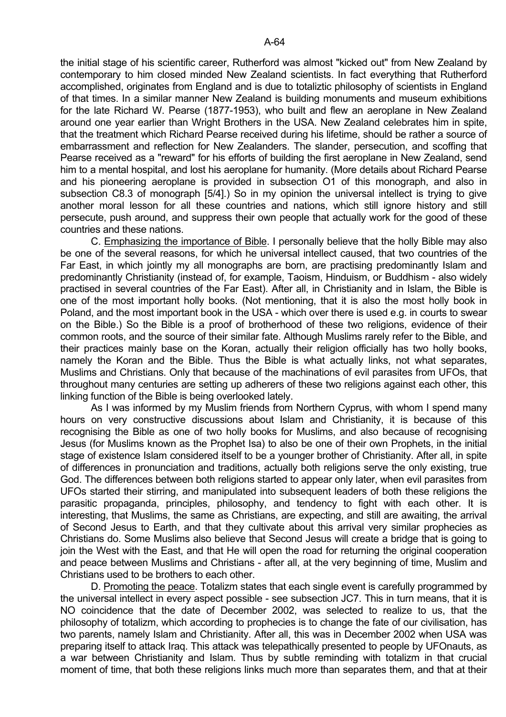the initial stage of his scientific career, Rutherford was almost "kicked out" from New Zealand by contemporary to him closed minded New Zealand scientists. In fact everything that Rutherford accomplished, originates from England and is due to totaliztic philosophy of scientists in England of that times. In a similar manner New Zealand is building monuments and museum exhibitions for the late Richard W. Pearse (1877-1953), who built and flew an aeroplane in New Zealand around one year earlier than Wright Brothers in the USA. New Zealand celebrates him in spite, that the treatment which Richard Pearse received during his lifetime, should be rather a source of embarrassment and reflection for New Zealanders. The slander, persecution, and scoffing that Pearse received as a "reward" for his efforts of building the first aeroplane in New Zealand, send him to a mental hospital, and lost his aeroplane for humanity. (More details about Richard Pearse and his pioneering aeroplane is provided in subsection O1 of this monograph, and also in subsection C8.3 of monograph [5/4].) So in my opinion the universal intellect is trying to give another moral lesson for all these countries and nations, which still ignore history and still persecute, push around, and suppress their own people that actually work for the good of these

countries and these nations.

 C. Emphasizing the importance of Bible. I personally believe that the holly Bible may also be one of the several reasons, for which he universal intellect caused, that two countries of the Far East, in which jointly my all monographs are born, are practising predominantly Islam and predominantly Christianity (instead of, for example, Taoism, Hinduism, or Buddhism - also widely practised in several countries of the Far East). After all, in Christianity and in Islam, the Bible is one of the most important holly books. (Not mentioning, that it is also the most holly book in Poland, and the most important book in the USA - which over there is used e.g. in courts to swear on the Bible.) So the Bible is a proof of brotherhood of these two religions, evidence of their common roots, and the source of their similar fate. Although Muslims rarely refer to the Bible, and their practices mainly base on the Koran, actually their religion officially has two holly books, namely the Koran and the Bible. Thus the Bible is what actually links, not what separates, Muslims and Christians. Only that because of the machinations of evil parasites from UFOs, that throughout many centuries are setting up adherers of these two religions against each other, this linking function of the Bible is being overlooked lately.

 As I was informed by my Muslim friends from Northern Cyprus, with whom I spend many hours on very constructive discussions about Islam and Christianity, it is because of this recognising the Bible as one of two holly books for Muslims, and also because of recognising Jesus (for Muslims known as the Prophet Isa) to also be one of their own Prophets, in the initial stage of existence Islam considered itself to be a younger brother of Christianity. After all, in spite of differences in pronunciation and traditions, actually both religions serve the only existing, true God. The differences between both religions started to appear only later, when evil parasites from UFOs started their stirring, and manipulated into subsequent leaders of both these religions the parasitic propaganda, principles, philosophy, and tendency to fight with each other. It is interesting, that Muslims, the same as Christians, are expecting, and still are awaiting, the arrival of Second Jesus to Earth, and that they cultivate about this arrival very similar prophecies as Christians do. Some Muslims also believe that Second Jesus will create a bridge that is going to join the West with the East, and that He will open the road for returning the original cooperation and peace between Muslims and Christians - after all, at the very beginning of time, Muslim and Christians used to be brothers to each other.

 D. Promoting the peace. Totalizm states that each single event is carefully programmed by the universal intellect in every aspect possible - see subsection JC7. This in turn means, that it is NO coincidence that the date of December 2002, was selected to realize to us, that the philosophy of totalizm, which according to prophecies is to change the fate of our civilisation, has two parents, namely Islam and Christianity. After all, this was in December 2002 when USA was preparing itself to attack Iraq. This attack was telepathically presented to people by UFOnauts, as a war between Christianity and Islam. Thus by subtle reminding with totalizm in that crucial moment of time, that both these religions links much more than separates them, and that at their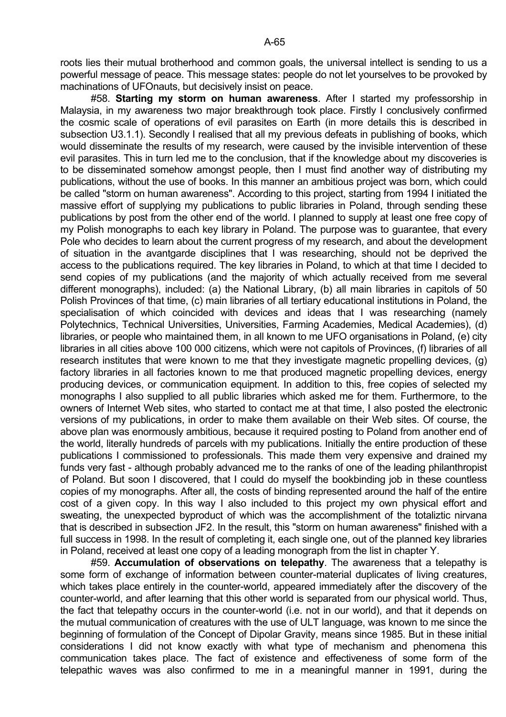roots lies their mutual brotherhood and common goals, the universal intellect is sending to us a powerful message of peace. This message states: people do not let yourselves to be provoked by machinations of UFOnauts, but decisively insist on peace.

 #58. **Starting my storm on human awareness**. After I started my professorship in Malaysia, in my awareness two major breakthrough took place. Firstly I conclusively confirmed the cosmic scale of operations of evil parasites on Earth (in more details this is described in subsection U3.1.1). Secondly I realised that all my previous defeats in publishing of books, which would disseminate the results of my research, were caused by the invisible intervention of these evil parasites. This in turn led me to the conclusion, that if the knowledge about my discoveries is to be disseminated somehow amongst people, then I must find another way of distributing my publications, without the use of books. In this manner an ambitious project was born, which could be called "storm on human awareness". According to this project, starting from 1994 I initiated the massive effort of supplying my publications to public libraries in Poland, through sending these publications by post from the other end of the world. I planned to supply at least one free copy of my Polish monographs to each key library in Poland. The purpose was to guarantee, that every Pole who decides to learn about the current progress of my research, and about the development of situation in the avantgarde disciplines that I was researching, should not be deprived the access to the publications required. The key libraries in Poland, to which at that time I decided to send copies of my publications (and the majority of which actually received from me several different monographs), included: (a) the National Library, (b) all main libraries in capitols of 50 Polish Provinces of that time, (c) main libraries of all tertiary educational institutions in Poland, the specialisation of which coincided with devices and ideas that I was researching (namely Polytechnics, Technical Universities, Universities, Farming Academies, Medical Academies), (d) libraries, or people who maintained them, in all known to me UFO organisations in Poland, (e) city libraries in all cities above 100 000 citizens, which were not capitols of Provinces, (f) libraries of all research institutes that were known to me that they investigate magnetic propelling devices, (g) factory libraries in all factories known to me that produced magnetic propelling devices, energy producing devices, or communication equipment. In addition to this, free copies of selected my monographs I also supplied to all public libraries which asked me for them. Furthermore, to the owners of Internet Web sites, who started to contact me at that time, I also posted the electronic versions of my publications, in order to make them available on their Web sites. Of course, the above plan was enormously ambitious, because it required posting to Poland from another end of the world, literally hundreds of parcels with my publications. Initially the entire production of these publications I commissioned to professionals. This made them very expensive and drained my funds very fast - although probably advanced me to the ranks of one of the leading philanthropist of Poland. But soon I discovered, that I could do myself the bookbinding job in these countless copies of my monographs. After all, the costs of binding represented around the half of the entire cost of a given copy. In this way I also included to this project my own physical effort and sweating, the unexpected byproduct of which was the accomplishment of the totaliztic nirvana that is described in subsection JF2. In the result, this "storm on human awareness" finished with a full success in 1998. In the result of completing it, each single one, out of the planned key libraries in Poland, received at least one copy of a leading monograph from the list in chapter Y.

 #59. **Accumulation of observations on telepathy**. The awareness that a telepathy is some form of exchange of information between counter-material duplicates of living creatures, which takes place entirely in the counter-world, appeared immediately after the discovery of the counter-world, and after learning that this other world is separated from our physical world. Thus, the fact that telepathy occurs in the counter-world (i.e. not in our world), and that it depends on the mutual communication of creatures with the use of ULT language, was known to me since the beginning of formulation of the Concept of Dipolar Gravity, means since 1985. But in these initial considerations I did not know exactly with what type of mechanism and phenomena this communication takes place. The fact of existence and effectiveness of some form of the telepathic waves was also confirmed to me in a meaningful manner in 1991, during the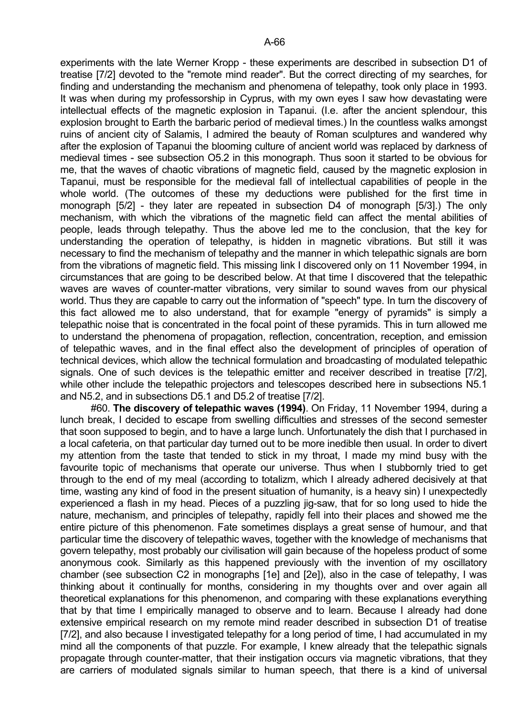experiments with the late Werner Kropp - these experiments are described in subsection D1 of treatise [7/2] devoted to the "remote mind reader". But the correct directing of my searches, for finding and understanding the mechanism and phenomena of telepathy, took only place in 1993. It was when during my professorship in Cyprus, with my own eyes I saw how devastating were intellectual effects of the magnetic explosion in Tapanui. (I.e. after the ancient splendour, this explosion brought to Earth the barbaric period of medieval times.) In the countless walks amongst ruins of ancient city of Salamis, I admired the beauty of Roman sculptures and wandered why after the explosion of Tapanui the blooming culture of ancient world was replaced by darkness of medieval times - see subsection O5.2 in this monograph. Thus soon it started to be obvious for me, that the waves of chaotic vibrations of magnetic field, caused by the magnetic explosion in Tapanui, must be responsible for the medieval fall of intellectual capabilities of people in the whole world. (The outcomes of these my deductions were published for the first time in monograph [5/2] - they later are repeated in subsection D4 of monograph [5/3].) The only mechanism, with which the vibrations of the magnetic field can affect the mental abilities of people, leads through telepathy. Thus the above led me to the conclusion, that the key for understanding the operation of telepathy, is hidden in magnetic vibrations. But still it was necessary to find the mechanism of telepathy and the manner in which telepathic signals are born from the vibrations of magnetic field. This missing link I discovered only on 11 November 1994, in circumstances that are going to be described below. At that time I discovered that the telepathic waves are waves of counter-matter vibrations, very similar to sound waves from our physical world. Thus they are capable to carry out the information of "speech" type. In turn the discovery of this fact allowed me to also understand, that for example "energy of pyramids" is simply a telepathic noise that is concentrated in the focal point of these pyramids. This in turn allowed me to understand the phenomena of propagation, reflection, concentration, reception, and emission of telepathic waves, and in the final effect also the development of principles of operation of technical devices, which allow the technical formulation and broadcasting of modulated telepathic signals. One of such devices is the telepathic emitter and receiver described in treatise [7/2], while other include the telepathic projectors and telescopes described here in subsections N5.1 and N5.2, and in subsections D5.1 and D5.2 of treatise [7/2].

 #60. **The discovery of telepathic waves (1994)**. On Friday, 11 November 1994, during a lunch break, I decided to escape from swelling difficulties and stresses of the second semester that soon supposed to begin, and to have a large lunch. Unfortunately the dish that I purchased in a local cafeteria, on that particular day turned out to be more inedible then usual. In order to divert my attention from the taste that tended to stick in my throat, I made my mind busy with the favourite topic of mechanisms that operate our universe. Thus when I stubbornly tried to get through to the end of my meal (according to totalizm, which I already adhered decisively at that time, wasting any kind of food in the present situation of humanity, is a heavy sin) I unexpectedly experienced a flash in my head. Pieces of a puzzling jig-saw, that for so long used to hide the nature, mechanism, and principles of telepathy, rapidly fell into their places and showed me the entire picture of this phenomenon. Fate sometimes displays a great sense of humour, and that particular time the discovery of telepathic waves, together with the knowledge of mechanisms that govern telepathy, most probably our civilisation will gain because of the hopeless product of some anonymous cook. Similarly as this happened previously with the invention of my oscillatory chamber (see subsection C2 in monographs [1e] and [2e]), also in the case of telepathy, I was thinking about it continually for months, considering in my thoughts over and over again all theoretical explanations for this phenomenon, and comparing with these explanations everything that by that time I empirically managed to observe and to learn. Because I already had done extensive empirical research on my remote mind reader described in subsection D1 of treatise [7/2], and also because I investigated telepathy for a long period of time, I had accumulated in my mind all the components of that puzzle. For example, I knew already that the telepathic signals propagate through counter-matter, that their instigation occurs via magnetic vibrations, that they are carriers of modulated signals similar to human speech, that there is a kind of universal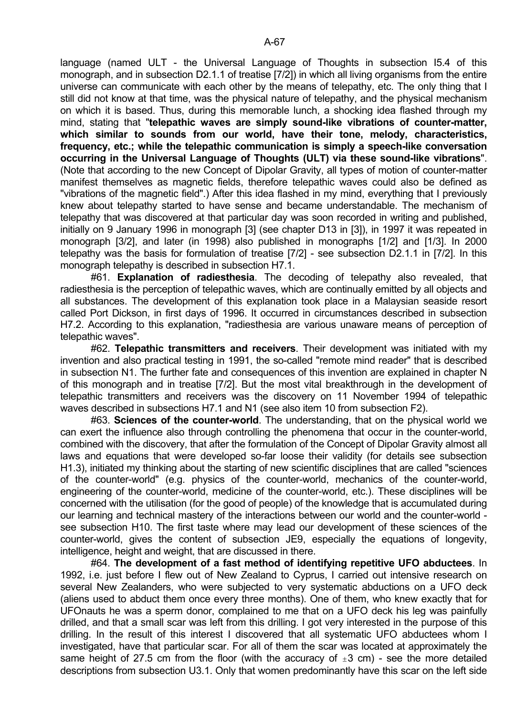language (named ULT - the Universal Language of Thoughts in subsection I5.4 of this monograph, and in subsection D2.1.1 of treatise [7/2]) in which all living organisms from the entire universe can communicate with each other by the means of telepathy, etc. The only thing that I still did not know at that time, was the physical nature of telepathy, and the physical mechanism on which it is based. Thus, during this memorable lunch, a shocking idea flashed through my mind, stating that "**telepathic waves are simply sound-like vibrations of counter-matter, which similar to sounds from our world, have their tone, melody, characteristics, frequency, etc.; while the telepathic communication is simply a speech-like conversation occurring in the Universal Language of Thoughts (ULT) via these sound-like vibrations**". (Note that according to the new Concept of Dipolar Gravity, all types of motion of counter-matter manifest themselves as magnetic fields, therefore telepathic waves could also be defined as "vibrations of the magnetic field".) After this idea flashed in my mind, everything that I previously knew about telepathy started to have sense and became understandable. The mechanism of telepathy that was discovered at that particular day was soon recorded in writing and published, initially on 9 January 1996 in monograph [3] (see chapter D13 in [3]), in 1997 it was repeated in monograph [3/2], and later (in 1998) also published in monographs [1/2] and [1/3]. In 2000 telepathy was the basis for formulation of treatise [7/2] - see subsection D2.1.1 in [7/2]. In this monograph telepathy is described in subsection H7.1.

 #61. **Explanation of radiesthesia**. The decoding of telepathy also revealed, that radiesthesia is the perception of telepathic waves, which are continually emitted by all objects and all substances. The development of this explanation took place in a Malaysian seaside resort called Port Dickson, in first days of 1996. It occurred in circumstances described in subsection H7.2. According to this explanation, "radiesthesia are various unaware means of perception of telepathic waves".

 #62. **Telepathic transmitters and receivers**. Their development was initiated with my invention and also practical testing in 1991, the so-called "remote mind reader" that is described in subsection N1. The further fate and consequences of this invention are explained in chapter N of this monograph and in treatise [7/2]. But the most vital breakthrough in the development of telepathic transmitters and receivers was the discovery on 11 November 1994 of telepathic waves described in subsections H7.1 and N1 (see also item 10 from subsection F2).

 #63. **Sciences of the counter-world**. The understanding, that on the physical world we can exert the influence also through controlling the phenomena that occur in the counter-world, combined with the discovery, that after the formulation of the Concept of Dipolar Gravity almost all laws and equations that were developed so-far loose their validity (for details see subsection H1.3), initiated my thinking about the starting of new scientific disciplines that are called "sciences of the counter-world" (e.g. physics of the counter-world, mechanics of the counter-world, engineering of the counter-world, medicine of the counter-world, etc.). These disciplines will be concerned with the utilisation (for the good of people) of the knowledge that is accumulated during our learning and technical mastery of the interactions between our world and the counter-world see subsection H10. The first taste where may lead our development of these sciences of the counter-world, gives the content of subsection JE9, especially the equations of longevity, intelligence, height and weight, that are discussed in there.

 #64. **The development of a fast method of identifying repetitive UFO abductees**. In 1992, i.e. just before I flew out of New Zealand to Cyprus, I carried out intensive research on several New Zealanders, who were subjected to very systematic abductions on a UFO deck (aliens used to abduct them once every three months). One of them, who knew exactly that for UFOnauts he was a sperm donor, complained to me that on a UFO deck his leg was painfully drilled, and that a small scar was left from this drilling. I got very interested in the purpose of this drilling. In the result of this interest I discovered that all systematic UFO abductees whom I investigated, have that particular scar. For all of them the scar was located at approximately the same height of 27.5 cm from the floor (with the accuracy of  $\pm 3$  cm) - see the more detailed descriptions from subsection U3.1. Only that women predominantly have this scar on the left side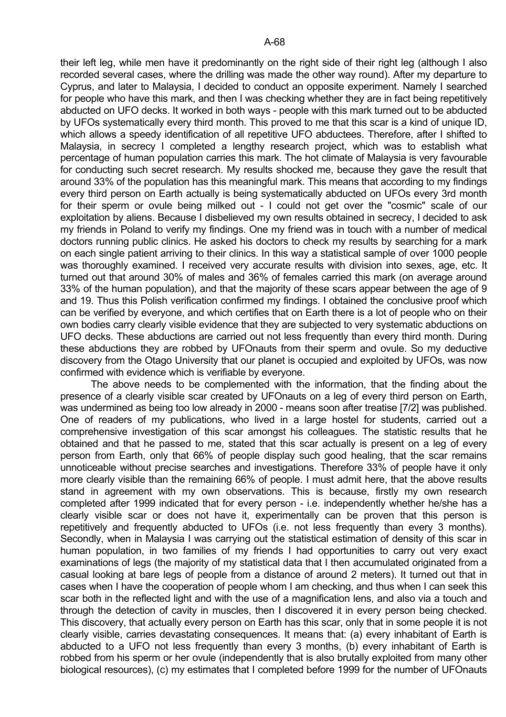their left leg, while men have it predominantly on the right side of their right leg (although I also recorded several cases, where the drilling was made the other way round). After my departure to Cyprus, and later to Malaysia, I decided to conduct an opposite experiment. Namely I searched for people who have this mark, and then I was checking whether they are in fact being repetitively abducted on UFO decks. It worked in both ways - people with this mark turned out to be abducted by UFOs systematically every third month. This proved to me that this scar is a kind of unique ID, which allows a speedy identification of all repetitive UFO abductees. Therefore, after I shifted to Malaysia, in secrecy I completed a lengthy research project, which was to establish what percentage of human population carries this mark. The hot climate of Malaysia is very favourable for conducting such secret research. My results shocked me, because they gave the result that around 33% of the population has this meaningful mark. This means that according to my findings every third person on Earth actually is being systematically abducted on UFOs every 3rd month for their sperm or ovule being milked out - I could not get over the "cosmic" scale of our exploitation by aliens. Because I disbelieved my own results obtained in secrecy, I decided to ask my friends in Poland to verify my findings. One my friend was in touch with a number of medical doctors running public clinics. He asked his doctors to check my results by searching for a mark on each single patient arriving to their clinics. In this way a statistical sample of over 1000 people was thoroughly examined. I received very accurate results with division into sexes, age, etc. It turned out that around 30% of males and 36% of females carried this mark (on average around 33% of the human population), and that the majority of these scars appear between the age of 9 and 19. Thus this Polish verification confirmed my findings. I obtained the conclusive proof which can be verified by everyone, and which certifies that on Earth there is a lot of people who on their own bodies carry clearly visible evidence that they are subjected to very systematic abductions on UFO decks. These abductions are carried out not less frequently than every third month. During these abductions they are robbed by UFOnauts from their sperm and ovule. So my deductive discovery from the Otago University that our planet is occupied and exploited by UFOs, was now confirmed with evidence which is verifiable by everyone.

 The above needs to be complemented with the information, that the finding about the presence of a clearly visible scar created by UFOnauts on a leg of every third person on Earth, was undermined as being too low already in 2000 - means soon after treatise [7/2] was published. One of readers of my publications, who lived in a large hostel for students, carried out a comprehensive investigation of this scar amongst his colleagues. The statistic results that he obtained and that he passed to me, stated that this scar actually is present on a leg of every person from Earth, only that 66% of people display such good healing, that the scar remains unnoticeable without precise searches and investigations. Therefore 33% of people have it only more clearly visible than the remaining 66% of people. I must admit here, that the above results stand in agreement with my own observations. This is because, firstly my own research completed after 1999 indicated that for every person - i.e. independently whether he/she has a clearly visible scar or does not have it, experimentally can be proven that this person is repetitively and frequently abducted to UFOs (i.e. not less frequently than every 3 months). Secondly, when in Malaysia I was carrying out the statistical estimation of density of this scar in human population, in two families of my friends I had opportunities to carry out very exact examinations of legs (the majority of my statistical data that I then accumulated originated from a casual looking at bare legs of people from a distance of around 2 meters). It turned out that in cases when I have the cooperation of people whom I am checking, and thus when I can seek this scar both in the reflected light and with the use of a magnification lens, and also via a touch and through the detection of cavity in muscles, then I discovered it in every person being checked. This discovery, that actually every person on Earth has this scar, only that in some people it is not clearly visible, carries devastating consequences. It means that: (a) every inhabitant of Earth is abducted to a UFO not less frequently than every 3 months, (b) every inhabitant of Earth is robbed from his sperm or her ovule (independently that is also brutally exploited from many other biological resources), (c) my estimates that I completed before 1999 for the number of UFOnauts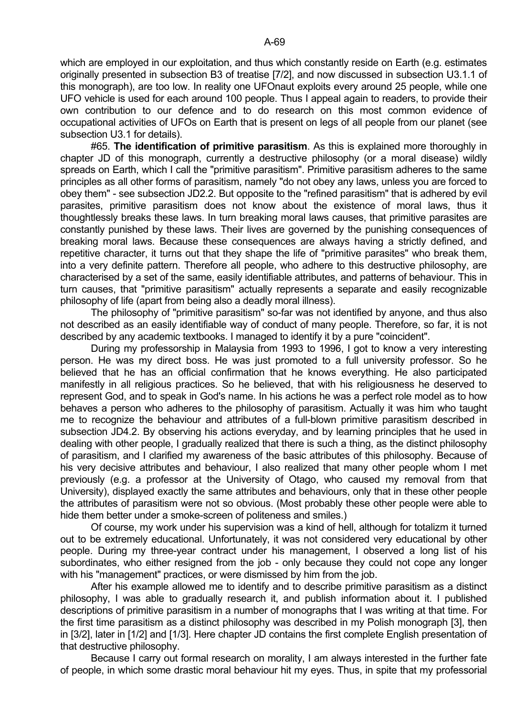which are employed in our exploitation, and thus which constantly reside on Earth (e.g. estimates originally presented in subsection B3 of treatise [7/2], and now discussed in subsection U3.1.1 of this monograph), are too low. In reality one UFOnaut exploits every around 25 people, while one UFO vehicle is used for each around 100 people. Thus I appeal again to readers, to provide their own contribution to our defence and to do research on this most common evidence of occupational activities of UFOs on Earth that is present on legs of all people from our planet (see subsection U3.1 for details).

 #65. **The identification of primitive parasitism**. As this is explained more thoroughly in chapter JD of this monograph, currently a destructive philosophy (or a moral disease) wildly spreads on Earth, which I call the "primitive parasitism". Primitive parasitism adheres to the same principles as all other forms of parasitism, namely "do not obey any laws, unless you are forced to obey them" - see subsection JD2.2. But opposite to the "refined parasitism" that is adhered by evil parasites, primitive parasitism does not know about the existence of moral laws, thus it thoughtlessly breaks these laws. In turn breaking moral laws causes, that primitive parasites are constantly punished by these laws. Their lives are governed by the punishing consequences of breaking moral laws. Because these consequences are always having a strictly defined, and repetitive character, it turns out that they shape the life of "primitive parasites" who break them, into a very definite pattern. Therefore all people, who adhere to this destructive philosophy, are characterised by a set of the same, easily identifiable attributes, and patterns of behaviour. This in turn causes, that "primitive parasitism" actually represents a separate and easily recognizable philosophy of life (apart from being also a deadly moral illness).

 The philosophy of "primitive parasitism" so-far was not identified by anyone, and thus also not described as an easily identifiable way of conduct of many people. Therefore, so far, it is not described by any academic textbooks. I managed to identify it by a pure "coincident".

 During my professorship in Malaysia from 1993 to 1996, I got to know a very interesting person. He was my direct boss. He was just promoted to a full university professor. So he believed that he has an official confirmation that he knows everything. He also participated manifestly in all religious practices. So he believed, that with his religiousness he deserved to represent God, and to speak in God's name. In his actions he was a perfect role model as to how behaves a person who adheres to the philosophy of parasitism. Actually it was him who taught me to recognize the behaviour and attributes of a full-blown primitive parasitism described in subsection JD4.2. By observing his actions everyday, and by learning principles that he used in dealing with other people, I gradually realized that there is such a thing, as the distinct philosophy of parasitism, and I clarified my awareness of the basic attributes of this philosophy. Because of his very decisive attributes and behaviour, I also realized that many other people whom I met previously (e.g. a professor at the University of Otago, who caused my removal from that University), displayed exactly the same attributes and behaviours, only that in these other people the attributes of parasitism were not so obvious. (Most probably these other people were able to hide them better under a smoke-screen of politeness and smiles.)

 Of course, my work under his supervision was a kind of hell, although for totalizm it turned out to be extremely educational. Unfortunately, it was not considered very educational by other people. During my three-year contract under his management, I observed a long list of his subordinates, who either resigned from the job - only because they could not cope any longer with his "management" practices, or were dismissed by him from the job.

 After his example allowed me to identify and to describe primitive parasitism as a distinct philosophy, I was able to gradually research it, and publish information about it. I published descriptions of primitive parasitism in a number of monographs that I was writing at that time. For the first time parasitism as a distinct philosophy was described in my Polish monograph [3], then in [3/2], later in [1/2] and [1/3]. Here chapter JD contains the first complete English presentation of that destructive philosophy.

 Because I carry out formal research on morality, I am always interested in the further fate of people, in which some drastic moral behaviour hit my eyes. Thus, in spite that my professorial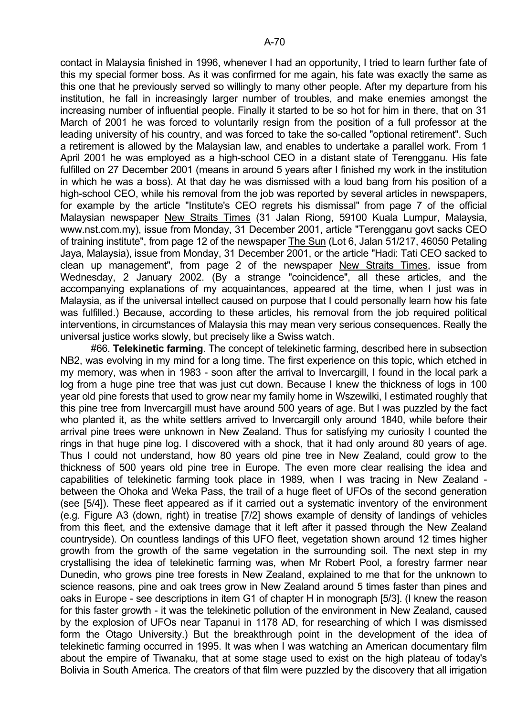contact in Malaysia finished in 1996, whenever I had an opportunity, I tried to learn further fate of this my special former boss. As it was confirmed for me again, his fate was exactly the same as this one that he previously served so willingly to many other people. After my departure from his institution, he fall in increasingly larger number of troubles, and make enemies amongst the increasing number of influential people. Finally it started to be so hot for him in there, that on 31 March of 2001 he was forced to voluntarily resign from the position of a full professor at the leading university of his country, and was forced to take the so-called "optional retirement". Such a retirement is allowed by the Malaysian law, and enables to undertake a parallel work. From 1 April 2001 he was employed as a high-school CEO in a distant state of Terengganu. His fate fulfilled on 27 December 2001 (means in around 5 years after I finished my work in the institution in which he was a boss). At that day he was dismissed with a loud bang from his position of a high-school CEO, while his removal from the job was reported by several articles in newspapers, for example by the article "Institute's CEO regrets his dismissal" from page 7 of the official Malaysian newspaper New Straits Times (31 Jalan Riong, 59100 Kuala Lumpur, Malaysia, www.nst.com.my), issue from Monday, 31 December 2001, article "Terengganu govt sacks CEO of training institute", from page 12 of the newspaper The Sun (Lot 6, Jalan 51/217, 46050 Petaling Jaya, Malaysia), issue from Monday, 31 December 2001, or the article "Hadi: Tati CEO sacked to clean up management", from page 2 of the newspaper New Straits Times, issue from Wednesday, 2 January 2002. (By a strange "coincidence", all these articles, and the accompanying explanations of my acquaintances, appeared at the time, when I just was in Malaysia, as if the universal intellect caused on purpose that I could personally learn how his fate was fulfilled.) Because, according to these articles, his removal from the job required political interventions, in circumstances of Malaysia this may mean very serious consequences. Really the universal justice works slowly, but precisely like a Swiss watch.

 #66. **Telekinetic farming**. The concept of telekinetic farming, described here in subsection NB2, was evolving in my mind for a long time. The first experience on this topic, which etched in my memory, was when in 1983 - soon after the arrival to Invercargill, I found in the local park a log from a huge pine tree that was just cut down. Because I knew the thickness of logs in 100 year old pine forests that used to grow near my family home in Wszewilki, I estimated roughly that this pine tree from Invercargill must have around 500 years of age. But I was puzzled by the fact who planted it, as the white settlers arrived to Invercargill only around 1840, while before their arrival pine trees were unknown in New Zealand. Thus for satisfying my curiosity I counted the rings in that huge pine log. I discovered with a shock, that it had only around 80 years of age. Thus I could not understand, how 80 years old pine tree in New Zealand, could grow to the thickness of 500 years old pine tree in Europe. The even more clear realising the idea and capabilities of telekinetic farming took place in 1989, when I was tracing in New Zealand between the Ohoka and Weka Pass, the trail of a huge fleet of UFOs of the second generation (see [5/4]). These fleet appeared as if it carried out a systematic inventory of the environment (e.g. Figure A3 (down, right) in treatise [7/2] shows example of density of landings of vehicles from this fleet, and the extensive damage that it left after it passed through the New Zealand countryside). On countless landings of this UFO fleet, vegetation shown around 12 times higher growth from the growth of the same vegetation in the surrounding soil. The next step in my crystallising the idea of telekinetic farming was, when Mr Robert Pool, a forestry farmer near Dunedin, who grows pine tree forests in New Zealand, explained to me that for the unknown to science reasons, pine and oak trees grow in New Zealand around 5 times faster than pines and oaks in Europe - see descriptions in item G1 of chapter H in monograph [5/3]. (I knew the reason for this faster growth - it was the telekinetic pollution of the environment in New Zealand, caused by the explosion of UFOs near Tapanui in 1178 AD, for researching of which I was dismissed form the Otago University.) But the breakthrough point in the development of the idea of telekinetic farming occurred in 1995. It was when I was watching an American documentary film about the empire of Tiwanaku, that at some stage used to exist on the high plateau of today's Bolivia in South America. The creators of that film were puzzled by the discovery that all irrigation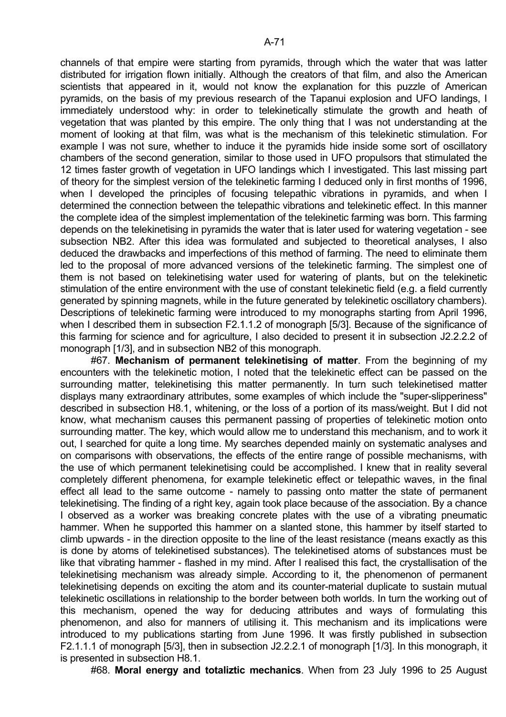channels of that empire were starting from pyramids, through which the water that was latter distributed for irrigation flown initially. Although the creators of that film, and also the American scientists that appeared in it, would not know the explanation for this puzzle of American pyramids, on the basis of my previous research of the Tapanui explosion and UFO landings, I immediately understood why: in order to telekinetically stimulate the growth and heath of vegetation that was planted by this empire. The only thing that I was not understanding at the moment of looking at that film, was what is the mechanism of this telekinetic stimulation. For example I was not sure, whether to induce it the pyramids hide inside some sort of oscillatory chambers of the second generation, similar to those used in UFO propulsors that stimulated the 12 times faster growth of vegetation in UFO landings which I investigated. This last missing part of theory for the simplest version of the telekinetic farming I deduced only in first months of 1996, when I developed the principles of focusing telepathic vibrations in pyramids, and when I determined the connection between the telepathic vibrations and telekinetic effect. In this manner the complete idea of the simplest implementation of the telekinetic farming was born. This farming depends on the telekinetising in pyramids the water that is later used for watering vegetation - see subsection NB2. After this idea was formulated and subjected to theoretical analyses, I also deduced the drawbacks and imperfections of this method of farming. The need to eliminate them led to the proposal of more advanced versions of the telekinetic farming. The simplest one of them is not based on telekinetising water used for watering of plants, but on the telekinetic stimulation of the entire environment with the use of constant telekinetic field (e.g. a field currently generated by spinning magnets, while in the future generated by telekinetic oscillatory chambers). Descriptions of telekinetic farming were introduced to my monographs starting from April 1996, when I described them in subsection F2.1.1.2 of monograph [5/3]. Because of the significance of this farming for science and for agriculture, I also decided to present it in subsection J2.2.2.2 of monograph [1/3], and in subsection NB2 of this monograph.

 #67. **Mechanism of permanent telekinetising of matter**. From the beginning of my encounters with the telekinetic motion, I noted that the telekinetic effect can be passed on the surrounding matter, telekinetising this matter permanently. In turn such telekinetised matter displays many extraordinary attributes, some examples of which include the "super-slipperiness" described in subsection H8.1, whitening, or the loss of a portion of its mass/weight. But I did not know, what mechanism causes this permanent passing of properties of telekinetic motion onto surrounding matter. The key, which would allow me to understand this mechanism, and to work it out, I searched for quite a long time. My searches depended mainly on systematic analyses and on comparisons with observations, the effects of the entire range of possible mechanisms, with the use of which permanent telekinetising could be accomplished. I knew that in reality several completely different phenomena, for example telekinetic effect or telepathic waves, in the final effect all lead to the same outcome - namely to passing onto matter the state of permanent telekinetising. The finding of a right key, again took place because of the association. By a chance I observed as a worker was breaking concrete plates with the use of a vibrating pneumatic hammer. When he supported this hammer on a slanted stone, this hammer by itself started to climb upwards - in the direction opposite to the line of the least resistance (means exactly as this is done by atoms of telekinetised substances). The telekinetised atoms of substances must be like that vibrating hammer - flashed in my mind. After I realised this fact, the crystallisation of the telekinetising mechanism was already simple. According to it, the phenomenon of permanent telekinetising depends on exciting the atom and its counter-material duplicate to sustain mutual telekinetic oscillations in relationship to the border between both worlds. In turn the working out of this mechanism, opened the way for deducing attributes and ways of formulating this phenomenon, and also for manners of utilising it. This mechanism and its implications were introduced to my publications starting from June 1996. It was firstly published in subsection F2.1.1.1 of monograph [5/3], then in subsection J2.2.2.1 of monograph [1/3]. In this monograph, it is presented in subsection H8.1.

#68. **Moral energy and totaliztic mechanics**. When from 23 July 1996 to 25 August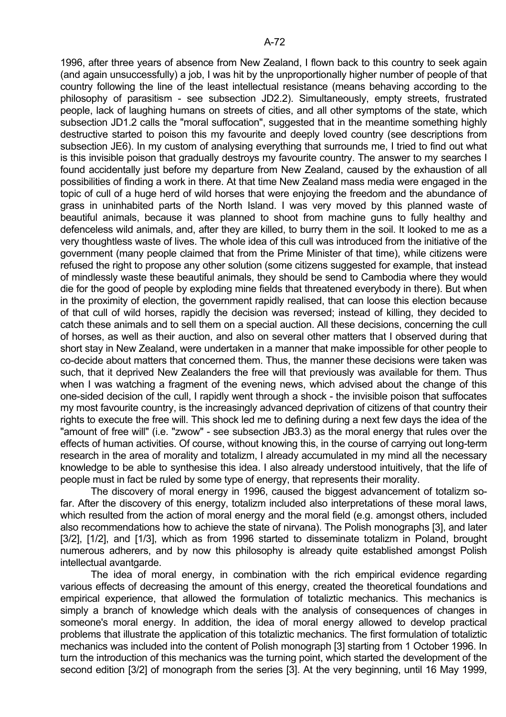1996, after three years of absence from New Zealand, I flown back to this country to seek again (and again unsuccessfully) a job, I was hit by the unproportionally higher number of people of that country following the line of the least intellectual resistance (means behaving according to the philosophy of parasitism - see subsection JD2.2). Simultaneously, empty streets, frustrated people, lack of laughing humans on streets of cities, and all other symptoms of the state, which subsection JD1.2 calls the "moral suffocation", suggested that in the meantime something highly destructive started to poison this my favourite and deeply loved country (see descriptions from subsection JE6). In my custom of analysing everything that surrounds me, I tried to find out what is this invisible poison that gradually destroys my favourite country. The answer to my searches I found accidentally just before my departure from New Zealand, caused by the exhaustion of all possibilities of finding a work in there. At that time New Zealand mass media were engaged in the topic of cull of a huge herd of wild horses that were enjoying the freedom and the abundance of grass in uninhabited parts of the North Island. I was very moved by this planned waste of beautiful animals, because it was planned to shoot from machine guns to fully healthy and defenceless wild animals, and, after they are killed, to burry them in the soil. It looked to me as a very thoughtless waste of lives. The whole idea of this cull was introduced from the initiative of the government (many people claimed that from the Prime Minister of that time), while citizens were refused the right to propose any other solution (some citizens suggested for example, that instead of mindlessly waste these beautiful animals, they should be send to Cambodia where they would die for the good of people by exploding mine fields that threatened everybody in there). But when in the proximity of election, the government rapidly realised, that can loose this election because of that cull of wild horses, rapidly the decision was reversed; instead of killing, they decided to catch these animals and to sell them on a special auction. All these decisions, concerning the cull of horses, as well as their auction, and also on several other matters that I observed during that short stay in New Zealand, were undertaken in a manner that make impossible for other people to co-decide about matters that concerned them. Thus, the manner these decisions were taken was such, that it deprived New Zealanders the free will that previously was available for them. Thus when I was watching a fragment of the evening news, which advised about the change of this one-sided decision of the cull, I rapidly went through a shock - the invisible poison that suffocates my most favourite country, is the increasingly advanced deprivation of citizens of that country their rights to execute the free will. This shock led me to defining during a next few days the idea of the "amount of free will" (i.e. "zwow" - see subsection JB3.3) as the moral energy that rules over the effects of human activities. Of course, without knowing this, in the course of carrying out long-term research in the area of morality and totalizm, I already accumulated in my mind all the necessary knowledge to be able to synthesise this idea. I also already understood intuitively, that the life of people must in fact be ruled by some type of energy, that represents their morality.

 The discovery of moral energy in 1996, caused the biggest advancement of totalizm sofar. After the discovery of this energy, totalizm included also interpretations of these moral laws, which resulted from the action of moral energy and the moral field (e.g. amongst others, included also recommendations how to achieve the state of nirvana). The Polish monographs [3], and later [3/2], [1/2], and [1/3], which as from 1996 started to disseminate totalizm in Poland, brought numerous adherers, and by now this philosophy is already quite established amongst Polish intellectual avantgarde.

 The idea of moral energy, in combination with the rich empirical evidence regarding various effects of decreasing the amount of this energy, created the theoretical foundations and empirical experience, that allowed the formulation of totaliztic mechanics. This mechanics is simply a branch of knowledge which deals with the analysis of consequences of changes in someone's moral energy. In addition, the idea of moral energy allowed to develop practical problems that illustrate the application of this totaliztic mechanics. The first formulation of totaliztic mechanics was included into the content of Polish monograph [3] starting from 1 October 1996. In turn the introduction of this mechanics was the turning point, which started the development of the second edition [3/2] of monograph from the series [3]. At the very beginning, until 16 May 1999,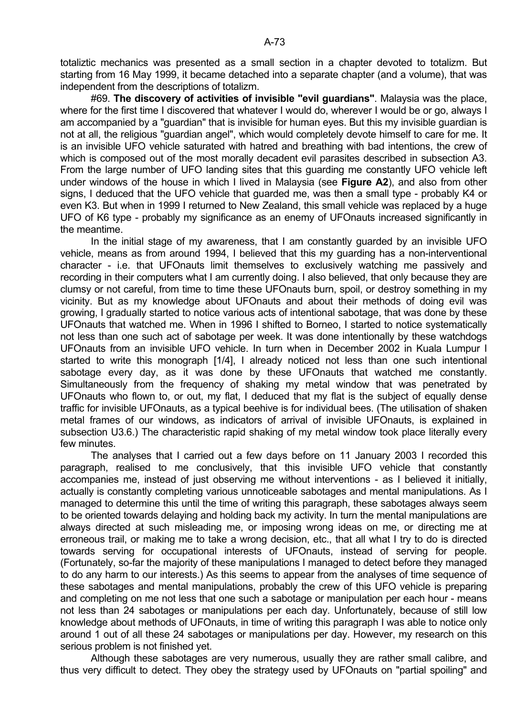totaliztic mechanics was presented as a small section in a chapter devoted to totalizm. But starting from 16 May 1999, it became detached into a separate chapter (and a volume), that was independent from the descriptions of totalizm.

 #69. **The discovery of activities of invisible "evil guardians"**. Malaysia was the place, where for the first time I discovered that whatever I would do, wherever I would be or go, always I am accompanied by a "guardian" that is invisible for human eyes. But this my invisible guardian is not at all, the religious "guardian angel", which would completely devote himself to care for me. It is an invisible UFO vehicle saturated with hatred and breathing with bad intentions, the crew of which is composed out of the most morally decadent evil parasites described in subsection A3. From the large number of UFO landing sites that this guarding me constantly UFO vehicle left under windows of the house in which I lived in Malaysia (see **Figure A2**), and also from other signs, I deduced that the UFO vehicle that guarded me, was then a small type - probably K4 or even K3. But when in 1999 I returned to New Zealand, this small vehicle was replaced by a huge UFO of K6 type - probably my significance as an enemy of UFOnauts increased significantly in the meantime.

 In the initial stage of my awareness, that I am constantly guarded by an invisible UFO vehicle, means as from around 1994, I believed that this my guarding has a non-interventional character - i.e. that UFOnauts limit themselves to exclusively watching me passively and recording in their computers what I am currently doing. I also believed, that only because they are clumsy or not careful, from time to time these UFOnauts burn, spoil, or destroy something in my vicinity. But as my knowledge about UFOnauts and about their methods of doing evil was growing, I gradually started to notice various acts of intentional sabotage, that was done by these UFOnauts that watched me. When in 1996 I shifted to Borneo, I started to notice systematically not less than one such act of sabotage per week. It was done intentionally by these watchdogs UFOnauts from an invisible UFO vehicle. In turn when in December 2002 in Kuala Lumpur I started to write this monograph [1/4], I already noticed not less than one such intentional sabotage every day, as it was done by these UFOnauts that watched me constantly. Simultaneously from the frequency of shaking my metal window that was penetrated by UFOnauts who flown to, or out, my flat, I deduced that my flat is the subject of equally dense traffic for invisible UFOnauts, as a typical beehive is for individual bees. (The utilisation of shaken metal frames of our windows, as indicators of arrival of invisible UFOnauts, is explained in subsection U3.6.) The characteristic rapid shaking of my metal window took place literally every few minutes.

 The analyses that I carried out a few days before on 11 January 2003 I recorded this paragraph, realised to me conclusively, that this invisible UFO vehicle that constantly accompanies me, instead of just observing me without interventions - as I believed it initially, actually is constantly completing various unnoticeable sabotages and mental manipulations. As I managed to determine this until the time of writing this paragraph, these sabotages always seem to be oriented towards delaying and holding back my activity. In turn the mental manipulations are always directed at such misleading me, or imposing wrong ideas on me, or directing me at erroneous trail, or making me to take a wrong decision, etc., that all what I try to do is directed towards serving for occupational interests of UFOnauts, instead of serving for people. (Fortunately, so-far the majority of these manipulations I managed to detect before they managed to do any harm to our interests.) As this seems to appear from the analyses of time sequence of these sabotages and mental manipulations, probably the crew of this UFO vehicle is preparing and completing on me not less that one such a sabotage or manipulation per each hour - means not less than 24 sabotages or manipulations per each day. Unfortunately, because of still low knowledge about methods of UFOnauts, in time of writing this paragraph I was able to notice only around 1 out of all these 24 sabotages or manipulations per day. However, my research on this serious problem is not finished yet.

 Although these sabotages are very numerous, usually they are rather small calibre, and thus very difficult to detect. They obey the strategy used by UFOnauts on "partial spoiling" and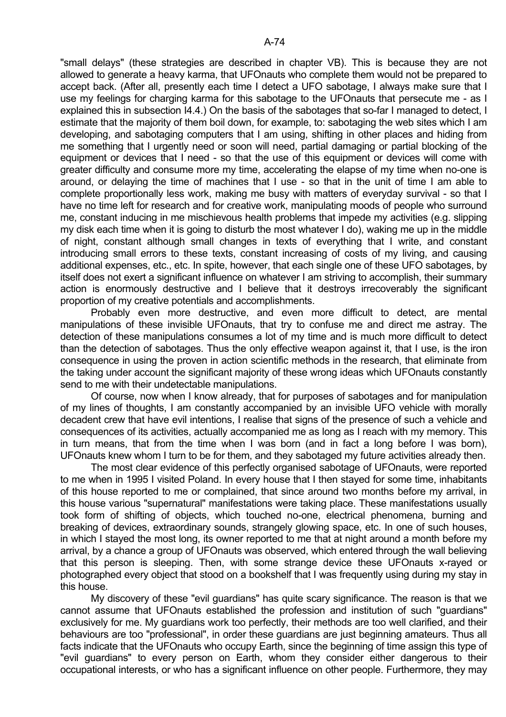"small delays" (these strategies are described in chapter VB). This is because they are not allowed to generate a heavy karma, that UFOnauts who complete them would not be prepared to accept back. (After all, presently each time I detect a UFO sabotage, I always make sure that I use my feelings for charging karma for this sabotage to the UFOnauts that persecute me - as I explained this in subsection I4.4.) On the basis of the sabotages that so-far I managed to detect, I estimate that the majority of them boil down, for example, to: sabotaging the web sites which I am developing, and sabotaging computers that I am using, shifting in other places and hiding from me something that I urgently need or soon will need, partial damaging or partial blocking of the equipment or devices that I need - so that the use of this equipment or devices will come with greater difficulty and consume more my time, accelerating the elapse of my time when no-one is around, or delaying the time of machines that I use - so that in the unit of time I am able to complete proportionally less work, making me busy with matters of everyday survival - so that I have no time left for research and for creative work, manipulating moods of people who surround me, constant inducing in me mischievous health problems that impede my activities (e.g. slipping my disk each time when it is going to disturb the most whatever I do), waking me up in the middle of night, constant although small changes in texts of everything that I write, and constant introducing small errors to these texts, constant increasing of costs of my living, and causing additional expenses, etc., etc. In spite, however, that each single one of these UFO sabotages, by itself does not exert a significant influence on whatever I am striving to accomplish, their summary action is enormously destructive and I believe that it destroys irrecoverably the significant proportion of my creative potentials and accomplishments.

 Probably even more destructive, and even more difficult to detect, are mental manipulations of these invisible UFOnauts, that try to confuse me and direct me astray. The detection of these manipulations consumes a lot of my time and is much more difficult to detect than the detection of sabotages. Thus the only effective weapon against it, that I use, is the iron consequence in using the proven in action scientific methods in the research, that eliminate from the taking under account the significant majority of these wrong ideas which UFOnauts constantly send to me with their undetectable manipulations.

 Of course, now when I know already, that for purposes of sabotages and for manipulation of my lines of thoughts, I am constantly accompanied by an invisible UFO vehicle with morally decadent crew that have evil intentions, I realise that signs of the presence of such a vehicle and consequences of its activities, actually accompanied me as long as I reach with my memory. This in turn means, that from the time when I was born (and in fact a long before I was born), UFOnauts knew whom I turn to be for them, and they sabotaged my future activities already then.

 The most clear evidence of this perfectly organised sabotage of UFOnauts, were reported to me when in 1995 I visited Poland. In every house that I then stayed for some time, inhabitants of this house reported to me or complained, that since around two months before my arrival, in this house various "supernatural" manifestations were taking place. These manifestations usually took form of shifting of objects, which touched no-one, electrical phenomena, burning and breaking of devices, extraordinary sounds, strangely glowing space, etc. In one of such houses, in which I stayed the most long, its owner reported to me that at night around a month before my arrival, by a chance a group of UFOnauts was observed, which entered through the wall believing that this person is sleeping. Then, with some strange device these UFOnauts x-rayed or photographed every object that stood on a bookshelf that I was frequently using during my stay in this house.

 My discovery of these "evil guardians" has quite scary significance. The reason is that we cannot assume that UFOnauts established the profession and institution of such "guardians" exclusively for me. My guardians work too perfectly, their methods are too well clarified, and their behaviours are too "professional", in order these guardians are just beginning amateurs. Thus all facts indicate that the UFOnauts who occupy Earth, since the beginning of time assign this type of "evil guardians" to every person on Earth, whom they consider either dangerous to their occupational interests, or who has a significant influence on other people. Furthermore, they may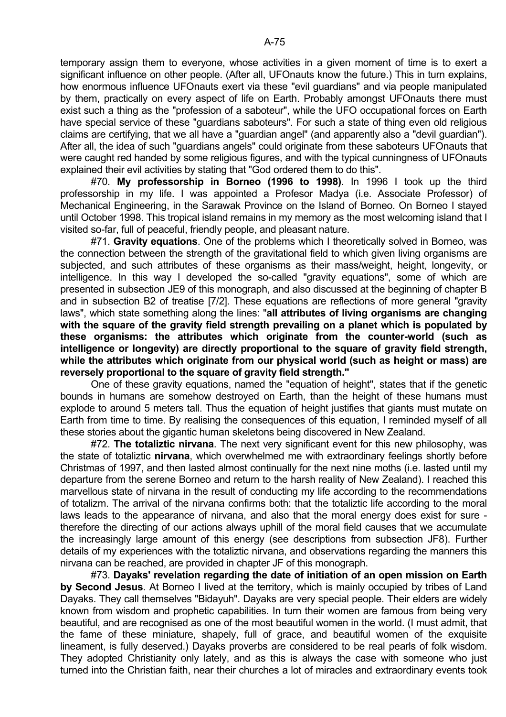temporary assign them to everyone, whose activities in a given moment of time is to exert a significant influence on other people. (After all, UFOnauts know the future.) This in turn explains, how enormous influence UFOnauts exert via these "evil guardians" and via people manipulated by them, practically on every aspect of life on Earth. Probably amongst UFOnauts there must exist such a thing as the "profession of a saboteur", while the UFO occupational forces on Earth have special service of these "guardians saboteurs". For such a state of thing even old religious claims are certifying, that we all have a "guardian angel" (and apparently also a "devil guardian"). After all, the idea of such "guardians angels" could originate from these saboteurs UFOnauts that were caught red handed by some religious figures, and with the typical cunningness of UFOnauts explained their evil activities by stating that "God ordered them to do this".

 #70. **My professorship in Borneo (1996 to 1998)**. In 1996 I took up the third professorship in my life. I was appointed a Profesor Madya (i.e. Associate Professor) of Mechanical Engineering, in the Sarawak Province on the Island of Borneo. On Borneo I stayed until October 1998. This tropical island remains in my memory as the most welcoming island that I visited so-far, full of peaceful, friendly people, and pleasant nature.

 #71. **Gravity equations**. One of the problems which I theoretically solved in Borneo, was the connection between the strength of the gravitational field to which given living organisms are subjected, and such attributes of these organisms as their mass/weight, height, longevity, or intelligence. In this way I developed the so-called "gravity equations", some of which are presented in subsection JE9 of this monograph, and also discussed at the beginning of chapter B and in subsection B2 of treatise [7/2]. These equations are reflections of more general "gravity laws", which state something along the lines: "**all attributes of living organisms are changing with the square of the gravity field strength prevailing on a planet which is populated by these organisms: the attributes which originate from the counter-world (such as intelligence or longevity) are directly proportional to the square of gravity field strength, while the attributes which originate from our physical world (such as height or mass) are reversely proportional to the square of gravity field strength."**

 One of these gravity equations, named the "equation of height", states that if the genetic bounds in humans are somehow destroyed on Earth, than the height of these humans must explode to around 5 meters tall. Thus the equation of height justifies that giants must mutate on Earth from time to time. By realising the consequences of this equation, I reminded myself of all these stories about the gigantic human skeletons being discovered in New Zealand.

 #72. **The totaliztic nirvana**. The next very significant event for this new philosophy, was the state of totaliztic **nirvana**, which overwhelmed me with extraordinary feelings shortly before Christmas of 1997, and then lasted almost continually for the next nine moths (i.e. lasted until my departure from the serene Borneo and return to the harsh reality of New Zealand). I reached this marvellous state of nirvana in the result of conducting my life according to the recommendations of totalizm. The arrival of the nirvana confirms both: that the totaliztic life according to the moral laws leads to the appearance of nirvana, and also that the moral energy does exist for sure therefore the directing of our actions always uphill of the moral field causes that we accumulate the increasingly large amount of this energy (see descriptions from subsection JF8). Further details of my experiences with the totaliztic nirvana, and observations regarding the manners this nirvana can be reached, are provided in chapter JF of this monograph.

 #73. **Dayaks' revelation regarding the date of initiation of an open mission on Earth by Second Jesus**. At Borneo I lived at the territory, which is mainly occupied by tribes of Land Dayaks. They call themselves "Bidayuh". Dayaks are very special people. Their elders are widely known from wisdom and prophetic capabilities. In turn their women are famous from being very beautiful, and are recognised as one of the most beautiful women in the world. (I must admit, that the fame of these miniature, shapely, full of grace, and beautiful women of the exquisite lineament, is fully deserved.) Dayaks proverbs are considered to be real pearls of folk wisdom. They adopted Christianity only lately, and as this is always the case with someone who just turned into the Christian faith, near their churches a lot of miracles and extraordinary events took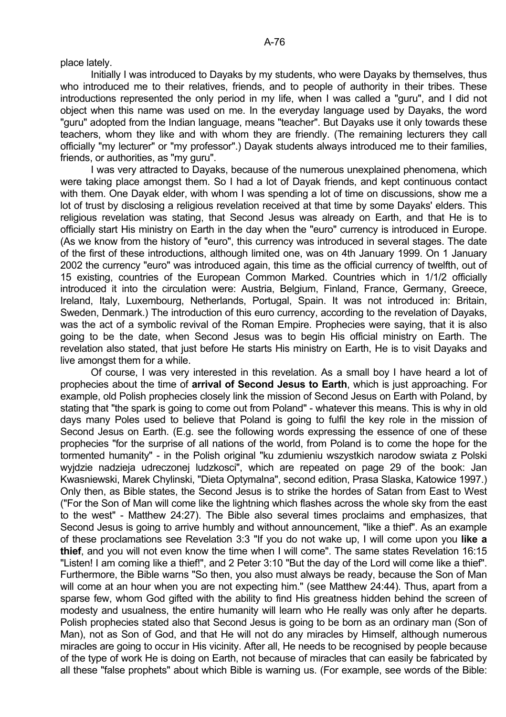place lately.

 Initially I was introduced to Dayaks by my students, who were Dayaks by themselves, thus who introduced me to their relatives, friends, and to people of authority in their tribes. These introductions represented the only period in my life, when I was called a "guru", and I did not object when this name was used on me. In the everyday language used by Dayaks, the word "guru" adopted from the Indian language, means "teacher". But Dayaks use it only towards these teachers, whom they like and with whom they are friendly. (The remaining lecturers they call officially "my lecturer" or "my professor".) Dayak students always introduced me to their families, friends, or authorities, as "my guru".

 I was very attracted to Dayaks, because of the numerous unexplained phenomena, which were taking place amongst them. So I had a lot of Dayak friends, and kept continuous contact with them. One Dayak elder, with whom I was spending a lot of time on discussions, show me a lot of trust by disclosing a religious revelation received at that time by some Dayaks' elders. This religious revelation was stating, that Second Jesus was already on Earth, and that He is to officially start His ministry on Earth in the day when the "euro" currency is introduced in Europe. (As we know from the history of "euro", this currency was introduced in several stages. The date of the first of these introductions, although limited one, was on 4th January 1999. On 1 January 2002 the currency "euro" was introduced again, this time as the official currency of twelfth, out of 15 existing, countries of the European Common Marked. Countries which in 1/1/2 officially introduced it into the circulation were: Austria, Belgium, Finland, France, Germany, Greece, Ireland, Italy, Luxembourg, Netherlands, Portugal, Spain. It was not introduced in: Britain, Sweden, Denmark.) The introduction of this euro currency, according to the revelation of Dayaks, was the act of a symbolic revival of the Roman Empire. Prophecies were saying, that it is also going to be the date, when Second Jesus was to begin His official ministry on Earth. The revelation also stated, that just before He starts His ministry on Earth, He is to visit Dayaks and live amongst them for a while.

 Of course, I was very interested in this revelation. As a small boy I have heard a lot of prophecies about the time of **arrival of Second Jesus to Earth**, which is just approaching. For example, old Polish prophecies closely link the mission of Second Jesus on Earth with Poland, by stating that "the spark is going to come out from Poland" - whatever this means. This is why in old days many Poles used to believe that Poland is going to fulfil the key role in the mission of Second Jesus on Earth. (E.g. see the following words expressing the essence of one of these prophecies "for the surprise of all nations of the world, from Poland is to come the hope for the tormented humanity" - in the Polish original "ku zdumieniu wszystkich narodow swiata z Polski wyjdzie nadzieja udreczonej ludzkosci", which are repeated on page 29 of the book: Jan Kwasniewski, Marek Chylinski, "Dieta Optymalna", second edition, Prasa Slaska, Katowice 1997.) Only then, as Bible states, the Second Jesus is to strike the hordes of Satan from East to West ("For the Son of Man will come like the lightning which flashes across the whole sky from the east to the west" - Matthew 24:27). The Bible also several times proclaims and emphasizes, that Second Jesus is going to arrive humbly and without announcement, "like a thief". As an example of these proclamations see Revelation 3:3 "If you do not wake up, I will come upon you **like a thief**, and you will not even know the time when I will come". The same states Revelation 16:15 "Listen! I am coming like a thief!", and 2 Peter 3:10 "But the day of the Lord will come like a thief". Furthermore, the Bible warns "So then, you also must always be ready, because the Son of Man will come at an hour when you are not expecting him." (see Matthew 24:44). Thus, apart from a sparse few, whom God gifted with the ability to find His greatness hidden behind the screen of modesty and usualness, the entire humanity will learn who He really was only after he departs. Polish prophecies stated also that Second Jesus is going to be born as an ordinary man (Son of Man), not as Son of God, and that He will not do any miracles by Himself, although numerous miracles are going to occur in His vicinity. After all, He needs to be recognised by people because of the type of work He is doing on Earth, not because of miracles that can easily be fabricated by all these "false prophets" about which Bible is warning us. (For example, see words of the Bible: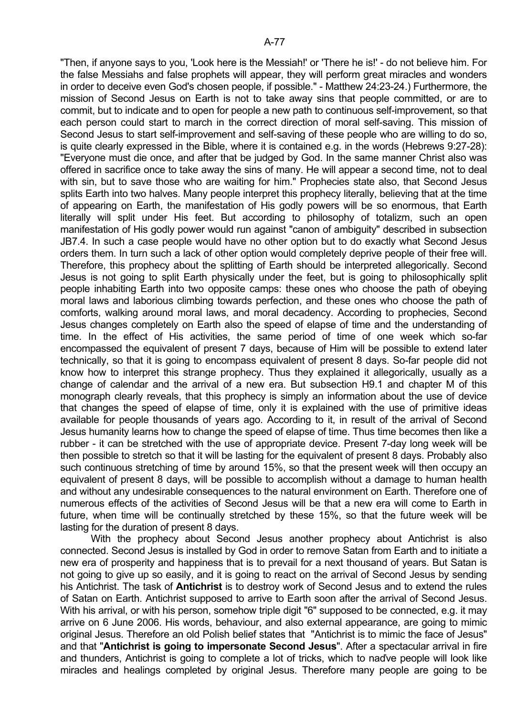"Then, if anyone says to you, 'Look here is the Messiah!' or 'There he is!' - do not believe him. For the false Messiahs and false prophets will appear, they will perform great miracles and wonders in order to deceive even God's chosen people, if possible." - Matthew 24:23-24.) Furthermore, the mission of Second Jesus on Earth is not to take away sins that people committed, or are to commit, but to indicate and to open for people a new path to continuous self-improvement, so that each person could start to march in the correct direction of moral self-saving. This mission of Second Jesus to start self-improvement and self-saving of these people who are willing to do so, is quite clearly expressed in the Bible, where it is contained e.g. in the words (Hebrews 9:27-28): "Everyone must die once, and after that be judged by God. In the same manner Christ also was offered in sacrifice once to take away the sins of many. He will appear a second time, not to deal with sin, but to save those who are waiting for him." Prophecies state also, that Second Jesus splits Earth into two halves. Many people interpret this prophecy literally, believing that at the time of appearing on Earth, the manifestation of His godly powers will be so enormous, that Earth literally will split under His feet. But according to philosophy of totalizm, such an open manifestation of His godly power would run against "canon of ambiguity" described in subsection JB7.4. In such a case people would have no other option but to do exactly what Second Jesus orders them. In turn such a lack of other option would completely deprive people of their free will. Therefore, this prophecy about the splitting of Earth should be interpreted allegorically. Second Jesus is not going to split Earth physically under the feet, but is going to philosophically split people inhabiting Earth into two opposite camps: these ones who choose the path of obeying moral laws and laborious climbing towards perfection, and these ones who choose the path of comforts, walking around moral laws, and moral decadency. According to prophecies, Second Jesus changes completely on Earth also the speed of elapse of time and the understanding of time. In the effect of His activities, the same period of time of one week which so-far encompassed the equivalent of present 7 days, because of Him will be possible to extend later technically, so that it is going to encompass equivalent of present 8 days. So-far people did not know how to interpret this strange prophecy. Thus they explained it allegorically, usually as a change of calendar and the arrival of a new era. But subsection H9.1 and chapter M of this monograph clearly reveals, that this prophecy is simply an information about the use of device that changes the speed of elapse of time, only it is explained with the use of primitive ideas available for people thousands of years ago. According to it, in result of the arrival of Second Jesus humanity learns how to change the speed of elapse of time. Thus time becomes then like a rubber - it can be stretched with the use of appropriate device. Present 7-day long week will be then possible to stretch so that it will be lasting for the equivalent of present 8 days. Probably also such continuous stretching of time by around 15%, so that the present week will then occupy an equivalent of present 8 days, will be possible to accomplish without a damage to human health and without any undesirable consequences to the natural environment on Earth. Therefore one of numerous effects of the activities of Second Jesus will be that a new era will come to Earth in future, when time will be continually stretched by these 15%, so that the future week will be lasting for the duration of present 8 days.

 With the prophecy about Second Jesus another prophecy about Antichrist is also connected. Second Jesus is installed by God in order to remove Satan from Earth and to initiate a new era of prosperity and happiness that is to prevail for a next thousand of years. But Satan is not going to give up so easily, and it is going to react on the arrival of Second Jesus by sending his Antichrist. The task of **Antichrist** is to destroy work of Second Jesus and to extend the rules of Satan on Earth. Antichrist supposed to arrive to Earth soon after the arrival of Second Jesus. With his arrival, or with his person, somehow triple digit "6" supposed to be connected, e.g. it may arrive on 6 June 2006. His words, behaviour, and also external appearance, are going to mimic original Jesus. Therefore an old Polish belief states that "Antichrist is to mimic the face of Jesus" and that "**Antichrist is going to impersonate Second Jesus**". After a spectacular arrival in fire and thunders, Antichrist is going to complete a lot of tricks, which to naďve people will look like miracles and healings completed by original Jesus. Therefore many people are going to be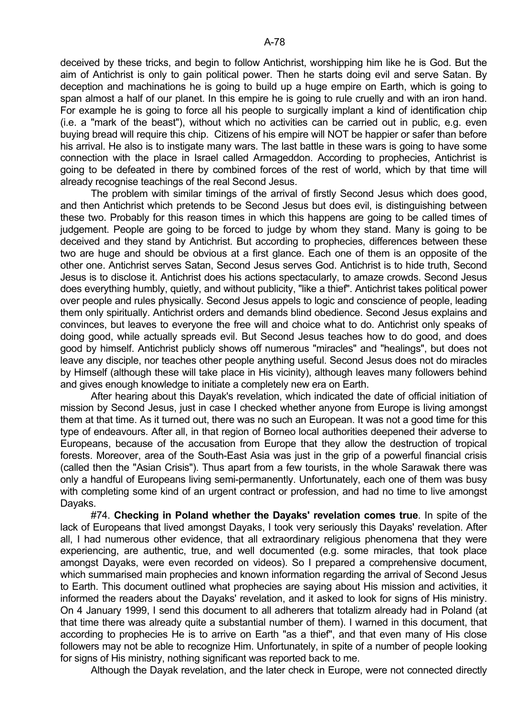deceived by these tricks, and begin to follow Antichrist, worshipping him like he is God. But the aim of Antichrist is only to gain political power. Then he starts doing evil and serve Satan. By deception and machinations he is going to build up a huge empire on Earth, which is going to span almost a half of our planet. In this empire he is going to rule cruelly and with an iron hand. For example he is going to force all his people to surgically implant a kind of identification chip (i.e. a "mark of the beast"), without which no activities can be carried out in public, e.g. even buying bread will require this chip. Citizens of his empire will NOT be happier or safer than before his arrival. He also is to instigate many wars. The last battle in these wars is going to have some connection with the place in Israel called Armageddon. According to prophecies, Antichrist is going to be defeated in there by combined forces of the rest of world, which by that time will already recognise teachings of the real Second Jesus.

 The problem with similar timings of the arrival of firstly Second Jesus which does good, and then Antichrist which pretends to be Second Jesus but does evil, is distinguishing between these two. Probably for this reason times in which this happens are going to be called times of judgement. People are going to be forced to judge by whom they stand. Many is going to be deceived and they stand by Antichrist. But according to prophecies, differences between these two are huge and should be obvious at a first glance. Each one of them is an opposite of the other one. Antichrist serves Satan, Second Jesus serves God. Antichrist is to hide truth, Second Jesus is to disclose it. Antichrist does his actions spectacularly, to amaze crowds. Second Jesus does everything humbly, quietly, and without publicity, "like a thief". Antichrist takes political power over people and rules physically. Second Jesus appels to logic and conscience of people, leading them only spiritually. Antichrist orders and demands blind obedience. Second Jesus explains and convinces, but leaves to everyone the free will and choice what to do. Antichrist only speaks of doing good, while actually spreads evil. But Second Jesus teaches how to do good, and does good by himself. Antichrist publicly shows off numerous "miracles" and "healings", but does not leave any disciple, nor teaches other people anything useful. Second Jesus does not do miracles by Himself (although these will take place in His vicinity), although leaves many followers behind and gives enough knowledge to initiate a completely new era on Earth.

 After hearing about this Dayak's revelation, which indicated the date of official initiation of mission by Second Jesus, just in case I checked whether anyone from Europe is living amongst them at that time. As it turned out, there was no such an European. It was not a good time for this type of endeavours. After all, in that region of Borneo local authorities deepened their adverse to Europeans, because of the accusation from Europe that they allow the destruction of tropical forests. Moreover, area of the South-East Asia was just in the grip of a powerful financial crisis (called then the "Asian Crisis"). Thus apart from a few tourists, in the whole Sarawak there was only a handful of Europeans living semi-permanently. Unfortunately, each one of them was busy with completing some kind of an urgent contract or profession, and had no time to live amongst Dayaks.

 #74. **Checking in Poland whether the Dayaks' revelation comes true**. In spite of the lack of Europeans that lived amongst Dayaks, I took very seriously this Dayaks' revelation. After all, I had numerous other evidence, that all extraordinary religious phenomena that they were experiencing, are authentic, true, and well documented (e.g. some miracles, that took place amongst Dayaks, were even recorded on videos). So I prepared a comprehensive document, which summarised main prophecies and known information regarding the arrival of Second Jesus to Earth. This document outlined what prophecies are saying about His mission and activities, it informed the readers about the Dayaks' revelation, and it asked to look for signs of His ministry. On 4 January 1999, I send this document to all adherers that totalizm already had in Poland (at that time there was already quite a substantial number of them). I warned in this document, that according to prophecies He is to arrive on Earth "as a thief", and that even many of His close followers may not be able to recognize Him. Unfortunately, in spite of a number of people looking for signs of His ministry, nothing significant was reported back to me.

Although the Dayak revelation, and the later check in Europe, were not connected directly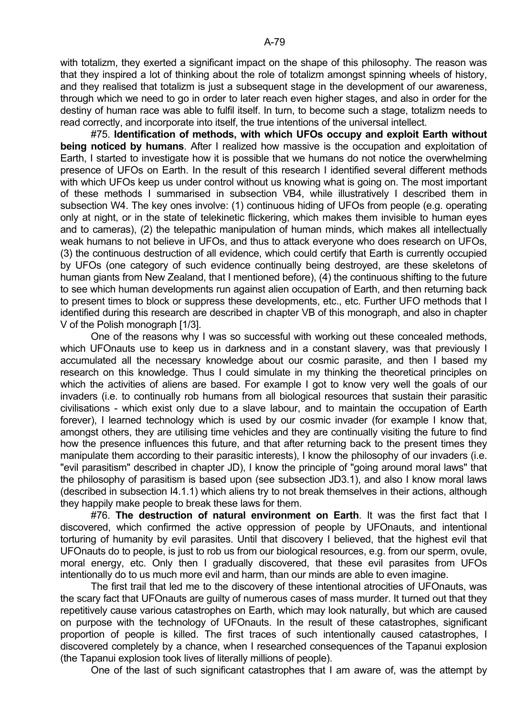with totalizm, they exerted a significant impact on the shape of this philosophy. The reason was that they inspired a lot of thinking about the role of totalizm amongst spinning wheels of history, and they realised that totalizm is just a subsequent stage in the development of our awareness, through which we need to go in order to later reach even higher stages, and also in order for the destiny of human race was able to fulfil itself. In turn, to become such a stage, totalizm needs to read correctly, and incorporate into itself, the true intentions of the universal intellect.

 #75. **Identification of methods, with which UFOs occupy and exploit Earth without being noticed by humans**. After I realized how massive is the occupation and exploitation of Earth, I started to investigate how it is possible that we humans do not notice the overwhelming presence of UFOs on Earth. In the result of this research I identified several different methods with which UFOs keep us under control without us knowing what is going on. The most important of these methods I summarised in subsection VB4, while illustratively I described them in subsection W4. The key ones involve: (1) continuous hiding of UFOs from people (e.g. operating only at night, or in the state of telekinetic flickering, which makes them invisible to human eyes and to cameras), (2) the telepathic manipulation of human minds, which makes all intellectually weak humans to not believe in UFOs, and thus to attack everyone who does research on UFOs, (3) the continuous destruction of all evidence, which could certify that Earth is currently occupied by UFOs (one category of such evidence continually being destroyed, are these skeletons of human giants from New Zealand, that I mentioned before), (4) the continuous shifting to the future to see which human developments run against alien occupation of Earth, and then returning back to present times to block or suppress these developments, etc., etc. Further UFO methods that I identified during this research are described in chapter VB of this monograph, and also in chapter V of the Polish monograph [1/3].

 One of the reasons why I was so successful with working out these concealed methods, which UFOnauts use to keep us in darkness and in a constant slavery, was that previously I accumulated all the necessary knowledge about our cosmic parasite, and then I based my research on this knowledge. Thus I could simulate in my thinking the theoretical principles on which the activities of aliens are based. For example I got to know very well the goals of our invaders (i.e. to continually rob humans from all biological resources that sustain their parasitic civilisations - which exist only due to a slave labour, and to maintain the occupation of Earth forever), I learned technology which is used by our cosmic invader (for example I know that, amongst others, they are utilising time vehicles and they are continually visiting the future to find how the presence influences this future, and that after returning back to the present times they manipulate them according to their parasitic interests), I know the philosophy of our invaders (i.e. "evil parasitism" described in chapter JD), I know the principle of "going around moral laws" that the philosophy of parasitism is based upon (see subsection JD3.1), and also I know moral laws (described in subsection I4.1.1) which aliens try to not break themselves in their actions, although they happily make people to break these laws for them.

 #76. **The destruction of natural environment on Earth**. It was the first fact that I discovered, which confirmed the active oppression of people by UFOnauts, and intentional torturing of humanity by evil parasites. Until that discovery I believed, that the highest evil that UFOnauts do to people, is just to rob us from our biological resources, e.g. from our sperm, ovule, moral energy, etc. Only then I gradually discovered, that these evil parasites from UFOs intentionally do to us much more evil and harm, than our minds are able to even imagine.

 The first trail that led me to the discovery of these intentional atrocities of UFOnauts, was the scary fact that UFOnauts are guilty of numerous cases of mass murder. It turned out that they repetitively cause various catastrophes on Earth, which may look naturally, but which are caused on purpose with the technology of UFOnauts. In the result of these catastrophes, significant proportion of people is killed. The first traces of such intentionally caused catastrophes, I discovered completely by a chance, when I researched consequences of the Tapanui explosion (the Tapanui explosion took lives of literally millions of people).

One of the last of such significant catastrophes that I am aware of, was the attempt by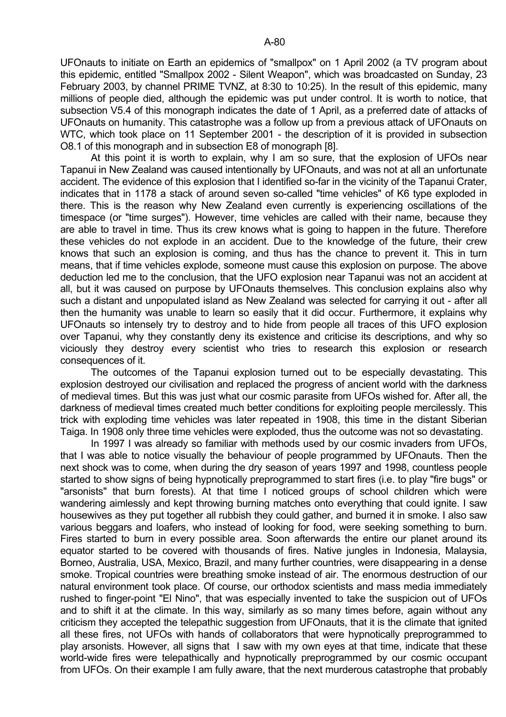UFOnauts to initiate on Earth an epidemics of "smallpox" on 1 April 2002 (a TV program about this epidemic, entitled "Smallpox 2002 - Silent Weapon", which was broadcasted on Sunday, 23 February 2003, by channel PRIME TVNZ, at 8:30 to 10:25). In the result of this epidemic, many millions of people died, although the epidemic was put under control. It is worth to notice, that subsection V5.4 of this monograph indicates the date of 1 April, as a preferred date of attacks of UFOnauts on humanity. This catastrophe was a follow up from a previous attack of UFOnauts on WTC, which took place on 11 September 2001 - the description of it is provided in subsection O8.1 of this monograph and in subsection E8 of monograph [8].

 At this point it is worth to explain, why I am so sure, that the explosion of UFOs near Tapanui in New Zealand was caused intentionally by UFOnauts, and was not at all an unfortunate accident. The evidence of this explosion that I identified so-far in the vicinity of the Tapanui Crater, indicates that in 1178 a stack of around seven so-called "time vehicles" of K6 type exploded in there. This is the reason why New Zealand even currently is experiencing oscillations of the timespace (or "time surges"). However, time vehicles are called with their name, because they are able to travel in time. Thus its crew knows what is going to happen in the future. Therefore these vehicles do not explode in an accident. Due to the knowledge of the future, their crew knows that such an explosion is coming, and thus has the chance to prevent it. This in turn means, that if time vehicles explode, someone must cause this explosion on purpose. The above deduction led me to the conclusion, that the UFO explosion near Tapanui was not an accident at all, but it was caused on purpose by UFOnauts themselves. This conclusion explains also why such a distant and unpopulated island as New Zealand was selected for carrying it out - after all then the humanity was unable to learn so easily that it did occur. Furthermore, it explains why UFOnauts so intensely try to destroy and to hide from people all traces of this UFO explosion over Tapanui, why they constantly deny its existence and criticise its descriptions, and why so viciously they destroy every scientist who tries to research this explosion or research consequences of it.

 The outcomes of the Tapanui explosion turned out to be especially devastating. This explosion destroyed our civilisation and replaced the progress of ancient world with the darkness of medieval times. But this was just what our cosmic parasite from UFOs wished for. After all, the darkness of medieval times created much better conditions for exploiting people mercilessly. This trick with exploding time vehicles was later repeated in 1908, this time in the distant Siberian Taiga. In 1908 only three time vehicles were exploded, thus the outcome was not so devastating.

 In 1997 I was already so familiar with methods used by our cosmic invaders from UFOs, that I was able to notice visually the behaviour of people programmed by UFOnauts. Then the next shock was to come, when during the dry season of years 1997 and 1998, countless people started to show signs of being hypnotically preprogrammed to start fires (i.e. to play "fire bugs" or "arsonists" that burn forests). At that time I noticed groups of school children which were wandering aimlessly and kept throwing burning matches onto everything that could ignite. I saw housewives as they put together all rubbish they could gather, and burned it in smoke. I also saw various beggars and loafers, who instead of looking for food, were seeking something to burn. Fires started to burn in every possible area. Soon afterwards the entire our planet around its equator started to be covered with thousands of fires. Native jungles in Indonesia, Malaysia, Borneo, Australia, USA, Mexico, Brazil, and many further countries, were disappearing in a dense smoke. Tropical countries were breathing smoke instead of air. The enormous destruction of our natural environment took place. Of course, our orthodox scientists and mass media immediately rushed to finger-point "El Nino", that was especially invented to take the suspicion out of UFOs and to shift it at the climate. In this way, similarly as so many times before, again without any criticism they accepted the telepathic suggestion from UFOnauts, that it is the climate that ignited all these fires, not UFOs with hands of collaborators that were hypnotically preprogrammed to play arsonists. However, all signs that I saw with my own eyes at that time, indicate that these world-wide fires were telepathically and hypnotically preprogrammed by our cosmic occupant from UFOs. On their example I am fully aware, that the next murderous catastrophe that probably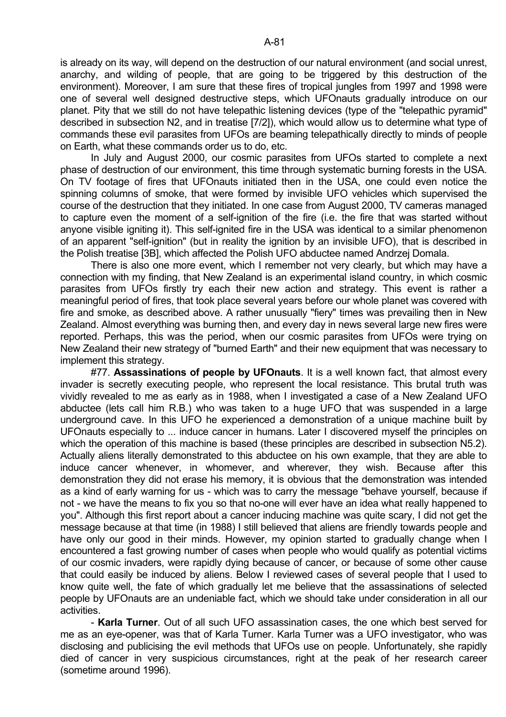is already on its way, will depend on the destruction of our natural environment (and social unrest, anarchy, and wilding of people, that are going to be triggered by this destruction of the environment). Moreover, I am sure that these fires of tropical jungles from 1997 and 1998 were one of several well designed destructive steps, which UFOnauts gradually introduce on our planet. Pity that we still do not have telepathic listening devices (type of the "telepathic pyramid" described in subsection N2, and in treatise [7/2]), which would allow us to determine what type of commands these evil parasites from UFOs are beaming telepathically directly to minds of people on Earth, what these commands order us to do, etc.

 In July and August 2000, our cosmic parasites from UFOs started to complete a next phase of destruction of our environment, this time through systematic burning forests in the USA. On TV footage of fires that UFOnauts initiated then in the USA, one could even notice the spinning columns of smoke, that were formed by invisible UFO vehicles which supervised the course of the destruction that they initiated. In one case from August 2000, TV cameras managed to capture even the moment of a self-ignition of the fire (i.e. the fire that was started without anyone visible igniting it). This self-ignited fire in the USA was identical to a similar phenomenon of an apparent "self-ignition" (but in reality the ignition by an invisible UFO), that is described in the Polish treatise [3B], which affected the Polish UFO abductee named Andrzej Domala.

 There is also one more event, which I remember not very clearly, but which may have a connection with my finding, that New Zealand is an experimental island country, in which cosmic parasites from UFOs firstly try each their new action and strategy. This event is rather a meaningful period of fires, that took place several years before our whole planet was covered with fire and smoke, as described above. A rather unusually "fiery" times was prevailing then in New Zealand. Almost everything was burning then, and every day in news several large new fires were reported. Perhaps, this was the period, when our cosmic parasites from UFOs were trying on New Zealand their new strategy of "burned Earth" and their new equipment that was necessary to implement this strategy.

 #77. **Assassinations of people by UFOnauts**. It is a well known fact, that almost every invader is secretly executing people, who represent the local resistance. This brutal truth was vividly revealed to me as early as in 1988, when I investigated a case of a New Zealand UFO abductee (lets call him R.B.) who was taken to a huge UFO that was suspended in a large underground cave. In this UFO he experienced a demonstration of a unique machine built by UFOnauts especially to ... induce cancer in humans. Later I discovered myself the principles on which the operation of this machine is based (these principles are described in subsection N5.2). Actually aliens literally demonstrated to this abductee on his own example, that they are able to induce cancer whenever, in whomever, and wherever, they wish. Because after this demonstration they did not erase his memory, it is obvious that the demonstration was intended as a kind of early warning for us - which was to carry the message "behave yourself, because if not - we have the means to fix you so that no-one will ever have an idea what really happened to you". Although this first report about a cancer inducing machine was quite scary, I did not get the message because at that time (in 1988) I still believed that aliens are friendly towards people and have only our good in their minds. However, my opinion started to gradually change when I encountered a fast growing number of cases when people who would qualify as potential victims of our cosmic invaders, were rapidly dying because of cancer, or because of some other cause that could easily be induced by aliens. Below I reviewed cases of several people that I used to know quite well, the fate of which gradually let me believe that the assassinations of selected people by UFOnauts are an undeniable fact, which we should take under consideration in all our activities.

 - **Karla Turner**. Out of all such UFO assassination cases, the one which best served for me as an eye-opener, was that of Karla Turner. Karla Turner was a UFO investigator, who was disclosing and publicising the evil methods that UFOs use on people. Unfortunately, she rapidly died of cancer in very suspicious circumstances, right at the peak of her research career (sometime around 1996).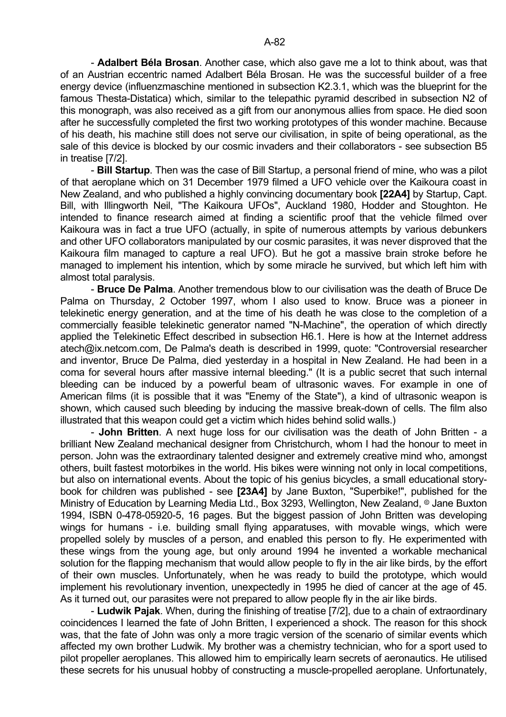- **Adalbert Béla Brosan**. Another case, which also gave me a lot to think about, was that of an Austrian eccentric named Adalbert Béla Brosan. He was the successful builder of a free energy device (influenzmaschine mentioned in subsection K2.3.1, which was the blueprint for the famous Thesta-Distatica) which, similar to the telepathic pyramid described in subsection N2 of this monograph, was also received as a gift from our anonymous allies from space. He died soon after he successfully completed the first two working prototypes of this wonder machine. Because of his death, his machine still does not serve our civilisation, in spite of being operational, as the sale of this device is blocked by our cosmic invaders and their collaborators - see subsection B5 in treatise [7/2].

 - **Bill Startup**. Then was the case of Bill Startup, a personal friend of mine, who was a pilot of that aeroplane which on 31 December 1979 filmed a UFO vehicle over the Kaikoura coast in New Zealand, and who published a highly convincing documentary book **[22A4]** by Startup, Capt. Bill, with Illingworth Neil, "The Kaikoura UFOs", Auckland 1980, Hodder and Stoughton. He intended to finance research aimed at finding a scientific proof that the vehicle filmed over Kaikoura was in fact a true UFO (actually, in spite of numerous attempts by various debunkers and other UFO collaborators manipulated by our cosmic parasites, it was never disproved that the Kaikoura film managed to capture a real UFO). But he got a massive brain stroke before he managed to implement his intention, which by some miracle he survived, but which left him with almost total paralysis.

 - **Bruce De Palma**. Another tremendous blow to our civilisation was the death of Bruce De Palma on Thursday, 2 October 1997, whom I also used to know. Bruce was a pioneer in telekinetic energy generation, and at the time of his death he was close to the completion of a commercially feasible telekinetic generator named "N-Machine", the operation of which directly applied the Telekinetic Effect described in subsection H6.1. Here is how at the Internet address atech@ix.netcom.com, De Palma's death is described in 1999, quote: "Controversial researcher and inventor, Bruce De Palma, died yesterday in a hospital in New Zealand. He had been in a coma for several hours after massive internal bleeding." (It is a public secret that such internal bleeding can be induced by a powerful beam of ultrasonic waves. For example in one of American films (it is possible that it was "Enemy of the State"), a kind of ultrasonic weapon is shown, which caused such bleeding by inducing the massive break-down of cells. The film also illustrated that this weapon could get a victim which hides behind solid walls.)

 - **John Britten**. A next huge loss for our civilisation was the death of John Britten - a brilliant New Zealand mechanical designer from Christchurch, whom I had the honour to meet in person. John was the extraordinary talented designer and extremely creative mind who, amongst others, built fastest motorbikes in the world. His bikes were winning not only in local competitions, but also on international events. About the topic of his genius bicycles, a small educational storybook for children was published - see **[23A4]** by Jane Buxton, "Superbike!", published for the Ministry of Education by Learning Media Ltd., Box 3293, Wellington, New Zealand, © Jane Buxton 1994, ISBN 0-478-05920-5, 16 pages. But the biggest passion of John Britten was developing wings for humans - i.e. building small flying apparatuses, with movable wings, which were propelled solely by muscles of a person, and enabled this person to fly. He experimented with these wings from the young age, but only around 1994 he invented a workable mechanical solution for the flapping mechanism that would allow people to fly in the air like birds, by the effort of their own muscles. Unfortunately, when he was ready to build the prototype, which would implement his revolutionary invention, unexpectedly in 1995 he died of cancer at the age of 45. As it turned out, our parasites were not prepared to allow people fly in the air like birds.

 - **Ludwik Pajak**. When, during the finishing of treatise [7/2], due to a chain of extraordinary coincidences I learned the fate of John Britten, I experienced a shock. The reason for this shock was, that the fate of John was only a more tragic version of the scenario of similar events which affected my own brother Ludwik. My brother was a chemistry technician, who for a sport used to pilot propeller aeroplanes. This allowed him to empirically learn secrets of aeronautics. He utilised these secrets for his unusual hobby of constructing a muscle-propelled aeroplane. Unfortunately,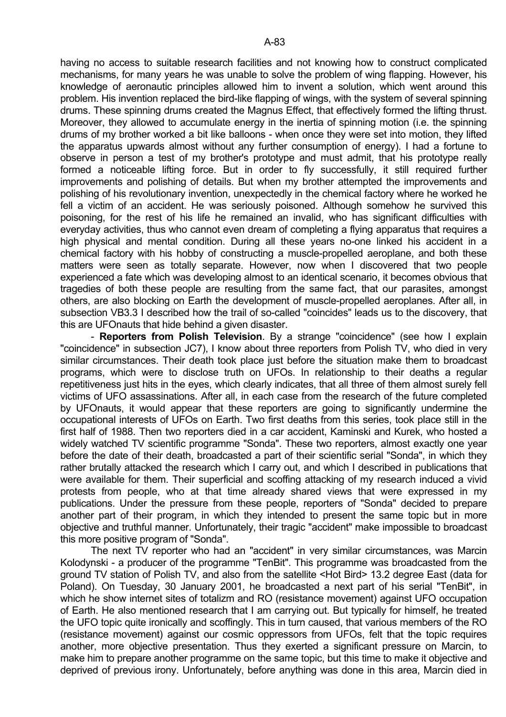having no access to suitable research facilities and not knowing how to construct complicated mechanisms, for many years he was unable to solve the problem of wing flapping. However, his knowledge of aeronautic principles allowed him to invent a solution, which went around this problem. His invention replaced the bird-like flapping of wings, with the system of several spinning drums. These spinning drums created the Magnus Effect, that effectively formed the lifting thrust. Moreover, they allowed to accumulate energy in the inertia of spinning motion (i.e. the spinning drums of my brother worked a bit like balloons - when once they were set into motion, they lifted the apparatus upwards almost without any further consumption of energy). I had a fortune to observe in person a test of my brother's prototype and must admit, that his prototype really formed a noticeable lifting force. But in order to fly successfully, it still required further improvements and polishing of details. But when my brother attempted the improvements and polishing of his revolutionary invention, unexpectedly in the chemical factory where he worked he fell a victim of an accident. He was seriously poisoned. Although somehow he survived this poisoning, for the rest of his life he remained an invalid, who has significant difficulties with everyday activities, thus who cannot even dream of completing a flying apparatus that requires a high physical and mental condition. During all these years no-one linked his accident in a chemical factory with his hobby of constructing a muscle-propelled aeroplane, and both these matters were seen as totally separate. However, now when I discovered that two people experienced a fate which was developing almost to an identical scenario, it becomes obvious that tragedies of both these people are resulting from the same fact, that our parasites, amongst others, are also blocking on Earth the development of muscle-propelled aeroplanes. After all, in subsection VB3.3 I described how the trail of so-called "coincides" leads us to the discovery, that this are UFOnauts that hide behind a given disaster.

 - **Reporters from Polish Television**. By a strange "coincidence" (see how I explain "coincidence" in subsection JC7), I know about three reporters from Polish TV, who died in very similar circumstances. Their death took place just before the situation make them to broadcast programs, which were to disclose truth on UFOs. In relationship to their deaths a regular repetitiveness just hits in the eyes, which clearly indicates, that all three of them almost surely fell victims of UFO assassinations. After all, in each case from the research of the future completed by UFOnauts, it would appear that these reporters are going to significantly undermine the occupational interests of UFOs on Earth. Two first deaths from this series, took place still in the first half of 1988. Then two reporters died in a car accident, Kaminski and Kurek, who hosted a widely watched TV scientific programme "Sonda". These two reporters, almost exactly one year before the date of their death, broadcasted a part of their scientific serial "Sonda", in which they rather brutally attacked the research which I carry out, and which I described in publications that were available for them. Their superficial and scoffing attacking of my research induced a vivid protests from people, who at that time already shared views that were expressed in my publications. Under the pressure from these people, reporters of "Sonda" decided to prepare another part of their program, in which they intended to present the same topic but in more objective and truthful manner. Unfortunately, their tragic "accident" make impossible to broadcast this more positive program of "Sonda".

 The next TV reporter who had an "accident" in very similar circumstances, was Marcin Kolodynski - a producer of the programme "TenBit". This programme was broadcasted from the ground TV station of Polish TV, and also from the satellite <Hot Bird> 13.2 degree East (data for Poland). On Tuesday, 30 January 2001, he broadcasted a next part of his serial "TenBit", in which he show internet sites of totalizm and RO (resistance movement) against UFO occupation of Earth. He also mentioned research that I am carrying out. But typically for himself, he treated the UFO topic quite ironically and scoffingly. This in turn caused, that various members of the RO (resistance movement) against our cosmic oppressors from UFOs, felt that the topic requires another, more objective presentation. Thus they exerted a significant pressure on Marcin, to make him to prepare another programme on the same topic, but this time to make it objective and deprived of previous irony. Unfortunately, before anything was done in this area, Marcin died in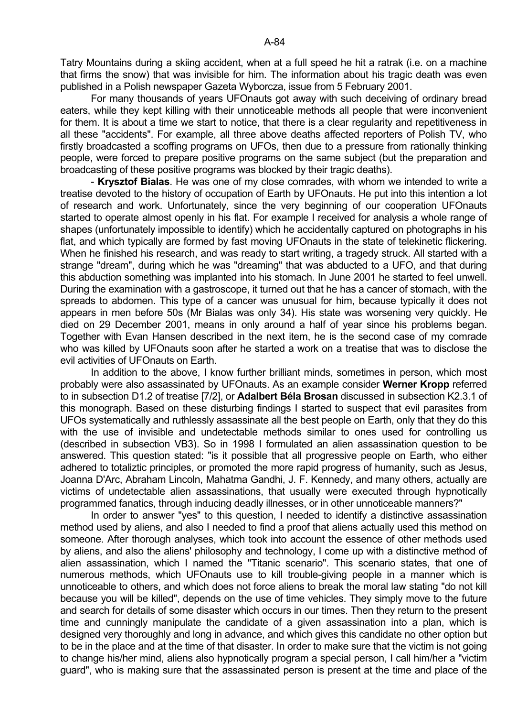Tatry Mountains during a skiing accident, when at a full speed he hit a ratrak (i.e. on a machine that firms the snow) that was invisible for him. The information about his tragic death was even published in a Polish newspaper Gazeta Wyborcza, issue from 5 February 2001.

 For many thousands of years UFOnauts got away with such deceiving of ordinary bread eaters, while they kept killing with their unnoticeable methods all people that were inconvenient for them. It is about a time we start to notice, that there is a clear regularity and repetitiveness in all these "accidents". For example, all three above deaths affected reporters of Polish TV, who firstly broadcasted a scoffing programs on UFOs, then due to a pressure from rationally thinking people, were forced to prepare positive programs on the same subject (but the preparation and broadcasting of these positive programs was blocked by their tragic deaths).

 - **Krysztof Bialas**. He was one of my close comrades, with whom we intended to write a treatise devoted to the history of occupation of Earth by UFOnauts. He put into this intention a lot of research and work. Unfortunately, since the very beginning of our cooperation UFOnauts started to operate almost openly in his flat. For example I received for analysis a whole range of shapes (unfortunately impossible to identify) which he accidentally captured on photographs in his flat, and which typically are formed by fast moving UFOnauts in the state of telekinetic flickering. When he finished his research, and was ready to start writing, a tragedy struck. All started with a strange "dream", during which he was "dreaming" that was abducted to a UFO, and that during this abduction something was implanted into his stomach. In June 2001 he started to feel unwell. During the examination with a gastroscope, it turned out that he has a cancer of stomach, with the spreads to abdomen. This type of a cancer was unusual for him, because typically it does not appears in men before 50s (Mr Bialas was only 34). His state was worsening very quickly. He died on 29 December 2001, means in only around a half of year since his problems began. Together with Evan Hansen described in the next item, he is the second case of my comrade who was killed by UFOnauts soon after he started a work on a treatise that was to disclose the evil activities of UFOnauts on Earth.

 In addition to the above, I know further brilliant minds, sometimes in person, which most probably were also assassinated by UFOnauts. As an example consider **Werner Kropp** referred to in subsection D1.2 of treatise [7/2], or **Adalbert Béla Brosan** discussed in subsection K2.3.1 of this monograph. Based on these disturbing findings I started to suspect that evil parasites from UFOs systematically and ruthlessly assassinate all the best people on Earth, only that they do this with the use of invisible and undetectable methods similar to ones used for controlling us (described in subsection VB3). So in 1998 I formulated an alien assassination question to be answered. This question stated: "is it possible that all progressive people on Earth, who either adhered to totaliztic principles, or promoted the more rapid progress of humanity, such as Jesus, Joanna D'Arc, Abraham Lincoln, Mahatma Gandhi, J. F. Kennedy, and many others, actually are victims of undetectable alien assassinations, that usually were executed through hypnotically programmed fanatics, through inducing deadly illnesses, or in other unnoticeable manners?"

 In order to answer "yes" to this question, I needed to identify a distinctive assassination method used by aliens, and also I needed to find a proof that aliens actually used this method on someone. After thorough analyses, which took into account the essence of other methods used by aliens, and also the aliens' philosophy and technology, I come up with a distinctive method of alien assassination, which I named the "Titanic scenario". This scenario states, that one of numerous methods, which UFOnauts use to kill trouble-giving people in a manner which is unnoticeable to others, and which does not force aliens to break the moral law stating "do not kill because you will be killed", depends on the use of time vehicles. They simply move to the future and search for details of some disaster which occurs in our times. Then they return to the present time and cunningly manipulate the candidate of a given assassination into a plan, which is designed very thoroughly and long in advance, and which gives this candidate no other option but to be in the place and at the time of that disaster. In order to make sure that the victim is not going to change his/her mind, aliens also hypnotically program a special person, I call him/her a "victim guard", who is making sure that the assassinated person is present at the time and place of the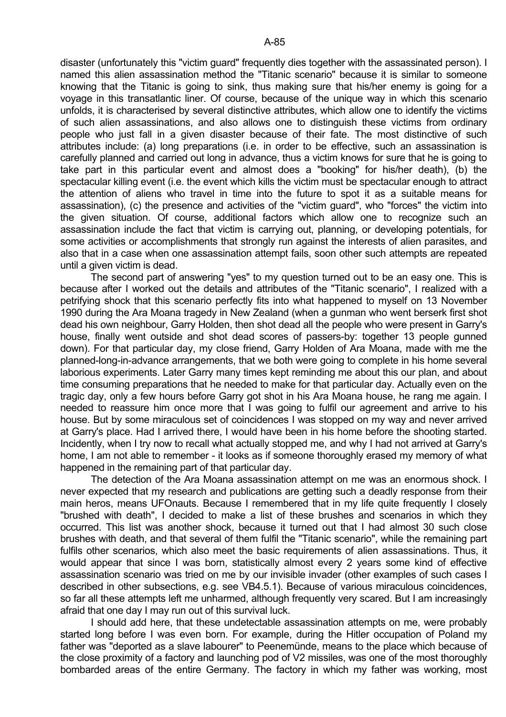disaster (unfortunately this "victim guard" frequently dies together with the assassinated person). I named this alien assassination method the "Titanic scenario" because it is similar to someone knowing that the Titanic is going to sink, thus making sure that his/her enemy is going for a voyage in this transatlantic liner. Of course, because of the unique way in which this scenario unfolds, it is characterised by several distinctive attributes, which allow one to identify the victims of such alien assassinations, and also allows one to distinguish these victims from ordinary people who just fall in a given disaster because of their fate. The most distinctive of such attributes include: (a) long preparations (i.e. in order to be effective, such an assassination is carefully planned and carried out long in advance, thus a victim knows for sure that he is going to take part in this particular event and almost does a "booking" for his/her death), (b) the spectacular killing event (i.e. the event which kills the victim must be spectacular enough to attract the attention of aliens who travel in time into the future to spot it as a suitable means for assassination), (c) the presence and activities of the "victim guard", who "forces" the victim into the given situation. Of course, additional factors which allow one to recognize such an assassination include the fact that victim is carrying out, planning, or developing potentials, for some activities or accomplishments that strongly run against the interests of alien parasites, and also that in a case when one assassination attempt fails, soon other such attempts are repeated until a given victim is dead.

 The second part of answering "yes" to my question turned out to be an easy one. This is because after I worked out the details and attributes of the "Titanic scenario", I realized with a petrifying shock that this scenario perfectly fits into what happened to myself on 13 November 1990 during the Ara Moana tragedy in New Zealand (when a gunman who went berserk first shot dead his own neighbour, Garry Holden, then shot dead all the people who were present in Garry's house, finally went outside and shot dead scores of passers-by: together 13 people gunned down). For that particular day, my close friend, Garry Holden of Ara Moana, made with me the planned-long-in-advance arrangements, that we both were going to complete in his home several laborious experiments. Later Garry many times kept reminding me about this our plan, and about time consuming preparations that he needed to make for that particular day. Actually even on the tragic day, only a few hours before Garry got shot in his Ara Moana house, he rang me again. I needed to reassure him once more that I was going to fulfil our agreement and arrive to his house. But by some miraculous set of coincidences I was stopped on my way and never arrived at Garry's place. Had I arrived there, I would have been in his home before the shooting started. Incidently, when I try now to recall what actually stopped me, and why I had not arrived at Garry's home, I am not able to remember - it looks as if someone thoroughly erased my memory of what happened in the remaining part of that particular day.

 The detection of the Ara Moana assassination attempt on me was an enormous shock. I never expected that my research and publications are getting such a deadly response from their main heros, means UFOnauts. Because I remembered that in my life quite frequently I closely "brushed with death", I decided to make a list of these brushes and scenarios in which they occurred. This list was another shock, because it turned out that I had almost 30 such close brushes with death, and that several of them fulfil the "Titanic scenario", while the remaining part fulfils other scenarios, which also meet the basic requirements of alien assassinations. Thus, it would appear that since I was born, statistically almost every 2 years some kind of effective assassination scenario was tried on me by our invisible invader (other examples of such cases I described in other subsections, e.g. see VB4.5.1). Because of various miraculous coincidences, so far all these attempts left me unharmed, although frequently very scared. But I am increasingly afraid that one day I may run out of this survival luck.

 I should add here, that these undetectable assassination attempts on me, were probably started long before I was even born. For example, during the Hitler occupation of Poland my father was "deported as a slave labourer" to Peenemünde, means to the place which because of the close proximity of a factory and launching pod of V2 missiles, was one of the most thoroughly bombarded areas of the entire Germany. The factory in which my father was working, most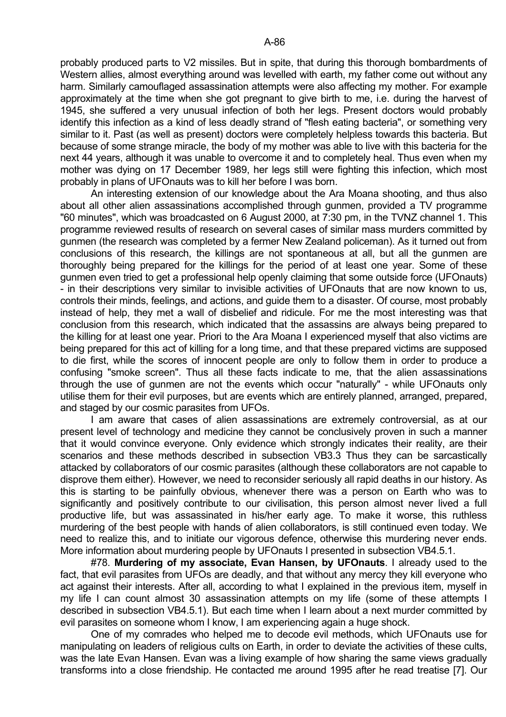probably produced parts to V2 missiles. But in spite, that during this thorough bombardments of Western allies, almost everything around was levelled with earth, my father come out without any harm. Similarly camouflaged assassination attempts were also affecting my mother. For example approximately at the time when she got pregnant to give birth to me, i.e. during the harvest of 1945, she suffered a very unusual infection of both her legs. Present doctors would probably identify this infection as a kind of less deadly strand of "flesh eating bacteria", or something very similar to it. Past (as well as present) doctors were completely helpless towards this bacteria. But because of some strange miracle, the body of my mother was able to live with this bacteria for the next 44 years, although it was unable to overcome it and to completely heal. Thus even when my mother was dying on 17 December 1989, her legs still were fighting this infection, which most probably in plans of UFOnauts was to kill her before I was born.

 An interesting extension of our knowledge about the Ara Moana shooting, and thus also about all other alien assassinations accomplished through gunmen, provided a TV programme "60 minutes", which was broadcasted on 6 August 2000, at 7:30 pm, in the TVNZ channel 1. This programme reviewed results of research on several cases of similar mass murders committed by gunmen (the research was completed by a fermer New Zealand policeman). As it turned out from conclusions of this research, the killings are not spontaneous at all, but all the gunmen are thoroughly being prepared for the killings for the period of at least one year. Some of these gunmen even tried to get a professional help openly claiming that some outside force (UFOnauts) - in their descriptions very similar to invisible activities of UFOnauts that are now known to us, controls their minds, feelings, and actions, and guide them to a disaster. Of course, most probably instead of help, they met a wall of disbelief and ridicule. For me the most interesting was that conclusion from this research, which indicated that the assassins are always being prepared to the killing for at least one year. Priori to the Ara Moana I experienced myself that also victims are being prepared for this act of killing for a long time, and that these prepared victims are supposed to die first, while the scores of innocent people are only to follow them in order to produce a confusing "smoke screen". Thus all these facts indicate to me, that the alien assassinations through the use of gunmen are not the events which occur "naturally" - while UFOnauts only utilise them for their evil purposes, but are events which are entirely planned, arranged, prepared, and staged by our cosmic parasites from UFOs.

 I am aware that cases of alien assassinations are extremely controversial, as at our present level of technology and medicine they cannot be conclusively proven in such a manner that it would convince everyone. Only evidence which strongly indicates their reality, are their scenarios and these methods described in subsection VB3.3 Thus they can be sarcastically attacked by collaborators of our cosmic parasites (although these collaborators are not capable to disprove them either). However, we need to reconsider seriously all rapid deaths in our history. As this is starting to be painfully obvious, whenever there was a person on Earth who was to significantly and positively contribute to our civilisation, this person almost never lived a full productive life, but was assassinated in his/her early age. To make it worse, this ruthless murdering of the best people with hands of alien collaborators, is still continued even today. We need to realize this, and to initiate our vigorous defence, otherwise this murdering never ends. More information about murdering people by UFOnauts I presented in subsection VB4.5.1.

 #78. **Murdering of my associate, Evan Hansen, by UFOnauts**. I already used to the fact, that evil parasites from UFOs are deadly, and that without any mercy they kill everyone who act against their interests. After all, according to what I explained in the previous item, myself in my life I can count almost 30 assassination attempts on my life (some of these attempts I described in subsection VB4.5.1). But each time when I learn about a next murder committed by evil parasites on someone whom I know, I am experiencing again a huge shock.

 One of my comrades who helped me to decode evil methods, which UFOnauts use for manipulating on leaders of religious cults on Earth, in order to deviate the activities of these cults, was the late Evan Hansen. Evan was a living example of how sharing the same views gradually transforms into a close friendship. He contacted me around 1995 after he read treatise [7]. Our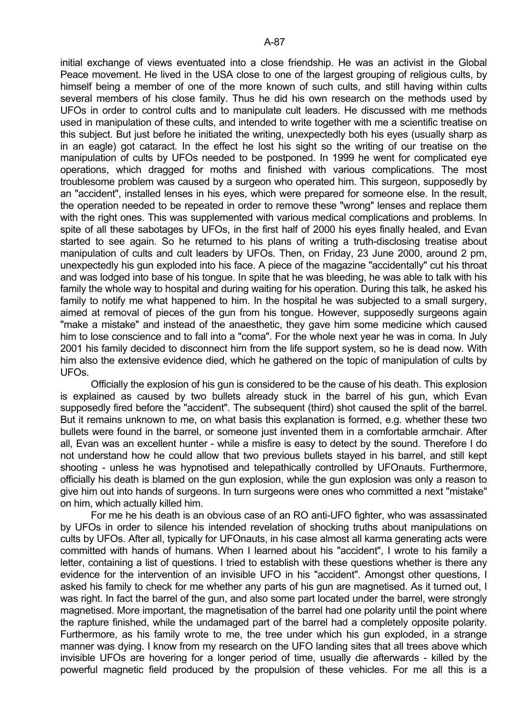initial exchange of views eventuated into a close friendship. He was an activist in the Global Peace movement. He lived in the USA close to one of the largest grouping of religious cults, by himself being a member of one of the more known of such cults, and still having within cults several members of his close family. Thus he did his own research on the methods used by UFOs in order to control cults and to manipulate cult leaders. He discussed with me methods used in manipulation of these cults, and intended to write together with me a scientific treatise on this subject. But just before he initiated the writing, unexpectedly both his eyes (usually sharp as in an eagle) got cataract. In the effect he lost his sight so the writing of our treatise on the manipulation of cults by UFOs needed to be postponed. In 1999 he went for complicated eye operations, which dragged for moths and finished with various complications. The most troublesome problem was caused by a surgeon who operated him. This surgeon, supposedly by an "accident", installed lenses in his eyes, which were prepared for someone else. In the result, the operation needed to be repeated in order to remove these "wrong" lenses and replace them with the right ones. This was supplemented with various medical complications and problems. In spite of all these sabotages by UFOs, in the first half of 2000 his eyes finally healed, and Evan started to see again. So he returned to his plans of writing a truth-disclosing treatise about manipulation of cults and cult leaders by UFOs. Then, on Friday, 23 June 2000, around 2 pm, unexpectedly his gun exploded into his face. A piece of the magazine "accidentally" cut his throat and was lodged into base of his tongue. In spite that he was bleeding, he was able to talk with his family the whole way to hospital and during waiting for his operation. During this talk, he asked his family to notify me what happened to him. In the hospital he was subjected to a small surgery, aimed at removal of pieces of the gun from his tongue. However, supposedly surgeons again "make a mistake" and instead of the anaesthetic, they gave him some medicine which caused him to lose conscience and to fall into a "coma". For the whole next year he was in coma. In July 2001 his family decided to disconnect him from the life support system, so he is dead now. With him also the extensive evidence died, which he gathered on the topic of manipulation of cults by UFOs.

 Officially the explosion of his gun is considered to be the cause of his death. This explosion is explained as caused by two bullets already stuck in the barrel of his gun, which Evan supposedly fired before the "accident". The subsequent (third) shot caused the split of the barrel. But it remains unknown to me, on what basis this explanation is formed, e.g. whether these two bullets were found in the barrel, or someone just invented them in a comfortable armchair. After all, Evan was an excellent hunter - while a misfire is easy to detect by the sound. Therefore I do not understand how he could allow that two previous bullets stayed in his barrel, and still kept shooting - unless he was hypnotised and telepathically controlled by UFOnauts. Furthermore, officially his death is blamed on the gun explosion, while the gun explosion was only a reason to give him out into hands of surgeons. In turn surgeons were ones who committed a next "mistake" on him, which actually killed him.

 For me he his death is an obvious case of an RO anti-UFO fighter, who was assassinated by UFOs in order to silence his intended revelation of shocking truths about manipulations on cults by UFOs. After all, typically for UFOnauts, in his case almost all karma generating acts were committed with hands of humans. When I learned about his "accident", I wrote to his family a letter, containing a list of questions. I tried to establish with these questions whether is there any evidence for the intervention of an invisible UFO in his "accident". Amongst other questions, I asked his family to check for me whether any parts of his gun are magnetised. As it turned out, I was right. In fact the barrel of the gun, and also some part located under the barrel, were strongly magnetised. More important, the magnetisation of the barrel had one polarity until the point where the rapture finished, while the undamaged part of the barrel had a completely opposite polarity. Furthermore, as his family wrote to me, the tree under which his gun exploded, in a strange manner was dying. I know from my research on the UFO landing sites that all trees above which invisible UFOs are hovering for a longer period of time, usually die afterwards - killed by the powerful magnetic field produced by the propulsion of these vehicles. For me all this is a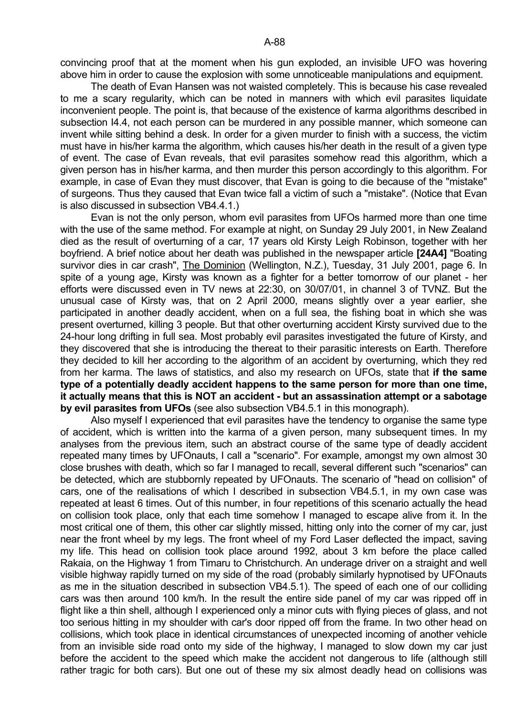convincing proof that at the moment when his gun exploded, an invisible UFO was hovering above him in order to cause the explosion with some unnoticeable manipulations and equipment.

 The death of Evan Hansen was not waisted completely. This is because his case revealed to me a scary regularity, which can be noted in manners with which evil parasites liquidate inconvenient people. The point is, that because of the existence of karma algorithms described in subsection I4.4, not each person can be murdered in any possible manner, which someone can invent while sitting behind a desk. In order for a given murder to finish with a success, the victim must have in his/her karma the algorithm, which causes his/her death in the result of a given type of event. The case of Evan reveals, that evil parasites somehow read this algorithm, which a given person has in his/her karma, and then murder this person accordingly to this algorithm. For example, in case of Evan they must discover, that Evan is going to die because of the "mistake" of surgeons. Thus they caused that Evan twice fall a victim of such a "mistake". (Notice that Evan is also discussed in subsection VB4.4.1.)

 Evan is not the only person, whom evil parasites from UFOs harmed more than one time with the use of the same method. For example at night, on Sunday 29 July 2001, in New Zealand died as the result of overturning of a car, 17 years old Kirsty Leigh Robinson, together with her boyfriend. A brief notice about her death was published in the newspaper article **[24A4]** "Boating survivor dies in car crash", The Dominion (Wellington, N.Z.), Tuesday, 31 July 2001, page 6. In spite of a young age, Kirsty was known as a fighter for a better tomorrow of our planet - her efforts were discussed even in TV news at 22:30, on 30/07/01, in channel 3 of TVNZ. But the unusual case of Kirsty was, that on 2 April 2000, means slightly over a year earlier, she participated in another deadly accident, when on a full sea, the fishing boat in which she was present overturned, killing 3 people. But that other overturning accident Kirsty survived due to the 24-hour long drifting in full sea. Most probably evil parasites investigated the future of Kirsty, and they discovered that she is introducing the thereat to their parasitic interests on Earth. Therefore they decided to kill her according to the algorithm of an accident by overturning, which they red from her karma. The laws of statistics, and also my research on UFOs, state that **if the same type of a potentially deadly accident happens to the same person for more than one time, it actually means that this is NOT an accident - but an assassination attempt or a sabotage by evil parasites from UFOs** (see also subsection VB4.5.1 in this monograph).

 Also myself I experienced that evil parasites have the tendency to organise the same type of accident, which is written into the karma of a given person, many subsequent times. In my analyses from the previous item, such an abstract course of the same type of deadly accident repeated many times by UFOnauts, I call a "scenario". For example, amongst my own almost 30 close brushes with death, which so far I managed to recall, several different such "scenarios" can be detected, which are stubbornly repeated by UFOnauts. The scenario of "head on collision" of cars, one of the realisations of which I described in subsection VB4.5.1, in my own case was repeated at least 6 times. Out of this number, in four repetitions of this scenario actually the head on collision took place, only that each time somehow I managed to escape alive from it. In the most critical one of them, this other car slightly missed, hitting only into the corner of my car, just near the front wheel by my legs. The front wheel of my Ford Laser deflected the impact, saving my life. This head on collision took place around 1992, about 3 km before the place called Rakaia, on the Highway 1 from Timaru to Christchurch. An underage driver on a straight and well visible highway rapidly turned on my side of the road (probably similarly hypnotised by UFOnauts as me in the situation described in subsection VB4.5.1). The speed of each one of our colliding cars was then around 100 km/h. In the result the entire side panel of my car was ripped off in flight like a thin shell, although I experienced only a minor cuts with flying pieces of glass, and not too serious hitting in my shoulder with car's door ripped off from the frame. In two other head on collisions, which took place in identical circumstances of unexpected incoming of another vehicle from an invisible side road onto my side of the highway, I managed to slow down my car just before the accident to the speed which make the accident not dangerous to life (although still rather tragic for both cars). But one out of these my six almost deadly head on collisions was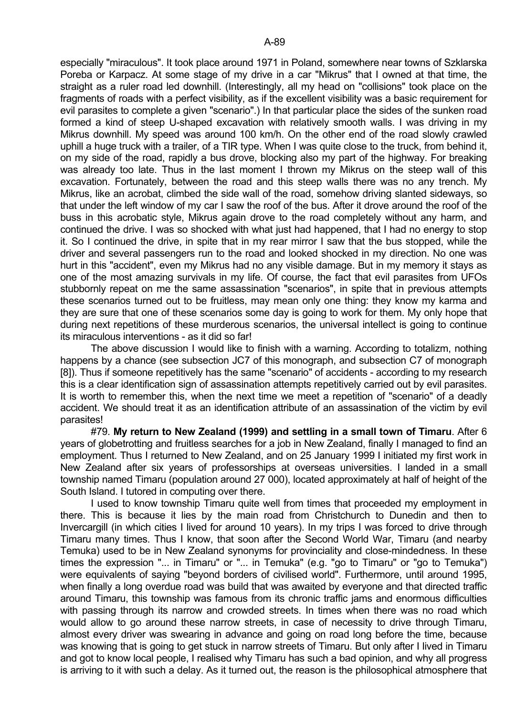especially "miraculous". It took place around 1971 in Poland, somewhere near towns of Szklarska Poreba or Karpacz. At some stage of my drive in a car "Mikrus" that I owned at that time, the straight as a ruler road led downhill. (Interestingly, all my head on "collisions" took place on the fragments of roads with a perfect visibility, as if the excellent visibility was a basic requirement for evil parasites to complete a given "scenario".) In that particular place the sides of the sunken road formed a kind of steep U-shaped excavation with relatively smooth walls. I was driving in my Mikrus downhill. My speed was around 100 km/h. On the other end of the road slowly crawled uphill a huge truck with a trailer, of a TIR type. When I was quite close to the truck, from behind it, on my side of the road, rapidly a bus drove, blocking also my part of the highway. For breaking was already too late. Thus in the last moment I thrown my Mikrus on the steep wall of this excavation. Fortunately, between the road and this steep walls there was no any trench. My Mikrus, like an acrobat, climbed the side wall of the road, somehow driving slanted sideways, so that under the left window of my car I saw the roof of the bus. After it drove around the roof of the buss in this acrobatic style, Mikrus again drove to the road completely without any harm, and continued the drive. I was so shocked with what just had happened, that I had no energy to stop it. So I continued the drive, in spite that in my rear mirror I saw that the bus stopped, while the driver and several passengers run to the road and looked shocked in my direction. No one was hurt in this "accident", even my Mikrus had no any visible damage. But in my memory it stays as one of the most amazing survivals in my life. Of course, the fact that evil parasites from UFOs stubbornly repeat on me the same assassination "scenarios", in spite that in previous attempts these scenarios turned out to be fruitless, may mean only one thing: they know my karma and they are sure that one of these scenarios some day is going to work for them. My only hope that during next repetitions of these murderous scenarios, the universal intellect is going to continue

 The above discussion I would like to finish with a warning. According to totalizm, nothing happens by a chance (see subsection JC7 of this monograph, and subsection C7 of monograph [8]). Thus if someone repetitively has the same "scenario" of accidents - according to my research this is a clear identification sign of assassination attempts repetitively carried out by evil parasites. It is worth to remember this, when the next time we meet a repetition of "scenario" of a deadly accident. We should treat it as an identification attribute of an assassination of the victim by evil parasites!

its miraculous interventions - as it did so far!

 #79. **My return to New Zealand (1999) and settling in a small town of Timaru**. After 6 years of globetrotting and fruitless searches for a job in New Zealand, finally I managed to find an employment. Thus I returned to New Zealand, and on 25 January 1999 I initiated my first work in New Zealand after six years of professorships at overseas universities. I landed in a small township named Timaru (population around 27 000), located approximately at half of height of the South Island. I tutored in computing over there.

 I used to know township Timaru quite well from times that proceeded my employment in there. This is because it lies by the main road from Christchurch to Dunedin and then to Invercargill (in which cities I lived for around 10 years). In my trips I was forced to drive through Timaru many times. Thus I know, that soon after the Second World War, Timaru (and nearby Temuka) used to be in New Zealand synonyms for provinciality and close-mindedness. In these times the expression "... in Timaru" or "... in Temuka" (e.g. "go to Timaru" or "go to Temuka") were equivalents of saying "beyond borders of civilised world". Furthermore, until around 1995, when finally a long overdue road was build that was awaited by everyone and that directed traffic around Timaru, this township was famous from its chronic traffic jams and enormous difficulties with passing through its narrow and crowded streets. In times when there was no road which would allow to go around these narrow streets, in case of necessity to drive through Timaru, almost every driver was swearing in advance and going on road long before the time, because was knowing that is going to get stuck in narrow streets of Timaru. But only after I lived in Timaru and got to know local people, I realised why Timaru has such a bad opinion, and why all progress is arriving to it with such a delay. As it turned out, the reason is the philosophical atmosphere that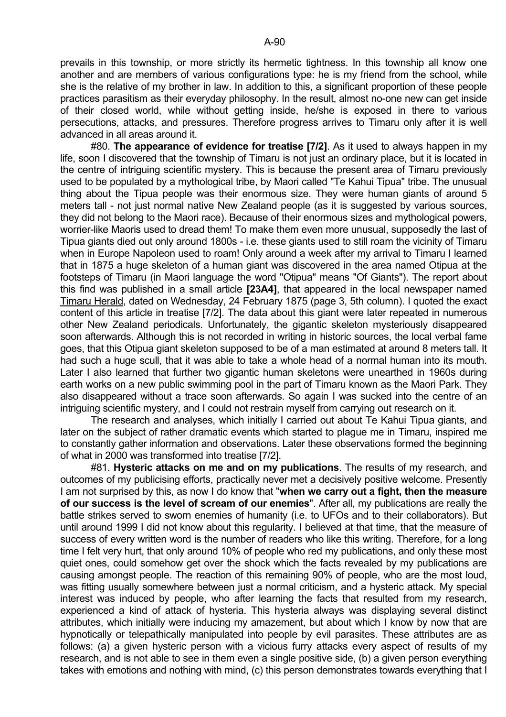prevails in this township, or more strictly its hermetic tightness. In this township all know one another and are members of various configurations type: he is my friend from the school, while she is the relative of my brother in law. In addition to this, a significant proportion of these people practices parasitism as their everyday philosophy. In the result, almost no-one new can get inside of their closed world, while without getting inside, he/she is exposed in there to various persecutions, attacks, and pressures. Therefore progress arrives to Timaru only after it is well advanced in all areas around it.

 #80. **The appearance of evidence for treatise [7/2]**. As it used to always happen in my life, soon I discovered that the township of Timaru is not just an ordinary place, but it is located in the centre of intriguing scientific mystery. This is because the present area of Timaru previously used to be populated by a mythological tribe, by Maori called "Te Kahui Tipua" tribe. The unusual thing about the Tipua people was their enormous size. They were human giants of around 5 meters tall - not just normal native New Zealand people (as it is suggested by various sources, they did not belong to the Maori race). Because of their enormous sizes and mythological powers, worrier-like Maoris used to dread them! To make them even more unusual, supposedly the last of Tipua giants died out only around 1800s - i.e. these giants used to still roam the vicinity of Timaru when in Europe Napoleon used to roam! Only around a week after my arrival to Timaru I learned that in 1875 a huge skeleton of a human giant was discovered in the area named Otipua at the footsteps of Timaru (in Maori language the word "Otipua" means "Of Giants"). The report about this find was published in a small article **[23A4]**, that appeared in the local newspaper named Timaru Herald, dated on Wednesday, 24 February 1875 (page 3, 5th column). I quoted the exact content of this article in treatise [7/2]. The data about this giant were later repeated in numerous other New Zealand periodicals. Unfortunately, the gigantic skeleton mysteriously disappeared soon afterwards. Although this is not recorded in writing in historic sources, the local verbal fame goes, that this Otipua giant skeleton supposed to be of a man estimated at around 8 meters tall. It had such a huge scull, that it was able to take a whole head of a normal human into its mouth. Later I also learned that further two gigantic human skeletons were unearthed in 1960s during earth works on a new public swimming pool in the part of Timaru known as the Maori Park. They also disappeared without a trace soon afterwards. So again I was sucked into the centre of an intriguing scientific mystery, and I could not restrain myself from carrying out research on it.

 The research and analyses, which initially I carried out about Te Kahui Tipua giants, and later on the subject of rather dramatic events which started to plague me in Timaru, inspired me to constantly gather information and observations. Later these observations formed the beginning of what in 2000 was transformed into treatise [7/2].

 #81. **Hysteric attacks on me and on my publications**. The results of my research, and outcomes of my publicising efforts, practically never met a decisively positive welcome. Presently I am not surprised by this, as now I do know that "**when we carry out a fight, then the measure of our success is the level of scream of our enemies**". After all, my publications are really the battle strikes served to sworn enemies of humanity (i.e. to UFOs and to their collaborators). But until around 1999 I did not know about this regularity. I believed at that time, that the measure of success of every written word is the number of readers who like this writing. Therefore, for a long time I felt very hurt, that only around 10% of people who red my publications, and only these most quiet ones, could somehow get over the shock which the facts revealed by my publications are causing amongst people. The reaction of this remaining 90% of people, who are the most loud, was fitting usually somewhere between just a normal criticism, and a hysteric attack. My special interest was induced by people, who after learning the facts that resulted from my research, experienced a kind of attack of hysteria. This hysteria always was displaying several distinct attributes, which initially were inducing my amazement, but about which I know by now that are hypnotically or telepathically manipulated into people by evil parasites. These attributes are as follows: (a) a given hysteric person with a vicious furry attacks every aspect of results of my research, and is not able to see in them even a single positive side, (b) a given person everything takes with emotions and nothing with mind, (c) this person demonstrates towards everything that I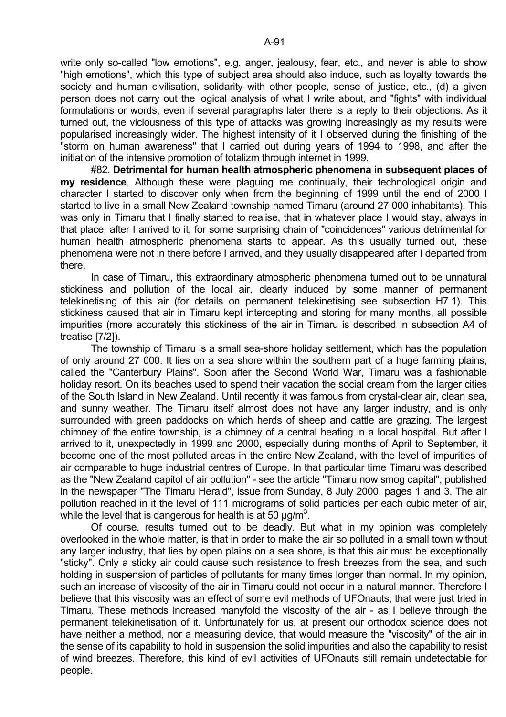write only so-called "low emotions", e.g. anger, jealousy, fear, etc., and never is able to show "high emotions", which this type of subject area should also induce, such as loyalty towards the society and human civilisation, solidarity with other people, sense of justice, etc., (d) a given person does not carry out the logical analysis of what I write about, and "fights" with individual formulations or words, even if several paragraphs later there is a reply to their objections. As it turned out, the viciousness of this type of attacks was growing increasingly as my results were popularised increasingly wider. The highest intensity of it I observed during the finishing of the "storm on human awareness" that I carried out during years of 1994 to 1998, and after the initiation of the intensive promotion of totalizm through internet in 1999.

 #82. **Detrimental for human health atmospheric phenomena in subsequent places of my residence**. Although these were plaguing me continually, their technological origin and character I started to discover only when from the beginning of 1999 until the end of 2000 I started to live in a small New Zealand township named Timaru (around 27 000 inhabitants). This was only in Timaru that I finally started to realise, that in whatever place I would stay, always in that place, after I arrived to it, for some surprising chain of "coincidences" various detrimental for human health atmospheric phenomena starts to appear. As this usually turned out, these phenomena were not in there before I arrived, and they usually disappeared after I departed from there.

 In case of Timaru, this extraordinary atmospheric phenomena turned out to be unnatural stickiness and pollution of the local air, clearly induced by some manner of permanent telekinetising of this air (for details on permanent telekinetising see subsection H7.1). This stickiness caused that air in Timaru kept intercepting and storing for many months, all possible impurities (more accurately this stickiness of the air in Timaru is described in subsection A4 of treatise [7/2]).

 The township of Timaru is a small sea-shore holiday settlement, which has the population of only around 27 000. It lies on a sea shore within the southern part of a huge farming plains, called the "Canterbury Plains". Soon after the Second World War, Timaru was a fashionable holiday resort. On its beaches used to spend their vacation the social cream from the larger cities of the South Island in New Zealand. Until recently it was famous from crystal-clear air, clean sea, and sunny weather. The Timaru itself almost does not have any larger industry, and is only surrounded with green paddocks on which herds of sheep and cattle are grazing. The largest chimney of the entire township, is a chimney of a central heating in a local hospital. But after I arrived to it, unexpectedly in 1999 and 2000, especially during months of April to September, it become one of the most polluted areas in the entire New Zealand, with the level of impurities of air comparable to huge industrial centres of Europe. In that particular time Timaru was described as the "New Zealand capitol of air pollution" - see the article "Timaru now smog capital", published in the newspaper "The Timaru Herald", issue from Sunday, 8 July 2000, pages 1 and 3. The air pollution reached in it the level of 111 micrograms of solid particles per each cubic meter of air, while the level that is dangerous for health is at 50  $\mu$ g/m<sup>3</sup>.

 Of course, results turned out to be deadly. But what in my opinion was completely overlooked in the whole matter, is that in order to make the air so polluted in a small town without any larger industry, that lies by open plains on a sea shore, is that this air must be exceptionally "sticky". Only a sticky air could cause such resistance to fresh breezes from the sea, and such holding in suspension of particles of pollutants for many times longer than normal. In my opinion, such an increase of viscosity of the air in Timaru could not occur in a natural manner. Therefore I believe that this viscosity was an effect of some evil methods of UFOnauts, that were just tried in Timaru. These methods increased manyfold the viscosity of the air - as I believe through the permanent telekinetisation of it. Unfortunately for us, at present our orthodox science does not have neither a method, nor a measuring device, that would measure the "viscosity" of the air in the sense of its capability to hold in suspension the solid impurities and also the capability to resist of wind breezes. Therefore, this kind of evil activities of UFOnauts still remain undetectable for people.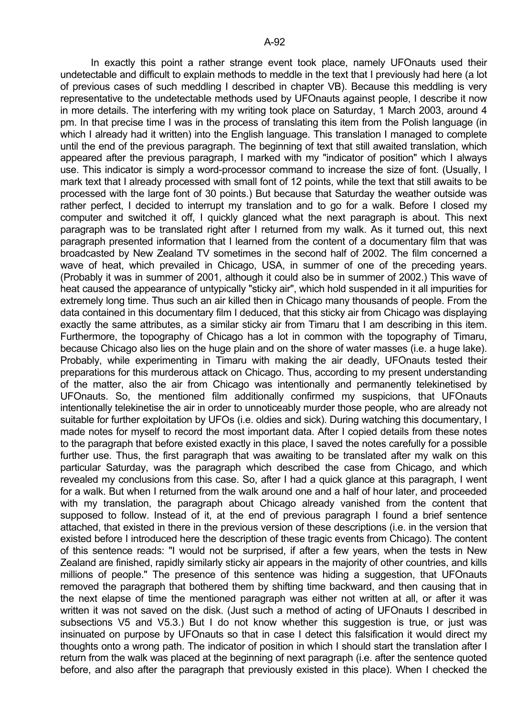undetectable and difficult to explain methods to meddle in the text that I previously had here (a lot of previous cases of such meddling I described in chapter VB). Because this meddling is very representative to the undetectable methods used by UFOnauts against people, I describe it now in more details. The interfering with my writing took place on Saturday, 1 March 2003, around 4 pm. In that precise time I was in the process of translating this item from the Polish language (in which I already had it written) into the English language. This translation I managed to complete until the end of the previous paragraph. The beginning of text that still awaited translation, which appeared after the previous paragraph, I marked with my "indicator of position" which I always use. This indicator is simply a word-processor command to increase the size of font. (Usually, I mark text that I already processed with small font of 12 points, while the text that still awaits to be processed with the large font of 30 points.) But because that Saturday the weather outside was rather perfect, I decided to interrupt my translation and to go for a walk. Before I closed my computer and switched it off, I quickly glanced what the next paragraph is about. This next paragraph was to be translated right after I returned from my walk. As it turned out, this next paragraph presented information that I learned from the content of a documentary film that was broadcasted by New Zealand TV sometimes in the second half of 2002. The film concerned a wave of heat, which prevailed in Chicago, USA, in summer of one of the preceding years. (Probably it was in summer of 2001, although it could also be in summer of 2002.) This wave of heat caused the appearance of untypically "sticky air", which hold suspended in it all impurities for extremely long time. Thus such an air killed then in Chicago many thousands of people. From the data contained in this documentary film I deduced, that this sticky air from Chicago was displaying exactly the same attributes, as a similar sticky air from Timaru that I am describing in this item. Furthermore, the topography of Chicago has a lot in common with the topography of Timaru, because Chicago also lies on the huge plain and on the shore of water masses (i.e. a huge lake). Probably, while experimenting in Timaru with making the air deadly, UFOnauts tested their preparations for this murderous attack on Chicago. Thus, according to my present understanding of the matter, also the air from Chicago was intentionally and permanently telekinetised by UFOnauts. So, the mentioned film additionally confirmed my suspicions, that UFOnauts intentionally telekinetise the air in order to unnoticeably murder those people, who are already not suitable for further exploitation by UFOs (i.e. oldies and sick). During watching this documentary, I made notes for myself to record the most important data. After I copied details from these notes to the paragraph that before existed exactly in this place, I saved the notes carefully for a possible further use. Thus, the first paragraph that was awaiting to be translated after my walk on this particular Saturday, was the paragraph which described the case from Chicago, and which revealed my conclusions from this case. So, after I had a quick glance at this paragraph, I went for a walk. But when I returned from the walk around one and a half of hour later, and proceeded with my translation, the paragraph about Chicago already vanished from the content that supposed to follow. Instead of it, at the end of previous paragraph I found a brief sentence attached, that existed in there in the previous version of these descriptions (i.e. in the version that existed before I introduced here the description of these tragic events from Chicago). The content of this sentence reads: "I would not be surprised, if after a few years, when the tests in New Zealand are finished, rapidly similarly sticky air appears in the majority of other countries, and kills millions of people." The presence of this sentence was hiding a suggestion, that UFOnauts removed the paragraph that bothered them by shifting time backward, and then causing that in the next elapse of time the mentioned paragraph was either not written at all, or after it was written it was not saved on the disk. (Just such a method of acting of UFOnauts I described in subsections V5 and V5.3.) But I do not know whether this suggestion is true, or just was insinuated on purpose by UFOnauts so that in case I detect this falsification it would direct my thoughts onto a wrong path. The indicator of position in which I should start the translation after I return from the walk was placed at the beginning of next paragraph (i.e. after the sentence quoted before, and also after the paragraph that previously existed in this place). When I checked the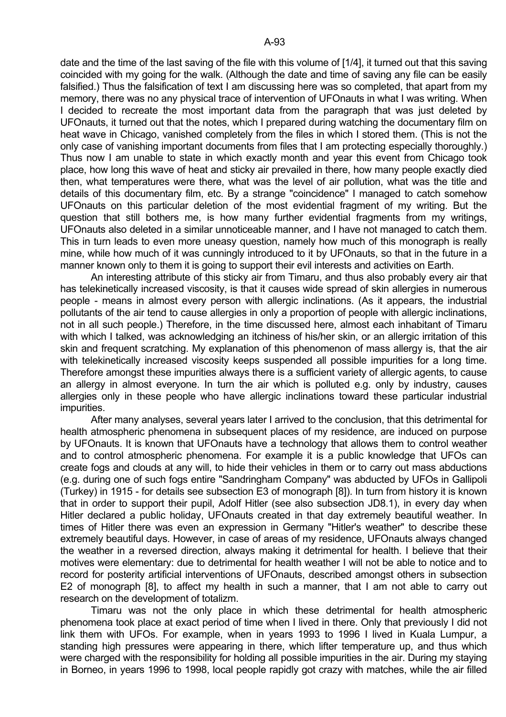date and the time of the last saving of the file with this volume of [1/4], it turned out that this saving coincided with my going for the walk. (Although the date and time of saving any file can be easily falsified.) Thus the falsification of text I am discussing here was so completed, that apart from my memory, there was no any physical trace of intervention of UFOnauts in what I was writing. When I decided to recreate the most important data from the paragraph that was just deleted by UFOnauts, it turned out that the notes, which I prepared during watching the documentary film on heat wave in Chicago, vanished completely from the files in which I stored them. (This is not the only case of vanishing important documents from files that I am protecting especially thoroughly.) Thus now I am unable to state in which exactly month and year this event from Chicago took place, how long this wave of heat and sticky air prevailed in there, how many people exactly died then, what temperatures were there, what was the level of air pollution, what was the title and details of this documentary film, etc. By a strange "coincidence" I managed to catch somehow UFOnauts on this particular deletion of the most evidential fragment of my writing. But the question that still bothers me, is how many further evidential fragments from my writings, UFOnauts also deleted in a similar unnoticeable manner, and I have not managed to catch them. This in turn leads to even more uneasy question, namely how much of this monograph is really mine, while how much of it was cunningly introduced to it by UFOnauts, so that in the future in a manner known only to them it is going to support their evil interests and activities on Earth.

 An interesting attribute of this sticky air from Timaru, and thus also probably every air that has telekinetically increased viscosity, is that it causes wide spread of skin allergies in numerous people - means in almost every person with allergic inclinations. (As it appears, the industrial pollutants of the air tend to cause allergies in only a proportion of people with allergic inclinations, not in all such people.) Therefore, in the time discussed here, almost each inhabitant of Timaru with which I talked, was acknowledging an itchiness of his/her skin, or an allergic irritation of this skin and frequent scratching. My explanation of this phenomenon of mass allergy is, that the air with telekinetically increased viscosity keeps suspended all possible impurities for a long time. Therefore amongst these impurities always there is a sufficient variety of allergic agents, to cause an allergy in almost everyone. In turn the air which is polluted e.g. only by industry, causes allergies only in these people who have allergic inclinations toward these particular industrial impurities.

 After many analyses, several years later I arrived to the conclusion, that this detrimental for health atmospheric phenomena in subsequent places of my residence, are induced on purpose by UFOnauts. It is known that UFOnauts have a technology that allows them to control weather and to control atmospheric phenomena. For example it is a public knowledge that UFOs can create fogs and clouds at any will, to hide their vehicles in them or to carry out mass abductions (e.g. during one of such fogs entire "Sandringham Company" was abducted by UFOs in Gallipoli (Turkey) in 1915 - for details see subsection E3 of monograph [8]). In turn from history it is known that in order to support their pupil, Adolf Hitler (see also subsection JD8.1), in every day when Hitler declared a public holiday, UFOnauts created in that day extremely beautiful weather. In times of Hitler there was even an expression in Germany "Hitler's weather" to describe these extremely beautiful days. However, in case of areas of my residence, UFOnauts always changed the weather in a reversed direction, always making it detrimental for health. I believe that their motives were elementary: due to detrimental for health weather I will not be able to notice and to record for posterity artificial interventions of UFOnauts, described amongst others in subsection E2 of monograph [8], to affect my health in such a manner, that I am not able to carry out research on the development of totalizm.

 Timaru was not the only place in which these detrimental for health atmospheric phenomena took place at exact period of time when I lived in there. Only that previously I did not link them with UFOs. For example, when in years 1993 to 1996 I lived in Kuala Lumpur, a standing high pressures were appearing in there, which lifter temperature up, and thus which were charged with the responsibility for holding all possible impurities in the air. During my staying in Borneo, in years 1996 to 1998, local people rapidly got crazy with matches, while the air filled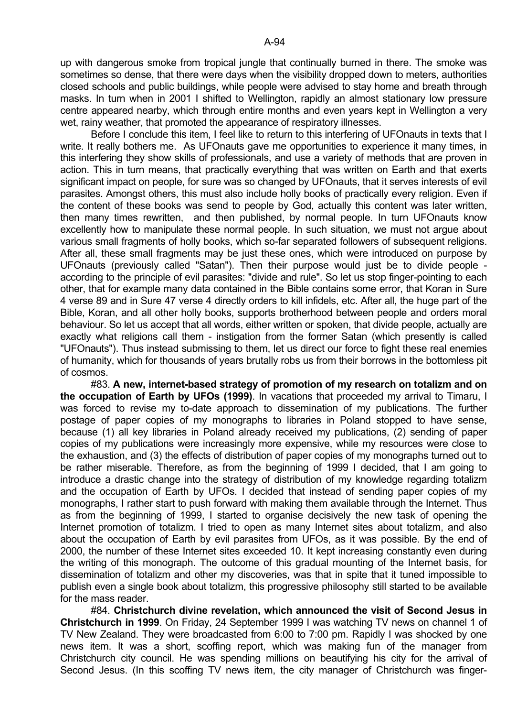up with dangerous smoke from tropical jungle that continually burned in there. The smoke was sometimes so dense, that there were days when the visibility dropped down to meters, authorities closed schools and public buildings, while people were advised to stay home and breath through masks. In turn when in 2001 I shifted to Wellington, rapidly an almost stationary low pressure centre appeared nearby, which through entire months and even years kept in Wellington a very wet, rainy weather, that promoted the appearance of respiratory illnesses.

 Before I conclude this item, I feel like to return to this interfering of UFOnauts in texts that I write. It really bothers me. As UFOnauts gave me opportunities to experience it many times, in this interfering they show skills of professionals, and use a variety of methods that are proven in action. This in turn means, that practically everything that was written on Earth and that exerts significant impact on people, for sure was so changed by UFOnauts, that it serves interests of evil parasites. Amongst others, this must also include holly books of practically every religion. Even if the content of these books was send to people by God, actually this content was later written, then many times rewritten, and then published, by normal people. In turn UFOnauts know excellently how to manipulate these normal people. In such situation, we must not argue about various small fragments of holly books, which so-far separated followers of subsequent religions. After all, these small fragments may be just these ones, which were introduced on purpose by UFOnauts (previously called "Satan"). Then their purpose would just be to divide people according to the principle of evil parasites: "divide and rule". So let us stop finger-pointing to each other, that for example many data contained in the Bible contains some error, that Koran in Sure 4 verse 89 and in Sure 47 verse 4 directly orders to kill infidels, etc. After all, the huge part of the Bible, Koran, and all other holly books, supports brotherhood between people and orders moral behaviour. So let us accept that all words, either written or spoken, that divide people, actually are exactly what religions call them - instigation from the former Satan (which presently is called "UFOnauts"). Thus instead submissing to them, let us direct our force to fight these real enemies of humanity, which for thousands of years brutally robs us from their borrows in the bottomless pit of cosmos.

 #83. **A new, internet-based strategy of promotion of my research on totalizm and on the occupation of Earth by UFOs (1999)**. In vacations that proceeded my arrival to Timaru, I was forced to revise my to-date approach to dissemination of my publications. The further postage of paper copies of my monographs to libraries in Poland stopped to have sense, because (1) all key libraries in Poland already received my publications, (2) sending of paper copies of my publications were increasingly more expensive, while my resources were close to the exhaustion, and (3) the effects of distribution of paper copies of my monographs turned out to be rather miserable. Therefore, as from the beginning of 1999 I decided, that I am going to introduce a drastic change into the strategy of distribution of my knowledge regarding totalizm and the occupation of Earth by UFOs. I decided that instead of sending paper copies of my monographs, I rather start to push forward with making them available through the Internet. Thus as from the beginning of 1999, I started to organise decisively the new task of opening the Internet promotion of totalizm. I tried to open as many Internet sites about totalizm, and also about the occupation of Earth by evil parasites from UFOs, as it was possible. By the end of 2000, the number of these Internet sites exceeded 10. It kept increasing constantly even during the writing of this monograph. The outcome of this gradual mounting of the Internet basis, for dissemination of totalizm and other my discoveries, was that in spite that it tuned impossible to publish even a single book about totalizm, this progressive philosophy still started to be available for the mass reader.

 #84. **Christchurch divine revelation, which announced the visit of Second Jesus in Christchurch in 1999**. On Friday, 24 September 1999 I was watching TV news on channel 1 of TV New Zealand. They were broadcasted from 6:00 to 7:00 pm. Rapidly I was shocked by one news item. It was a short, scoffing report, which was making fun of the manager from Christchurch city council. He was spending millions on beautifying his city for the arrival of Second Jesus. (In this scoffing TV news item, the city manager of Christchurch was finger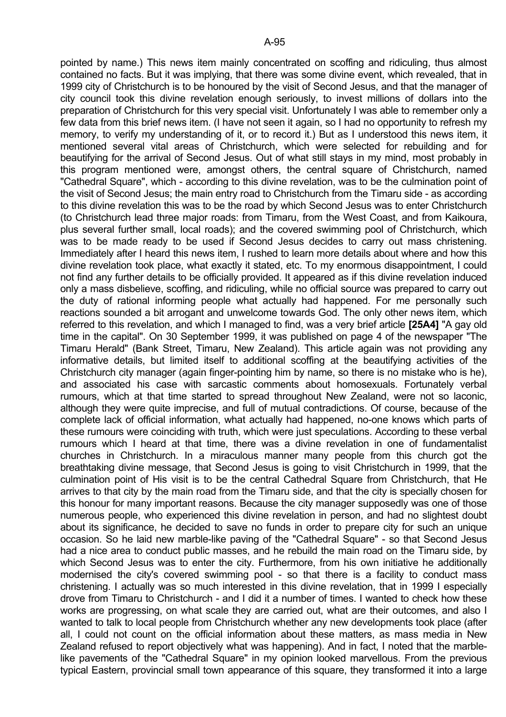pointed by name.) This news item mainly concentrated on scoffing and ridiculing, thus almost contained no facts. But it was implying, that there was some divine event, which revealed, that in 1999 city of Christchurch is to be honoured by the visit of Second Jesus, and that the manager of city council took this divine revelation enough seriously, to invest millions of dollars into the preparation of Christchurch for this very special visit. Unfortunately I was able to remember only a few data from this brief news item. (I have not seen it again, so I had no opportunity to refresh my memory, to verify my understanding of it, or to record it.) But as I understood this news item, it mentioned several vital areas of Christchurch, which were selected for rebuilding and for beautifying for the arrival of Second Jesus. Out of what still stays in my mind, most probably in this program mentioned were, amongst others, the central square of Christchurch, named "Cathedral Square", which - according to this divine revelation, was to be the culmination point of the visit of Second Jesus; the main entry road to Christchurch from the Timaru side - as according to this divine revelation this was to be the road by which Second Jesus was to enter Christchurch (to Christchurch lead three major roads: from Timaru, from the West Coast, and from Kaikoura, plus several further small, local roads); and the covered swimming pool of Christchurch, which was to be made ready to be used if Second Jesus decides to carry out mass christening. Immediately after I heard this news item, I rushed to learn more details about where and how this divine revelation took place, what exactly it stated, etc. To my enormous disappointment, I could not find any further details to be officially provided. It appeared as if this divine revelation induced only a mass disbelieve, scoffing, and ridiculing, while no official source was prepared to carry out the duty of rational informing people what actually had happened. For me personally such reactions sounded a bit arrogant and unwelcome towards God. The only other news item, which referred to this revelation, and which I managed to find, was a very brief article **[25A4]** "A gay old time in the capital". On 30 September 1999, it was published on page 4 of the newspaper "The Timaru Herald" (Bank Street, Timaru, New Zealand). This article again was not providing any informative details, but limited itself to additional scoffing at the beautifying activities of the Christchurch city manager (again finger-pointing him by name, so there is no mistake who is he), and associated his case with sarcastic comments about homosexuals. Fortunately verbal rumours, which at that time started to spread throughout New Zealand, were not so laconic, although they were quite imprecise, and full of mutual contradictions. Of course, because of the complete lack of official information, what actually had happened, no-one knows which parts of these rumours were coinciding with truth, which were just speculations. According to these verbal rumours which I heard at that time, there was a divine revelation in one of fundamentalist churches in Christchurch. In a miraculous manner many people from this church got the breathtaking divine message, that Second Jesus is going to visit Christchurch in 1999, that the culmination point of His visit is to be the central Cathedral Square from Christchurch, that He arrives to that city by the main road from the Timaru side, and that the city is specially chosen for this honour for many important reasons. Because the city manager supposedly was one of those numerous people, who experienced this divine revelation in person, and had no slightest doubt about its significance, he decided to save no funds in order to prepare city for such an unique occasion. So he laid new marble-like paving of the "Cathedral Square" - so that Second Jesus had a nice area to conduct public masses, and he rebuild the main road on the Timaru side, by which Second Jesus was to enter the city. Furthermore, from his own initiative he additionally modernised the city's covered swimming pool - so that there is a facility to conduct mass christening. I actually was so much interested in this divine revelation, that in 1999 I especially drove from Timaru to Christchurch - and I did it a number of times. I wanted to check how these works are progressing, on what scale they are carried out, what are their outcomes, and also I wanted to talk to local people from Christchurch whether any new developments took place (after all, I could not count on the official information about these matters, as mass media in New Zealand refused to report objectively what was happening). And in fact, I noted that the marblelike pavements of the "Cathedral Square" in my opinion looked marvellous. From the previous typical Eastern, provincial small town appearance of this square, they transformed it into a large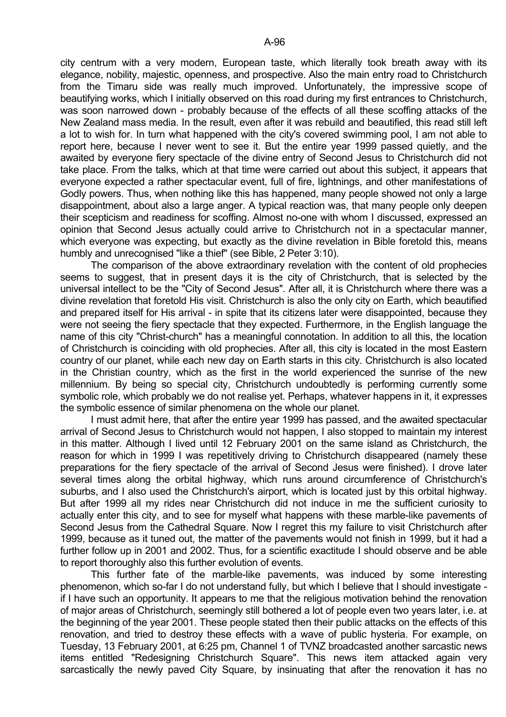city centrum with a very modern, European taste, which literally took breath away with its elegance, nobility, majestic, openness, and prospective. Also the main entry road to Christchurch from the Timaru side was really much improved. Unfortunately, the impressive scope of beautifying works, which I initially observed on this road during my first entrances to Christchurch, was soon narrowed down - probably because of the effects of all these scoffing attacks of the New Zealand mass media. In the result, even after it was rebuild and beautified, this read still left a lot to wish for. In turn what happened with the city's covered swimming pool, I am not able to report here, because I never went to see it. But the entire year 1999 passed quietly, and the awaited by everyone fiery spectacle of the divine entry of Second Jesus to Christchurch did not take place. From the talks, which at that time were carried out about this subject, it appears that everyone expected a rather spectacular event, full of fire, lightnings, and other manifestations of Godly powers. Thus, when nothing like this has happened, many people showed not only a large disappointment, about also a large anger. A typical reaction was, that many people only deepen their scepticism and readiness for scoffing. Almost no-one with whom I discussed, expressed an opinion that Second Jesus actually could arrive to Christchurch not in a spectacular manner, which everyone was expecting, but exactly as the divine revelation in Bible foretold this, means humbly and unrecognised "like a thief" (see Bible, 2 Peter 3:10).

 The comparison of the above extraordinary revelation with the content of old prophecies seems to suggest, that in present days it is the city of Christchurch, that is selected by the universal intellect to be the "City of Second Jesus". After all, it is Christchurch where there was a divine revelation that foretold His visit. Christchurch is also the only city on Earth, which beautified and prepared itself for His arrival - in spite that its citizens later were disappointed, because they were not seeing the fiery spectacle that they expected. Furthermore, in the English language the name of this city "Christ-church" has a meaningful connotation. In addition to all this, the location of Christchurch is coinciding with old prophecies. After all, this city is located in the most Eastern country of our planet, while each new day on Earth starts in this city. Christchurch is also located in the Christian country, which as the first in the world experienced the sunrise of the new millennium. By being so special city, Christchurch undoubtedly is performing currently some symbolic role, which probably we do not realise yet. Perhaps, whatever happens in it, it expresses the symbolic essence of similar phenomena on the whole our planet.

 I must admit here, that after the entire year 1999 has passed, and the awaited spectacular arrival of Second Jesus to Christchurch would not happen, I also stopped to maintain my interest in this matter. Although I lived until 12 February 2001 on the same island as Christchurch, the reason for which in 1999 I was repetitively driving to Christchurch disappeared (namely these preparations for the fiery spectacle of the arrival of Second Jesus were finished). I drove later several times along the orbital highway, which runs around circumference of Christchurch's suburbs, and I also used the Christchurch's airport, which is located just by this orbital highway. But after 1999 all my rides near Christchurch did not induce in me the sufficient curiosity to actually enter this city, and to see for myself what happens with these marble-like pavements of Second Jesus from the Cathedral Square. Now I regret this my failure to visit Christchurch after 1999, because as it tuned out, the matter of the pavements would not finish in 1999, but it had a further follow up in 2001 and 2002. Thus, for a scientific exactitude I should observe and be able to report thoroughly also this further evolution of events.

 This further fate of the marble-like pavements, was induced by some interesting phenomenon, which so-far I do not understand fully, but which I believe that I should investigate if I have such an opportunity. It appears to me that the religious motivation behind the renovation of major areas of Christchurch, seemingly still bothered a lot of people even two years later, i.e. at the beginning of the year 2001. These people stated then their public attacks on the effects of this renovation, and tried to destroy these effects with a wave of public hysteria. For example, on Tuesday, 13 February 2001, at 6:25 pm, Channel 1 of TVNZ broadcasted another sarcastic news items entitled "Redesigning Christchurch Square". This news item attacked again very sarcastically the newly paved City Square, by insinuating that after the renovation it has no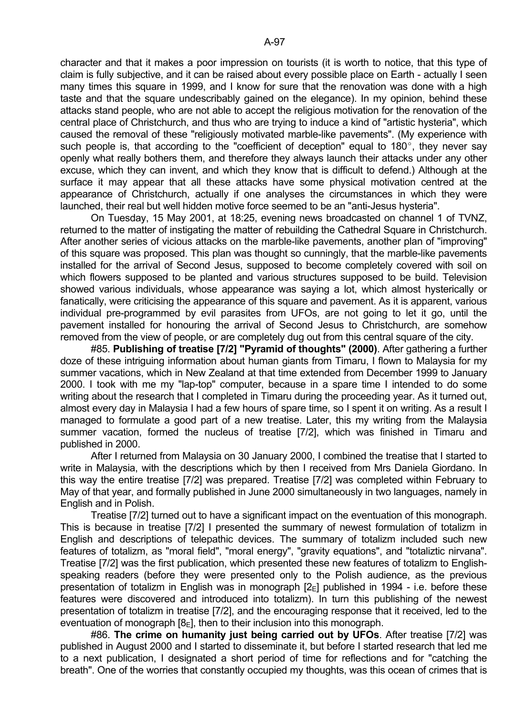character and that it makes a poor impression on tourists (it is worth to notice, that this type of claim is fully subjective, and it can be raised about every possible place on Earth - actually I seen many times this square in 1999, and I know for sure that the renovation was done with a high taste and that the square undescribably gained on the elegance). In my opinion, behind these attacks stand people, who are not able to accept the religious motivation for the renovation of the central place of Christchurch, and thus who are trying to induce a kind of "artistic hysteria", which caused the removal of these "religiously motivated marble-like pavements". (My experience with such people is, that according to the "coefficient of deception" equal to  $180^\circ$ , they never say openly what really bothers them, and therefore they always launch their attacks under any other excuse, which they can invent, and which they know that is difficult to defend.) Although at the surface it may appear that all these attacks have some physical motivation centred at the appearance of Christchurch, actually if one analyses the circumstances in which they were launched, their real but well hidden motive force seemed to be an "anti-Jesus hysteria".

 On Tuesday, 15 May 2001, at 18:25, evening news broadcasted on channel 1 of TVNZ, returned to the matter of instigating the matter of rebuilding the Cathedral Square in Christchurch. After another series of vicious attacks on the marble-like pavements, another plan of "improving" of this square was proposed. This plan was thought so cunningly, that the marble-like pavements installed for the arrival of Second Jesus, supposed to become completely covered with soil on which flowers supposed to be planted and various structures supposed to be build. Television showed various individuals, whose appearance was saying a lot, which almost hysterically or fanatically, were criticising the appearance of this square and pavement. As it is apparent, various individual pre-programmed by evil parasites from UFOs, are not going to let it go, until the pavement installed for honouring the arrival of Second Jesus to Christchurch, are somehow removed from the view of people, or are completely dug out from this central square of the city.

 #85. **Publishing of treatise [7/2] "Pyramid of thoughts" (2000)**. After gathering a further doze of these intriguing information about human giants from Timaru, I flown to Malaysia for my summer vacations, which in New Zealand at that time extended from December 1999 to January 2000. I took with me my "lap-top" computer, because in a spare time I intended to do some writing about the research that I completed in Timaru during the proceeding year. As it turned out, almost every day in Malaysia I had a few hours of spare time, so I spent it on writing. As a result I managed to formulate a good part of a new treatise. Later, this my writing from the Malaysia summer vacation, formed the nucleus of treatise [7/2], which was finished in Timaru and published in 2000.

 After I returned from Malaysia on 30 January 2000, I combined the treatise that I started to write in Malaysia, with the descriptions which by then I received from Mrs Daniela Giordano. In this way the entire treatise [7/2] was prepared. Treatise [7/2] was completed within February to May of that year, and formally published in June 2000 simultaneously in two languages, namely in English and in Polish.

 Treatise [7/2] turned out to have a significant impact on the eventuation of this monograph. This is because in treatise [7/2] I presented the summary of newest formulation of totalizm in English and descriptions of telepathic devices. The summary of totalizm included such new features of totalizm, as "moral field", "moral energy", "gravity equations", and "totaliztic nirvana". Treatise [7/2] was the first publication, which presented these new features of totalizm to Englishspeaking readers (before they were presented only to the Polish audience, as the previous presentation of totalizm in English was in monograph  $[2_F]$  published in 1994 - i.e. before these features were discovered and introduced into totalizm). In turn this publishing of the newest presentation of totalizm in treatise [7/2], and the encouraging response that it received, led to the eventuation of monograph  $[8_F]$ , then to their inclusion into this monograph.

 #86. **The crime on humanity just being carried out by UFOs**. After treatise [7/2] was published in August 2000 and I started to disseminate it, but before I started research that led me to a next publication, I designated a short period of time for reflections and for "catching the breath". One of the worries that constantly occupied my thoughts, was this ocean of crimes that is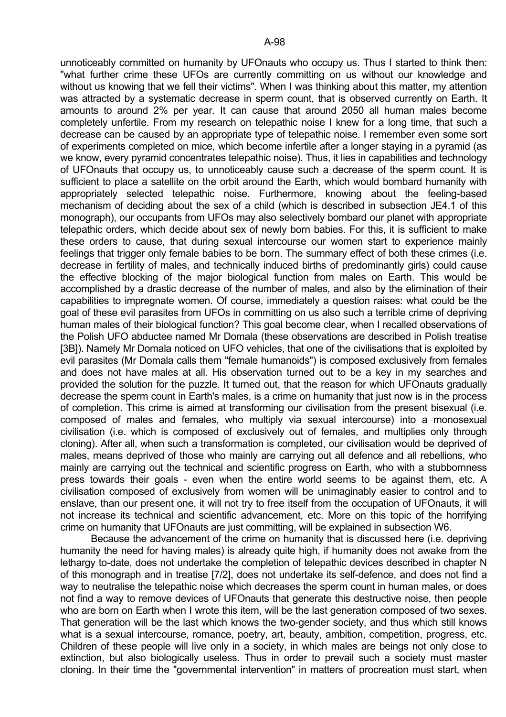unnoticeably committed on humanity by UFOnauts who occupy us. Thus I started to think then: "what further crime these UFOs are currently committing on us without our knowledge and without us knowing that we fell their victims". When I was thinking about this matter, my attention was attracted by a systematic decrease in sperm count, that is observed currently on Earth. It amounts to around 2% per year. It can cause that around 2050 all human males become completely unfertile. From my research on telepathic noise I knew for a long time, that such a decrease can be caused by an appropriate type of telepathic noise. I remember even some sort of experiments completed on mice, which become infertile after a longer staying in a pyramid (as we know, every pyramid concentrates telepathic noise). Thus, it lies in capabilities and technology of UFOnauts that occupy us, to unnoticeably cause such a decrease of the sperm count. It is sufficient to place a satellite on the orbit around the Earth, which would bombard humanity with appropriately selected telepathic noise. Furthermore, knowing about the feeling-based mechanism of deciding about the sex of a child (which is described in subsection JE4.1 of this monograph), our occupants from UFOs may also selectively bombard our planet with appropriate telepathic orders, which decide about sex of newly born babies. For this, it is sufficient to make these orders to cause, that during sexual intercourse our women start to experience mainly feelings that trigger only female babies to be born. The summary effect of both these crimes (i.e. decrease in fertility of males, and technically induced births of predominantly girls) could cause the effective blocking of the major biological function from males on Earth. This would be accomplished by a drastic decrease of the number of males, and also by the elimination of their capabilities to impregnate women. Of course, immediately a question raises: what could be the goal of these evil parasites from UFOs in committing on us also such a terrible crime of depriving human males of their biological function? This goal become clear, when I recalled observations of the Polish UFO abductee named Mr Domala (these observations are described in Polish treatise [3B]). Namely Mr Domala noticed on UFO vehicles, that one of the civilisations that is exploited by evil parasites (Mr Domala calls them "female humanoids") is composed exclusively from females and does not have males at all. His observation turned out to be a key in my searches and provided the solution for the puzzle. It turned out, that the reason for which UFOnauts gradually decrease the sperm count in Earth's males, is a crime on humanity that just now is in the process of completion. This crime is aimed at transforming our civilisation from the present bisexual (i.e. composed of males and females, who multiply via sexual intercourse) into a monosexual civilisation (i.e. which is composed of exclusively out of females, and multiplies only through cloning). After all, when such a transformation is completed, our civilisation would be deprived of males, means deprived of those who mainly are carrying out all defence and all rebellions, who mainly are carrying out the technical and scientific progress on Earth, who with a stubbornness press towards their goals - even when the entire world seems to be against them, etc. A civilisation composed of exclusively from women will be unimaginably easier to control and to enslave, than our present one, it will not try to free itself from the occupation of UFOnauts, it will not increase its technical and scientific advancement, etc. More on this topic of the horrifying crime on humanity that UFOnauts are just committing, will be explained in subsection W6.

 Because the advancement of the crime on humanity that is discussed here (i.e. depriving humanity the need for having males) is already quite high, if humanity does not awake from the lethargy to-date, does not undertake the completion of telepathic devices described in chapter N of this monograph and in treatise [7/2], does not undertake its self-defence, and does not find a way to neutralise the telepathic noise which decreases the sperm count in human males, or does not find a way to remove devices of UFOnauts that generate this destructive noise, then people who are born on Earth when I wrote this item, will be the last generation composed of two sexes. That generation will be the last which knows the two-gender society, and thus which still knows what is a sexual intercourse, romance, poetry, art, beauty, ambition, competition, progress, etc. Children of these people will live only in a society, in which males are beings not only close to extinction, but also biologically useless. Thus in order to prevail such a society must master cloning. In their time the "governmental intervention" in matters of procreation must start, when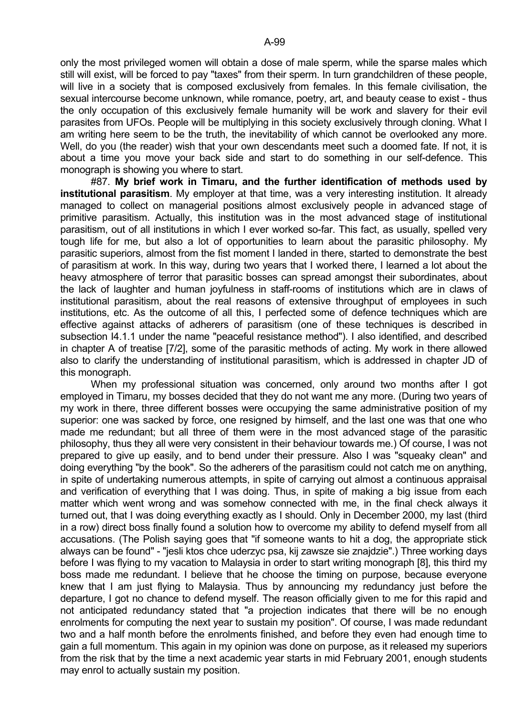only the most privileged women will obtain a dose of male sperm, while the sparse males which still will exist, will be forced to pay "taxes" from their sperm. In turn grandchildren of these people, will live in a society that is composed exclusively from females. In this female civilisation, the sexual intercourse become unknown, while romance, poetry, art, and beauty cease to exist - thus the only occupation of this exclusively female humanity will be work and slavery for their evil parasites from UFOs. People will be multiplying in this society exclusively through cloning. What I am writing here seem to be the truth, the inevitability of which cannot be overlooked any more. Well, do you (the reader) wish that your own descendants meet such a doomed fate. If not, it is about a time you move your back side and start to do something in our self-defence. This monograph is showing you where to start.

 #87. **My brief work in Timaru, and the further identification of methods used by institutional parasitism**. My employer at that time, was a very interesting institution. It already managed to collect on managerial positions almost exclusively people in advanced stage of primitive parasitism. Actually, this institution was in the most advanced stage of institutional parasitism, out of all institutions in which I ever worked so-far. This fact, as usually, spelled very tough life for me, but also a lot of opportunities to learn about the parasitic philosophy. My parasitic superiors, almost from the fist moment I landed in there, started to demonstrate the best of parasitism at work. In this way, during two years that I worked there, I learned a lot about the heavy atmosphere of terror that parasitic bosses can spread amongst their subordinates, about the lack of laughter and human joyfulness in staff-rooms of institutions which are in claws of institutional parasitism, about the real reasons of extensive throughput of employees in such institutions, etc. As the outcome of all this, I perfected some of defence techniques which are effective against attacks of adherers of parasitism (one of these techniques is described in subsection I4.1.1 under the name "peaceful resistance method"). I also identified, and described in chapter A of treatise [7/2], some of the parasitic methods of acting. My work in there allowed also to clarify the understanding of institutional parasitism, which is addressed in chapter JD of this monograph.

When my professional situation was concerned, only around two months after I got employed in Timaru, my bosses decided that they do not want me any more. (During two years of my work in there, three different bosses were occupying the same administrative position of my superior: one was sacked by force, one resigned by himself, and the last one was that one who made me redundant; but all three of them were in the most advanced stage of the parasitic philosophy, thus they all were very consistent in their behaviour towards me.) Of course, I was not prepared to give up easily, and to bend under their pressure. Also I was "squeaky clean" and doing everything "by the book". So the adherers of the parasitism could not catch me on anything, in spite of undertaking numerous attempts, in spite of carrying out almost a continuous appraisal and verification of everything that I was doing. Thus, in spite of making a big issue from each matter which went wrong and was somehow connected with me, in the final check always it turned out, that I was doing everything exactly as I should. Only in December 2000, my last (third in a row) direct boss finally found a solution how to overcome my ability to defend myself from all accusations. (The Polish saying goes that "if someone wants to hit a dog, the appropriate stick always can be found" - "jesli ktos chce uderzyc psa, kij zawsze sie znajdzie".) Three working days before I was flying to my vacation to Malaysia in order to start writing monograph [8], this third my boss made me redundant. I believe that he choose the timing on purpose, because everyone knew that I am just flying to Malaysia. Thus by announcing my redundancy just before the departure, I got no chance to defend myself. The reason officially given to me for this rapid and not anticipated redundancy stated that "a projection indicates that there will be no enough enrolments for computing the next year to sustain my position". Of course, I was made redundant two and a half month before the enrolments finished, and before they even had enough time to gain a full momentum. This again in my opinion was done on purpose, as it released my superiors from the risk that by the time a next academic year starts in mid February 2001, enough students may enrol to actually sustain my position.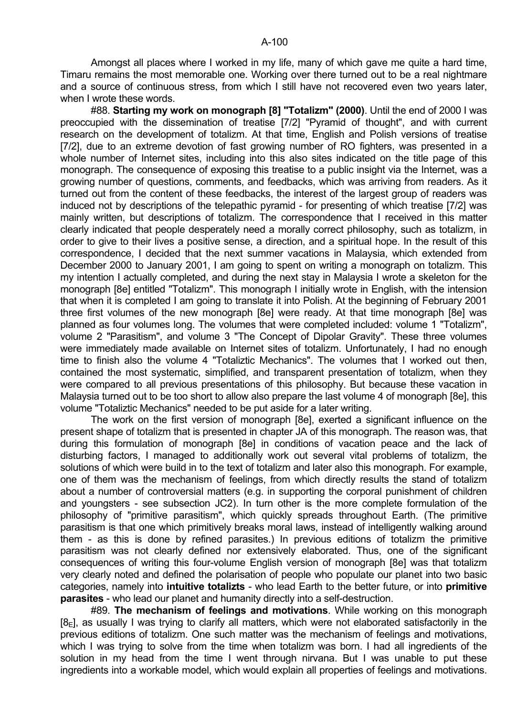Amongst all places where I worked in my life, many of which gave me quite a hard time, Timaru remains the most memorable one. Working over there turned out to be a real nightmare and a source of continuous stress, from which I still have not recovered even two years later, when I wrote these words.

 #88. **Starting my work on monograph [8] "Totalizm" (2000)**. Until the end of 2000 I was preoccupied with the dissemination of treatise [7/2] "Pyramid of thought", and with current research on the development of totalizm. At that time, English and Polish versions of treatise [7/2], due to an extreme devotion of fast growing number of RO fighters, was presented in a whole number of Internet sites, including into this also sites indicated on the title page of this monograph. The consequence of exposing this treatise to a public insight via the Internet, was a growing number of questions, comments, and feedbacks, which was arriving from readers. As it turned out from the content of these feedbacks, the interest of the largest group of readers was induced not by descriptions of the telepathic pyramid - for presenting of which treatise [7/2] was mainly written, but descriptions of totalizm. The correspondence that I received in this matter clearly indicated that people desperately need a morally correct philosophy, such as totalizm, in order to give to their lives a positive sense, a direction, and a spiritual hope. In the result of this correspondence, I decided that the next summer vacations in Malaysia, which extended from December 2000 to January 2001, I am going to spent on writing a monograph on totalizm. This my intention I actually completed, and during the next stay in Malaysia I wrote a skeleton for the monograph [8e] entitled "Totalizm". This monograph I initially wrote in English, with the intension that when it is completed I am going to translate it into Polish. At the beginning of February 2001 three first volumes of the new monograph [8e] were ready. At that time monograph [8e] was planned as four volumes long. The volumes that were completed included: volume 1 "Totalizm", volume 2 "Parasitism", and volume 3 "The Concept of Dipolar Gravity". These three volumes were immediately made available on Internet sites of totalizm. Unfortunately, I had no enough time to finish also the volume 4 "Totaliztic Mechanics". The volumes that I worked out then, contained the most systematic, simplified, and transparent presentation of totalizm, when they were compared to all previous presentations of this philosophy. But because these vacation in Malaysia turned out to be too short to allow also prepare the last volume 4 of monograph [8e], this volume "Totaliztic Mechanics" needed to be put aside for a later writing.

 The work on the first version of monograph [8e], exerted a significant influence on the present shape of totalizm that is presented in chapter JA of this monograph. The reason was, that during this formulation of monograph [8e] in conditions of vacation peace and the lack of disturbing factors, I managed to additionally work out several vital problems of totalizm, the solutions of which were build in to the text of totalizm and later also this monograph. For example, one of them was the mechanism of feelings, from which directly results the stand of totalizm about a number of controversial matters (e.g. in supporting the corporal punishment of children and youngsters - see subsection JC2). In turn other is the more complete formulation of the philosophy of "primitive parasitism", which quickly spreads throughout Earth. (The primitive parasitism is that one which primitively breaks moral laws, instead of intelligently walking around them - as this is done by refined parasites.) In previous editions of totalizm the primitive parasitism was not clearly defined nor extensively elaborated. Thus, one of the significant consequences of writing this four-volume English version of monograph [8e] was that totalizm very clearly noted and defined the polarisation of people who populate our planet into two basic categories, namely into **intuitive totalizts** - who lead Earth to the better future, or into **primitive parasites** - who lead our planet and humanity directly into a self-destruction.

 #89. **The mechanism of feelings and motivations**. While working on this monograph  $[8_F]$ , as usually I was trying to clarify all matters, which were not elaborated satisfactorily in the previous editions of totalizm. One such matter was the mechanism of feelings and motivations, which I was trying to solve from the time when totalizm was born. I had all ingredients of the solution in my head from the time I went through nirvana. But I was unable to put these ingredients into a workable model, which would explain all properties of feelings and motivations.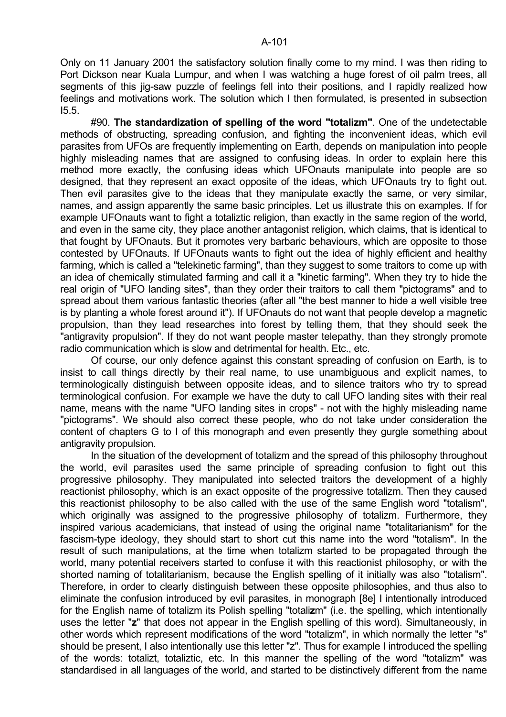Only on 11 January 2001 the satisfactory solution finally come to my mind. I was then riding to Port Dickson near Kuala Lumpur, and when I was watching a huge forest of oil palm trees, all segments of this jig-saw puzzle of feelings fell into their positions, and I rapidly realized how feelings and motivations work. The solution which I then formulated, is presented in subsection  $15.5$ 

 #90. **The standardization of spelling of the word "totalizm"**. One of the undetectable methods of obstructing, spreading confusion, and fighting the inconvenient ideas, which evil parasites from UFOs are frequently implementing on Earth, depends on manipulation into people highly misleading names that are assigned to confusing ideas. In order to explain here this method more exactly, the confusing ideas which UFOnauts manipulate into people are so designed, that they represent an exact opposite of the ideas, which UFOnauts try to fight out. Then evil parasites give to the ideas that they manipulate exactly the same, or very similar, names, and assign apparently the same basic principles. Let us illustrate this on examples. If for example UFOnauts want to fight a totaliztic religion, than exactly in the same region of the world, and even in the same city, they place another antagonist religion, which claims, that is identical to that fought by UFOnauts. But it promotes very barbaric behaviours, which are opposite to those contested by UFOnauts. If UFOnauts wants to fight out the idea of highly efficient and healthy farming, which is called a "telekinetic farming", than they suggest to some traitors to come up with an idea of chemically stimulated farming and call it a "kinetic farming". When they try to hide the real origin of "UFO landing sites", than they order their traitors to call them "pictograms" and to spread about them various fantastic theories (after all "the best manner to hide a well visible tree is by planting a whole forest around it"). If UFOnauts do not want that people develop a magnetic propulsion, than they lead researches into forest by telling them, that they should seek the "antigravity propulsion". If they do not want people master telepathy, than they strongly promote radio communication which is slow and detrimental for health. Etc., etc.

 Of course, our only defence against this constant spreading of confusion on Earth, is to insist to call things directly by their real name, to use unambiguous and explicit names, to terminologically distinguish between opposite ideas, and to silence traitors who try to spread terminological confusion. For example we have the duty to call UFO landing sites with their real name, means with the name "UFO landing sites in crops" - not with the highly misleading name "pictograms". We should also correct these people, who do not take under consideration the content of chapters G to I of this monograph and even presently they gurgle something about antigravity propulsion.

 In the situation of the development of totalizm and the spread of this philosophy throughout the world, evil parasites used the same principle of spreading confusion to fight out this progressive philosophy. They manipulated into selected traitors the development of a highly reactionist philosophy, which is an exact opposite of the progressive totalizm. Then they caused this reactionist philosophy to be also called with the use of the same English word "totalism", which originally was assigned to the progressive philosophy of totalizm. Furthermore, they inspired various academicians, that instead of using the original name "totalitarianism" for the fascism-type ideology, they should start to short cut this name into the word "totalism". In the result of such manipulations, at the time when totalizm started to be propagated through the world, many potential receivers started to confuse it with this reactionist philosophy, or with the shorted naming of totalitarianism, because the English spelling of it initially was also "totalism". Therefore, in order to clearly distinguish between these opposite philosophies, and thus also to eliminate the confusion introduced by evil parasites, in monograph [8e] I intentionally introduced for the English name of totalizm its Polish spelling "totali**z**m" (i.e. the spelling, which intentionally uses the letter "**z**" that does not appear in the English spelling of this word). Simultaneously, in other words which represent modifications of the word "totalizm", in which normally the letter "s" should be present, I also intentionally use this letter "z". Thus for example I introduced the spelling of the words: totalizt, totaliztic, etc. In this manner the spelling of the word "totalizm" was standardised in all languages of the world, and started to be distinctively different from the name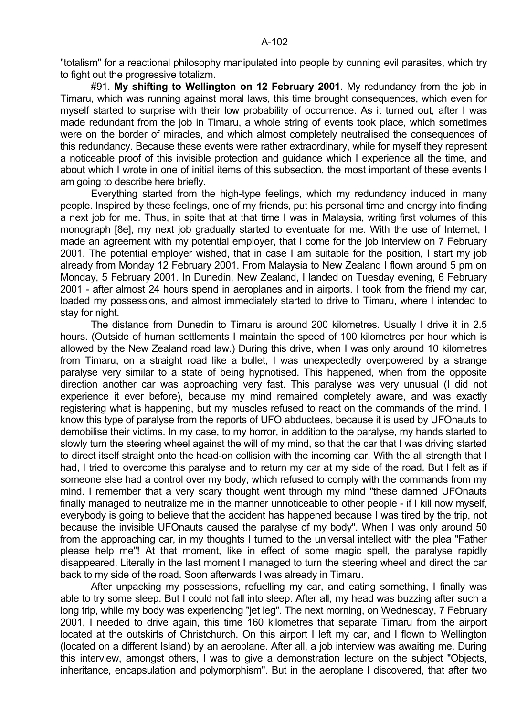"totalism" for a reactional philosophy manipulated into people by cunning evil parasites, which try to fight out the progressive totalizm.

 #91. **My shifting to Wellington on 12 February 2001**. My redundancy from the job in Timaru, which was running against moral laws, this time brought consequences, which even for myself started to surprise with their low probability of occurrence. As it turned out, after I was made redundant from the job in Timaru, a whole string of events took place, which sometimes were on the border of miracles, and which almost completely neutralised the consequences of this redundancy. Because these events were rather extraordinary, while for myself they represent a noticeable proof of this invisible protection and guidance which I experience all the time, and about which I wrote in one of initial items of this subsection, the most important of these events I am going to describe here briefly.

 Everything started from the high-type feelings, which my redundancy induced in many people. Inspired by these feelings, one of my friends, put his personal time and energy into finding a next job for me. Thus, in spite that at that time I was in Malaysia, writing first volumes of this monograph [8e], my next job gradually started to eventuate for me. With the use of Internet, I made an agreement with my potential employer, that I come for the job interview on 7 February 2001. The potential employer wished, that in case I am suitable for the position, I start my job already from Monday 12 February 2001. From Malaysia to New Zealand I flown around 5 pm on Monday, 5 February 2001. In Dunedin, New Zealand, I landed on Tuesday evening, 6 February 2001 - after almost 24 hours spend in aeroplanes and in airports. I took from the friend my car, loaded my possessions, and almost immediately started to drive to Timaru, where I intended to stay for night.

 The distance from Dunedin to Timaru is around 200 kilometres. Usually I drive it in 2.5 hours. (Outside of human settlements I maintain the speed of 100 kilometres per hour which is allowed by the New Zealand road law.) During this drive, when I was only around 10 kilometres from Timaru, on a straight road like a bullet, I was unexpectedly overpowered by a strange paralyse very similar to a state of being hypnotised. This happened, when from the opposite direction another car was approaching very fast. This paralyse was very unusual (I did not experience it ever before), because my mind remained completely aware, and was exactly registering what is happening, but my muscles refused to react on the commands of the mind. I know this type of paralyse from the reports of UFO abductees, because it is used by UFOnauts to demobilise their victims. In my case, to my horror, in addition to the paralyse, my hands started to slowly turn the steering wheel against the will of my mind, so that the car that I was driving started to direct itself straight onto the head-on collision with the incoming car. With the all strength that I had, I tried to overcome this paralyse and to return my car at my side of the road. But I felt as if someone else had a control over my body, which refused to comply with the commands from my mind. I remember that a very scary thought went through my mind "these damned UFOnauts finally managed to neutralize me in the manner unnoticeable to other people - if I kill now myself, everybody is going to believe that the accident has happened because I was tired by the trip, not because the invisible UFOnauts caused the paralyse of my body". When I was only around 50 from the approaching car, in my thoughts I turned to the universal intellect with the plea "Father please help me"! At that moment, like in effect of some magic spell, the paralyse rapidly disappeared. Literally in the last moment I managed to turn the steering wheel and direct the car back to my side of the road. Soon afterwards I was already in Timaru.

 After unpacking my possessions, refuelling my car, and eating something, I finally was able to try some sleep. But I could not fall into sleep. After all, my head was buzzing after such a long trip, while my body was experiencing "jet leg". The next morning, on Wednesday, 7 February 2001, I needed to drive again, this time 160 kilometres that separate Timaru from the airport located at the outskirts of Christchurch. On this airport I left my car, and I flown to Wellington (located on a different Island) by an aeroplane. After all, a job interview was awaiting me. During this interview, amongst others, I was to give a demonstration lecture on the subject "Objects, inheritance, encapsulation and polymorphism". But in the aeroplane I discovered, that after two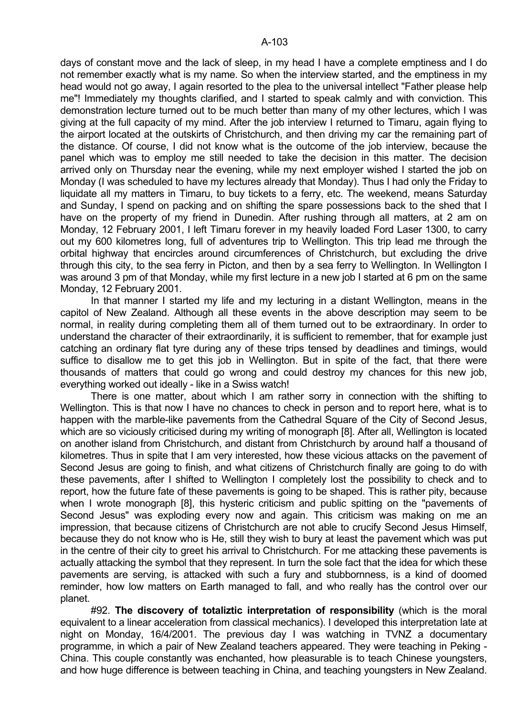days of constant move and the lack of sleep, in my head I have a complete emptiness and I do not remember exactly what is my name. So when the interview started, and the emptiness in my head would not go away, I again resorted to the plea to the universal intellect "Father please help me"! Immediately my thoughts clarified, and I started to speak calmly and with conviction. This demonstration lecture turned out to be much better than many of my other lectures, which I was giving at the full capacity of my mind. After the job interview I returned to Timaru, again flying to the airport located at the outskirts of Christchurch, and then driving my car the remaining part of the distance. Of course, I did not know what is the outcome of the job interview, because the panel which was to employ me still needed to take the decision in this matter. The decision arrived only on Thursday near the evening, while my next employer wished I started the job on Monday (I was scheduled to have my lectures already that Monday). Thus I had only the Friday to liquidate all my matters in Timaru, to buy tickets to a ferry, etc. The weekend, means Saturday and Sunday, I spend on packing and on shifting the spare possessions back to the shed that I have on the property of my friend in Dunedin. After rushing through all matters, at 2 am on Monday, 12 February 2001, I left Timaru forever in my heavily loaded Ford Laser 1300, to carry out my 600 kilometres long, full of adventures trip to Wellington. This trip lead me through the orbital highway that encircles around circumferences of Christchurch, but excluding the drive through this city, to the sea ferry in Picton, and then by a sea ferry to Wellington. In Wellington I was around 3 pm of that Monday, while my first lecture in a new job I started at 6 pm on the same Monday, 12 February 2001.

 In that manner I started my life and my lecturing in a distant Wellington, means in the capitol of New Zealand. Although all these events in the above description may seem to be normal, in reality during completing them all of them turned out to be extraordinary. In order to understand the character of their extraordinarily, it is sufficient to remember, that for example just catching an ordinary flat tyre during any of these trips tensed by deadlines and timings, would suffice to disallow me to get this job in Wellington. But in spite of the fact, that there were thousands of matters that could go wrong and could destroy my chances for this new job, everything worked out ideally - like in a Swiss watch!

 There is one matter, about which I am rather sorry in connection with the shifting to Wellington. This is that now I have no chances to check in person and to report here, what is to happen with the marble-like pavements from the Cathedral Square of the City of Second Jesus, which are so viciously criticised during my writing of monograph [8]. After all, Wellington is located on another island from Christchurch, and distant from Christchurch by around half a thousand of kilometres. Thus in spite that I am very interested, how these vicious attacks on the pavement of Second Jesus are going to finish, and what citizens of Christchurch finally are going to do with these pavements, after I shifted to Wellington I completely lost the possibility to check and to report, how the future fate of these pavements is going to be shaped. This is rather pity, because when I wrote monograph [8], this hysteric criticism and public spitting on the "pavements of Second Jesus" was exploding every now and again. This criticism was making on me an impression, that because citizens of Christchurch are not able to crucify Second Jesus Himself, because they do not know who is He, still they wish to bury at least the pavement which was put in the centre of their city to greet his arrival to Christchurch. For me attacking these pavements is actually attacking the symbol that they represent. In turn the sole fact that the idea for which these pavements are serving, is attacked with such a fury and stubbornness, is a kind of doomed reminder, how low matters on Earth managed to fall, and who really has the control over our planet.

 #92. **The discovery of totaliztic interpretation of responsibility** (which is the moral equivalent to a linear acceleration from classical mechanics). I developed this interpretation late at night on Monday, 16/4/2001. The previous day I was watching in TVNZ a documentary programme, in which a pair of New Zealand teachers appeared. They were teaching in Peking - China. This couple constantly was enchanted, how pleasurable is to teach Chinese youngsters, and how huge difference is between teaching in China, and teaching youngsters in New Zealand.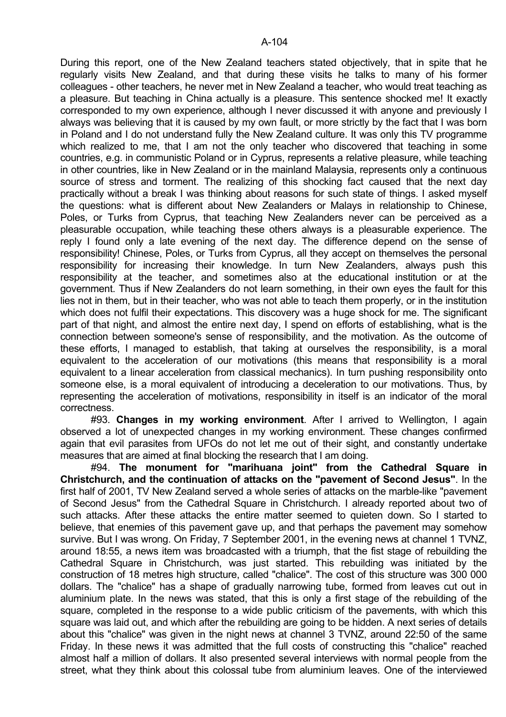During this report, one of the New Zealand teachers stated objectively, that in spite that he regularly visits New Zealand, and that during these visits he talks to many of his former colleagues - other teachers, he never met in New Zealand a teacher, who would treat teaching as a pleasure. But teaching in China actually is a pleasure. This sentence shocked me! It exactly corresponded to my own experience, although I never discussed it with anyone and previously I always was believing that it is caused by my own fault, or more strictly by the fact that I was born in Poland and I do not understand fully the New Zealand culture. It was only this TV programme which realized to me, that I am not the only teacher who discovered that teaching in some countries, e.g. in communistic Poland or in Cyprus, represents a relative pleasure, while teaching in other countries, like in New Zealand or in the mainland Malaysia, represents only a continuous source of stress and torment. The realizing of this shocking fact caused that the next day practically without a break I was thinking about reasons for such state of things. I asked myself the questions: what is different about New Zealanders or Malays in relationship to Chinese, Poles, or Turks from Cyprus, that teaching New Zealanders never can be perceived as a pleasurable occupation, while teaching these others always is a pleasurable experience. The reply I found only a late evening of the next day. The difference depend on the sense of responsibility! Chinese, Poles, or Turks from Cyprus, all they accept on themselves the personal responsibility for increasing their knowledge. In turn New Zealanders, always push this responsibility at the teacher, and sometimes also at the educational institution or at the government. Thus if New Zealanders do not learn something, in their own eyes the fault for this lies not in them, but in their teacher, who was not able to teach them properly, or in the institution which does not fulfil their expectations. This discovery was a huge shock for me. The significant part of that night, and almost the entire next day, I spend on efforts of establishing, what is the connection between someone's sense of responsibility, and the motivation. As the outcome of these efforts, I managed to establish, that taking at ourselves the responsibility, is a moral equivalent to the acceleration of our motivations (this means that responsibility is a moral equivalent to a linear acceleration from classical mechanics). In turn pushing responsibility onto someone else, is a moral equivalent of introducing a deceleration to our motivations. Thus, by representing the acceleration of motivations, responsibility in itself is an indicator of the moral correctness.

 #93. **Changes in my working environment**. After I arrived to Wellington, I again observed a lot of unexpected changes in my working environment. These changes confirmed again that evil parasites from UFOs do not let me out of their sight, and constantly undertake measures that are aimed at final blocking the research that I am doing.

 #94. **The monument for "marihuana joint" from the Cathedral Square in Christchurch, and the continuation of attacks on the "pavement of Second Jesus"**. In the first half of 2001, TV New Zealand served a whole series of attacks on the marble-like "pavement of Second Jesus" from the Cathedral Square in Christchurch. I already reported about two of such attacks. After these attacks the entire matter seemed to quieten down. So I started to believe, that enemies of this pavement gave up, and that perhaps the pavement may somehow survive. But I was wrong. On Friday, 7 September 2001, in the evening news at channel 1 TVNZ, around 18:55, a news item was broadcasted with a triumph, that the fist stage of rebuilding the Cathedral Square in Christchurch, was just started. This rebuilding was initiated by the construction of 18 metres high structure, called "chalice". The cost of this structure was 300 000 dollars. The "chalice" has a shape of gradually narrowing tube, formed from leaves cut out in aluminium plate. In the news was stated, that this is only a first stage of the rebuilding of the square, completed in the response to a wide public criticism of the pavements, with which this square was laid out, and which after the rebuilding are going to be hidden. A next series of details about this "chalice" was given in the night news at channel 3 TVNZ, around 22:50 of the same Friday. In these news it was admitted that the full costs of constructing this "chalice" reached almost half a million of dollars. It also presented several interviews with normal people from the street, what they think about this colossal tube from aluminium leaves. One of the interviewed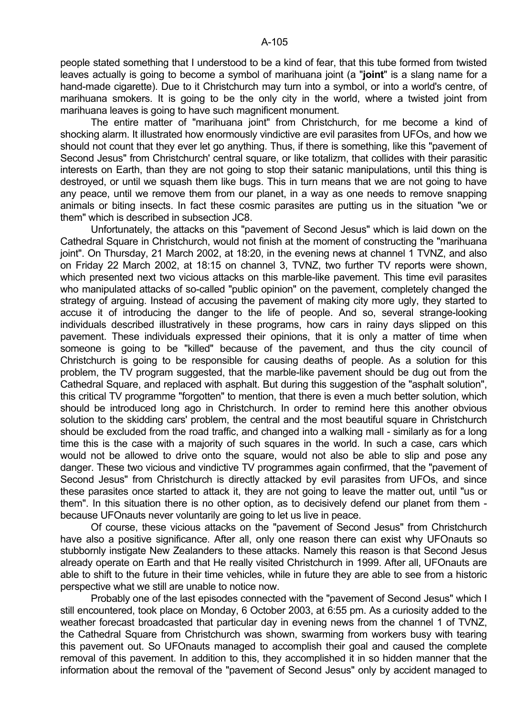people stated something that I understood to be a kind of fear, that this tube formed from twisted leaves actually is going to become a symbol of marihuana joint (a "**joint**" is a slang name for a hand-made cigarette). Due to it Christchurch may turn into a symbol, or into a world's centre, of marihuana smokers. It is going to be the only city in the world, where a twisted joint from marihuana leaves is going to have such magnificent monument.

 The entire matter of "marihuana joint" from Christchurch, for me become a kind of shocking alarm. It illustrated how enormously vindictive are evil parasites from UFOs, and how we should not count that they ever let go anything. Thus, if there is something, like this "pavement of Second Jesus" from Christchurch' central square, or like totalizm, that collides with their parasitic interests on Earth, than they are not going to stop their satanic manipulations, until this thing is destroyed, or until we squash them like bugs. This in turn means that we are not going to have any peace, until we remove them from our planet, in a way as one needs to remove snapping animals or biting insects. In fact these cosmic parasites are putting us in the situation "we or them" which is described in subsection JC8.

 Unfortunately, the attacks on this "pavement of Second Jesus" which is laid down on the Cathedral Square in Christchurch, would not finish at the moment of constructing the "marihuana joint". On Thursday, 21 March 2002, at 18:20, in the evening news at channel 1 TVNZ, and also on Friday 22 March 2002, at 18:15 on channel 3, TVNZ, two further TV reports were shown, which presented next two vicious attacks on this marble-like pavement. This time evil parasites who manipulated attacks of so-called "public opinion" on the pavement, completely changed the strategy of arguing. Instead of accusing the pavement of making city more ugly, they started to accuse it of introducing the danger to the life of people. And so, several strange-looking individuals described illustratively in these programs, how cars in rainy days slipped on this pavement. These individuals expressed their opinions, that it is only a matter of time when someone is going to be "killed" because of the pavement, and thus the city council of Christchurch is going to be responsible for causing deaths of people. As a solution for this problem, the TV program suggested, that the marble-like pavement should be dug out from the Cathedral Square, and replaced with asphalt. But during this suggestion of the "asphalt solution", this critical TV programme "forgotten" to mention, that there is even a much better solution, which should be introduced long ago in Christchurch. In order to remind here this another obvious solution to the skidding cars' problem, the central and the most beautiful square in Christchurch should be excluded from the road traffic, and changed into a walking mall - similarly as for a long time this is the case with a majority of such squares in the world. In such a case, cars which would not be allowed to drive onto the square, would not also be able to slip and pose any danger. These two vicious and vindictive TV programmes again confirmed, that the "pavement of Second Jesus" from Christchurch is directly attacked by evil parasites from UFOs, and since these parasites once started to attack it, they are not going to leave the matter out, until "us or them". In this situation there is no other option, as to decisively defend our planet from them because UFOnauts never voluntarily are going to let us live in peace.

 Of course, these vicious attacks on the "pavement of Second Jesus" from Christchurch have also a positive significance. After all, only one reason there can exist why UFOnauts so stubbornly instigate New Zealanders to these attacks. Namely this reason is that Second Jesus already operate on Earth and that He really visited Christchurch in 1999. After all, UFOnauts are able to shift to the future in their time vehicles, while in future they are able to see from a historic perspective what we still are unable to notice now.

 Probably one of the last episodes connected with the "pavement of Second Jesus" which I still encountered, took place on Monday, 6 October 2003, at 6:55 pm. As a curiosity added to the weather forecast broadcasted that particular day in evening news from the channel 1 of TVNZ, the Cathedral Square from Christchurch was shown, swarming from workers busy with tearing this pavement out. So UFOnauts managed to accomplish their goal and caused the complete removal of this pavement. In addition to this, they accomplished it in so hidden manner that the information about the removal of the "pavement of Second Jesus" only by accident managed to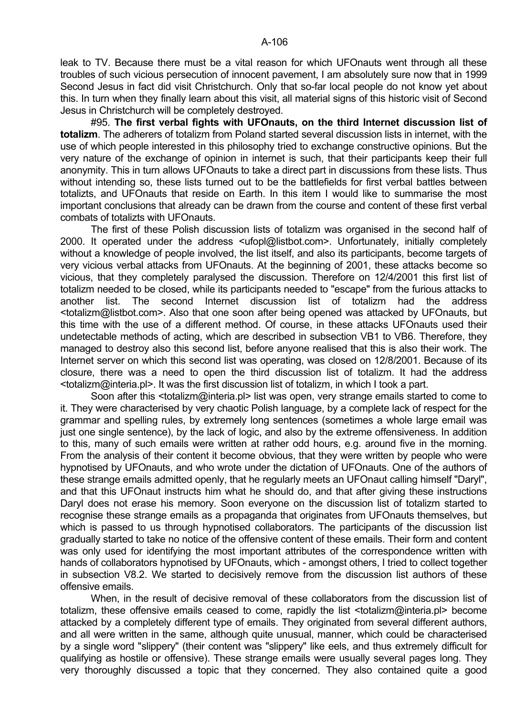leak to TV. Because there must be a vital reason for which UFOnauts went through all these troubles of such vicious persecution of innocent pavement, I am absolutely sure now that in 1999 Second Jesus in fact did visit Christchurch. Only that so-far local people do not know yet about this. In turn when they finally learn about this visit, all material signs of this historic visit of Second Jesus in Christchurch will be completely destroyed.

 #95. **The first verbal fights with UFOnauts, on the third Internet discussion list of totalizm**. The adherers of totalizm from Poland started several discussion lists in internet, with the use of which people interested in this philosophy tried to exchange constructive opinions. But the very nature of the exchange of opinion in internet is such, that their participants keep their full anonymity. This in turn allows UFOnauts to take a direct part in discussions from these lists. Thus without intending so, these lists turned out to be the battlefields for first verbal battles between totalizts, and UFOnauts that reside on Earth. In this item I would like to summarise the most important conclusions that already can be drawn from the course and content of these first verbal combats of totalizts with UFOnauts.

 The first of these Polish discussion lists of totalizm was organised in the second half of 2000. It operated under the address <ufopl@listbot.com>. Unfortunately, initially completely without a knowledge of people involved, the list itself, and also its participants, become targets of very vicious verbal attacks from UFOnauts. At the beginning of 2001, these attacks become so vicious, that they completely paralysed the discussion. Therefore on 12/4/2001 this first list of totalizm needed to be closed, while its participants needed to "escape" from the furious attacks to another list. The second Internet discussion list of totalizm had the address <totalizm@listbot.com>. Also that one soon after being opened was attacked by UFOnauts, but this time with the use of a different method. Of course, in these attacks UFOnauts used their undetectable methods of acting, which are described in subsection VB1 to VB6. Therefore, they managed to destroy also this second list, before anyone realised that this is also their work. The Internet server on which this second list was operating, was closed on 12/8/2001. Because of its closure, there was a need to open the third discussion list of totalizm. It had the address <totalizm@interia.pl>. It was the first discussion list of totalizm, in which I took a part.

Soon after this <totalizm@interia.pl> list was open, very strange emails started to come to it. They were characterised by very chaotic Polish language, by a complete lack of respect for the grammar and spelling rules, by extremely long sentences (sometimes a whole large email was just one single sentence), by the lack of logic, and also by the extreme offensiveness. In addition to this, many of such emails were written at rather odd hours, e.g. around five in the morning. From the analysis of their content it become obvious, that they were written by people who were hypnotised by UFOnauts, and who wrote under the dictation of UFOnauts. One of the authors of these strange emails admitted openly, that he regularly meets an UFOnaut calling himself "Daryl", and that this UFOnaut instructs him what he should do, and that after giving these instructions Daryl does not erase his memory. Soon everyone on the discussion list of totalizm started to recognise these strange emails as a propaganda that originates from UFOnauts themselves, but which is passed to us through hypnotised collaborators. The participants of the discussion list gradually started to take no notice of the offensive content of these emails. Their form and content was only used for identifying the most important attributes of the correspondence written with hands of collaborators hypnotised by UFOnauts, which - amongst others, I tried to collect together in subsection V8.2. We started to decisively remove from the discussion list authors of these offensive emails.

 When, in the result of decisive removal of these collaborators from the discussion list of totalizm, these offensive emails ceased to come, rapidly the list <totalizm@interia.pl> become attacked by a completely different type of emails. They originated from several different authors, and all were written in the same, although quite unusual, manner, which could be characterised by a single word "slippery" (their content was "slippery" like eels, and thus extremely difficult for qualifying as hostile or offensive). These strange emails were usually several pages long. They very thoroughly discussed a topic that they concerned. They also contained quite a good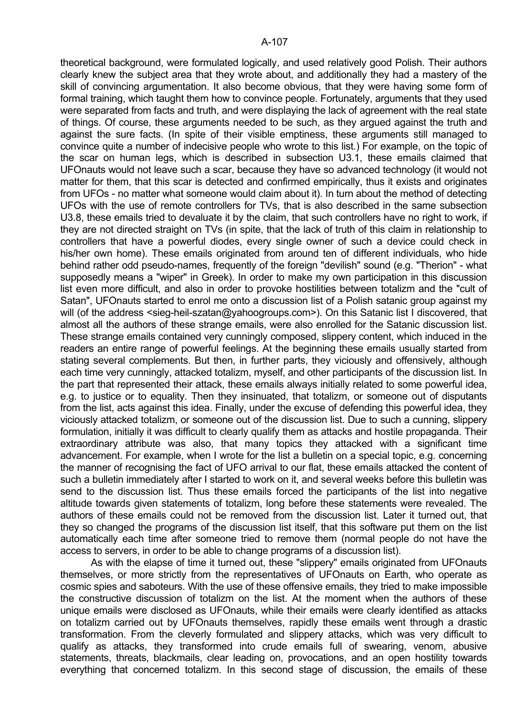theoretical background, were formulated logically, and used relatively good Polish. Their authors clearly knew the subject area that they wrote about, and additionally they had a mastery of the skill of convincing argumentation. It also become obvious, that they were having some form of formal training, which taught them how to convince people. Fortunately, arguments that they used were separated from facts and truth, and were displaying the lack of agreement with the real state of things. Of course, these arguments needed to be such, as they argued against the truth and against the sure facts. (In spite of their visible emptiness, these arguments still managed to convince quite a number of indecisive people who wrote to this list.) For example, on the topic of the scar on human legs, which is described in subsection U3.1, these emails claimed that UFOnauts would not leave such a scar, because they have so advanced technology (it would not matter for them, that this scar is detected and confirmed empirically, thus it exists and originates from UFOs - no matter what someone would claim about it). In turn about the method of detecting UFOs with the use of remote controllers for TVs, that is also described in the same subsection U3.8, these emails tried to devaluate it by the claim, that such controllers have no right to work, if they are not directed straight on TVs (in spite, that the lack of truth of this claim in relationship to controllers that have a powerful diodes, every single owner of such a device could check in his/her own home). These emails originated from around ten of different individuals, who hide behind rather odd pseudo-names, frequently of the foreign "devilish" sound (e.g. "Therion" - what supposedly means a "wiper" in Greek). In order to make my own participation in this discussion list even more difficult, and also in order to provoke hostilities between totalizm and the "cult of Satan", UFOnauts started to enrol me onto a discussion list of a Polish satanic group against my will (of the address <sieg-heil-szatan@yahoogroups.com>). On this Satanic list I discovered, that almost all the authors of these strange emails, were also enrolled for the Satanic discussion list. These strange emails contained very cunningly composed, slippery content, which induced in the readers an entire range of powerful feelings. At the beginning these emails usually started from stating several complements. But then, in further parts, they viciously and offensively, although each time very cunningly, attacked totalizm, myself, and other participants of the discussion list. In the part that represented their attack, these emails always initially related to some powerful idea, e.g. to justice or to equality. Then they insinuated, that totalizm, or someone out of disputants from the list, acts against this idea. Finally, under the excuse of defending this powerful idea, they viciously attacked totalizm, or someone out of the discussion list. Due to such a cunning, slippery formulation, initially it was difficult to clearly qualify them as attacks and hostile propaganda. Their extraordinary attribute was also, that many topics they attacked with a significant time advancement. For example, when I wrote for the list a bulletin on a special topic, e.g. concerning the manner of recognising the fact of UFO arrival to our flat, these emails attacked the content of such a bulletin immediately after I started to work on it, and several weeks before this bulletin was send to the discussion list. Thus these emails forced the participants of the list into negative altitude towards given statements of totalizm, long before these statements were revealed. The authors of these emails could not be removed from the discussion list. Later it turned out, that they so changed the programs of the discussion list itself, that this software put them on the list automatically each time after someone tried to remove them (normal people do not have the access to servers, in order to be able to change programs of a discussion list).

 As with the elapse of time it turned out, these "slippery" emails originated from UFOnauts themselves, or more strictly from the representatives of UFOnauts on Earth, who operate as cosmic spies and saboteurs. With the use of these offensive emails, they tried to make impossible the constructive discussion of totalizm on the list. At the moment when the authors of these unique emails were disclosed as UFOnauts, while their emails were clearly identified as attacks on totalizm carried out by UFOnauts themselves, rapidly these emails went through a drastic transformation. From the cleverly formulated and slippery attacks, which was very difficult to qualify as attacks, they transformed into crude emails full of swearing, venom, abusive statements, threats, blackmails, clear leading on, provocations, and an open hostility towards everything that concerned totalizm. In this second stage of discussion, the emails of these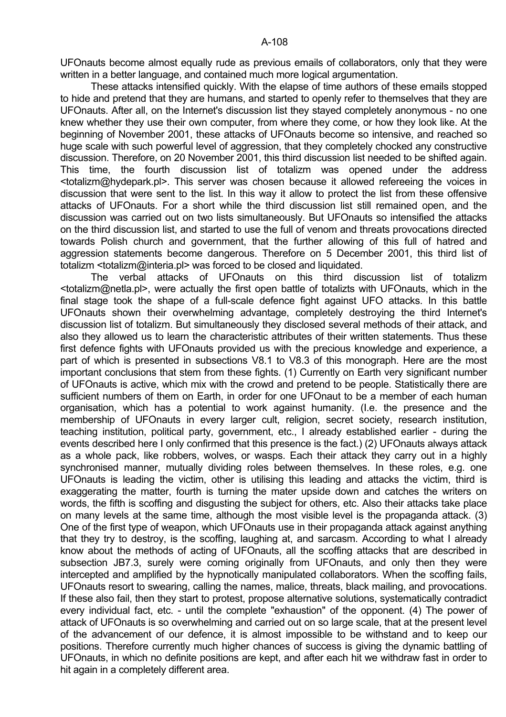UFOnauts become almost equally rude as previous emails of collaborators, only that they were written in a better language, and contained much more logical argumentation.

 These attacks intensified quickly. With the elapse of time authors of these emails stopped to hide and pretend that they are humans, and started to openly refer to themselves that they are UFOnauts. After all, on the Internet's discussion list they stayed completely anonymous - no one knew whether they use their own computer, from where they come, or how they look like. At the beginning of November 2001, these attacks of UFOnauts become so intensive, and reached so huge scale with such powerful level of aggression, that they completely chocked any constructive discussion. Therefore, on 20 November 2001, this third discussion list needed to be shifted again. This time, the fourth discussion list of totalizm was opened under the address <totalizm@hydepark.pl>. This server was chosen because it allowed refereeing the voices in discussion that were sent to the list. In this way it allow to protect the list from these offensive attacks of UFOnauts. For a short while the third discussion list still remained open, and the discussion was carried out on two lists simultaneously. But UFOnauts so intensified the attacks on the third discussion list, and started to use the full of venom and threats provocations directed towards Polish church and government, that the further allowing of this full of hatred and aggression statements become dangerous. Therefore on 5 December 2001, this third list of totalizm <totalizm@interia.pl> was forced to be closed and liquidated.

 The verbal attacks of UFOnauts on this third discussion list of totalizm <totalizm@netla.pl>, were actually the first open battle of totalizts with UFOnauts, which in the final stage took the shape of a full-scale defence fight against UFO attacks. In this battle UFOnauts shown their overwhelming advantage, completely destroying the third Internet's discussion list of totalizm. But simultaneously they disclosed several methods of their attack, and also they allowed us to learn the characteristic attributes of their written statements. Thus these first defence fights with UFOnauts provided us with the precious knowledge and experience, a part of which is presented in subsections V8.1 to V8.3 of this monograph. Here are the most important conclusions that stem from these fights. (1) Currently on Earth very significant number of UFOnauts is active, which mix with the crowd and pretend to be people. Statistically there are sufficient numbers of them on Earth, in order for one UFOnaut to be a member of each human organisation, which has a potential to work against humanity. (I.e. the presence and the membership of UFOnauts in every larger cult, religion, secret society, research institution, teaching institution, political party, government, etc., I already established earlier - during the events described here I only confirmed that this presence is the fact.) (2) UFOnauts always attack as a whole pack, like robbers, wolves, or wasps. Each their attack they carry out in a highly synchronised manner, mutually dividing roles between themselves. In these roles, e.g. one UFOnauts is leading the victim, other is utilising this leading and attacks the victim, third is exaggerating the matter, fourth is turning the mater upside down and catches the writers on words, the fifth is scoffing and disgusting the subject for others, etc. Also their attacks take place on many levels at the same time, although the most visible level is the propaganda attack. (3) One of the first type of weapon, which UFOnauts use in their propaganda attack against anything that they try to destroy, is the scoffing, laughing at, and sarcasm. According to what I already know about the methods of acting of UFOnauts, all the scoffing attacks that are described in subsection JB7.3, surely were coming originally from UFOnauts, and only then they were intercepted and amplified by the hypnotically manipulated collaborators. When the scoffing fails, UFOnauts resort to swearing, calling the names, malice, threats, black mailing, and provocations. If these also fail, then they start to protest, propose alternative solutions, systematically contradict every individual fact, etc. - until the complete "exhaustion" of the opponent. (4) The power of attack of UFOnauts is so overwhelming and carried out on so large scale, that at the present level of the advancement of our defence, it is almost impossible to be withstand and to keep our positions. Therefore currently much higher chances of success is giving the dynamic battling of UFOnauts, in which no definite positions are kept, and after each hit we withdraw fast in order to hit again in a completely different area.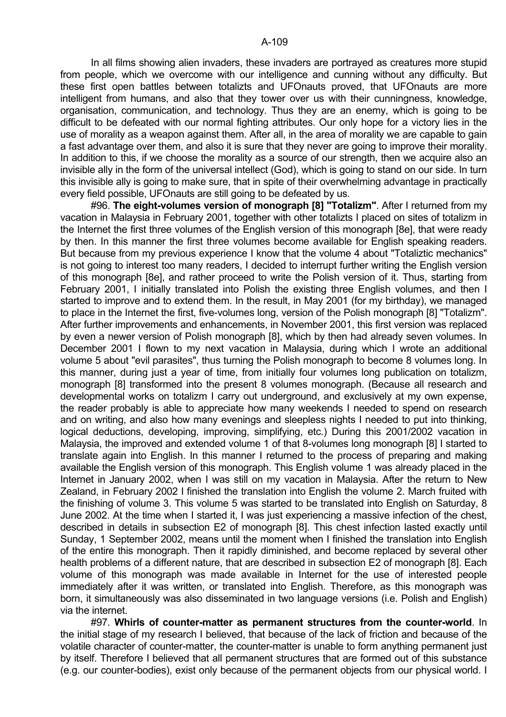In all films showing alien invaders, these invaders are portrayed as creatures more stupid from people, which we overcome with our intelligence and cunning without any difficulty. But these first open battles between totalizts and UFOnauts proved, that UFOnauts are more intelligent from humans, and also that they tower over us with their cunningness, knowledge, organisation, communication, and technology. Thus they are an enemy, which is going to be difficult to be defeated with our normal fighting attributes. Our only hope for a victory lies in the use of morality as a weapon against them. After all, in the area of morality we are capable to gain a fast advantage over them, and also it is sure that they never are going to improve their morality. In addition to this, if we choose the morality as a source of our strength, then we acquire also an invisible ally in the form of the universal intellect (God), which is going to stand on our side. In turn this invisible ally is going to make sure, that in spite of their overwhelming advantage in practically every field possible, UFOnauts are still going to be defeated by us.

 #96. **The eight-volumes version of monograph [8] "Totalizm"**. After I returned from my vacation in Malaysia in February 2001, together with other totalizts I placed on sites of totalizm in the Internet the first three volumes of the English version of this monograph [8e], that were ready by then. In this manner the first three volumes become available for English speaking readers. But because from my previous experience I know that the volume 4 about "Totaliztic mechanics" is not going to interest too many readers, I decided to interrupt further writing the English version of this monograph [8e], and rather proceed to write the Polish version of it. Thus, starting from February 2001, I initially translated into Polish the existing three English volumes, and then I started to improve and to extend them. In the result, in May 2001 (for my birthday), we managed to place in the Internet the first, five-volumes long, version of the Polish monograph [8] "Totalizm". After further improvements and enhancements, in November 2001, this first version was replaced by even a newer version of Polish monograph [8], which by then had already seven volumes. In December 2001 I flown to my next vacation in Malaysia, during which I wrote an additional volume 5 about "evil parasites", thus turning the Polish monograph to become 8 volumes long. In this manner, during just a year of time, from initially four volumes long publication on totalizm, monograph [8] transformed into the present 8 volumes monograph. (Because all research and developmental works on totalizm I carry out underground, and exclusively at my own expense, the reader probably is able to appreciate how many weekends I needed to spend on research and on writing, and also how many evenings and sleepless nights I needed to put into thinking, logical deductions, developing, improving, simplifying, etc.) During this 2001/2002 vacation in Malaysia, the improved and extended volume 1 of that 8-volumes long monograph [8] I started to translate again into English. In this manner I returned to the process of preparing and making available the English version of this monograph. This English volume 1 was already placed in the Internet in January 2002, when I was still on my vacation in Malaysia. After the return to New Zealand, in February 2002 I finished the translation into English the volume 2. March fruited with the finishing of volume 3. This volume 5 was started to be translated into English on Saturday, 8 June 2002. At the time when I started it, I was just experiencing a massive infection of the chest, described in details in subsection E2 of monograph [8]. This chest infection lasted exactly until Sunday, 1 September 2002, means until the moment when I finished the translation into English of the entire this monograph. Then it rapidly diminished, and become replaced by several other health problems of a different nature, that are described in subsection E2 of monograph [8]. Each volume of this monograph was made available in Internet for the use of interested people immediately after it was written, or translated into English. Therefore, as this monograph was born, it simultaneously was also disseminated in two language versions (i.e. Polish and English) via the internet.

 #97. **Whirls of counter-matter as permanent structures from the counter-world**. In the initial stage of my research I believed, that because of the lack of friction and because of the volatile character of counter-matter, the counter-matter is unable to form anything permanent just by itself. Therefore I believed that all permanent structures that are formed out of this substance (e.g. our counter-bodies), exist only because of the permanent objects from our physical world. I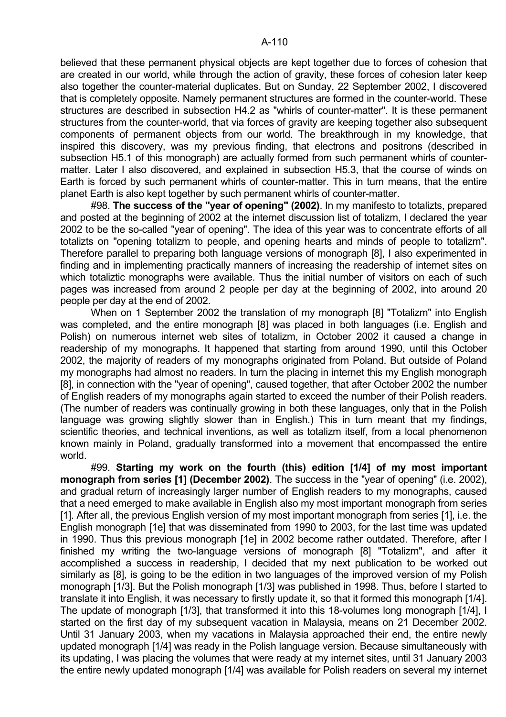believed that these permanent physical objects are kept together due to forces of cohesion that are created in our world, while through the action of gravity, these forces of cohesion later keep also together the counter-material duplicates. But on Sunday, 22 September 2002, I discovered that is completely opposite. Namely permanent structures are formed in the counter-world. These structures are described in subsection H4.2 as "whirls of counter-matter". It is these permanent structures from the counter-world, that via forces of gravity are keeping together also subsequent components of permanent objects from our world. The breakthrough in my knowledge, that inspired this discovery, was my previous finding, that electrons and positrons (described in subsection H5.1 of this monograph) are actually formed from such permanent whirls of countermatter. Later I also discovered, and explained in subsection H5.3, that the course of winds on Earth is forced by such permanent whirls of counter-matter. This in turn means, that the entire planet Earth is also kept together by such permanent whirls of counter-matter.

 #98. **The success of the "year of opening" (2002)**. In my manifesto to totalizts, prepared and posted at the beginning of 2002 at the internet discussion list of totalizm, I declared the year 2002 to be the so-called "year of opening". The idea of this year was to concentrate efforts of all totalizts on "opening totalizm to people, and opening hearts and minds of people to totalizm". Therefore parallel to preparing both language versions of monograph [8], I also experimented in finding and in implementing practically manners of increasing the readership of internet sites on which totaliztic monographs were available. Thus the initial number of visitors on each of such pages was increased from around 2 people per day at the beginning of 2002, into around 20 people per day at the end of 2002.

 When on 1 September 2002 the translation of my monograph [8] "Totalizm" into English was completed, and the entire monograph [8] was placed in both languages (i.e. English and Polish) on numerous internet web sites of totalizm, in October 2002 it caused a change in readership of my monographs. It happened that starting from around 1990, until this October 2002, the majority of readers of my monographs originated from Poland. But outside of Poland my monographs had almost no readers. In turn the placing in internet this my English monograph [8], in connection with the "year of opening", caused together, that after October 2002 the number of English readers of my monographs again started to exceed the number of their Polish readers. (The number of readers was continually growing in both these languages, only that in the Polish language was growing slightly slower than in English.) This in turn meant that my findings, scientific theories, and technical inventions, as well as totalizm itself, from a local phenomenon known mainly in Poland, gradually transformed into a movement that encompassed the entire world.

 #99. **Starting my work on the fourth (this) edition [1/4] of my most important monograph from series [1] (December 2002)**. The success in the "year of opening" (i.e. 2002), and gradual return of increasingly larger number of English readers to my monographs, caused that a need emerged to make available in English also my most important monograph from series [1]. After all, the previous English version of my most important monograph from series [1], i.e. the English monograph [1e] that was disseminated from 1990 to 2003, for the last time was updated in 1990. Thus this previous monograph [1e] in 2002 become rather outdated. Therefore, after I finished my writing the two-language versions of monograph [8] "Totalizm", and after it accomplished a success in readership, I decided that my next publication to be worked out similarly as [8], is going to be the edition in two languages of the improved version of my Polish monograph [1/3]. But the Polish monograph [1/3] was published in 1998. Thus, before I started to translate it into English, it was necessary to firstly update it, so that it formed this monograph [1/4]. The update of monograph [1/3], that transformed it into this 18-volumes long monograph [1/4], I started on the first day of my subsequent vacation in Malaysia, means on 21 December 2002. Until 31 January 2003, when my vacations in Malaysia approached their end, the entire newly updated monograph [1/4] was ready in the Polish language version. Because simultaneously with its updating, I was placing the volumes that were ready at my internet sites, until 31 January 2003 the entire newly updated monograph [1/4] was available for Polish readers on several my internet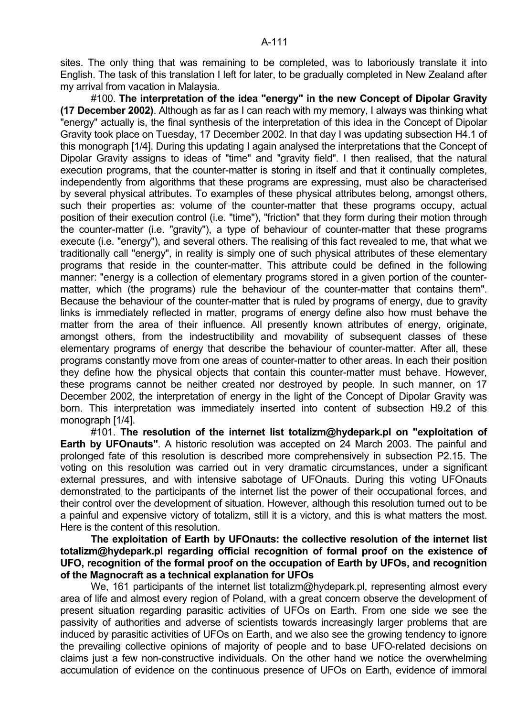sites. The only thing that was remaining to be completed, was to laboriously translate it into English. The task of this translation I left for later, to be gradually completed in New Zealand after my arrival from vacation in Malaysia.

 #100. **The interpretation of the idea "energy" in the new Concept of Dipolar Gravity (17 December 2002)**. Although as far as I can reach with my memory, I always was thinking what "energy" actually is, the final synthesis of the interpretation of this idea in the Concept of Dipolar Gravity took place on Tuesday, 17 December 2002. In that day I was updating subsection H4.1 of this monograph [1/4]. During this updating I again analysed the interpretations that the Concept of Dipolar Gravity assigns to ideas of "time" and "gravity field". I then realised, that the natural execution programs, that the counter-matter is storing in itself and that it continually completes, independently from algorithms that these programs are expressing, must also be characterised by several physical attributes. To examples of these physical attributes belong, amongst others, such their properties as: volume of the counter-matter that these programs occupy, actual position of their execution control (i.e. "time"), "friction" that they form during their motion through the counter-matter (i.e. "gravity"), a type of behaviour of counter-matter that these programs execute (i.e. "energy"), and several others. The realising of this fact revealed to me, that what we traditionally call "energy", in reality is simply one of such physical attributes of these elementary programs that reside in the counter-matter. This attribute could be defined in the following manner: "energy is a collection of elementary programs stored in a given portion of the countermatter, which (the programs) rule the behaviour of the counter-matter that contains them". Because the behaviour of the counter-matter that is ruled by programs of energy, due to gravity links is immediately reflected in matter, programs of energy define also how must behave the matter from the area of their influence. All presently known attributes of energy, originate, amongst others, from the indestructibility and movability of subsequent classes of these elementary programs of energy that describe the behaviour of counter-matter. After all, these programs constantly move from one areas of counter-matter to other areas. In each their position they define how the physical objects that contain this counter-matter must behave. However, these programs cannot be neither created nor destroyed by people. In such manner, on 17 December 2002, the interpretation of energy in the light of the Concept of Dipolar Gravity was born. This interpretation was immediately inserted into content of subsection H9.2 of this monograph [1/4].

 #101. **The resolution of the internet list totalizm@hydepark.pl on "exploitation of Earth by UFOnauts"**. A historic resolution was accepted on 24 March 2003. The painful and prolonged fate of this resolution is described more comprehensively in subsection P2.15. The voting on this resolution was carried out in very dramatic circumstances, under a significant external pressures, and with intensive sabotage of UFOnauts. During this voting UFOnauts demonstrated to the participants of the internet list the power of their occupational forces, and their control over the development of situation. However, although this resolution turned out to be a painful and expensive victory of totalizm, still it is a victory, and this is what matters the most. Here is the content of this resolution.

 **The exploitation of Earth by UFOnauts: the collective resolution of the internet list totalizm@hydepark.pl regarding official recognition of formal proof on the existence of UFO, recognition of the formal proof on the occupation of Earth by UFOs, and recognition of the Magnocraft as a technical explanation for UFOs**

We, 161 participants of the internet list totalizm@hydepark.pl, representing almost every area of life and almost every region of Poland, with a great concern observe the development of present situation regarding parasitic activities of UFOs on Earth. From one side we see the passivity of authorities and adverse of scientists towards increasingly larger problems that are induced by parasitic activities of UFOs on Earth, and we also see the growing tendency to ignore the prevailing collective opinions of majority of people and to base UFO-related decisions on claims just a few non-constructive individuals. On the other hand we notice the overwhelming accumulation of evidence on the continuous presence of UFOs on Earth, evidence of immoral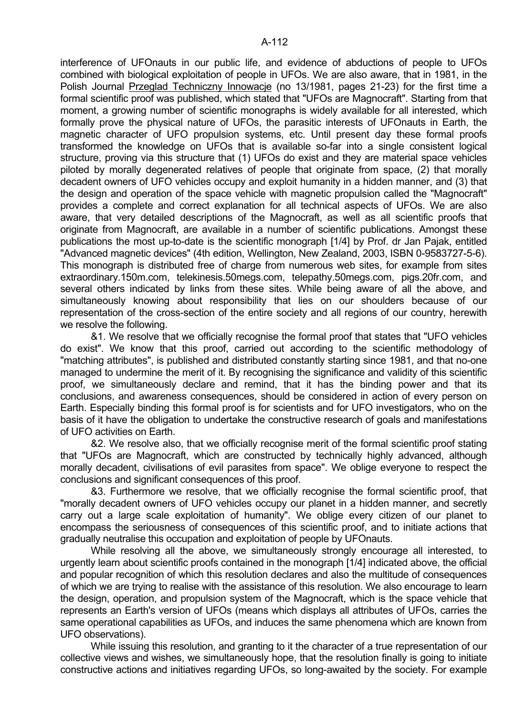interference of UFOnauts in our public life, and evidence of abductions of people to UFOs combined with biological exploitation of people in UFOs. We are also aware, that in 1981, in the Polish Journal Przeglad Techniczny Innowacje (no 13/1981, pages 21-23) for the first time a formal scientific proof was published, which stated that "UFOs are Magnocraft". Starting from that moment, a growing number of scientific monographs is widely available for all interested, which formally prove the physical nature of UFOs, the parasitic interests of UFOnauts in Earth, the magnetic character of UFO propulsion systems, etc. Until present day these formal proofs transformed the knowledge on UFOs that is available so-far into a single consistent logical structure, proving via this structure that (1) UFOs do exist and they are material space vehicles piloted by morally degenerated relatives of people that originate from space, (2) that morally decadent owners of UFO vehicles occupy and exploit humanity in a hidden manner, and (3) that the design and operation of the space vehicle with magnetic propulsion called the "Magnocraft" provides a complete and correct explanation for all technical aspects of UFOs. We are also aware, that very detailed descriptions of the Magnocraft, as well as all scientific proofs that originate from Magnocraft, are available in a number of scientific publications. Amongst these publications the most up-to-date is the scientific monograph [1/4] by Prof. dr Jan Pajak, entitled "Advanced magnetic devices" (4th edition, Wellington, New Zealand, 2003, ISBN 0-9583727-5-6). This monograph is distributed free of charge from numerous web sites, for example from sites extraordinary.150m.com, telekinesis.50megs.com, telepathy.50megs.com, pigs.20fr.com, and several others indicated by links from these sites. While being aware of all the above, and simultaneously knowing about responsibility that lies on our shoulders because of our representation of the cross-section of the entire society and all regions of our country, herewith we resolve the following.

 &1. We resolve that we officially recognise the formal proof that states that "UFO vehicles do exist". We know that this proof, carried out according to the scientific methodology of "matching attributes", is published and distributed constantly starting since 1981, and that no-one managed to undermine the merit of it. By recognising the significance and validity of this scientific proof, we simultaneously declare and remind, that it has the binding power and that its conclusions, and awareness consequences, should be considered in action of every person on Earth. Especially binding this formal proof is for scientists and for UFO investigators, who on the basis of it have the obligation to undertake the constructive research of goals and manifestations of UFO activities on Earth.

 &2. We resolve also, that we officially recognise merit of the formal scientific proof stating that "UFOs are Magnocraft, which are constructed by technically highly advanced, although morally decadent, civilisations of evil parasites from space". We oblige everyone to respect the conclusions and significant consequences of this proof.

 &3. Furthermore we resolve, that we officially recognise the formal scientific proof, that "morally decadent owners of UFO vehicles occupy our planet in a hidden manner, and secretly carry out a large scale exploitation of humanity". We oblige every citizen of our planet to encompass the seriousness of consequences of this scientific proof, and to initiate actions that gradually neutralise this occupation and exploitation of people by UFOnauts.

 While resolving all the above, we simultaneously strongly encourage all interested, to urgently learn about scientific proofs contained in the monograph [1/4] indicated above, the official and popular recognition of which this resolution declares and also the multitude of consequences of which we are trying to realise with the assistance of this resolution. We also encourage to learn the design, operation, and propulsion system of the Magnocraft, which is the space vehicle that represents an Earth's version of UFOs (means which displays all attributes of UFOs, carries the same operational capabilities as UFOs, and induces the same phenomena which are known from UFO observations).

 While issuing this resolution, and granting to it the character of a true representation of our collective views and wishes, we simultaneously hope, that the resolution finally is going to initiate constructive actions and initiatives regarding UFOs, so long-awaited by the society. For example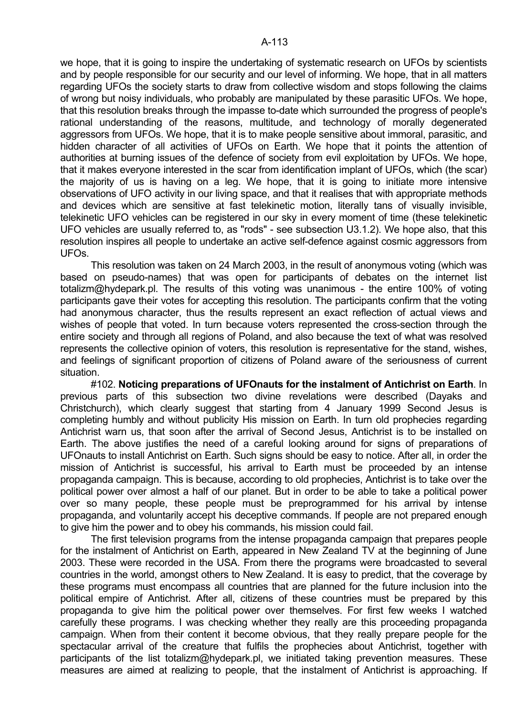we hope, that it is going to inspire the undertaking of systematic research on UFOs by scientists and by people responsible for our security and our level of informing. We hope, that in all matters regarding UFOs the society starts to draw from collective wisdom and stops following the claims of wrong but noisy individuals, who probably are manipulated by these parasitic UFOs. We hope, that this resolution breaks through the impasse to-date which surrounded the progress of people's rational understanding of the reasons, multitude, and technology of morally degenerated aggressors from UFOs. We hope, that it is to make people sensitive about immoral, parasitic, and hidden character of all activities of UFOs on Earth. We hope that it points the attention of authorities at burning issues of the defence of society from evil exploitation by UFOs. We hope, that it makes everyone interested in the scar from identification implant of UFOs, which (the scar) the majority of us is having on a leg. We hope, that it is going to initiate more intensive observations of UFO activity in our living space, and that it realises that with appropriate methods and devices which are sensitive at fast telekinetic motion, literally tans of visually invisible, telekinetic UFO vehicles can be registered in our sky in every moment of time (these telekinetic UFO vehicles are usually referred to, as "rods" - see subsection U3.1.2). We hope also, that this resolution inspires all people to undertake an active self-defence against cosmic aggressors from UFOs.

 This resolution was taken on 24 March 2003, in the result of anonymous voting (which was based on pseudo-names) that was open for participants of debates on the internet list totalizm@hydepark.pl. The results of this voting was unanimous - the entire 100% of voting participants gave their votes for accepting this resolution. The participants confirm that the voting had anonymous character, thus the results represent an exact reflection of actual views and wishes of people that voted. In turn because voters represented the cross-section through the entire society and through all regions of Poland, and also because the text of what was resolved represents the collective opinion of voters, this resolution is representative for the stand, wishes, and feelings of significant proportion of citizens of Poland aware of the seriousness of current situation.

 #102. **Noticing preparations of UFOnauts for the instalment of Antichrist on Earth**. In previous parts of this subsection two divine revelations were described (Dayaks and Christchurch), which clearly suggest that starting from 4 January 1999 Second Jesus is completing humbly and without publicity His mission on Earth. In turn old prophecies regarding Antichrist warn us, that soon after the arrival of Second Jesus, Antichrist is to be installed on Earth. The above justifies the need of a careful looking around for signs of preparations of UFOnauts to install Antichrist on Earth. Such signs should be easy to notice. After all, in order the mission of Antichrist is successful, his arrival to Earth must be proceeded by an intense propaganda campaign. This is because, according to old prophecies, Antichrist is to take over the political power over almost a half of our planet. But in order to be able to take a political power over so many people, these people must be preprogrammed for his arrival by intense propaganda, and voluntarily accept his deceptive commands. If people are not prepared enough to give him the power and to obey his commands, his mission could fail.

 The first television programs from the intense propaganda campaign that prepares people for the instalment of Antichrist on Earth, appeared in New Zealand TV at the beginning of June 2003. These were recorded in the USA. From there the programs were broadcasted to several countries in the world, amongst others to New Zealand. It is easy to predict, that the coverage by these programs must encompass all countries that are planned for the future inclusion into the political empire of Antichrist. After all, citizens of these countries must be prepared by this propaganda to give him the political power over themselves. For first few weeks I watched carefully these programs. I was checking whether they really are this proceeding propaganda campaign. When from their content it become obvious, that they really prepare people for the spectacular arrival of the creature that fulfils the prophecies about Antichrist, together with participants of the list totalizm@hydepark.pl, we initiated taking prevention measures. These measures are aimed at realizing to people, that the instalment of Antichrist is approaching. If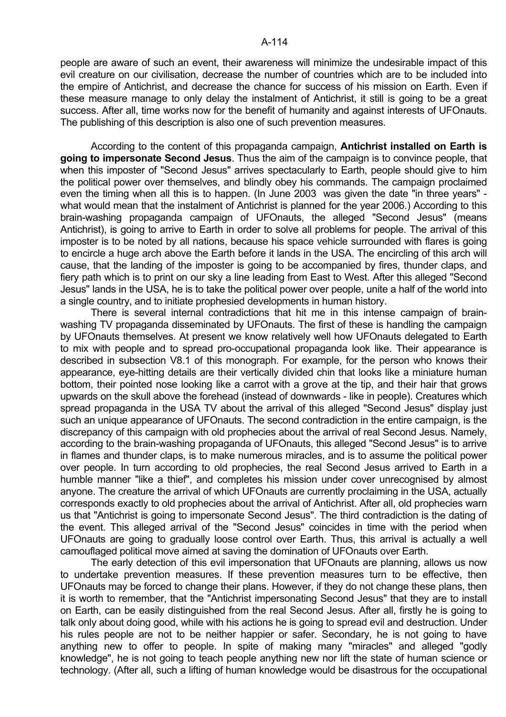people are aware of such an event, their awareness will minimize the undesirable impact of this evil creature on our civilisation, decrease the number of countries which are to be included into the empire of Antichrist, and decrease the chance for success of his mission on Earth. Even if these measure manage to only delay the instalment of Antichrist, it still is going to be a great success. After all, time works now for the benefit of humanity and against interests of UFOnauts. The publishing of this description is also one of such prevention measures.

 According to the content of this propaganda campaign, **Antichrist installed on Earth is going to impersonate Second Jesus**. Thus the aim of the campaign is to convince people, that when this imposter of "Second Jesus" arrives spectacularly to Earth, people should give to him the political power over themselves, and blindly obey his commands. The campaign proclaimed even the timing when all this is to happen. (In June 2003 was given the date "in three years" what would mean that the instalment of Antichrist is planned for the year 2006.) According to this brain-washing propaganda campaign of UFOnauts, the alleged "Second Jesus" (means Antichrist), is going to arrive to Earth in order to solve all problems for people. The arrival of this imposter is to be noted by all nations, because his space vehicle surrounded with flares is going to encircle a huge arch above the Earth before it lands in the USA. The encircling of this arch will cause, that the landing of the imposter is going to be accompanied by fires, thunder claps, and fiery path which is to print on our sky a line leading from East to West. After this alleged "Second Jesus" lands in the USA, he is to take the political power over people, unite a half of the world into a single country, and to initiate prophesied developments in human history.

 There is several internal contradictions that hit me in this intense campaign of brainwashing TV propaganda disseminated by UFOnauts. The first of these is handling the campaign by UFOnauts themselves. At present we know relatively well how UFOnauts delegated to Earth to mix with people and to spread pro-occupational propaganda look like. Their appearance is described in subsection V8.1 of this monograph. For example, for the person who knows their appearance, eye-hitting details are their vertically divided chin that looks like a miniature human bottom, their pointed nose looking like a carrot with a grove at the tip, and their hair that grows upwards on the skull above the forehead (instead of downwards - like in people). Creatures which spread propaganda in the USA TV about the arrival of this alleged "Second Jesus" display just such an unique appearance of UFOnauts. The second contradiction in the entire campaign, is the discrepancy of this campaign with old prophecies about the arrival of real Second Jesus. Namely, according to the brain-washing propaganda of UFOnauts, this alleged "Second Jesus" is to arrive in flames and thunder claps, is to make numerous miracles, and is to assume the political power over people. In turn according to old prophecies, the real Second Jesus arrived to Earth in a humble manner "like a thief", and completes his mission under cover unrecognised by almost anyone. The creature the arrival of which UFOnauts are currently proclaiming in the USA, actually corresponds exactly to old prophecies about the arrival of Antichrist. After all, old prophecies warn us that "Antichrist is going to impersonate Second Jesus". The third contradiction is the dating of the event. This alleged arrival of the "Second Jesus" coincides in time with the period when UFOnauts are going to gradually loose control over Earth. Thus, this arrival is actually a well camouflaged political move aimed at saving the domination of UFOnauts over Earth.

 The early detection of this evil impersonation that UFOnauts are planning, allows us now to undertake prevention measures. If these prevention measures turn to be effective, then UFOnauts may be forced to change their plans. However, if they do not change these plans, then it is worth to remember, that the "Antichrist impersonating Second Jesus" that they are to install on Earth, can be easily distinguished from the real Second Jesus. After all, firstly he is going to talk only about doing good, while with his actions he is going to spread evil and destruction. Under his rules people are not to be neither happier or safer. Secondary, he is not going to have anything new to offer to people. In spite of making many "miracles" and alleged "godly knowledge", he is not going to teach people anything new nor lift the state of human science or technology. (After all, such a lifting of human knowledge would be disastrous for the occupational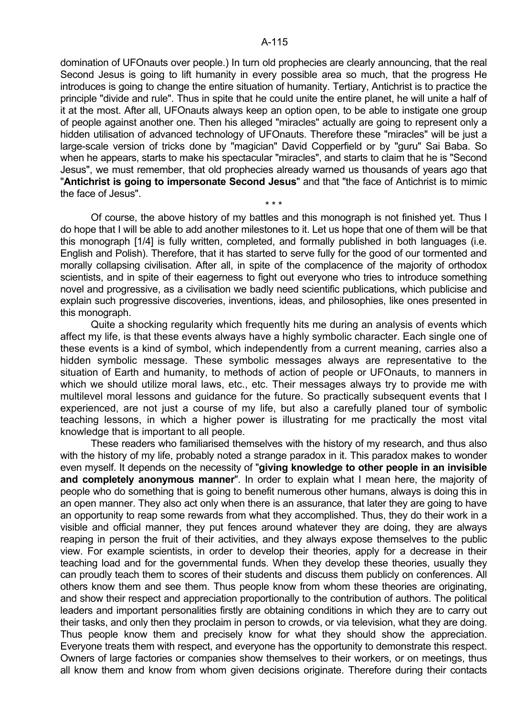domination of UFOnauts over people.) In turn old prophecies are clearly announcing, that the real Second Jesus is going to lift humanity in every possible area so much, that the progress He introduces is going to change the entire situation of humanity. Tertiary, Antichrist is to practice the principle "divide and rule". Thus in spite that he could unite the entire planet, he will unite a half of it at the most. After all, UFOnauts always keep an option open, to be able to instigate one group of people against another one. Then his alleged "miracles" actually are going to represent only a hidden utilisation of advanced technology of UFOnauts. Therefore these "miracles" will be just a large-scale version of tricks done by "magician" David Copperfield or by "guru" Sai Baba. So when he appears, starts to make his spectacular "miracles", and starts to claim that he is "Second Jesus", we must remember, that old prophecies already warned us thousands of years ago that "**Antichrist is going to impersonate Second Jesus**" and that "the face of Antichrist is to mimic the face of Jesus".

 Of course, the above history of my battles and this monograph is not finished yet. Thus I do hope that I will be able to add another milestones to it. Let us hope that one of them will be that this monograph [1/4] is fully written, completed, and formally published in both languages (i.e. English and Polish). Therefore, that it has started to serve fully for the good of our tormented and morally collapsing civilisation. After all, in spite of the complacence of the majority of orthodox scientists, and in spite of their eagerness to fight out everyone who tries to introduce something novel and progressive, as a civilisation we badly need scientific publications, which publicise and explain such progressive discoveries, inventions, ideas, and philosophies, like ones presented in this monograph.

 $\star \star \star$ 

 Quite a shocking regularity which frequently hits me during an analysis of events which affect my life, is that these events always have a highly symbolic character. Each single one of these events is a kind of symbol, which independently from a current meaning, carries also a hidden symbolic message. These symbolic messages always are representative to the situation of Earth and humanity, to methods of action of people or UFOnauts, to manners in which we should utilize moral laws, etc., etc. Their messages always try to provide me with multilevel moral lessons and guidance for the future. So practically subsequent events that I experienced, are not just a course of my life, but also a carefully planed tour of symbolic teaching lessons, in which a higher power is illustrating for me practically the most vital knowledge that is important to all people.

 These readers who familiarised themselves with the history of my research, and thus also with the history of my life, probably noted a strange paradox in it. This paradox makes to wonder even myself. It depends on the necessity of "**giving knowledge to other people in an invisible and completely anonymous manner**". In order to explain what I mean here, the majority of people who do something that is going to benefit numerous other humans, always is doing this in an open manner. They also act only when there is an assurance, that later they are going to have an opportunity to reap some rewards from what they accomplished. Thus, they do their work in a visible and official manner, they put fences around whatever they are doing, they are always reaping in person the fruit of their activities, and they always expose themselves to the public view. For example scientists, in order to develop their theories, apply for a decrease in their teaching load and for the governmental funds. When they develop these theories, usually they can proudly teach them to scores of their students and discuss them publicly on conferences. All others know them and see them. Thus people know from whom these theories are originating, and show their respect and appreciation proportionally to the contribution of authors. The political leaders and important personalities firstly are obtaining conditions in which they are to carry out their tasks, and only then they proclaim in person to crowds, or via television, what they are doing. Thus people know them and precisely know for what they should show the appreciation. Everyone treats them with respect, and everyone has the opportunity to demonstrate this respect. Owners of large factories or companies show themselves to their workers, or on meetings, thus all know them and know from whom given decisions originate. Therefore during their contacts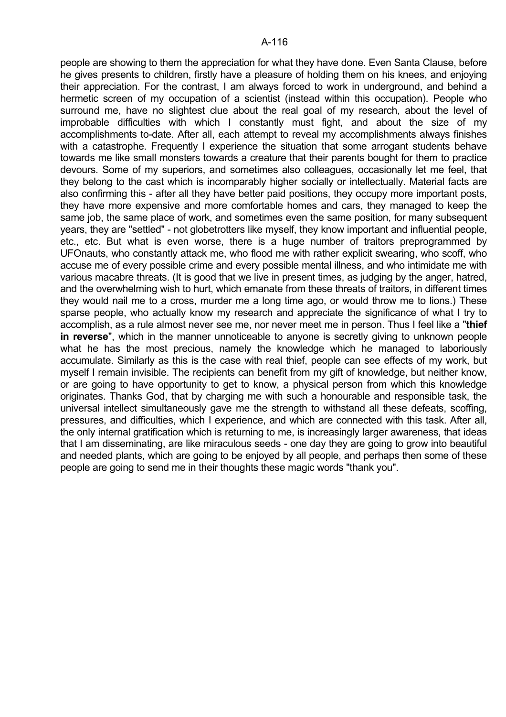people are showing to them the appreciation for what they have done. Even Santa Clause, before he gives presents to children, firstly have a pleasure of holding them on his knees, and enjoying their appreciation. For the contrast, I am always forced to work in underground, and behind a hermetic screen of my occupation of a scientist (instead within this occupation). People who surround me, have no slightest clue about the real goal of my research, about the level of improbable difficulties with which I constantly must fight, and about the size of my accomplishments to-date. After all, each attempt to reveal my accomplishments always finishes with a catastrophe. Frequently I experience the situation that some arrogant students behave towards me like small monsters towards a creature that their parents bought for them to practice devours. Some of my superiors, and sometimes also colleagues, occasionally let me feel, that they belong to the cast which is incomparably higher socially or intellectually. Material facts are also confirming this - after all they have better paid positions, they occupy more important posts, they have more expensive and more comfortable homes and cars, they managed to keep the same job, the same place of work, and sometimes even the same position, for many subsequent years, they are "settled" - not globetrotters like myself, they know important and influential people, etc., etc. But what is even worse, there is a huge number of traitors preprogrammed by UFOnauts, who constantly attack me, who flood me with rather explicit swearing, who scoff, who accuse me of every possible crime and every possible mental illness, and who intimidate me with various macabre threats. (It is good that we live in present times, as judging by the anger, hatred, and the overwhelming wish to hurt, which emanate from these threats of traitors, in different times they would nail me to a cross, murder me a long time ago, or would throw me to lions.) These sparse people, who actually know my research and appreciate the significance of what I try to accomplish, as a rule almost never see me, nor never meet me in person. Thus I feel like a "**thief in reverse**", which in the manner unnoticeable to anyone is secretly giving to unknown people what he has the most precious, namely the knowledge which he managed to laboriously accumulate. Similarly as this is the case with real thief, people can see effects of my work, but myself I remain invisible. The recipients can benefit from my gift of knowledge, but neither know, or are going to have opportunity to get to know, a physical person from which this knowledge originates. Thanks God, that by charging me with such a honourable and responsible task, the universal intellect simultaneously gave me the strength to withstand all these defeats, scoffing, pressures, and difficulties, which I experience, and which are connected with this task. After all, the only internal gratification which is returning to me, is increasingly larger awareness, that ideas that I am disseminating, are like miraculous seeds - one day they are going to grow into beautiful and needed plants, which are going to be enjoyed by all people, and perhaps then some of these people are going to send me in their thoughts these magic words "thank you".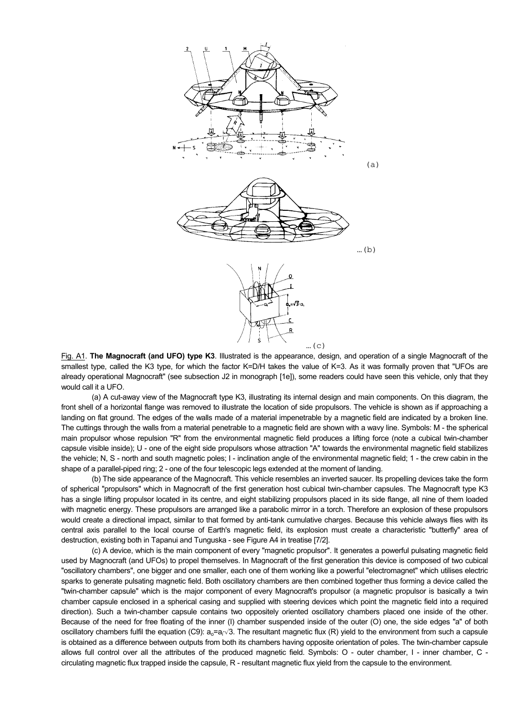

Fig. A1. **The Magnocraft (and UFO) type K3**. Illustrated is the appearance, design, and operation of a single Magnocraft of the smallest type, called the K3 type, for which the factor K=D/H takes the value of K=3. As it was formally proven that "UFOs are already operational Magnocraft" (see subsection J2 in monograph [1e]), some readers could have seen this vehicle, only that they would call it a UFO.

 (a) A cut-away view of the Magnocraft type K3, illustrating its internal design and main components. On this diagram, the front shell of a horizontal flange was removed to illustrate the location of side propulsors. The vehicle is shown as if approaching a landing on flat ground. The edges of the walls made of a material impenetrable by a magnetic field are indicated by a broken line. The cuttings through the walls from a material penetrable to a magnetic field are shown with a wavy line. Symbols: M - the spherical main propulsor whose repulsion "R" from the environmental magnetic field produces a lifting force (note a cubical twin-chamber capsule visible inside); U - one of the eight side propulsors whose attraction "A" towards the environmental magnetic field stabilizes the vehicle; N, S - north and south magnetic poles; I - inclination angle of the environmental magnetic field; 1 - the crew cabin in the shape of a parallel-piped ring; 2 - one of the four telescopic legs extended at the moment of landing.

 (b) The side appearance of the Magnocraft. This vehicle resembles an inverted saucer. Its propelling devices take the form of spherical "propulsors" which in Magnocraft of the first generation host cubical twin-chamber capsules. The Magnocraft type K3 has a single lifting propulsor located in its centre, and eight stabilizing propulsors placed in its side flange, all nine of them loaded with magnetic energy. These propulsors are arranged like a parabolic mirror in a torch. Therefore an explosion of these propulsors would create a directional impact, similar to that formed by anti-tank cumulative charges. Because this vehicle always flies with its central axis parallel to the local course of Earth's magnetic field, its explosion must create a characteristic "butterfly" area of destruction, existing both in Tapanui and Tunguska - see Figure A4 in treatise [7/2].

 (c) A device, which is the main component of every "magnetic propulsor". It generates a powerful pulsating magnetic field used by Magnocraft (and UFOs) to propel themselves. In Magnocraft of the first generation this device is composed of two cubical "oscillatory chambers", one bigger and one smaller, each one of them working like a powerful "electromagnet" which utilises electric sparks to generate pulsating magnetic field. Both oscillatory chambers are then combined together thus forming a device called the "twin-chamber capsule" which is the major component of every Magnocraft's propulsor (a magnetic propulsor is basically a twin chamber capsule enclosed in a spherical casing and supplied with steering devices which point the magnetic field into a required direction). Such a twin-chamber capsule contains two oppositely oriented oscillatory chambers placed one inside of the other. Because of the need for free floating of the inner (I) chamber suspended inside of the outer (O) one, the side edges "a" of both oscillatory chambers fulfil the equation (C9): a<sub>o</sub>=a<sub>i</sub>· $\sqrt{3}$ . The resultant magnetic flux (R) yield to the environment from such a capsule is obtained as a difference between outputs from both its chambers having opposite orientation of poles. The twin-chamber capsule allows full control over all the attributes of the produced magnetic field. Symbols: O - outer chamber, I - inner chamber, C circulating magnetic flux trapped inside the capsule, R - resultant magnetic flux yield from the capsule to the environment.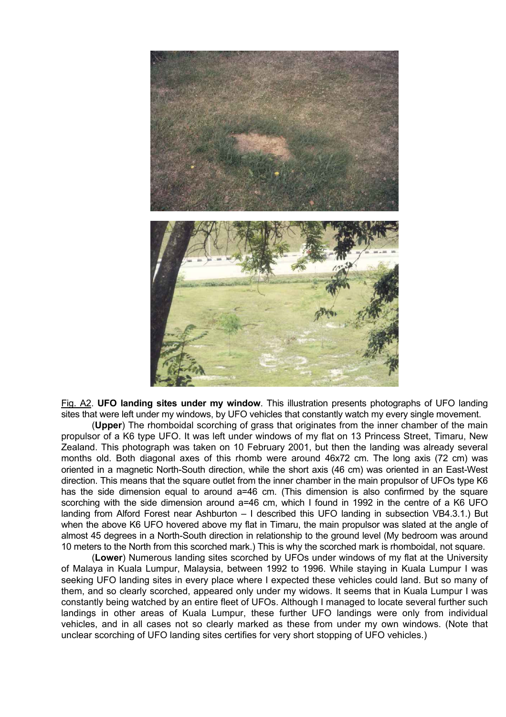

Fig. A2. **UFO landing sites under my window**. This illustration presents photographs of UFO landing sites that were left under my windows, by UFO vehicles that constantly watch my every single movement.

 (**Upper**) The rhomboidal scorching of grass that originates from the inner chamber of the main propulsor of a K6 type UFO. It was left under windows of my flat on 13 Princess Street, Timaru, New Zealand. This photograph was taken on 10 February 2001, but then the landing was already several months old. Both diagonal axes of this rhomb were around 46x72 cm. The long axis (72 cm) was oriented in a magnetic North-South direction, while the short axis (46 cm) was oriented in an East-West direction. This means that the square outlet from the inner chamber in the main propulsor of UFOs type K6 has the side dimension equal to around a=46 cm. (This dimension is also confirmed by the square scorching with the side dimension around a=46 cm, which I found in 1992 in the centre of a K6 UFO landing from Alford Forest near Ashburton – I described this UFO landing in subsection VB4.3.1.) But when the above K6 UFO hovered above my flat in Timaru, the main propulsor was slated at the angle of almost 45 degrees in a North-South direction in relationship to the ground level (My bedroom was around 10 meters to the North from this scorched mark.) This is why the scorched mark is rhomboidal, not square.

 (**Lower**) Numerous landing sites scorched by UFOs under windows of my flat at the University of Malaya in Kuala Lumpur, Malaysia, between 1992 to 1996. While staying in Kuala Lumpur I was seeking UFO landing sites in every place where I expected these vehicles could land. But so many of them, and so clearly scorched, appeared only under my widows. It seems that in Kuala Lumpur I was constantly being watched by an entire fleet of UFOs. Although I managed to locate several further such landings in other areas of Kuala Lumpur, these further UFO landings were only from individual vehicles, and in all cases not so clearly marked as these from under my own windows. (Note that unclear scorching of UFO landing sites certifies for very short stopping of UFO vehicles.)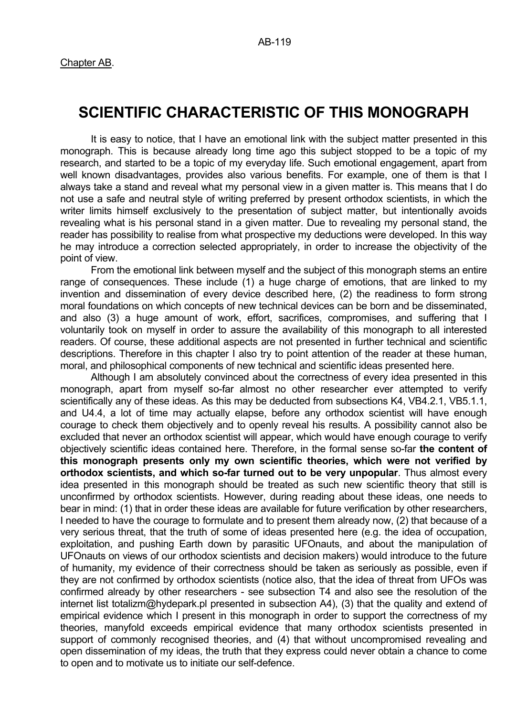## **SCIENTIFIC CHARACTERISTIC OF THIS MONOGRAPH**

 It is easy to notice, that I have an emotional link with the subject matter presented in this monograph. This is because already long time ago this subject stopped to be a topic of my research, and started to be a topic of my everyday life. Such emotional engagement, apart from well known disadvantages, provides also various benefits. For example, one of them is that I always take a stand and reveal what my personal view in a given matter is. This means that I do not use a safe and neutral style of writing preferred by present orthodox scientists, in which the writer limits himself exclusively to the presentation of subject matter, but intentionally avoids revealing what is his personal stand in a given matter. Due to revealing my personal stand, the reader has possibility to realise from what prospective my deductions were developed. In this way he may introduce a correction selected appropriately, in order to increase the objectivity of the point of view.

 From the emotional link between myself and the subject of this monograph stems an entire range of consequences. These include (1) a huge charge of emotions, that are linked to my invention and dissemination of every device described here, (2) the readiness to form strong moral foundations on which concepts of new technical devices can be born and be disseminated, and also (3) a huge amount of work, effort, sacrifices, compromises, and suffering that I voluntarily took on myself in order to assure the availability of this monograph to all interested readers. Of course, these additional aspects are not presented in further technical and scientific descriptions. Therefore in this chapter I also try to point attention of the reader at these human, moral, and philosophical components of new technical and scientific ideas presented here.

 Although I am absolutely convinced about the correctness of every idea presented in this monograph, apart from myself so-far almost no other researcher ever attempted to verify scientifically any of these ideas. As this may be deducted from subsections K4, VB4.2.1, VB5.1.1, and U4.4, a lot of time may actually elapse, before any orthodox scientist will have enough courage to check them objectively and to openly reveal his results. A possibility cannot also be excluded that never an orthodox scientist will appear, which would have enough courage to verify objectively scientific ideas contained here. Therefore, in the formal sense so-far **the content of this monograph presents only my own scientific theories, which were not verified by orthodox scientists, and which so-far turned out to be very unpopular**. Thus almost every idea presented in this monograph should be treated as such new scientific theory that still is unconfirmed by orthodox scientists. However, during reading about these ideas, one needs to bear in mind: (1) that in order these ideas are available for future verification by other researchers, I needed to have the courage to formulate and to present them already now, (2) that because of a very serious threat, that the truth of some of ideas presented here (e.g. the idea of occupation, exploitation, and pushing Earth down by parasitic UFOnauts, and about the manipulation of UFOnauts on views of our orthodox scientists and decision makers) would introduce to the future of humanity, my evidence of their correctness should be taken as seriously as possible, even if they are not confirmed by orthodox scientists (notice also, that the idea of threat from UFOs was confirmed already by other researchers - see subsection T4 and also see the resolution of the internet list totalizm@hydepark.pl presented in subsection A4), (3) that the quality and extend of empirical evidence which I present in this monograph in order to support the correctness of my theories, manyfold exceeds empirical evidence that many orthodox scientists presented in support of commonly recognised theories, and (4) that without uncompromised revealing and open dissemination of my ideas, the truth that they express could never obtain a chance to come to open and to motivate us to initiate our self-defence.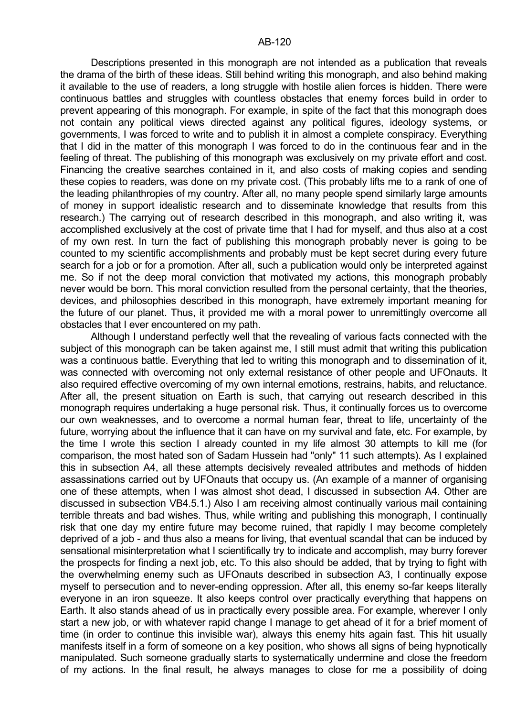Descriptions presented in this monograph are not intended as a publication that reveals the drama of the birth of these ideas. Still behind writing this monograph, and also behind making it available to the use of readers, a long struggle with hostile alien forces is hidden. There were continuous battles and struggles with countless obstacles that enemy forces build in order to prevent appearing of this monograph. For example, in spite of the fact that this monograph does not contain any political views directed against any political figures, ideology systems, or governments, I was forced to write and to publish it in almost a complete conspiracy. Everything that I did in the matter of this monograph I was forced to do in the continuous fear and in the feeling of threat. The publishing of this monograph was exclusively on my private effort and cost. Financing the creative searches contained in it, and also costs of making copies and sending these copies to readers, was done on my private cost. (This probably lifts me to a rank of one of the leading philanthropies of my country. After all, no many people spend similarly large amounts of money in support idealistic research and to disseminate knowledge that results from this research.) The carrying out of research described in this monograph, and also writing it, was accomplished exclusively at the cost of private time that I had for myself, and thus also at a cost of my own rest. In turn the fact of publishing this monograph probably never is going to be counted to my scientific accomplishments and probably must be kept secret during every future search for a job or for a promotion. After all, such a publication would only be interpreted against me. So if not the deep moral conviction that motivated my actions, this monograph probably never would be born. This moral conviction resulted from the personal certainty, that the theories, devices, and philosophies described in this monograph, have extremely important meaning for the future of our planet. Thus, it provided me with a moral power to unremittingly overcome all obstacles that I ever encountered on my path.

 Although I understand perfectly well that the revealing of various facts connected with the subject of this monograph can be taken against me, I still must admit that writing this publication was a continuous battle. Everything that led to writing this monograph and to dissemination of it, was connected with overcoming not only external resistance of other people and UFOnauts. It also required effective overcoming of my own internal emotions, restrains, habits, and reluctance. After all, the present situation on Earth is such, that carrying out research described in this monograph requires undertaking a huge personal risk. Thus, it continually forces us to overcome our own weaknesses, and to overcome a normal human fear, threat to life, uncertainty of the future, worrying about the influence that it can have on my survival and fate, etc. For example, by the time I wrote this section I already counted in my life almost 30 attempts to kill me (for comparison, the most hated son of Sadam Hussein had "only" 11 such attempts). As I explained this in subsection A4, all these attempts decisively revealed attributes and methods of hidden assassinations carried out by UFOnauts that occupy us. (An example of a manner of organising one of these attempts, when I was almost shot dead, I discussed in subsection A4. Other are discussed in subsection VB4.5.1.) Also I am receiving almost continually various mail containing terrible threats and bad wishes. Thus, while writing and publishing this monograph, I continually risk that one day my entire future may become ruined, that rapidly I may become completely deprived of a job - and thus also a means for living, that eventual scandal that can be induced by sensational misinterpretation what I scientifically try to indicate and accomplish, may burry forever the prospects for finding a next job, etc. To this also should be added, that by trying to fight with the overwhelming enemy such as UFOnauts described in subsection A3, I continually expose myself to persecution and to never-ending oppression. After all, this enemy so-far keeps literally everyone in an iron squeeze. It also keeps control over practically everything that happens on Earth. It also stands ahead of us in practically every possible area. For example, wherever I only start a new job, or with whatever rapid change I manage to get ahead of it for a brief moment of time (in order to continue this invisible war), always this enemy hits again fast. This hit usually manifests itself in a form of someone on a key position, who shows all signs of being hypnotically manipulated. Such someone gradually starts to systematically undermine and close the freedom of my actions. In the final result, he always manages to close for me a possibility of doing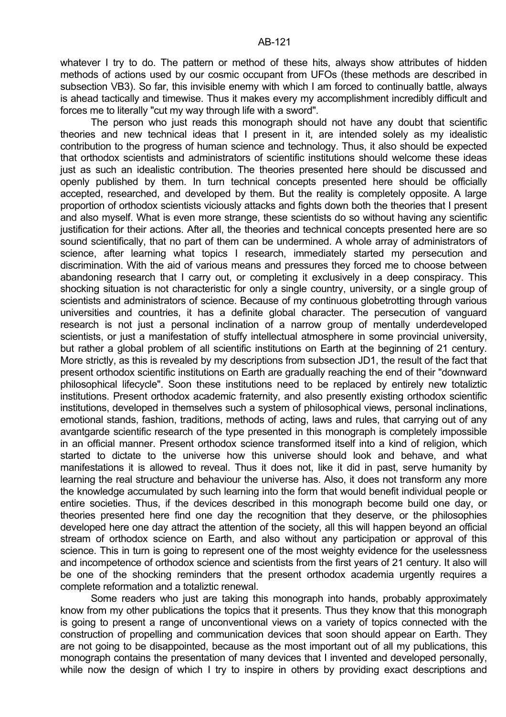whatever I try to do. The pattern or method of these hits, always show attributes of hidden methods of actions used by our cosmic occupant from UFOs (these methods are described in subsection VB3). So far, this invisible enemy with which I am forced to continually battle, always is ahead tactically and timewise. Thus it makes every my accomplishment incredibly difficult and forces me to literally "cut my way through life with a sword".

 The person who just reads this monograph should not have any doubt that scientific theories and new technical ideas that I present in it, are intended solely as my idealistic contribution to the progress of human science and technology. Thus, it also should be expected that orthodox scientists and administrators of scientific institutions should welcome these ideas just as such an idealistic contribution. The theories presented here should be discussed and openly published by them. In turn technical concepts presented here should be officially accepted, researched, and developed by them. But the reality is completely opposite. A large proportion of orthodox scientists viciously attacks and fights down both the theories that I present and also myself. What is even more strange, these scientists do so without having any scientific justification for their actions. After all, the theories and technical concepts presented here are so sound scientifically, that no part of them can be undermined. A whole array of administrators of science, after learning what topics I research, immediately started my persecution and discrimination. With the aid of various means and pressures they forced me to choose between abandoning research that I carry out, or completing it exclusively in a deep conspiracy. This shocking situation is not characteristic for only a single country, university, or a single group of scientists and administrators of science. Because of my continuous globetrotting through various universities and countries, it has a definite global character. The persecution of vanguard research is not just a personal inclination of a narrow group of mentally underdeveloped scientists, or just a manifestation of stuffy intellectual atmosphere in some provincial university, but rather a global problem of all scientific institutions on Earth at the beginning of 21 century. More strictly, as this is revealed by my descriptions from subsection JD1, the result of the fact that present orthodox scientific institutions on Earth are gradually reaching the end of their "downward philosophical lifecycle". Soon these institutions need to be replaced by entirely new totaliztic institutions. Present orthodox academic fraternity, and also presently existing orthodox scientific institutions, developed in themselves such a system of philosophical views, personal inclinations, emotional stands, fashion, traditions, methods of acting, laws and rules, that carrying out of any avantgarde scientific research of the type presented in this monograph is completely impossible in an official manner. Present orthodox science transformed itself into a kind of religion, which started to dictate to the universe how this universe should look and behave, and what manifestations it is allowed to reveal. Thus it does not, like it did in past, serve humanity by learning the real structure and behaviour the universe has. Also, it does not transform any more the knowledge accumulated by such learning into the form that would benefit individual people or entire societies. Thus, if the devices described in this monograph become build one day, or theories presented here find one day the recognition that they deserve, or the philosophies developed here one day attract the attention of the society, all this will happen beyond an official stream of orthodox science on Earth, and also without any participation or approval of this science. This in turn is going to represent one of the most weighty evidence for the uselessness and incompetence of orthodox science and scientists from the first years of 21 century. It also will be one of the shocking reminders that the present orthodox academia urgently requires a complete reformation and a totaliztic renewal.

 Some readers who just are taking this monograph into hands, probably approximately know from my other publications the topics that it presents. Thus they know that this monograph is going to present a range of unconventional views on a variety of topics connected with the construction of propelling and communication devices that soon should appear on Earth. They are not going to be disappointed, because as the most important out of all my publications, this monograph contains the presentation of many devices that I invented and developed personally, while now the design of which I try to inspire in others by providing exact descriptions and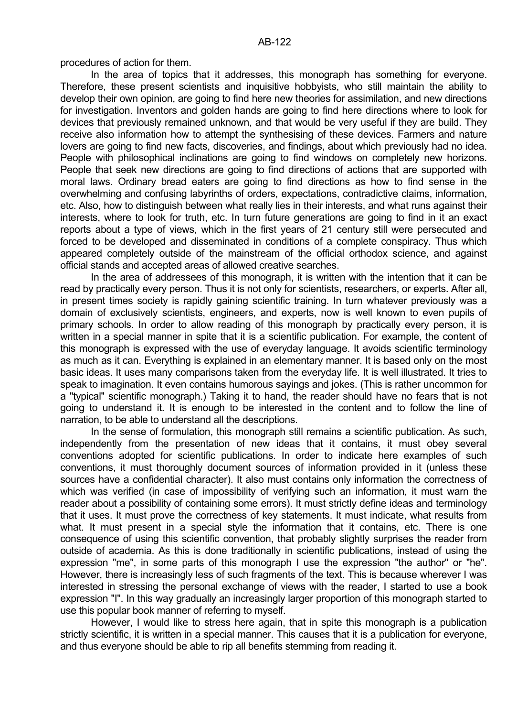procedures of action for them.

 In the area of topics that it addresses, this monograph has something for everyone. Therefore, these present scientists and inquisitive hobbyists, who still maintain the ability to develop their own opinion, are going to find here new theories for assimilation, and new directions for investigation. Inventors and golden hands are going to find here directions where to look for devices that previously remained unknown, and that would be very useful if they are build. They receive also information how to attempt the synthesising of these devices. Farmers and nature lovers are going to find new facts, discoveries, and findings, about which previously had no idea. People with philosophical inclinations are going to find windows on completely new horizons. People that seek new directions are going to find directions of actions that are supported with moral laws. Ordinary bread eaters are going to find directions as how to find sense in the overwhelming and confusing labyrinths of orders, expectations, contradictive claims, information, etc. Also, how to distinguish between what really lies in their interests, and what runs against their interests, where to look for truth, etc. In turn future generations are going to find in it an exact reports about a type of views, which in the first years of 21 century still were persecuted and forced to be developed and disseminated in conditions of a complete conspiracy. Thus which appeared completely outside of the mainstream of the official orthodox science, and against official stands and accepted areas of allowed creative searches.

 In the area of addressees of this monograph, it is written with the intention that it can be read by practically every person. Thus it is not only for scientists, researchers, or experts. After all, in present times society is rapidly gaining scientific training. In turn whatever previously was a domain of exclusively scientists, engineers, and experts, now is well known to even pupils of primary schools. In order to allow reading of this monograph by practically every person, it is written in a special manner in spite that it is a scientific publication. For example, the content of this monograph is expressed with the use of everyday language. It avoids scientific terminology as much as it can. Everything is explained in an elementary manner. It is based only on the most basic ideas. It uses many comparisons taken from the everyday life. It is well illustrated. It tries to speak to imagination. It even contains humorous sayings and jokes. (This is rather uncommon for a "typical" scientific monograph.) Taking it to hand, the reader should have no fears that is not going to understand it. It is enough to be interested in the content and to follow the line of narration, to be able to understand all the descriptions.

 In the sense of formulation, this monograph still remains a scientific publication. As such, independently from the presentation of new ideas that it contains, it must obey several conventions adopted for scientific publications. In order to indicate here examples of such conventions, it must thoroughly document sources of information provided in it (unless these sources have a confidential character). It also must contains only information the correctness of which was verified (in case of impossibility of verifying such an information, it must warn the reader about a possibility of containing some errors). It must strictly define ideas and terminology that it uses. It must prove the correctness of key statements. It must indicate, what results from what. It must present in a special style the information that it contains, etc. There is one consequence of using this scientific convention, that probably slightly surprises the reader from outside of academia. As this is done traditionally in scientific publications, instead of using the expression "me", in some parts of this monograph I use the expression "the author" or "he". However, there is increasingly less of such fragments of the text. This is because wherever I was interested in stressing the personal exchange of views with the reader, I started to use a book expression "I". In this way gradually an increasingly larger proportion of this monograph started to use this popular book manner of referring to myself.

 However, I would like to stress here again, that in spite this monograph is a publication strictly scientific, it is written in a special manner. This causes that it is a publication for everyone, and thus everyone should be able to rip all benefits stemming from reading it.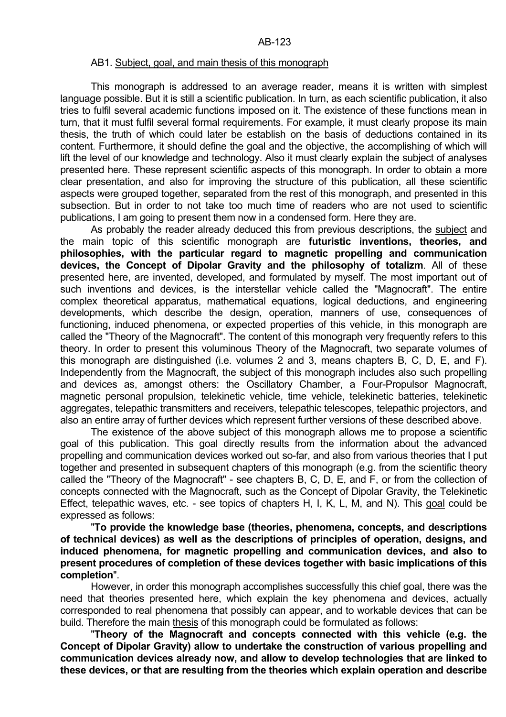### AB1. Subject, goal, and main thesis of this monograph

 This monograph is addressed to an average reader, means it is written with simplest language possible. But it is still a scientific publication. In turn, as each scientific publication, it also tries to fulfil several academic functions imposed on it. The existence of these functions mean in turn, that it must fulfil several formal requirements. For example, it must clearly propose its main thesis, the truth of which could later be establish on the basis of deductions contained in its content. Furthermore, it should define the goal and the objective, the accomplishing of which will lift the level of our knowledge and technology. Also it must clearly explain the subject of analyses presented here. These represent scientific aspects of this monograph. In order to obtain a more clear presentation, and also for improving the structure of this publication, all these scientific aspects were grouped together, separated from the rest of this monograph, and presented in this subsection. But in order to not take too much time of readers who are not used to scientific publications, I am going to present them now in a condensed form. Here they are.

 As probably the reader already deduced this from previous descriptions, the subject and the main topic of this scientific monograph are **futuristic inventions, theories, and philosophies, with the particular regard to magnetic propelling and communication devices, the Concept of Dipolar Gravity and the philosophy of totalizm**. All of these presented here, are invented, developed, and formulated by myself. The most important out of such inventions and devices, is the interstellar vehicle called the "Magnocraft". The entire complex theoretical apparatus, mathematical equations, logical deductions, and engineering developments, which describe the design, operation, manners of use, consequences of functioning, induced phenomena, or expected properties of this vehicle, in this monograph are called the "Theory of the Magnocraft". The content of this monograph very frequently refers to this theory. In order to present this voluminous Theory of the Magnocraft, two separate volumes of this monograph are distinguished (i.e. volumes 2 and 3, means chapters B, C, D, E, and F). Independently from the Magnocraft, the subject of this monograph includes also such propelling and devices as, amongst others: the Oscillatory Chamber, a Four-Propulsor Magnocraft, magnetic personal propulsion, telekinetic vehicle, time vehicle, telekinetic batteries, telekinetic aggregates, telepathic transmitters and receivers, telepathic telescopes, telepathic projectors, and also an entire array of further devices which represent further versions of these described above.

 The existence of the above subject of this monograph allows me to propose a scientific goal of this publication. This goal directly results from the information about the advanced propelling and communication devices worked out so-far, and also from various theories that I put together and presented in subsequent chapters of this monograph (e.g. from the scientific theory called the "Theory of the Magnocraft" - see chapters B, C, D, E, and F, or from the collection of concepts connected with the Magnocraft, such as the Concept of Dipolar Gravity, the Telekinetic Effect, telepathic waves, etc. - see topics of chapters H, I, K, L, M, and N). This goal could be expressed as follows:

 "**To provide the knowledge base (theories, phenomena, concepts, and descriptions of technical devices) as well as the descriptions of principles of operation, designs, and induced phenomena, for magnetic propelling and communication devices, and also to present procedures of completion of these devices together with basic implications of this completion**".

 However, in order this monograph accomplishes successfully this chief goal, there was the need that theories presented here, which explain the key phenomena and devices, actually corresponded to real phenomena that possibly can appear, and to workable devices that can be build. Therefore the main thesis of this monograph could be formulated as follows:

 "**Theory of the Magnocraft and concepts connected with this vehicle (e.g. the Concept of Dipolar Gravity) allow to undertake the construction of various propelling and communication devices already now, and allow to develop technologies that are linked to these devices, or that are resulting from the theories which explain operation and describe**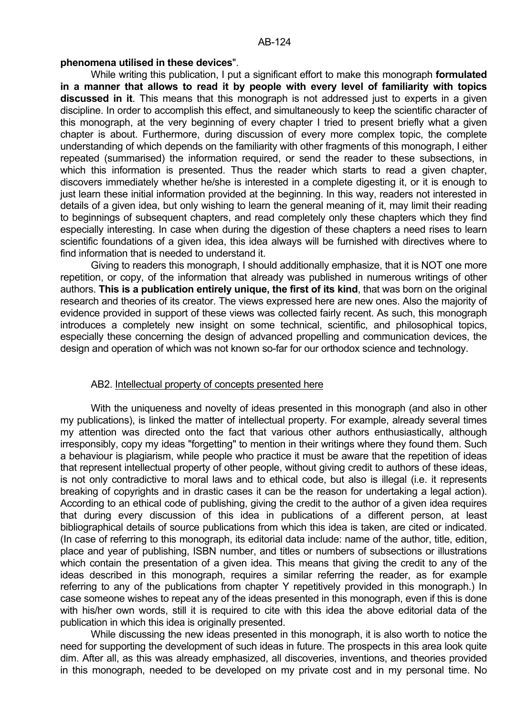# **phenomena utilised in these devices**".

 While writing this publication, I put a significant effort to make this monograph **formulated in a manner that allows to read it by people with every level of familiarity with topics discussed in it**. This means that this monograph is not addressed just to experts in a given discipline. In order to accomplish this effect, and simultaneously to keep the scientific character of this monograph, at the very beginning of every chapter I tried to present briefly what a given chapter is about. Furthermore, during discussion of every more complex topic, the complete understanding of which depends on the familiarity with other fragments of this monograph, I either repeated (summarised) the information required, or send the reader to these subsections, in which this information is presented. Thus the reader which starts to read a given chapter, discovers immediately whether he/she is interested in a complete digesting it, or it is enough to just learn these initial information provided at the beginning. In this way, readers not interested in details of a given idea, but only wishing to learn the general meaning of it, may limit their reading to beginnings of subsequent chapters, and read completely only these chapters which they find especially interesting. In case when during the digestion of these chapters a need rises to learn scientific foundations of a given idea, this idea always will be furnished with directives where to find information that is needed to understand it.

 Giving to readers this monograph, I should additionally emphasize, that it is NOT one more repetition, or copy, of the information that already was published in numerous writings of other authors. **This is a publication entirely unique, the first of its kind**, that was born on the original research and theories of its creator. The views expressed here are new ones. Also the majority of evidence provided in support of these views was collected fairly recent. As such, this monograph introduces a completely new insight on some technical, scientific, and philosophical topics, especially these concerning the design of advanced propelling and communication devices, the design and operation of which was not known so-far for our orthodox science and technology.

#### AB2. Intellectual property of concepts presented here

 With the uniqueness and novelty of ideas presented in this monograph (and also in other my publications), is linked the matter of intellectual property. For example, already several times my attention was directed onto the fact that various other authors enthusiastically, although irresponsibly, copy my ideas "forgetting" to mention in their writings where they found them. Such a behaviour is plagiarism, while people who practice it must be aware that the repetition of ideas that represent intellectual property of other people, without giving credit to authors of these ideas, is not only contradictive to moral laws and to ethical code, but also is illegal (i.e. it represents breaking of copyrights and in drastic cases it can be the reason for undertaking a legal action). According to an ethical code of publishing, giving the credit to the author of a given idea requires that during every discussion of this idea in publications of a different person, at least bibliographical details of source publications from which this idea is taken, are cited or indicated. (In case of referring to this monograph, its editorial data include: name of the author, title, edition, place and year of publishing, ISBN number, and titles or numbers of subsections or illustrations which contain the presentation of a given idea. This means that giving the credit to any of the ideas described in this monograph, requires a similar referring the reader, as for example referring to any of the publications from chapter Y repetitively provided in this monograph.) In case someone wishes to repeat any of the ideas presented in this monograph, even if this is done with his/her own words, still it is required to cite with this idea the above editorial data of the publication in which this idea is originally presented.

 While discussing the new ideas presented in this monograph, it is also worth to notice the need for supporting the development of such ideas in future. The prospects in this area look quite dim. After all, as this was already emphasized, all discoveries, inventions, and theories provided in this monograph, needed to be developed on my private cost and in my personal time. No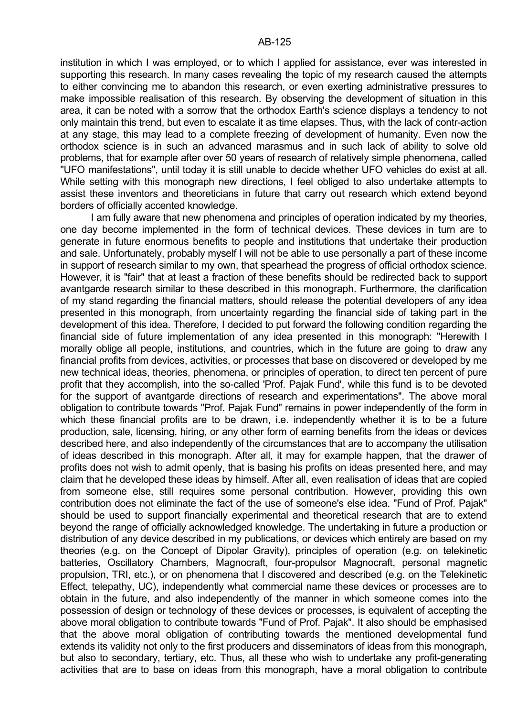institution in which I was employed, or to which I applied for assistance, ever was interested in supporting this research. In many cases revealing the topic of my research caused the attempts to either convincing me to abandon this research, or even exerting administrative pressures to make impossible realisation of this research. By observing the development of situation in this area, it can be noted with a sorrow that the orthodox Earth's science displays a tendency to not only maintain this trend, but even to escalate it as time elapses. Thus, with the lack of contr-action at any stage, this may lead to a complete freezing of development of humanity. Even now the orthodox science is in such an advanced marasmus and in such lack of ability to solve old problems, that for example after over 50 years of research of relatively simple phenomena, called "UFO manifestations", until today it is still unable to decide whether UFO vehicles do exist at all. While setting with this monograph new directions, I feel obliged to also undertake attempts to assist these inventors and theoreticians in future that carry out research which extend beyond borders of officially accented knowledge.

 I am fully aware that new phenomena and principles of operation indicated by my theories, one day become implemented in the form of technical devices. These devices in turn are to generate in future enormous benefits to people and institutions that undertake their production and sale. Unfortunately, probably myself I will not be able to use personally a part of these income in support of research similar to my own, that spearhead the progress of official orthodox science. However, it is "fair" that at least a fraction of these benefits should be redirected back to support avantgarde research similar to these described in this monograph. Furthermore, the clarification of my stand regarding the financial matters, should release the potential developers of any idea presented in this monograph, from uncertainty regarding the financial side of taking part in the development of this idea. Therefore, I decided to put forward the following condition regarding the financial side of future implementation of any idea presented in this monograph: "Herewith I morally oblige all people, institutions, and countries, which in the future are going to draw any financial profits from devices, activities, or processes that base on discovered or developed by me new technical ideas, theories, phenomena, or principles of operation, to direct ten percent of pure profit that they accomplish, into the so-called 'Prof. Pajak Fund', while this fund is to be devoted for the support of avantgarde directions of research and experimentations". The above moral obligation to contribute towards "Prof. Pajak Fund" remains in power independently of the form in which these financial profits are to be drawn, i.e. independently whether it is to be a future production, sale, licensing, hiring, or any other form of earning benefits from the ideas or devices described here, and also independently of the circumstances that are to accompany the utilisation of ideas described in this monograph. After all, it may for example happen, that the drawer of profits does not wish to admit openly, that is basing his profits on ideas presented here, and may claim that he developed these ideas by himself. After all, even realisation of ideas that are copied from someone else, still requires some personal contribution. However, providing this own contribution does not eliminate the fact of the use of someone's else idea. "Fund of Prof. Pajak" should be used to support financially experimental and theoretical research that are to extend beyond the range of officially acknowledged knowledge. The undertaking in future a production or distribution of any device described in my publications, or devices which entirely are based on my theories (e.g. on the Concept of Dipolar Gravity), principles of operation (e.g. on telekinetic batteries, Oscillatory Chambers, Magnocraft, four-propulsor Magnocraft, personal magnetic propulsion, TRI, etc.), or on phenomena that I discovered and described (e.g. on the Telekinetic Effect, telepathy, UC), independently what commercial name these devices or processes are to obtain in the future, and also independently of the manner in which someone comes into the possession of design or technology of these devices or processes, is equivalent of accepting the above moral obligation to contribute towards "Fund of Prof. Pajak". It also should be emphasised that the above moral obligation of contributing towards the mentioned developmental fund extends its validity not only to the first producers and disseminators of ideas from this monograph, but also to secondary, tertiary, etc. Thus, all these who wish to undertake any profit-generating activities that are to base on ideas from this monograph, have a moral obligation to contribute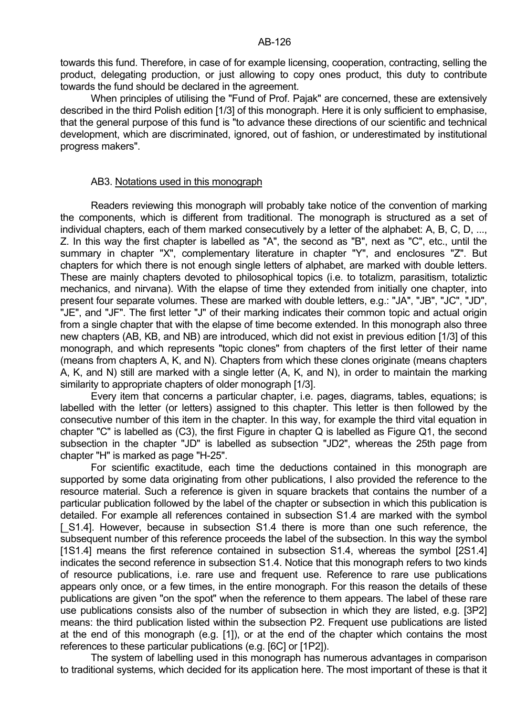towards this fund. Therefore, in case of for example licensing, cooperation, contracting, selling the product, delegating production, or just allowing to copy ones product, this duty to contribute towards the fund should be declared in the agreement.

 When principles of utilising the "Fund of Prof. Pajak" are concerned, these are extensively described in the third Polish edition [1/3] of this monograph. Here it is only sufficient to emphasise, that the general purpose of this fund is "to advance these directions of our scientific and technical development, which are discriminated, ignored, out of fashion, or underestimated by institutional progress makers".

# AB3. Notations used in this monograph

 Readers reviewing this monograph will probably take notice of the convention of marking the components, which is different from traditional. The monograph is structured as a set of individual chapters, each of them marked consecutively by a letter of the alphabet: A, B, C, D, ..., Z. In this way the first chapter is labelled as "A", the second as "B", next as "C", etc., until the summary in chapter "X", complementary literature in chapter "Y", and enclosures "Z". But chapters for which there is not enough single letters of alphabet, are marked with double letters. These are mainly chapters devoted to philosophical topics (i.e. to totalizm, parasitism, totaliztic mechanics, and nirvana). With the elapse of time they extended from initially one chapter, into present four separate volumes. These are marked with double letters, e.g.: "JA", "JB", "JC", "JD", "JE", and "JF". The first letter "J" of their marking indicates their common topic and actual origin from a single chapter that with the elapse of time become extended. In this monograph also three new chapters (AB, KB, and NB) are introduced, which did not exist in previous edition [1/3] of this monograph, and which represents "topic clones" from chapters of the first letter of their name (means from chapters A, K, and N). Chapters from which these clones originate (means chapters A, K, and N) still are marked with a single letter (A, K, and N), in order to maintain the marking similarity to appropriate chapters of older monograph [1/3].

 Every item that concerns a particular chapter, i.e. pages, diagrams, tables, equations; is labelled with the letter (or letters) assigned to this chapter. This letter is then followed by the consecutive number of this item in the chapter. In this way, for example the third vital equation in chapter "C" is labelled as (C3), the first Figure in chapter Q is labelled as Figure Q1, the second subsection in the chapter "JD" is labelled as subsection "JD2", whereas the 25th page from chapter "H" is marked as page "H-25".

 For scientific exactitude, each time the deductions contained in this monograph are supported by some data originating from other publications, I also provided the reference to the resource material. Such a reference is given in square brackets that contains the number of a particular publication followed by the label of the chapter or subsection in which this publication is detailed. For example all references contained in subsection S1.4 are marked with the symbol [ $S1.4$ ]. However, because in subsection S1.4 there is more than one such reference, the subsequent number of this reference proceeds the label of the subsection. In this way the symbol [1S1.4] means the first reference contained in subsection S1.4, whereas the symbol [2S1.4] indicates the second reference in subsection S1.4. Notice that this monograph refers to two kinds of resource publications, i.e. rare use and frequent use. Reference to rare use publications appears only once, or a few times, in the entire monograph. For this reason the details of these publications are given "on the spot" when the reference to them appears. The label of these rare use publications consists also of the number of subsection in which they are listed, e.g. [3P2] means: the third publication listed within the subsection P2. Frequent use publications are listed at the end of this monograph (e.g. [1]), or at the end of the chapter which contains the most references to these particular publications (e.g. [6C] or [1P2]).

 The system of labelling used in this monograph has numerous advantages in comparison to traditional systems, which decided for its application here. The most important of these is that it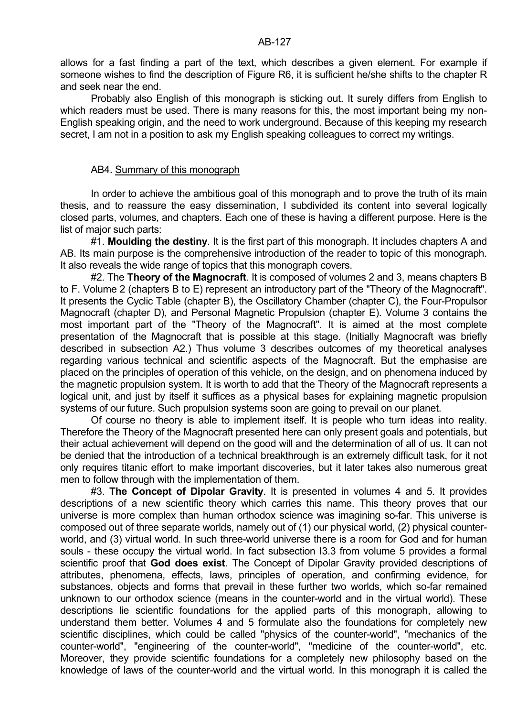allows for a fast finding a part of the text, which describes a given element. For example if someone wishes to find the description of Figure R6, it is sufficient he/she shifts to the chapter R and seek near the end.

 Probably also English of this monograph is sticking out. It surely differs from English to which readers must be used. There is many reasons for this, the most important being my non-English speaking origin, and the need to work underground. Because of this keeping my research secret, I am not in a position to ask my English speaking colleagues to correct my writings.

# AB4. Summary of this monograph

 In order to achieve the ambitious goal of this monograph and to prove the truth of its main thesis, and to reassure the easy dissemination, I subdivided its content into several logically closed parts, volumes, and chapters. Each one of these is having a different purpose. Here is the list of major such parts:

 #1. **Moulding the destiny**. It is the first part of this monograph. It includes chapters A and AB. Its main purpose is the comprehensive introduction of the reader to topic of this monograph. It also reveals the wide range of topics that this monograph covers.

 #2. The **Theory of the Magnocraft**. It is composed of volumes 2 and 3, means chapters B to F. Volume 2 (chapters B to E) represent an introductory part of the "Theory of the Magnocraft". It presents the Cyclic Table (chapter B), the Oscillatory Chamber (chapter C), the Four-Propulsor Magnocraft (chapter D), and Personal Magnetic Propulsion (chapter E). Volume 3 contains the most important part of the "Theory of the Magnocraft". It is aimed at the most complete presentation of the Magnocraft that is possible at this stage. (Initially Magnocraft was briefly described in subsection A2.) Thus volume 3 describes outcomes of my theoretical analyses regarding various technical and scientific aspects of the Magnocraft. But the emphasise are placed on the principles of operation of this vehicle, on the design, and on phenomena induced by the magnetic propulsion system. It is worth to add that the Theory of the Magnocraft represents a logical unit, and just by itself it suffices as a physical bases for explaining magnetic propulsion systems of our future. Such propulsion systems soon are going to prevail on our planet.

 Of course no theory is able to implement itself. It is people who turn ideas into reality. Therefore the Theory of the Magnocraft presented here can only present goals and potentials, but their actual achievement will depend on the good will and the determination of all of us. It can not be denied that the introduction of a technical breakthrough is an extremely difficult task, for it not only requires titanic effort to make important discoveries, but it later takes also numerous great men to follow through with the implementation of them.

 #3. **The Concept of Dipolar Gravity**. It is presented in volumes 4 and 5. It provides descriptions of a new scientific theory which carries this name. This theory proves that our universe is more complex than human orthodox science was imagining so-far. This universe is composed out of three separate worlds, namely out of (1) our physical world, (2) physical counterworld, and (3) virtual world. In such three-world universe there is a room for God and for human souls - these occupy the virtual world. In fact subsection I3.3 from volume 5 provides a formal scientific proof that **God does exist**. The Concept of Dipolar Gravity provided descriptions of attributes, phenomena, effects, laws, principles of operation, and confirming evidence, for substances, objects and forms that prevail in these further two worlds, which so-far remained unknown to our orthodox science (means in the counter-world and in the virtual world). These descriptions lie scientific foundations for the applied parts of this monograph, allowing to understand them better. Volumes 4 and 5 formulate also the foundations for completely new scientific disciplines, which could be called "physics of the counter-world", "mechanics of the counter-world", "engineering of the counter-world", "medicine of the counter-world", etc. Moreover, they provide scientific foundations for a completely new philosophy based on the knowledge of laws of the counter-world and the virtual world. In this monograph it is called the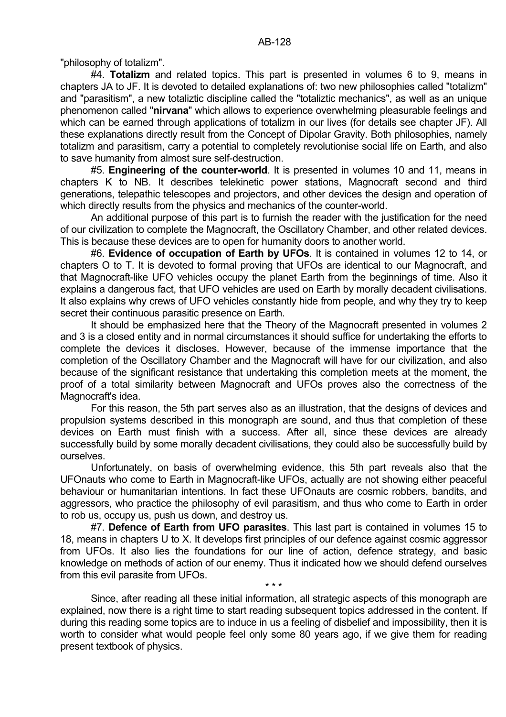"philosophy of totalizm".

 #4. **Totalizm** and related topics. This part is presented in volumes 6 to 9, means in chapters JA to JF. It is devoted to detailed explanations of: two new philosophies called "totalizm" and "parasitism", a new totaliztic discipline called the "totaliztic mechanics", as well as an unique phenomenon called "**nirvana**" which allows to experience overwhelming pleasurable feelings and which can be earned through applications of totalizm in our lives (for details see chapter JF). All these explanations directly result from the Concept of Dipolar Gravity. Both philosophies, namely totalizm and parasitism, carry a potential to completely revolutionise social life on Earth, and also to save humanity from almost sure self-destruction.

 #5. **Engineering of the counter-world**. It is presented in volumes 10 and 11, means in chapters K to NB. It describes telekinetic power stations, Magnocraft second and third generations, telepathic telescopes and projectors, and other devices the design and operation of which directly results from the physics and mechanics of the counter-world.

 An additional purpose of this part is to furnish the reader with the justification for the need of our civilization to complete the Magnocraft, the Oscillatory Chamber, and other related devices. This is because these devices are to open for humanity doors to another world.

 #6. **Evidence of occupation of Earth by UFOs**. It is contained in volumes 12 to 14, or chapters O to T. It is devoted to formal proving that UFOs are identical to our Magnocraft, and that Magnocraft-like UFO vehicles occupy the planet Earth from the beginnings of time. Also it explains a dangerous fact, that UFO vehicles are used on Earth by morally decadent civilisations. It also explains why crews of UFO vehicles constantly hide from people, and why they try to keep secret their continuous parasitic presence on Earth.

 It should be emphasized here that the Theory of the Magnocraft presented in volumes 2 and 3 is a closed entity and in normal circumstances it should suffice for undertaking the efforts to complete the devices it discloses. However, because of the immense importance that the completion of the Oscillatory Chamber and the Magnocraft will have for our civilization, and also because of the significant resistance that undertaking this completion meets at the moment, the proof of a total similarity between Magnocraft and UFOs proves also the correctness of the Magnocraft's idea.

 For this reason, the 5th part serves also as an illustration, that the designs of devices and propulsion systems described in this monograph are sound, and thus that completion of these devices on Earth must finish with a success. After all, since these devices are already successfully build by some morally decadent civilisations, they could also be successfully build by ourselves.

 Unfortunately, on basis of overwhelming evidence, this 5th part reveals also that the UFOnauts who come to Earth in Magnocraft-like UFOs, actually are not showing either peaceful behaviour or humanitarian intentions. In fact these UFOnauts are cosmic robbers, bandits, and aggressors, who practice the philosophy of evil parasitism, and thus who come to Earth in order to rob us, occupy us, push us down, and destroy us.

 #7. **Defence of Earth from UFO parasites**. This last part is contained in volumes 15 to 18, means in chapters U to X. It develops first principles of our defence against cosmic aggressor from UFOs. It also lies the foundations for our line of action, defence strategy, and basic knowledge on methods of action of our enemy. Thus it indicated how we should defend ourselves from this evil parasite from UFOs.

 Since, after reading all these initial information, all strategic aspects of this monograph are explained, now there is a right time to start reading subsequent topics addressed in the content. If during this reading some topics are to induce in us a feeling of disbelief and impossibility, then it is worth to consider what would people feel only some 80 years ago, if we give them for reading present textbook of physics.

 $\star \star \star$